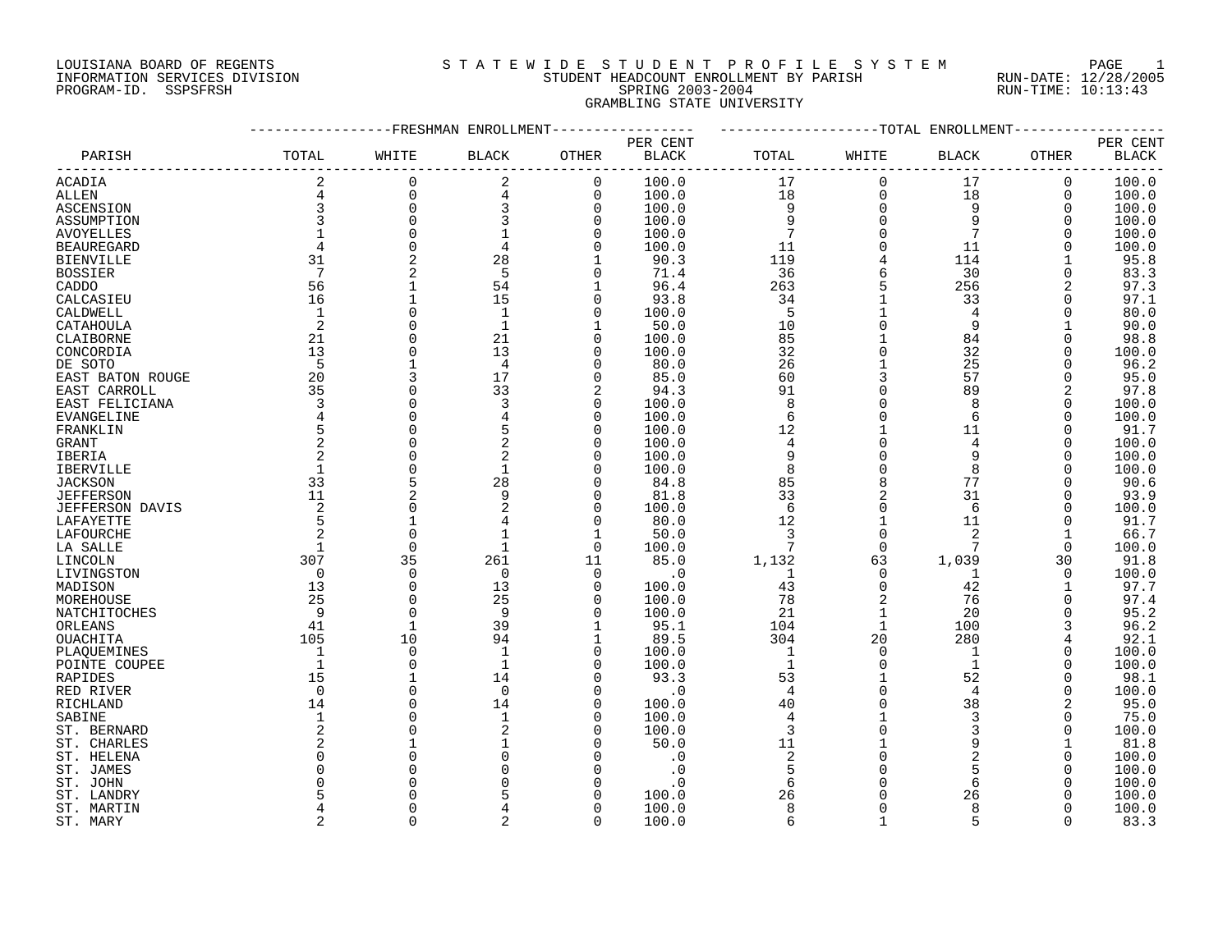# LOUISIANA BOARD OF REGENTS SOURCLEARIE WIDE STUDENT PROFILE SYSTEM PAGE 1 INFORMATION SERVICES DIVISION STUDENT HEADCOUNT ENROLLMENT BY PARISH RUN-DATE: 12/28/2005 PROGRAM-ID. SSPSFRSH SPRING 2003-2004 RUN-TIME: 10:13:43 GRAMBLING STATE UNIVERSITY

|                   |                 | ---------FRESHMAN ENROLLMENT |              |              |              |                 |              | ------------TOTAL ENROLLMENT- |             |              |
|-------------------|-----------------|------------------------------|--------------|--------------|--------------|-----------------|--------------|-------------------------------|-------------|--------------|
|                   |                 |                              |              |              | PER CENT     |                 |              |                               |             | PER CENT     |
| PARISH            | TOTAL           | WHITE                        | <b>BLACK</b> | OTHER        | <b>BLACK</b> | TOTAL           | WHITE        | BLACK                         | OTHER       | <b>BLACK</b> |
| ACADIA            |                 | $\mathbf 0$                  | 2            | $\mathbf 0$  | 100.0        | 17              | $\mathbf 0$  | 17                            | 0           | 100.0        |
| <b>ALLEN</b>      | $\overline{4}$  | $\mathbf 0$                  | 4            | $\mathbf 0$  | 100.0        | 18              | $\mathbf 0$  | 18                            | 0           | 100.0        |
| ASCENSION         | $\overline{3}$  | $\mathbf 0$                  | 3            | $\mathbf 0$  | 100.0        | 9               | $\mathbf 0$  | 9                             | $\mathbf 0$ | 100.0        |
| ASSUMPTION        |                 | $\Omega$                     |              | $\mathbf 0$  | 100.0        | $\overline{9}$  | $\Omega$     | 9                             | $\Omega$    | 100.0        |
| <b>AVOYELLES</b>  |                 | $\Omega$                     |              | $\Omega$     | 100.0        | $7\phantom{.0}$ | $\Omega$     | $7\overline{ }$               | $\Omega$    | 100.0        |
| <b>BEAUREGARD</b> | $\overline{4}$  | $\mathbf 0$                  | 4            | 0            | 100.0        | 11              | 0            | 11                            | 0           | 100.0        |
| BIENVILLE         | 31              | $\overline{2}$               | 28           |              | 90.3         | 119             |              | 114                           |             | 95.8         |
| <b>BOSSIER</b>    | $7\phantom{.0}$ |                              | 5            | $\Omega$     | 71.4         | 36              | 6            | 30                            | $\Omega$    | 83.3         |
| CADDO             | 56              | $\mathbf{1}$                 | 54           | 1            | 96.4         | 263             |              | 256                           | 2           | 97.3         |
| CALCASIEU         | 16              | $\mathbf{1}$                 | 15           | $\mathbf 0$  | 93.8         | 34              |              | 33                            | $\mathbf 0$ | 97.1         |
| CALDWELL          | 1               | $\mathbf 0$                  | $\mathbf{1}$ | $\mathbf 0$  | 100.0        | 5               | $\mathbf{1}$ | $\overline{4}$                | 0           | 80.0         |
| CATAHOULA         | 2               | $\Omega$                     | $\mathbf{1}$ | $\mathbf{1}$ | 50.0         | 10              | $\Omega$     | 9                             |             | 90.0         |
| CLAIBORNE         | 21              | $\Omega$                     | 21           | $\Omega$     | 100.0        | 85              |              | 84                            | $\Omega$    | 98.8         |
|                   | 13              | $\Omega$                     | 13           | $\Omega$     | 100.0        | 32              |              | 32                            | $\Omega$    | 100.0        |
| CONCORDIA         |                 |                              |              |              |              |                 |              |                               |             |              |
| DE SOTO           | 5               |                              | 4            | $\mathbf 0$  | 80.0         | 26              |              | 25                            |             | 96.2         |
| EAST BATON ROUGE  | 20              | 3                            | 17           | 0            | 85.0         | 60              |              | 57                            | 0           | 95.0         |
| EAST CARROLL      | 35              | $\Omega$                     | 33           | 2            | 94.3         | 91              |              | 89                            | 2           | 97.8         |
| EAST FELICIANA    | 3               | $\Omega$                     | 3            | $\mathbf 0$  | 100.0        | 8               |              | 8                             | $\mathbf 0$ | 100.0        |
| EVANGELINE        | $\overline{4}$  | $\Omega$                     |              | $\mathbf 0$  | 100.0        | 6               |              | 6                             | $\Omega$    | 100.0        |
| FRANKLIN          |                 | $\Omega$                     |              | $\Omega$     | 100.0        | 12              |              | 11                            | $\Omega$    | 91.7         |
| GRANT             | $\overline{2}$  | $\Omega$                     |              | $\Omega$     | 100.0        | 4               |              | 4                             | $\Omega$    | 100.0        |
| IBERIA            |                 | $\Omega$                     |              | $\Omega$     | 100.0        | 9               |              | 9                             |             | 100.0        |
| <b>IBERVILLE</b>  | $\mathbf{1}$    | $\Omega$                     | $\mathbf{1}$ | $\Omega$     | 100.0        | 8               |              | 8                             | $\Omega$    | 100.0        |
| JACKSON           | 33              | 5                            | 28           | 0            | 84.8         | 85              |              | 77                            | 0           | 90.6         |
| <b>JEFFERSON</b>  | 11              | 2                            | 9            | $\mathbf 0$  | 81.8         | 33              |              | 31                            | $\Omega$    | 93.9         |
| JEFFERSON DAVIS   | 2               | $\Omega$                     |              | 0            | 100.0        | 6               | 0            | 6                             | $\Omega$    | 100.0        |
| LAFAYETTE         |                 | $\mathbf{1}$                 |              | $\Omega$     | 80.0         | 12              | $\mathbf{1}$ | 11                            | 0           | 91.7         |
| LAFOURCHE         |                 | $\mathbf 0$                  |              | 1            | 50.0         | $\overline{3}$  | $\mathbf 0$  | 2                             |             | 66.7         |
| LA SALLE          |                 | $\mathbf 0$                  | $\mathbf{1}$ | 0            | 100.0        | $7\phantom{.0}$ | $\Omega$     | 7                             | $\Omega$    | 100.0        |
| LINCOLN           | 307             | 35                           | 261          | 11           | 85.0         | 1,132           | 63           | 1,039                         | 30          | 91.8         |
| LIVINGSTON        | $\bigcirc$      | $\Omega$                     | $\Omega$     | $\Omega$     | $\cdot$ 0    | $\overline{1}$  | $\Omega$     | 1                             | $\Omega$    | 100.0        |
| MADISON           | 13              | $\Omega$                     | 13           | $\Omega$     | 100.0        | 43              | $\Omega$     | 42                            |             | 97.7         |
| MOREHOUSE         | 25              | $\mathbf 0$                  | 25           | $\mathbf 0$  | 100.0        | 78              |              | 76                            | $\mathbf 0$ | 97.4         |
| NATCHITOCHES      | 9               | $\mathbf 0$                  | 9            | 0            | 100.0        | 21              | $\mathbf{1}$ | 20                            | 0           | 95.2         |
| ORLEANS           | 41              | $\mathbf{1}$                 | 39           | 1            | 95.1         | 104             | $\mathbf{1}$ | 100                           |             | 96.2         |
| <b>OUACHITA</b>   | 105             | 10                           | 94           | 1            | 89.5         | 304             | 20           | 280                           |             | 92.1         |
| PLAQUEMINES       | $\overline{1}$  | $\mathbf 0$                  | $\mathbf{1}$ | 0            | 100.0        | $\mathbf{1}$    | $\Omega$     | $\overline{1}$                | 0           | 100.0        |
| POINTE COUPEE     | $\overline{1}$  | $\Omega$                     | $\mathbf{1}$ | $\Omega$     | 100.0        | $\mathbf{1}$    | $\Omega$     | 1                             |             | 100.0        |
| RAPIDES           | 15              | $\mathbf{1}$                 | 14           | $\mathbf 0$  | 93.3         | 53              | $\mathbf{1}$ | 52                            | $\Omega$    | 98.1         |
| RED RIVER         | $\Omega$        | $\Omega$                     | $\Omega$     | $\Omega$     | $\cdot$ 0    | $\overline{4}$  | $\Omega$     | $\overline{4}$                | $\Omega$    | 100.0        |
| RICHLAND          | 14              | $\Omega$                     | 14           | $\Omega$     | 100.0        | 40              |              | 38                            |             | 95.0         |
| SABINE            | 1               | $\Omega$                     |              | 0            | 100.0        | 4               |              | 3                             | 0           | 75.0         |
| ST. BERNARD       |                 | $\Omega$                     |              | $\Omega$     | 100.0        | 3               |              | 3                             |             | 100.0        |
| ST. CHARLES       |                 |                              |              | $\Omega$     | 50.0         | 11              |              | 9                             |             | 81.8         |
| ST. HELENA        |                 |                              |              |              | $\cdot$ 0    | $\overline{c}$  |              | 2                             | $\Omega$    | 100.0        |
| ST. JAMES         |                 | $\Omega$                     |              | $\Omega$     | $\cdot$ 0    | 5               |              | 5                             | $\Omega$    | 100.0        |
| ST. JOHN          |                 |                              |              | $\Omega$     | . 0          | 6               |              | 6                             |             | 100.0        |
| ST. LANDRY        |                 |                              |              |              | 100.0        | 26              |              | 26                            |             | 100.0        |
| ST. MARTIN        |                 | $\Omega$                     |              | O            | 100.0        | 8               | $\Omega$     | 8                             | U           | 100.0        |
|                   |                 | $\cap$                       |              | $\Omega$     | 100.0        | 6               | $\mathbf{1}$ |                               |             | 83.3         |
| ST. MARY          |                 |                              |              |              |              |                 |              |                               |             |              |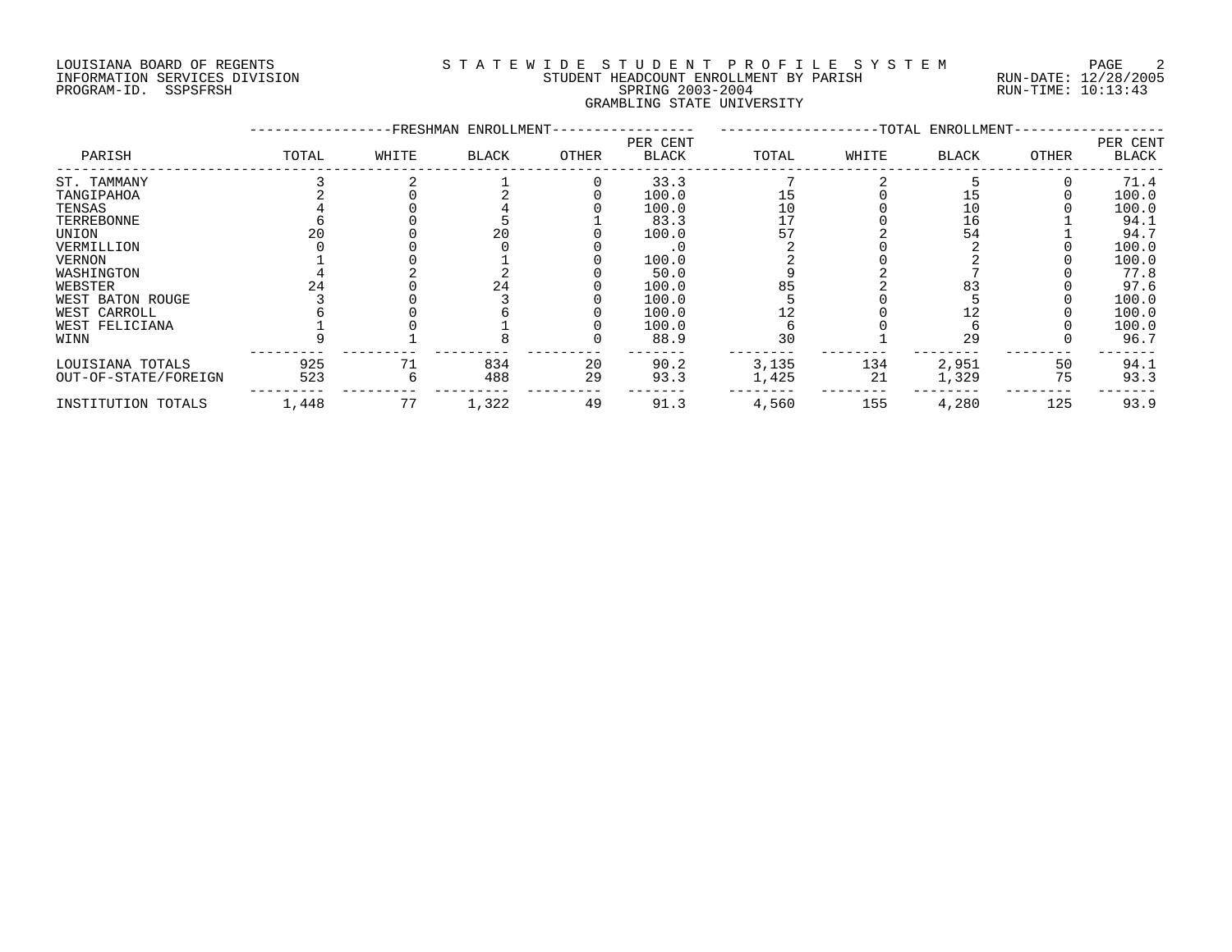# LOUISIANA BOARD OF REGENTS SOURCLEARIE WIDE STUDENT PROFILE SYSTEM PAGE 2 INFORMATION SERVICES DIVISION STUDENT HEADCOUNT ENROLLMENT BY PARISH RUN-DATE: 12/28/2005 PROGRAM-ID. SSPSFRSH SPRING 2003-2004 RUN-TIME: 10:13:43 GRAMBLING STATE UNIVERSITY

|                      |       |       | -FRESHMAN ENROLLMENT- |       |                          |       |       | -TOTAL ENROLLMENT- |       |                          |
|----------------------|-------|-------|-----------------------|-------|--------------------------|-------|-------|--------------------|-------|--------------------------|
| PARISH               | TOTAL | WHITE | <b>BLACK</b>          | OTHER | PER CENT<br><b>BLACK</b> | TOTAL | WHITE | <b>BLACK</b>       | OTHER | PER CENT<br><b>BLACK</b> |
| ST. TAMMANY          |       |       |                       |       | 33.3                     |       |       |                    |       | 71.4                     |
| TANGIPAHOA           |       |       |                       |       | 100.0                    | 15    |       |                    |       | 100.0                    |
| TENSAS               |       |       |                       |       | 100.0                    | 10    |       | 10                 |       | 100.0                    |
| TERREBONNE           |       |       |                       |       | 83.3                     | 17    |       | 16                 |       | 94.1                     |
| UNION                |       |       | 20                    |       | 100.0                    | 57    |       | 54                 |       | 94.7                     |
| VERMILLION           |       |       |                       |       |                          |       |       |                    |       | 100.0                    |
| VERNON               |       |       |                       |       | 100.0                    |       |       |                    |       | 100.0                    |
| WASHINGTON           |       |       |                       |       | 50.0                     |       |       |                    |       | 77.8                     |
| WEBSTER              |       |       | 24                    |       | 100.0                    | 85    |       | 83                 |       | 97.6                     |
| WEST BATON ROUGE     |       |       |                       |       | 100.0                    |       |       |                    |       | 100.0                    |
| WEST CARROLL         |       |       |                       |       | 100.0                    |       |       |                    |       | 100.0                    |
| WEST FELICIANA       |       |       |                       |       | 100.0                    |       |       |                    |       | 100.0                    |
| WINN                 |       |       |                       |       | 88.9                     | 30    |       | 29                 |       | 96.7                     |
| LOUISIANA TOTALS     | 925   |       | 834                   | 20    | 90.2                     | 3,135 | 134   | 2,951              | 50    | 94.1                     |
| OUT-OF-STATE/FOREIGN | 523   |       | 488                   | 29    | 93.3                     | 1,425 | 21    | 1,329              | 75    | 93.3                     |
| INSTITUTION TOTALS   | 1,448 | 77    | 1,322                 | 49    | 91.3                     | 4,560 | 155   | 4,280              | 125   | 93.9                     |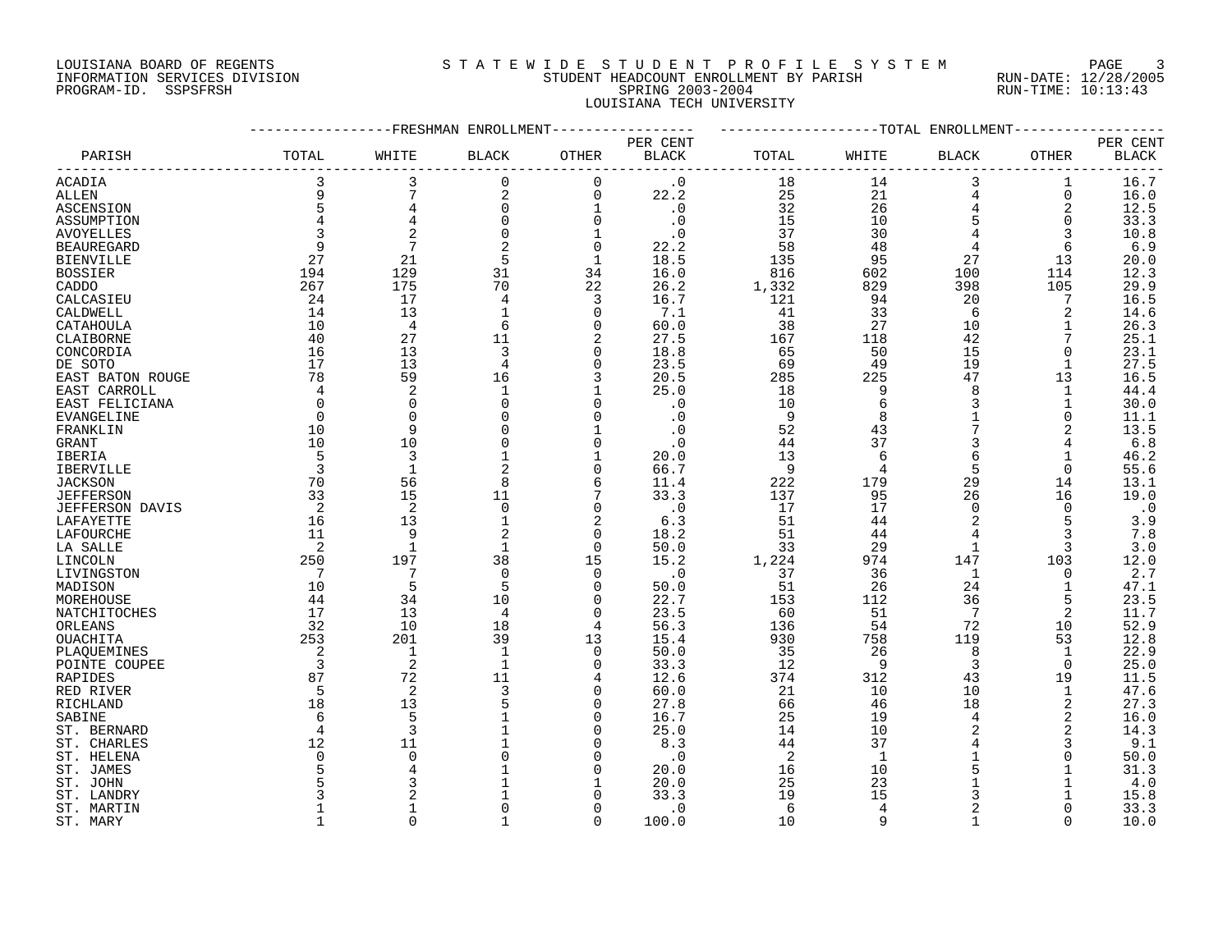# LOUISIANA BOARD OF REGENTS SOURCLEARIE STA T E W I D E S T U D E N T P R O F I L E S Y S T E M PAGE 3 INFORMATION SERVICES DIVISION STUDENT HEADCOUNT ENROLLMENT BY PARISH RUN-DATE: 12/28/2005 PROGRAM-ID. SSPSFRSH SPRING 2003-2004 RUN-TIME: 10:13:43 LOUISIANA TECH UNIVERSITY

|                        |                |                         | -FRESHMAN ENROLLMENT |                |              |       |              | --TOTAL ENROLLMENT |          |              |
|------------------------|----------------|-------------------------|----------------------|----------------|--------------|-------|--------------|--------------------|----------|--------------|
|                        |                |                         |                      |                | PER CENT     |       |              |                    |          | PER CENT     |
| PARISH                 | TOTAL          | WHITE                   | BLACK                | OTHER          | <b>BLACK</b> | TOTAL | WHITE        | BLACK              | OTHER    | <b>BLACK</b> |
| ACADIA                 | 3              | 3                       | 0                    | 0              | $\cdot$ 0    | 18    | 14           | 3                  | 1        | 16.7         |
| ALLEN                  |                | 7                       | 2                    | $\mathbf 0$    | 22.2         | 25    | 21           | 4                  | 0        | 16.0         |
| ASCENSION              | 5              | $\overline{\mathbf{4}}$ | $\mathbf 0$          | 1              | $\cdot$ 0    | 32    | 26           | $\overline{4}$     | 2        | 12.5         |
| ASSUMPTION             |                |                         | 0                    | $\mathbf 0$    | $\cdot$ 0    | 15    | 10           | 5                  | 0        | 33.3         |
| AVOYELLES              |                | $\overline{c}$          | $\Omega$             | $\mathbf{1}$   | $\cdot$ 0    | 37    | 30           |                    | 3        | 10.8         |
| <b>BEAUREGARD</b>      | 9              | $7\phantom{.0}$         | 2                    | $\mathbf 0$    | 22.2         | 58    | 48           | 4                  | 6        | 6.9          |
| <b>BIENVILLE</b>       | 27             | 21                      | 5                    | $\mathbf 1$    | 18.5         | 135   | 95           | 27                 | 13       | 20.0         |
| <b>BOSSIER</b>         | 194            | 129                     | 31                   | 34             | 16.0         | 816   | 602          | 100                | 114      | 12.3         |
| CADDO                  | 267            | 175                     | 70                   | 22             | 26.2         | 1,332 | 829          | 398                | 105      | 29.9         |
| CALCASIEU              | 24             | 17                      |                      | 3              | 16.7         | 121   | 94           | 20                 | 7        | 16.5         |
| CALDWELL               | 14             | 13                      |                      | $\mathbf 0$    | 7.1          | 41    | 33           | 6                  | 2        | 14.6         |
| CATAHOULA              | 10             | $\overline{4}$          | 6                    | $\Omega$       | 60.0         | 38    | 27           | 10                 |          | 26.3         |
| CLAIBORNE              | 40             | 27                      | 11                   | $\overline{2}$ | 27.5         | 167   | 118          | 42                 |          | 25.1         |
| CONCORDIA              | 16             | 13                      | 3                    | $\mathbf 0$    | 18.8         | 65    | 50           | 15                 | $\Omega$ | 23.1         |
| DE SOTO                | 17             | 13                      | 4                    | $\mathbf 0$    | 23.5         | 69    | 49           | 19                 |          | 27.5         |
| EAST BATON ROUGE       | 78             | 59                      | 16                   | 3              | 20.5         | 285   | 225          | 47                 | 13       | 16.5         |
| EAST CARROLL           | $\overline{4}$ | 2                       | 1                    |                | 25.0         | 18    | 9            | 8                  | 1        | 44.4         |
| EAST FELICIANA         | $\Omega$       | $\mathbf 0$             | $\Omega$             | $\Omega$       | . 0          | 10    | 6            | 3                  |          | 30.0         |
|                        | $\Omega$       | $\mathbf 0$             |                      | $\Omega$       | $\cdot$ 0    | 9     | 8            |                    | 0        | 11.1         |
| EVANGELINE             | 10             | 9                       |                      |                | $\cdot$ 0    | 52    | 43           |                    | 2        | 13.5         |
| FRANKLIN               | 10             | 10                      |                      | $\Omega$       | . 0          | 44    | 37           | 3                  |          | $6.8$        |
| GRANT<br>IBERIA        | 5              | 3                       |                      | $\mathbf{1}$   | 20.0         | 13    | 6            | 6                  |          | 46.2         |
| IBERVILLE              | $\overline{3}$ | $\mathbf{1}$            | 2                    | $\Omega$       | 66.7         | 9     |              | 5                  | 0        | 55.6         |
| <b>JACKSON</b>         | 70             | 56                      | 8                    | 6              | 11.4         | 222   | 179          | 29                 | 14       | 13.1         |
| <b>JEFFERSON</b>       | 33             | 15                      | 11                   | 7              | 33.3         | 137   | 95           | 26                 | 16       | 19.0         |
| <b>JEFFERSON DAVIS</b> | 2              | 2                       | $\Omega$             | $\Omega$       | $\cdot$ 0    | 17    | 17           | $\Omega$           | $\Omega$ | $\cdot$ 0    |
| LAFAYETTE              | 16             | 13                      |                      | $\overline{2}$ | 6.3          | 51    | 44           | $\mathcal{D}$      | 5        | 3.9          |
| LAFOURCHE              | 11             | 9                       |                      | $\mathbf 0$    | 18.2         | 51    | 44           |                    |          | 7.8          |
| LA SALLE               | 2              | $\mathbf{1}$            |                      | $\Omega$       | 50.0         | 33    | 29           | $\mathbf{1}$       | 3        | 3.0          |
| LINCOLN                | 250            | 197                     | 38                   | 15             | 15.2         | 1,224 | 974          | 147                | 103      | 12.0         |
| LIVINGSTON             | 7              | 7                       | $\Omega$             | $\Omega$       | $\cdot$ 0    | 37    | 36           | 1                  | $\Omega$ | 2.7          |
| MADISON                | 10             | 5                       | 5                    | $\Omega$       | 50.0         | 51    | 26           | 24                 |          | 47.1         |
| MOREHOUSE              | 44             | 34                      | 10                   | $\mathbf 0$    | 22.7         | 153   | 112          | 36                 | 5        | 23.5         |
| NATCHITOCHES           | 17             | 13                      | 4                    | 0              | 23.5         | 60    | 51           | 7                  | 2        | 11.7         |
| ORLEANS                | 32             | 10                      | 18                   | 4              | 56.3         | 136   | 54           | 72                 | 10       | 52.9         |
| OUACHITA               | 253            | 201                     | 39                   | 13             | 15.4         | 930   | 758          | 119                | 53       | 12.8         |
| PLAQUEMINES            | 2              | 1                       | -1                   | 0              | 50.0         | 35    | 26           | 8                  | 1        | 22.9         |
| POINTE COUPEE          | 3              | 2                       |                      | $\mathbf 0$    | 33.3         | 12    | - 9          | 3                  | $\Omega$ | 25.0         |
| RAPIDES                | 87             | 72                      | 11                   | 4              | 12.6         | 374   | 312          | 43                 | 19       | 11.5         |
| RED RIVER              | 5              | $\overline{2}$          | 3                    | $\Omega$       | 60.0         | 21    | 10           | 10                 | 1        | 47.6         |
| RICHLAND               | 18             | 13                      |                      | $\Omega$       | 27.8         | 66    | 46           | 18                 | 2        | 27.3         |
| SABINE                 |                | 5                       |                      | $\Omega$       | 16.7         | 25    | 19           | 4                  | 2        | 16.0         |
| ST. BERNARD            | 4              | 3                       |                      | $\Omega$       | 25.0         | 14    | 10           | $\overline{2}$     | 2        | 14.3         |
| ST. CHARLES            | 12             | 11                      |                      | $\Omega$       | 8.3          | 44    | 37           |                    | 3        | 9.1          |
| ST. HELENA             |                | $\Omega$                |                      | $\Omega$       | $\cdot$ 0    | 2     | $\mathbf{1}$ |                    |          | 50.0         |
| ST. JAMES              |                |                         |                      | $\Omega$       | 20.0         | 16    | 10           |                    |          | 31.3         |
| ST. JOHN               |                |                         |                      |                | 20.0         | 25    | 23           |                    |          | 4.0          |
| ST. LANDRY             |                |                         |                      | $\Omega$       | 33.3         | 19    | 15           | 3                  |          | 15.8         |
| ST. MARTIN             |                |                         |                      | $\Omega$       | $\cdot$ 0    | 6     | 4            | $\overline{2}$     |          | 33.3         |
| ST. MARY               |                |                         |                      | ∩              | 100.0        | 10    | Q            |                    |          | 10.0         |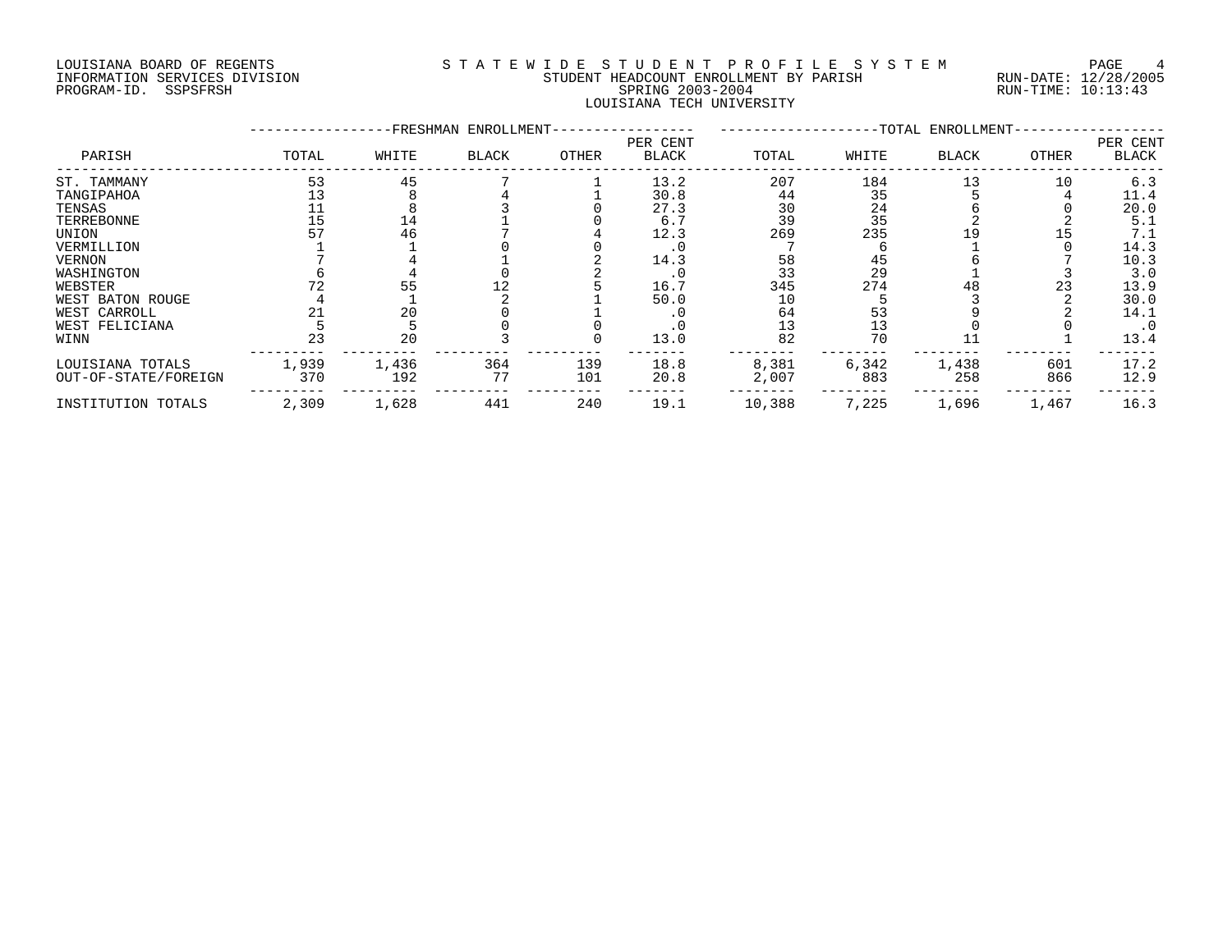# LOUISIANA BOARD OF REGENTS S T A T E W I D E S T U D E N T P R O F I L E S Y S T E M PAGE 4 INFORMATION SERVICES DIVISION STUDENT HEADCOUNT ENROLLMENT BY PARISH RUN-DATE: 12/28/2005 PROGRAM-ID. SSPSFRSH SPRING 2003-2004 RUN-TIME: 10:13:43 LOUISIANA TECH UNIVERSITY

|                      |       | FRESHMAN- | ENROLLMENT-  | -TOTAL ENROLLMENT- |                          |        |       |              |       |                          |
|----------------------|-------|-----------|--------------|--------------------|--------------------------|--------|-------|--------------|-------|--------------------------|
| PARISH               | TOTAL | WHITE     | <b>BLACK</b> | OTHER              | PER CENT<br><b>BLACK</b> | TOTAL  | WHITE | <b>BLACK</b> | OTHER | PER CENT<br><b>BLACK</b> |
| ST. TAMMANY          | 53    | 45        |              |                    | 13.2                     | 207    | 184   | 13           | 10    | 6.3                      |
| TANGIPAHOA           |       |           |              |                    | 30.8                     | 44     | 35    |              |       | 11.4                     |
| TENSAS               |       |           |              |                    | 27.3                     | 30     | 24    |              |       | 20.0                     |
| TERREBONNE           | 15    | 14        |              |                    | 6.7                      | 39     | 35    |              |       | 5.1                      |
| UNION                |       | 46        |              |                    | 12.3                     | 269    | 235   | -9           |       | 7.1                      |
| VERMILLION           |       |           |              |                    | . 0                      |        |       |              |       | 14.3                     |
| <b>VERNON</b>        |       |           |              |                    | 14.3                     | 58     | 45    |              |       | 10.3                     |
| WASHINGTON           |       |           |              |                    | . 0                      | 33     | 29    |              |       | 3.0                      |
| WEBSTER              |       | 55        |              |                    | 16.7                     | 345    | 274   | 48           | 23    | 13.9                     |
| WEST BATON ROUGE     |       |           |              |                    | 50.0                     | 10     |       |              |       | 30.0                     |
| WEST CARROLL         |       | 20        |              |                    |                          | 64     | 53    |              |       | 14.1                     |
| WEST FELICIANA       |       |           |              |                    |                          | 13     | 13    |              |       | $\cdot$ 0                |
| WINN                 | 23    | 20        |              |                    | 13.0                     | 82     | 70    |              |       | 13.4                     |
| LOUISIANA TOTALS     | 1,939 | 1,436     | 364          | 139                | 18.8                     | 8,381  | 6,342 | 1,438        | 601   | 17.2                     |
| OUT-OF-STATE/FOREIGN | 370   | 192       | 77           | 101                | 20.8                     | 2,007  | 883   | 258          | 866   | 12.9                     |
| INSTITUTION TOTALS   | 2,309 | 1,628     | 441          | 240                | 19.1                     | 10,388 | 7,225 | 1,696        | 1,467 | 16.3                     |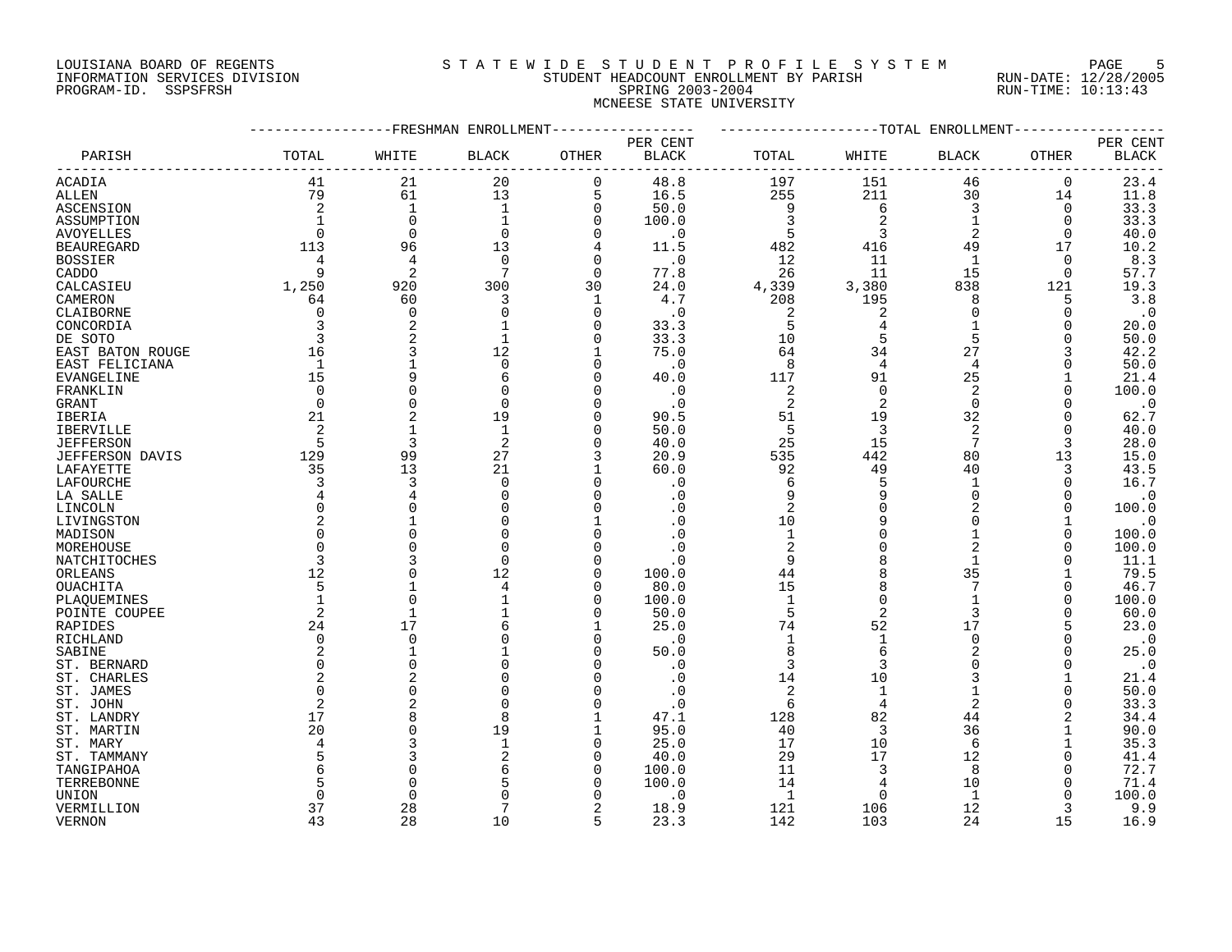#### LOUISIANA BOARD OF REGENTS SOURCLEARIE STA T E W I D E S T U D E N T P R O F I L E S Y S T E M PAGE 5 INFORMATION SERVICES DIVISION STUDENT HEADCOUNT ENROLLMENT BY PARISH RUN-DATE: 12/28/2005 PROGRAM-ID. SSPSFRSH SPRING 2003-2004 RUN-TIME: 10:13:43 MCNEESE STATE UNIVERSITY

|                        |                |                | -FRESHMAN ENROLLMENT |                |                          |                |                | -TOTAL ENROLLMENT |             |                          |
|------------------------|----------------|----------------|----------------------|----------------|--------------------------|----------------|----------------|-------------------|-------------|--------------------------|
| PARISH                 | TOTAL          | WHITE          | <b>BLACK</b>         | OTHER          | PER CENT<br><b>BLACK</b> | TOTAL          | WHITE          | <b>BLACK</b>      | OTHER       | PER CENT<br><b>BLACK</b> |
|                        |                |                |                      |                |                          |                |                |                   |             |                          |
| ACADIA                 | 41             | 21             | 20                   | $\mathbf 0$    | 48.8                     | 197            | 151            | 46                | $\mathbf 0$ | 23.4                     |
| <b>ALLEN</b>           | 79             | 61             | 13                   | 5              | 16.5                     | 255            | 211            | 30                | 14          | 11.8                     |
| ASCENSION              | $\overline{c}$ | $\mathbf{1}$   | $\mathbf{1}$         | $\overline{0}$ | 50.0                     | 9              | 6              | 3                 | $\mathbf 0$ | 33.3                     |
| ASSUMPTION             |                | $\mathbf 0$    |                      | 0              | 100.0                    | 3              |                | 1                 | 0           | 33.3                     |
| <b>AVOYELLES</b>       | $\Omega$       | $\Omega$       | $\Omega$             | $\mathbf 0$    | $\cdot$ 0                | 5              | 3              | 2                 | 0           | 40.0                     |
| <b>BEAUREGARD</b>      | 113            | 96             | 13                   | 4              | 11.5                     | 482            | 416            | 49                | 17          | 10.2                     |
| <b>BOSSIER</b>         |                | 4              | $\Omega$             | $\mathbf 0$    | . 0                      | 12             | 11             | 1                 | 0           | 8.3                      |
| CADDO                  | Q              | 2              |                      | $\Omega$       | 77.8                     | 26             | 11             | 15                | $\Omega$    | 57.7                     |
| CALCASIEU              | 1,250          | 920            | 300                  | 30             | 24.0                     | 4,339          | 3,380          | 838               | 121         | 19.3                     |
| CAMERON                | 64             | 60             | 3                    | 1              | 4.7                      | 208            | 195            | 8                 | 5           | 3.8                      |
| CLAIBORNE              | 0              | $\mathbf 0$    | $\Omega$             | $\mathbf 0$    | $\cdot$ 0                | 2              | 2              | $\Omega$          | 0           | $\cdot$ 0                |
| CONCORDIA              | 3              | 2              |                      | 0              | 33.3                     | 5              | 4              | 1                 | 0           | 20.0                     |
|                        | 3              | 2              |                      | $\Omega$       |                          | 10             | 5              | 5                 | O           |                          |
| DE SOTO                |                |                |                      |                | 33.3                     | 64             |                | 27                |             | 50.0<br>42.2             |
| EAST BATON ROUGE       | 16             | 3              | 12                   | 1              | 75.0                     |                | 34             |                   | 3           |                          |
| EAST FELICIANA         | $\mathbf{1}$   |                | $\Omega$             | $\Omega$       | $\cdot$ 0                | 8              | 4              | 4                 | U           | 50.0                     |
| EVANGELINE             | 15             | 9              | 6                    | $\Omega$       | 40.0                     | 117            | 91             | 25                |             | 21.4                     |
| FRANKLIN               | $\Omega$       | $\Omega$       |                      | $\mathbf 0$    | $\cdot$ 0                | 2              | $\Omega$       | 2                 | $\Omega$    | 100.0                    |
| GRANT                  | $\Omega$       | $\Omega$       | $\Omega$             | 0              | $\cdot$ 0                | $\overline{2}$ | 2              | $\Omega$          | U           | $\cdot$ 0                |
| IBERIA                 | 21             | $\overline{2}$ | 19                   | 0              | 90.5                     | 51             | 19             | 32                | 0           | 62.7                     |
| <b>IBERVILLE</b>       | 2              | $\mathbf{1}$   | $\mathbf{1}$         | $\Omega$       | 50.0                     | 5              | 3              | $\overline{a}$    | $\Omega$    | 40.0                     |
| <b>JEFFERSON</b>       | 5              | 3              | 2                    | $\mathbf 0$    | 40.0                     | 25             | 15             | 7                 | 3           | 28.0                     |
| <b>JEFFERSON DAVIS</b> | 129            | 99             | 27                   | 3              | 20.9                     | 535            | 442            | 80                | 13          | 15.0                     |
| LAFAYETTE              | 35             | 13             | 21                   | $\mathbf{1}$   | 60.0                     | 92             | 49             | 40                | 3           | 43.5                     |
| LAFOURCHE              | 3              | 3              | $\Omega$             | $\overline{0}$ | . 0                      | 6              | 5              | 1                 | $\Omega$    | 16.7                     |
| LA SALLE               | 4              | 4              | $\Omega$             | $\mathbf 0$    | . 0                      | 9              | 9              | $\Omega$          | O           | $\cdot$ 0                |
| LINCOLN                | $\Omega$       | $\Omega$       |                      | $\mathbf 0$    | . 0                      | $\overline{c}$ | $\Omega$       | 2                 | 0           | 100.0                    |
| LIVINGSTON             | 2              | 1              | $\Omega$             | 1              | . 0                      | 10             | 9              | $\Omega$          | 1           | $\cdot$ 0                |
| MADISON                |                | $\Omega$       |                      | $\Omega$       | . 0                      | $\mathbf{1}$   |                | 1                 | 0           | 100.0                    |
| MOREHOUSE              | $\Omega$       | $\Omega$       | O                    | $\Omega$       | . ດ                      | $\overline{c}$ | $\Omega$       | $\overline{2}$    | U           | 100.0                    |
| NATCHITOCHES           | 3              | 3              | $\Omega$             | $\Omega$       | . 0                      | 9              |                |                   | U           | 11.1                     |
| ORLEANS                | 12             | $\Omega$       | 12                   | $\mathbf 0$    | 100.0                    | 44             |                | 35                |             | 79.5                     |
|                        | 5              |                | 4                    | 0              | 80.0                     | 15             | 8              | 7                 | 0           |                          |
| OUACHITA               |                | $\Omega$       |                      |                |                          |                | $\Omega$       | $\mathbf{1}$      | O           | 46.7                     |
| PLAQUEMINES            |                |                |                      | $\mathbf 0$    | 100.0                    | $\mathbf{1}$   |                |                   |             | 100.0                    |
| POINTE COUPEE          | 2              | $\mathbf{1}$   |                      | $\mathbf 0$    | 50.0                     | 5              | $\overline{2}$ | 3                 | O           | 60.0                     |
| RAPIDES                | 24             | 17             |                      | 1              | 25.0                     | 74             | 52             | 17                | 5           | 23.0                     |
| <b>RICHLAND</b>        | $\Omega$       | $\Omega$       |                      | $\Omega$       | $\cdot$ 0                | $\mathbf{1}$   | $\mathbf{1}$   | $\Omega$          | O           | $\cdot$ 0                |
| SABINE                 | 2              | $\mathbf{1}$   |                      | 0              | 50.0                     | $\,8\,$        | 6              | 2                 | 0           | 25.0                     |
| ST. BERNARD            |                | $\Omega$       |                      | O              | . 0                      | 3              | 3              | $\Omega$          | O           | $\cdot$ 0                |
| ST. CHARLES            |                | $\overline{c}$ |                      | 0              | . 0                      | 14             | 10             | 3                 |             | 21.4                     |
| ST. JAMES              |                | $\Omega$       |                      | 0              | . 0                      | $\overline{c}$ | $\mathbf{1}$   |                   | O           | 50.0                     |
| ST. JOHN               | $\mathcal{D}$  | 2              | $\Omega$             | $\Omega$       | $\cdot$ 0                | 6              | $\overline{4}$ | $\overline{a}$    | O           | 33.3                     |
| ST. LANDRY             | 17             | 8              | 8                    | 1              | 47.1                     | 128            | 82             | 44                | 2           | 34.4                     |
| ST. MARTIN             | 20             | $\Omega$       | 19                   | $\mathbf{1}$   | 95.0                     | 40             | $\overline{3}$ | 36                |             | 90.0                     |
| ST. MARY               | 4              | 3              | $\mathbf{1}$         | $\mathsf 0$    | 25.0                     | 17             | 10             | 6                 |             | 35.3                     |
| ST. TAMMANY            |                | 3              |                      | $\mathbf 0$    | 40.0                     | 29             | 17             | 12                |             | 41.4                     |
| TANGIPAHOA             |                | $\Omega$       |                      | $\mathbf 0$    | 100.0                    | 11             | 3              | 8                 |             | 72.7                     |
| TERREBONNE             |                | $\Omega$       |                      | O              | 100.0                    | 14             | 4              | 10                |             | 71.4                     |
| UNION                  |                | $\Omega$       |                      | O              | . 0                      | $\mathbf{1}$   | $\Omega$       | $\mathbf{1}$      | U           | 100.0                    |
|                        | 37             | 28             |                      | 2              | 18.9                     | 121            | 106            | 12                | 3           | 9.9                      |
| VERMILLION             | 43             | 28             | 10                   | 5              |                          |                |                | 24                | 15          |                          |
| <b>VERNON</b>          |                |                |                      |                | 23.3                     | 142            | 103            |                   |             | 16.9                     |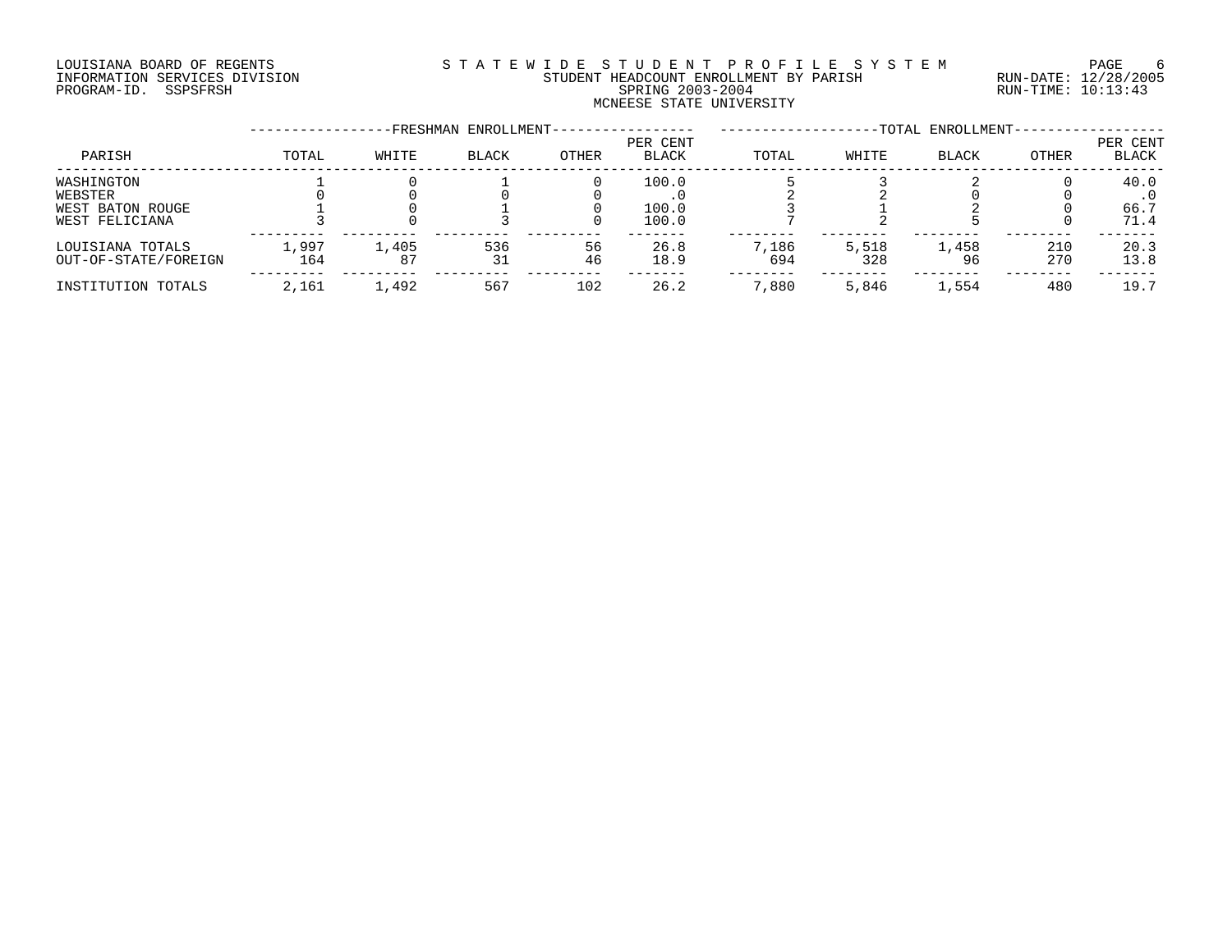# LOUISIANA BOARD OF REGENTS SOURCLEARIE STA T E W I D E S T U D E N T P R O F I L E S Y S T E M PAGE 6 INFORMATION SERVICES DIVISION STUDENT HEADCOUNT ENROLLMENT BY PARISH RUN-DATE: 12/28/2005 PROGRAM-ID. SSPSFRSH SPRING 2003-2004 RUN-TIME: 10:13:43 MCNEESE STATE UNIVERSITY

|                      |         |       | -FRESHMAN ENROLLMENT- |       |                          |       |       | -TOTAL ENROLLMENT- |       |                   |
|----------------------|---------|-------|-----------------------|-------|--------------------------|-------|-------|--------------------|-------|-------------------|
| PARISH               | TOTAL   | WHITE | <b>BLACK</b>          | OTHER | PER CENT<br><b>BLACK</b> | TOTAL | WHITE | <b>BLACK</b>       | OTHER | PER CENT<br>BLACK |
| WASHINGTON           |         |       |                       |       | 100.0                    |       |       |                    |       | 40.0              |
| WEBSTER              |         |       |                       |       |                          |       |       |                    |       |                   |
| WEST BATON ROUGE     |         |       |                       |       | 100.0                    |       |       |                    |       | 66.7              |
| WEST FELICIANA       |         |       |                       |       | 100.0                    |       |       |                    |       | 71.4              |
| LOUISIANA TOTALS     | . . 997 | 1,405 | 536                   | 56    | 26.8                     | 7,186 | 5,518 | 1,458              | 210   | 20.3              |
| OUT-OF-STATE/FOREIGN | 164     | 87    | 31                    | 46    | 18.9                     | 694   | 328   | 96                 | 270   | 13.8              |
| INSTITUTION TOTALS   | 2,161   | 1,492 | 567                   | 102   | 26.2                     | ,880  | 5,846 | 1,554              | 480   | 19.7              |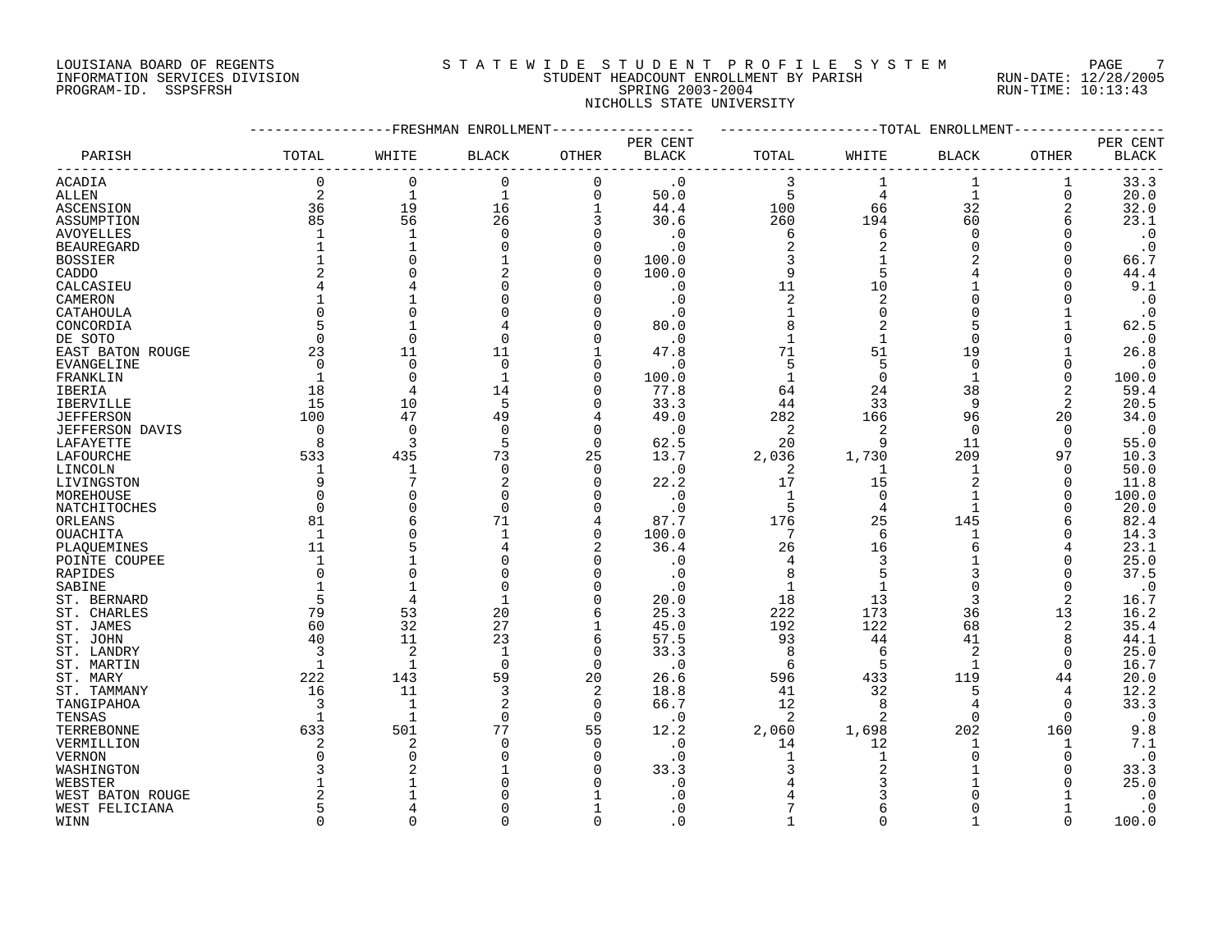# LOUISIANA BOARD OF REGENTS SOURCLEARIE STA T E W I D E S T U D E N T P R O F I L E S Y S T E M PAGE 7 INFORMATION SERVICES DIVISION STUDENT HEADCOUNT ENROLLMENT BY PARISH RUN-DATE: 12/28/2005 PROGRAM-ID. SSPSFRSH SPRING 2003-2004 RUN-TIME: 10:13:43 NICHOLLS STATE UNIVERSITY

|                        |                | ------------FRESHMAN ENROLLMENT |              |                   |              | -------------------TOTAL ENROLLMENT- |                |              |             |                        |
|------------------------|----------------|---------------------------------|--------------|-------------------|--------------|--------------------------------------|----------------|--------------|-------------|------------------------|
|                        |                |                                 |              |                   | PER CENT     |                                      |                |              |             | PER CENT               |
| PARISH                 | TOTAL          | WHITE                           | <b>BLACK</b> | OTHER             | <b>BLACK</b> | TOTAL                                | WHITE          | <b>BLACK</b> | OTHER       | $\operatorname{BLACK}$ |
| ACADIA                 | 0              | 0                               | $\mathbf 0$  | 0                 | $\cdot$ 0    | 3                                    |                | 1            | 1           | 33.3                   |
| ALLEN                  | 2              | $\mathbf{1}$                    | $\mathbf{1}$ | $\mathbf 0$       | 50.0         | 5                                    | 4              | $\mathbf{1}$ | $\mathbf 0$ | 20.0                   |
| ASCENSION              | 36             | 19                              | 16           | $\mathbf{1}$      | 44.4         | 100                                  | 66             | 32           | 2           | 32.0                   |
| ASSUMPTION             | 85             | 56                              | 26           | 3                 | 30.6         | 260                                  | 194            | 60           | 6           | 23.1                   |
| <b>AVOYELLES</b>       |                | $\mathbf 1$                     |              | $\Omega$          | . 0          | 6                                    | 6              | $\Omega$     |             | $\cdot$ 0              |
| <b>BEAUREGARD</b>      |                |                                 |              | $\Omega$          | . 0          | 2                                    | 2              | $\mathbf 0$  | 0           | $\cdot$ 0              |
| <b>BOSSIER</b>         |                |                                 |              | $\Omega$          | 100.0        | 3                                    |                |              | O           | 66.7                   |
| CADDO                  |                |                                 |              | $\Omega$          | 100.0        | 9                                    | 5              | 4            | 0           | 44.4                   |
| CALCASIEU              |                |                                 |              | $\Omega$          | $\cdot$ 0    | 11                                   | 10             | $\mathbf{1}$ |             | 9.1                    |
| CAMERON                |                |                                 |              | $\Omega$          | $\cdot$ 0    | $\overline{c}$                       | $\overline{2}$ | 0            |             | $\cdot$ 0              |
| CATAHOULA              | $\Omega$       | C                               |              | $\Omega$          | . 0          |                                      | O              | $\Omega$     |             | $\cdot$ 0              |
| CONCORDIA              | 5              | -1                              |              | $\Omega$          | 80.0         | 8                                    |                | 5            |             | 62.5                   |
| DE SOTO                | $\mathbf 0$    | $\mathbf 0$                     |              | $\Omega$          | $\cdot$ 0    | $\mathbf 1$                          |                | $\mathbf 0$  | 0           | $\cdot$ 0              |
| EAST BATON ROUGE       | 23             | 11                              | 11           |                   | 47.8         | 71                                   | 51             | 19           |             | 26.8                   |
| EVANGELINE             | $\Omega$       | $\mathbf 0$                     | $\Omega$     | $\Omega$          | $\cdot$ 0    | 5                                    | 5              | $\Omega$     |             | $\cdot$ 0              |
| FRANKLIN               | 1              | $\bigcap$                       | -1           | $\Omega$          | 100.0        | $\mathbf{1}$                         | $\Omega$       | $\mathbf{1}$ | $\Omega$    | 100.0                  |
| IBERIA                 | 18             | 4                               | 14           | $\Omega$          | 77.8         | 64                                   | 24             | 38           | 2           | 59.4                   |
| IBERVILLE              | 15             | 10                              | 5            | $\Omega$          | 33.3         | 44                                   | 33             | 9            | 2           | 20.5                   |
| <b>JEFFERSON</b>       | 100            | 47                              | 49           | 4                 | 49.0         | 282                                  | 166            | 96           | 20          | 34.0                   |
| <b>JEFFERSON DAVIS</b> | $\overline{0}$ | $\Omega$                        | $\Omega$     | $\Omega$          | $\cdot$ 0    | 2                                    |                | 0            | $\Omega$    | $\cdot$ 0              |
| LAFAYETTE              | 8              | 3                               | 5            | $\Omega$          | 62.5         | 20                                   | 9              | 11           | $\Omega$    | 55.0                   |
| LAFOURCHE              | 533            | 435                             | 73           | 25                | 13.7         | 2,036                                | 1,730          | 209          | 97          | 10.3                   |
| LINCOLN                | 1              | 1                               | $\Omega$     | $\Omega$          | $\cdot$ 0    | 2                                    |                | 1            | $\Omega$    | 50.0                   |
| LIVINGSTON             | 9              | 7                               | 2            | 0                 | 22.2         | 17                                   | 15             | 2            | 0           | 11.8                   |
| MOREHOUSE              | $\Omega$       |                                 |              | $\Omega$          | $\cdot$ 0    | -1                                   | $\Omega$       | 1            | O           | 100.0                  |
| NATCHITOCHES           | $\mathbf 0$    |                                 |              | $\Omega$          | $\cdot$ 0    | 5                                    | 4              | 1            |             | 20.0                   |
| ORLEANS                | 81             |                                 | 71           | 4                 | 87.7         | 176                                  | 25             | 145          | 6           | 82.4                   |
| <b>OUACHITA</b>        | 1              |                                 |              | $\mathbf 0$       | 100.0        | 7                                    | 6              | $\mathbf{1}$ |             | 14.3                   |
| PLAQUEMINES            | 11             |                                 |              | 2                 | 36.4         | 26                                   | 16             | 6            |             | 23.1                   |
| POINTE COUPEE          | $\mathbf 1$    |                                 |              | $\Omega$          | . 0          | 4                                    | 3              |              | U           | 25.0                   |
| RAPIDES                | $\Omega$       | C                               |              | $\Omega$          | . 0          | 8                                    |                |              |             | 37.5                   |
| SABINE                 |                |                                 |              | $\Omega$          | . 0          | 1                                    |                | $\Omega$     | $\Omega$    | $\cdot$ 0              |
| ST. BERNARD            | 5              |                                 |              | $\Omega$          | 20.0         | 18                                   | 13             | 3            | 2           | 16.7                   |
| ST. CHARLES            | 79             | 53                              | 20           | 6                 | 25.3         | 222                                  | 173            | 36           | 13          | 16.2                   |
| ST. JAMES              | 60             | 32                              | 27<br>23     | $\mathbf{1}$<br>6 | 45.0         | 192                                  | 122            | 68           | 2           | 35.4                   |
| ST. JOHN               | 40<br>3        | 11<br>$\overline{2}$            | $\mathbf 1$  | $\mathbf 0$       | 57.5<br>33.3 | 93<br>8                              | 44             | 41<br>2      | 8<br>0      | 44.1<br>25.0           |
| ST. LANDRY             | 1              | 1                               | $\Omega$     | 0                 | . 0          | 6                                    | 5              | 1            | 0           | 16.7                   |
| ST. MARTIN<br>ST. MARY | 222            | 143                             | 59           | 20                | 26.6         | 596                                  | 433            | 119          | 44          | 20.0                   |
| ST. TAMMANY            | 16             | 11                              | 3            | 2                 | 18.8         | 41                                   | 32             | 5            | 4           | 12.2                   |
| TANGIPAHOA             | 3              | 1                               | 2            | $\mathbf 0$       | 66.7         | 12                                   | 8              | 4            | $\Omega$    | 33.3                   |
| TENSAS                 |                | $\mathbf{1}$                    | ∩            | $\mathbf 0$       | $\cdot$ 0    | 2                                    | $\overline{2}$ | $\Omega$     | $\Omega$    | $\cdot$ 0              |
| TERREBONNE             | 633            | 501                             | 77           | 55                | 12.2         | 2,060                                | 1,698          | 202          | 160         | 9.8                    |
| VERMILLION             | 2              | 2                               |              | $\mathbf 0$       | $\cdot$ 0    | 14                                   | 12             | 1            | 1           | 7.1                    |
| <b>VERNON</b>          | $\Omega$       | C                               |              | $\Omega$          | . 0          | 1                                    |                | 0            |             | $\cdot$ 0              |
| WASHINGTON             | 3              |                                 |              | $\Omega$          | 33.3         | 3                                    |                |              |             | 33.3                   |
| WEBSTER                |                |                                 |              |                   | . 0          |                                      |                | 1            |             | 25.0                   |
| WEST BATON ROUGE       |                |                                 |              |                   |              |                                      |                |              |             | $\cdot$ 0              |
| WEST FELICIANA         | 5              |                                 |              |                   | . 0          |                                      |                | U            | 1           | $\cdot$ 0              |
| WINN                   | $\Omega$       | $\cap$                          |              | $\Omega$          | $\Omega$     |                                      | ∩              |              | $\Omega$    | 100.0                  |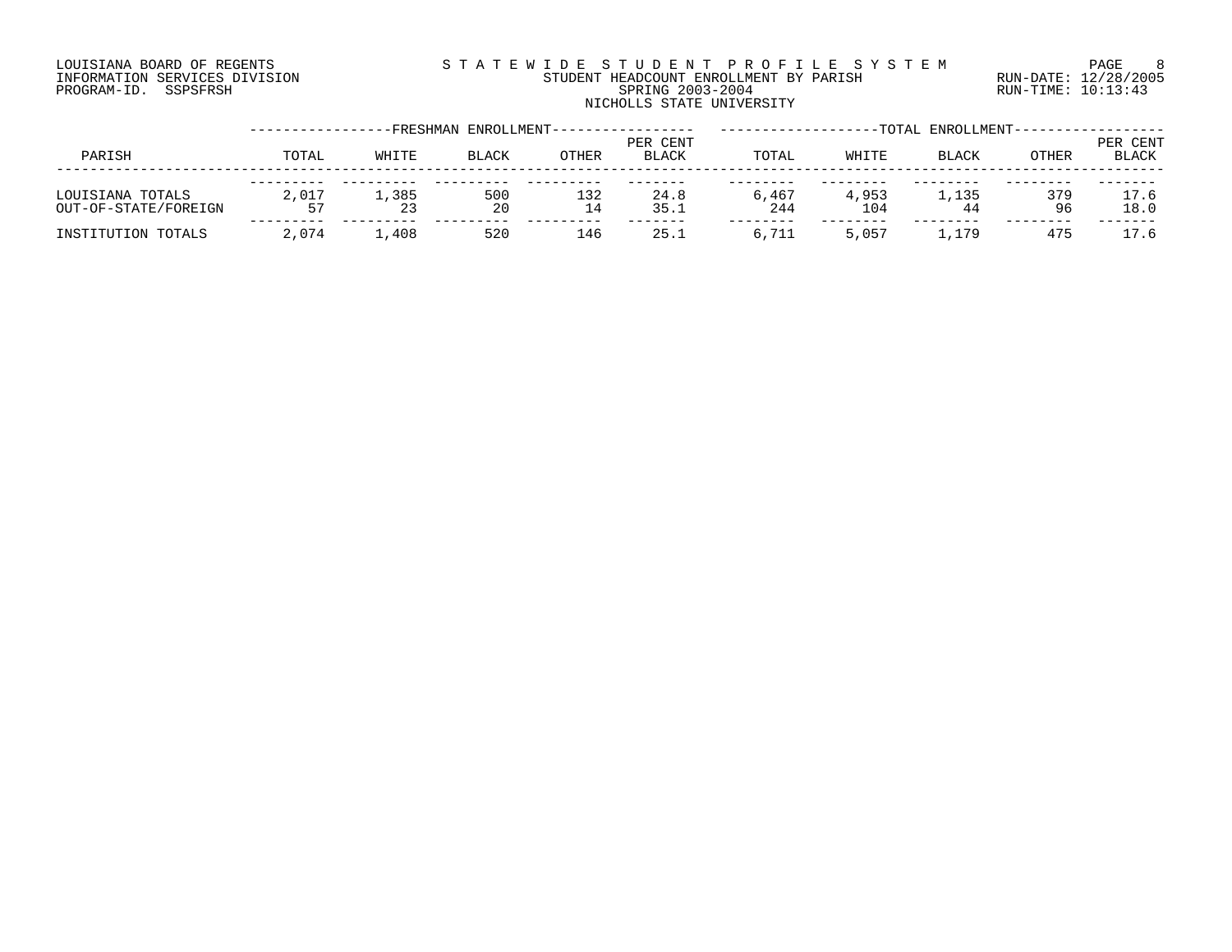# LOUISIANA BOARD OF REGENTS SOURCLEARIE STA T E W I D E S T U D E N T P R O F I L E S Y S T E M PAGE 8 INFORMATION SERVICES DIVISION STUDENT HEADCOUNT ENROLLMENT BY PARISH RUN-DATE: 12/28/2005 PROGRAM-ID. SSPSFRSH SPRING 2003-2004 RUN-TIME: 10:13:43 NICHOLLS STATE UNIVERSITY

|                                          |             |       | -FRESHMAN ENROLLMENT- |           |                          |              |              | -TOTAL ENROLLMENT- |              |                          |
|------------------------------------------|-------------|-------|-----------------------|-----------|--------------------------|--------------|--------------|--------------------|--------------|--------------------------|
| PARISH                                   | TOTAL       | WHITE | <b>BLACK</b>          | OTHER     | PER CENT<br><b>BLACK</b> | TOTAL        | WHITE        | <b>BLACK</b>       | <b>OTHER</b> | PER CENT<br><b>BLACK</b> |
| LOUISIANA TOTALS<br>OUT-OF-STATE/FOREIGN | 2,017<br>57 | 1,385 | 500<br>20             | 132<br>14 | 24.8<br>35.1             | 6,467<br>244 | 4,953<br>104 | 1,135<br>44        | 379<br>96    | 17.6<br>18.0             |
| INSTITUTION TOTALS                       | 2,074       | 1,408 | 520                   | 146       | 25.1                     | 6,711        | 5,057        | 1,179              | 475          | 17.6                     |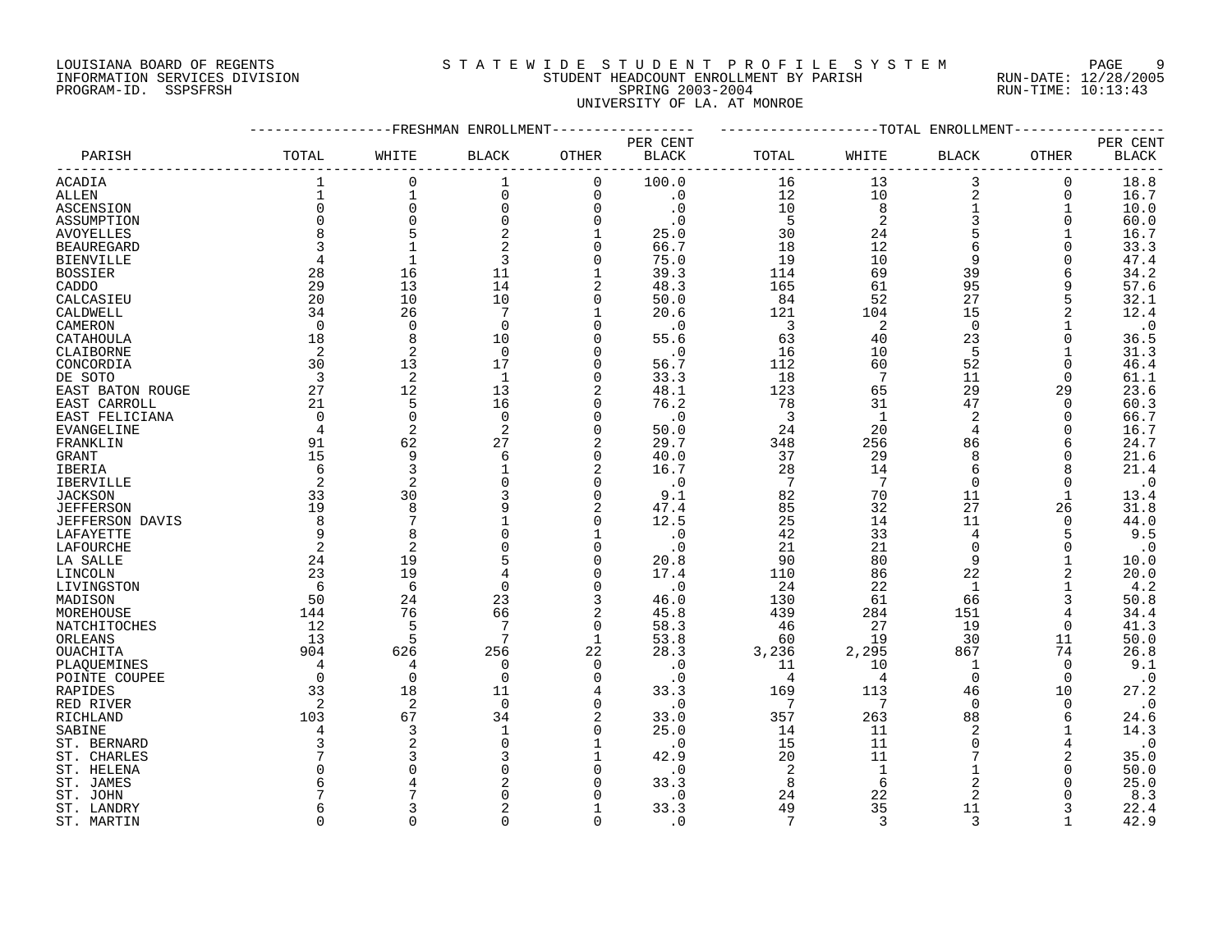# LOUISIANA BOARD OF REGENTS SOURCLEARIE WIDE STUDENT PROFILE SYSTEM PAGE 9 INFORMATION SERVICES DIVISION STUDENT HEADCOUNT ENROLLMENT BY PARISH RUN-DATE: 12/28/2005 PROGRAM-ID. SSPSFRSH SPRING 2003-2004 RUN-TIME: 10:13:43 UNIVERSITY OF LA. AT MONROE

|                   |                | FRESHMAN       | ENROLLMENT      |              |                          |                 |                | -TOTAL ENROLLMENT |              |                          |
|-------------------|----------------|----------------|-----------------|--------------|--------------------------|-----------------|----------------|-------------------|--------------|--------------------------|
| PARISH            | TOTAL          | WHITE          | <b>BLACK</b>    | OTHER        | PER CENT<br><b>BLACK</b> | TOTAL           | WHITE          | <b>BLACK</b>      | <b>OTHER</b> | PER CENT<br><b>BLACK</b> |
| ACADIA            | 1              | $\mathbf 0$    | 1               | 0            | 100.0                    | 16              | 13             | 3                 | 0            | 18.8                     |
| ALLEN             | $\mathbf{1}$   | $\mathbf{1}$   | $\mathbf 0$     | 0            | $\cdot$ 0                | 12              | 10             | 2                 | 0            | 16.7                     |
|                   | $\mathbf 0$    | $\mathbf 0$    | $\mathbf 0$     | $\Omega$     | $\cdot$ 0                | 10              |                | $\mathbf 1$       | $\mathbf 1$  |                          |
| ASCENSION         |                |                |                 |              |                          |                 | 8              |                   |              | 10.0                     |
| ASSUMPTION        | $\Omega$       | $\mathbf 0$    | $\mathbf 0$     | $\Omega$     | $\cdot$ 0                | 5               | $\overline{a}$ | 3                 | $\Omega$     | 60.0                     |
| <b>AVOYELLES</b>  | $\mathsf{R}$   | 5              | $\overline{2}$  | $\mathbf{1}$ | 25.0                     | 30              | 24             | 5                 |              | 16.7                     |
| <b>BEAUREGARD</b> | 3              | $\mathbf{1}$   | $\overline{a}$  | $\mathbf 0$  | 66.7                     | 18              | 12             | 6                 | $\Omega$     | 33.3                     |
| <b>BIENVILLE</b>  | 4              | $\mathbf{1}$   | 3               | 0            | 75.0                     | 19              | 10             | 9                 | $\Omega$     | 47.4                     |
| <b>BOSSIER</b>    | 28             | 16             | 11              | $\mathbf{1}$ | 39.3                     | 114             | 69             | 39                |              | 34.2                     |
| CADDO             | 29             | 13             | 14              | 2            | 48.3                     | 165             | 61             | 95                | 9            | 57.6                     |
| CALCASIEU         | 20             | 10             | 10              | $\Omega$     | 50.0                     | 84              | 52             | 27                | 5            | 32.1                     |
| CALDWELL          | 34             | 26             | 7               | 1            | 20.6                     | 121             | 104            | 15                |              | 12.4                     |
| CAMERON           | $\Omega$       | $\mathbf 0$    | $\mathbf 0$     | $\Omega$     | $\cdot$ 0                | 3               | $\overline{2}$ | $\mathbf 0$       |              | $\cdot$ 0                |
| CATAHOULA         | 18             | 8              | 10              | $\Omega$     | 55.6                     | 63              | 40             | 23                | 0            | 36.5                     |
| CLAIBORNE         | 2              | 2              | $\Omega$        | $\Omega$     | $\cdot$ 0                | 16              | 10             | 5                 | 1            | 31.3                     |
|                   | 30             | 13             | 17              | $\Omega$     |                          |                 | 60             | 52                | $\Omega$     |                          |
| CONCORDIA         |                |                |                 |              | 56.7                     | 112             |                |                   |              | 46.4                     |
| DE SOTO           | 3              | 2              | -1              | 0            | 33.3                     | 18              | 7              | 11                | $\Omega$     | 61.1                     |
| EAST BATON ROUGE  | 27             | 12             | 13              | 2            | 48.1                     | 123             | 65             | 29                | 29           | 23.6                     |
| EAST CARROLL      | 21             | 5              | 16              | $\Omega$     | 76.2                     | 78              | 31             | 47                | $\Omega$     | 60.3                     |
| EAST FELICIANA    | $\overline{0}$ | $\mathbf 0$    | $\mathbf 0$     | 0            | $\cdot$ 0                | $\overline{3}$  | $\mathbf{1}$   | $\overline{2}$    | 0            | 66.7                     |
| EVANGELINE        | 4              | 2              | 2               | $\Omega$     | 50.0                     | 24              | 20             | 4                 | $\Omega$     | 16.7                     |
| FRANKLIN          | 91             | 62             | 27              |              | 29.7                     | 348             | 256            | 86                | 6            | 24.7                     |
| GRANT             | 15             | 9              | 6               | 0            | 40.0                     | 37              | 29             | 8                 | O            | 21.6                     |
| <b>IBERIA</b>     | 6              | 3              | $\mathbf{1}$    | 2            | 16.7                     | 28              | 14             | 6                 | 8            | 21.4                     |
| IBERVILLE         | 2              | 2              | $\mathbf 0$     | 0            | $\cdot$ 0                | 7               | 7              | $\overline{0}$    | 0            | $\cdot$ 0                |
| <b>JACKSON</b>    | 33             | 30             | 3               | $\Omega$     | 9.1                      | 82              | 70             | 11                | $\mathbf{1}$ | 13.4                     |
| <b>JEFFERSON</b>  | 19             | 8              |                 | 2            | 47.4                     | 85              | 32             | 27                | 26           | 31.8                     |
| JEFFERSON DAVIS   | 8              | 7              |                 | $\Omega$     | 12.5                     | 25              | 14             | 11                | $\Omega$     | 44.0                     |
|                   |                |                | $\Omega$        |              |                          |                 |                |                   |              |                          |
| LAFAYETTE         | 9              | 8              |                 | $\mathbf 1$  | $\cdot$ 0                | 42              | 33             | $\overline{4}$    | 5            | 9.5                      |
| LAFOURCHE         | 2              | $\overline{2}$ | 0               | 0            | $\cdot$ 0                | 21              | 21             | $\mathbf 0$       | 0            | $\cdot$ 0                |
| LA SALLE          | 24             | 19             | 5               | $\Omega$     | 20.8                     | 90              | 80             | 9                 | $\mathbf{1}$ | 10.0                     |
| LINCOLN           | 23             | 19             |                 | $\Omega$     | 17.4                     | 110             | 86             | 22                |              | 20.0                     |
| LIVINGSTON        | 6              | 6              | $\Omega$        | $\Omega$     | $\cdot$ 0                | 24              | 22             | $\mathbf{1}$      | $\mathbf{1}$ | 4.2                      |
| MADISON           | 50             | 24             | 23              | 3            | 46.0                     | 130             | 61             | 66                | 3            | 50.8                     |
| MOREHOUSE         | 144            | 76             | 66              |              | 45.8                     | 439             | 284            | 151               |              | 34.4                     |
| NATCHITOCHES      | 12             | 5              | $7\phantom{.0}$ | $\Omega$     | 58.3                     | 46              | 27             | 19                | 0            | 41.3                     |
| ORLEANS           | 13             | 5              | 7               | $\mathbf{1}$ | 53.8                     | 60              | 19             | 30                | 11           | 50.0                     |
| OUACHITA          | 904            | 626            | 256             | 22           | 28.3                     | 3,236           | 2,295          | 867               | 74           | 26.8                     |
| PLAQUEMINES       | 4              | 4              | $\mathbf 0$     | $\Omega$     | $\cdot$ 0                | 11              | 10             | 1                 | $\mathbf 0$  | 9.1                      |
| POINTE COUPEE     | $\mathbf 0$    | $\mathbf 0$    | $\mathbf 0$     | $\Omega$     | $\cdot$ 0                | $\overline{4}$  | $\overline{4}$ | $\Omega$          | $\Omega$     | $\cdot$ 0                |
| RAPIDES           | 33             | 18             | 11              | 4            | 33.3                     | 169             | 113            | 46                | 10           | 27.2                     |
| RED RIVER         | 2              | 2              | $\Omega$        | $\Omega$     | $\cdot$ 0                | 7               | 7              | $\Omega$          | $\Omega$     | $\cdot$ 0                |
|                   |                |                |                 |              |                          |                 |                |                   |              |                          |
| RICHLAND          | 103            | 67             | 34              | 2            | 33.0                     | 357             | 263            | 88                | 6            | 24.6                     |
| SABINE            |                | 3              | $\mathbf{1}$    | $\Omega$     | 25.0                     | 14              | 11             | 2                 |              | 14.3                     |
| ST. BERNARD       |                |                | $\Omega$        |              | $\cdot$ 0                | 15              | 11             | $\Omega$          |              | $\cdot$ 0                |
| ST. CHARLES       |                | ζ              | 3               | $\mathbf{1}$ | 42.9                     | 20              | 11             | 7                 |              | 35.0                     |
| ST. HELENA        |                |                | 0               | 0            | $\cdot$ 0                | 2               | $\mathbf{1}$   |                   | $\Omega$     | 50.0                     |
| ST. JAMES         |                |                | 2               | $\Omega$     | 33.3                     | 8               | 6              | 2                 |              | 25.0                     |
| ST. JOHN          |                |                | $\Omega$        |              | $\cdot$ 0                | 24              | 22             | 2                 |              | 8.3                      |
| ST. LANDRY        |                |                | $\overline{2}$  |              | 33.3                     | 49              | 35             | 11                |              | 22.4                     |
| ST. MARTIN        | $\Omega$       | $\Omega$       | $\Omega$        | $\Omega$     | $\cdot$ 0                | $7\phantom{.0}$ | 3              | 3                 | $\mathbf{1}$ | 42.9                     |
|                   |                |                |                 |              |                          |                 |                |                   |              |                          |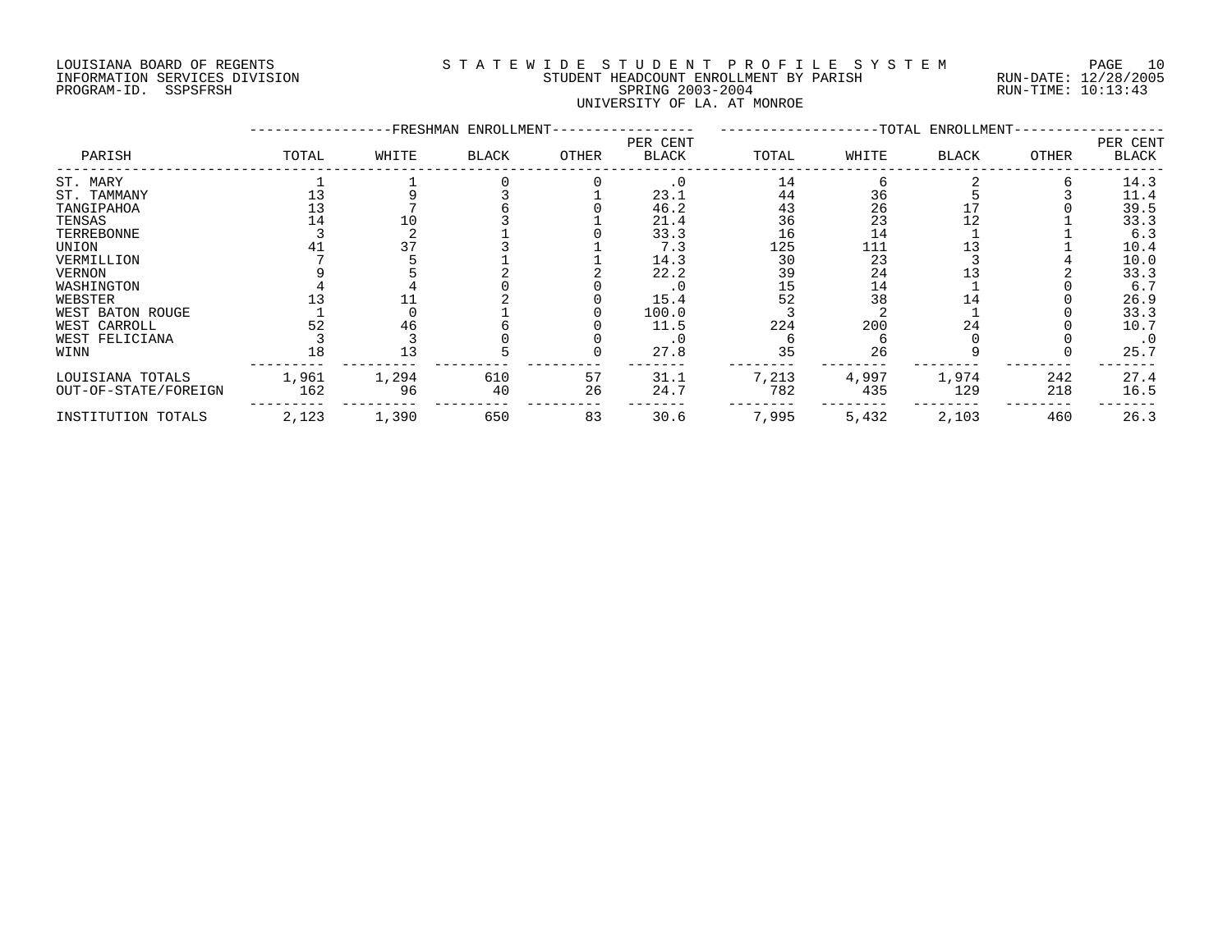# LOUISIANA BOARD OF REGENTS S T A T E W I D E S T U D E N T P R O F I L E S Y S T E M PAGE 10 INFORMATION SERVICES DIVISION STUDENT HEADCOUNT ENROLLMENT BY PARISH RUN-DATE: 12/28/2005 PROGRAM-ID. SSPSFRSH SPRING 2003-2004 RUN-TIME: 10:13:43 UNIVERSITY OF LA. AT MONROE

|                      |       |       | -FRESHMAN ENROLLMENT- |       |                          |       |       | -TOTAL ENROLLMENT- |       |                          |
|----------------------|-------|-------|-----------------------|-------|--------------------------|-------|-------|--------------------|-------|--------------------------|
| PARISH               | TOTAL | WHITE | <b>BLACK</b>          | OTHER | PER CENT<br><b>BLACK</b> | TOTAL | WHITE | <b>BLACK</b>       | OTHER | PER CENT<br><b>BLACK</b> |
| ST. MARY             |       |       |                       |       | $\cdot$ 0                | 14    |       |                    |       | 14.3                     |
| ST. TAMMANY          |       |       |                       |       | 23.1                     | 44    | 36    |                    |       | 11.4                     |
| TANGIPAHOA           |       |       |                       |       | 46.2                     | 43    | 26    |                    |       | 39.5                     |
| TENSAS               |       |       |                       |       | 21.4                     | 36    | 23    |                    |       | 33.3                     |
| TERREBONNE           |       |       |                       |       | 33.3                     | 16    | 14    |                    |       | 6.3                      |
| UNION                |       |       |                       |       | 7.3                      | 125   | 111   |                    |       | 10.4                     |
| VERMILLION           |       |       |                       |       | 14.3                     | 30    | 23    |                    |       | 10.0                     |
| <b>VERNON</b>        |       |       |                       |       | 22.2                     | 39    | 24    |                    |       | 33.3                     |
| WASHINGTON           |       |       |                       |       | . 0                      | 15    | 14    |                    |       | 6.7                      |
| WEBSTER              |       |       |                       |       | 15.4                     | 52    | 38    | 14                 |       | 26.9                     |
| WEST BATON ROUGE     |       |       |                       |       | 100.0                    |       |       |                    |       | 33.3                     |
| WEST CARROLL         | 52    | 46    |                       |       | 11.5                     | 224   | 200   | 24                 |       | 10.7                     |
| WEST FELICIANA       |       |       |                       |       | . 0                      |       |       |                    |       | $\cdot$ 0                |
| WINN                 |       |       |                       |       | 27.8                     | 35    | 26    |                    |       | 25.7                     |
| LOUISIANA TOTALS     | 1,961 | 1,294 | 610                   | 57    | 31.1                     | 7,213 | 4,997 | 1,974              | 242   | 27.4                     |
| OUT-OF-STATE/FOREIGN | 162   | 96    | 40                    | 26    | 24.7                     | 782   | 435   | 129                | 218   | 16.5                     |
| INSTITUTION TOTALS   | 2,123 | 1,390 | 650                   | 83    | 30.6                     | 7,995 | 5,432 | 2,103              | 460   | 26.3                     |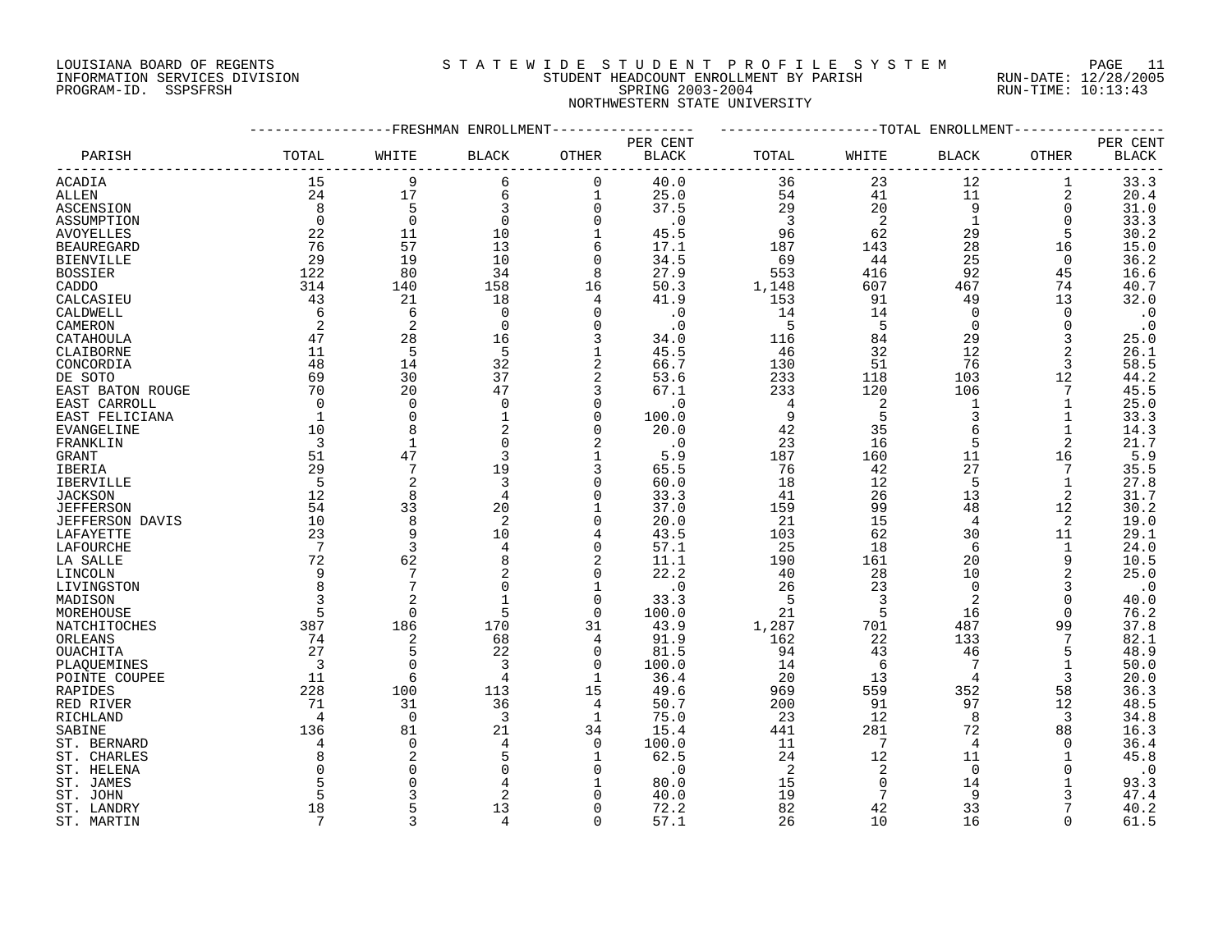# LOUISIANA BOARD OF REGENTS S T A T E W I D E S T U D E N T P R O F I L E S Y S T E M PAGE 11 INFORMATION SERVICES DIVISION STUDENT HEADCOUNT ENROLLMENT BY PARISH RUN-DATE: 12/28/2005 PROGRAM-ID. SSPSFRSH SPRING 2003-2004 RUN-TIME: 10:13:43 NORTHWESTERN STATE UNIVERSITY

|                   |                 |              | -FRESHMAN ENROLLMENT |              |              |                |                 | -TOTAL ENROLLMENT |                |                        |
|-------------------|-----------------|--------------|----------------------|--------------|--------------|----------------|-----------------|-------------------|----------------|------------------------|
|                   |                 |              |                      |              | PER CENT     |                |                 |                   |                | PER CENT               |
| PARISH            | TOTAL           | WHITE        | <b>BLACK</b>         | OTHER        | <b>BLACK</b> | TOTAL          | WHITE           | <b>BLACK</b>      | OTHER          | $\operatorname{BLACK}$ |
| ACADIA            | 15              | 9            | 6                    | $\mathbf 0$  | 40.0         | 36             | 23              | 12                | 1              | 33.3                   |
| ALLEN             | 24              | 17           | 6                    |              | 25.0         | 54             | 41              | 11                | 2              | 20.4                   |
|                   |                 |              |                      | $\mathbf 0$  | 37.5         | 29             | 20              |                   |                |                        |
| ASCENSION         | 8               | 5            | 3                    |              |              |                |                 | 9                 | $\mathbf 0$    | 31.0                   |
| ASSUMPTION        | $\Omega$        | $\Omega$     | $\Omega$             | $\Omega$     | $\cdot$ 0    | $\overline{3}$ | 2               | $\mathbf{1}$      | $\Omega$       | 33.3                   |
| <b>AVOYELLES</b>  | 22              | 11           | 10                   |              | 45.5         | 96             | 62              | 29                | 5              | 30.2                   |
| <b>BEAUREGARD</b> | 76              | 57           | 13                   | 6            | 17.1         | 187            | 143             | 28                | 16             | 15.0                   |
| <b>BIENVILLE</b>  | 29              | 19           | 10                   | $\Omega$     | 34.5         | 69             | 44              | 25                | 0              | 36.2                   |
| <b>BOSSIER</b>    | 122             | 80           | 34                   | 8            | 27.9         | 553            | 416             | 92                | 45             | 16.6                   |
| CADDO             | 314             | 140          | 158                  | 16           | 50.3         | 1,148          | 607             | 467               | 74             | 40.7                   |
| CALCASIEU         | 43              | 21           | 18                   | 4            | 41.9         | 153            | 91              | 49                | 13             | 32.0                   |
| CALDWELL          | 6               | 6            | $\mathbf 0$          | $\Omega$     | $\cdot$ 0    | 14             | 14              | $\overline{0}$    | $\Omega$       | $\cdot$ 0              |
| CAMERON           | 2               | 2            | $\Omega$             | $\Omega$     | $\cdot$ 0    | 5              | 5               | $\Omega$          | $\Omega$       | $\cdot$ 0              |
| CATAHOULA         | 47              | 28           | 16                   |              | 34.0         | 116            | 84              | 29                | 3              | 25.0                   |
|                   |                 |              |                      |              |              |                | 32              | 12                |                |                        |
| CLAIBORNE         | 11              | 5            | 5                    |              | 45.5         | 46             |                 |                   | 2              | 26.1                   |
| CONCORDIA         | 48              | 14           | 32                   | 2            | 66.7         | 130            | 51              | 76                | 3              | 58.5                   |
| DE SOTO           | 69              | 30           | 37                   | 2            | 53.6         | 233            | 118             | 103               | 12             | 44.2                   |
| EAST BATON ROUGE  | 70              | 20           | 47                   | 3            | 67.1         | 233            | 120             | 106               | 7              | 45.5                   |
| EAST CARROLL      | $\Omega$        | $\Omega$     | $\Omega$             | $\Omega$     | $\cdot$ 0    | 4              | 2               | 1                 | 1              | 25.0                   |
| EAST FELICIANA    | 1               | $\Omega$     | 1                    | $\Omega$     | 100.0        | 9              | 5               | 3                 | 1              | 33.3                   |
| EVANGELINE        | 10              | 8            |                      | $\Omega$     | 20.0         | 42             | 35              | $\sqrt{2}$        | 1              | 14.3                   |
| FRANKLIN          | 3               | $\mathbf{1}$ | $\Omega$             |              | $\cdot$ 0    | 23             | 16              | 5                 | $\overline{2}$ | 21.7                   |
| GRANT             | 51              | 47           | 3                    |              | 5.9          | 187            | 160             | 11                | 16             | 5.9                    |
| IBERIA            | 29              |              | 19                   | 3            | 65.5         | 76             | 42              | 27                | 7              | 35.5                   |
| <b>IBERVILLE</b>  | -5              | 2            | 3                    | $\Omega$     | 60.0         | 18             | 12              | 5                 | $\mathbf{1}$   | 27.8                   |
| <b>JACKSON</b>    | 12              | 8            | $\overline{4}$       | ∩            | 33.3         | 41             | 26              | 13                | 2              | 31.7                   |
|                   | 54              |              | 20                   |              | 37.0         | 159            | 99              | 48                |                |                        |
| <b>JEFFERSON</b>  |                 | 33           |                      |              |              |                |                 |                   | 12             | 30.2                   |
| JEFFERSON DAVIS   | 10              | 8            | 2                    | $\Omega$     | 20.0         | 21             | 15              | 4                 | 2              | 19.0                   |
| LAFAYETTE         | 23              | 9            | 10                   | 4            | 43.5         | 103            | 62              | 30                | 11             | 29.1                   |
| LAFOURCHE         | $7\phantom{.0}$ | 3            | 4                    | $\Omega$     | 57.1         | 25             | 18              | 6                 | 1              | 24.0                   |
| LA SALLE          | 72              | 62           | 8                    | 2            | 11.1         | 190            | 161             | 20                | 9              | 10.5                   |
| LINCOLN           | 9               |              |                      | $\Omega$     | 22.2         | 40             | 28              | 10                | 2              | 25.0                   |
| LIVINGSTON        | 8               | 7            | $\Omega$             | $\mathbf{1}$ | $\cdot$ 0    | 26             | 23              | $\Omega$          | 3              | $\cdot$ 0              |
| MADISON           |                 |              |                      | $\Omega$     | 33.3         | 5              | 3               | 2                 | $\Omega$       | 40.0                   |
| MOREHOUSE         | 5               | $\Omega$     | 5                    | $\Omega$     | 100.0        | 21             | 5               | 16                | $\Omega$       | 76.2                   |
| NATCHITOCHES      | 387             | 186          | 170                  | 31           | 43.9         | 1,287          | 701             | 487               | 99             | 37.8                   |
| ORLEANS           | 74              | 2            | 68                   | 4            | 91.9         | 162            | 22              | 133               | 7              | 82.1                   |
| OUACHITA          | 27              | 5            | 22                   | $\Omega$     | 81.5         | 94             | 43              | 46                | 5              | 48.9                   |
| PLAQUEMINES       | $\overline{3}$  | $\mathbf 0$  | $\overline{3}$       | $\mathbf 0$  | 100.0        | 14             | 6               | 7                 | 1              | 50.0                   |
| POINTE COUPEE     | 11              | 6            | 4                    |              | 36.4         | 20             | 13              | $\overline{4}$    | 3              | 20.0                   |
|                   | 228             | 100          | 113                  |              | 49.6         |                | 559             | 352               | 58             | 36.3                   |
| RAPIDES           |                 |              |                      | 15           |              | 969            |                 |                   |                |                        |
| RED RIVER         | 71              | 31           | 36                   | 4            | 50.7         | 200            | 91              | 97                | 12             | 48.5                   |
| RICHLAND          | 4               | $\Omega$     | 3                    | 1            | 75.0         | 23             | 12              | 8                 | 3              | 34.8                   |
| SABINE            | 136             | 81           | 21                   | 34           | 15.4         | 441            | 281             | 72                | 88             | 16.3                   |
| ST. BERNARD       | 4               | $\Omega$     |                      | $\Omega$     | 100.0        | 11             | 7               | 4                 | ∩              | 36.4                   |
| ST. CHARLES       |                 | 2            | 5                    | $\mathbf{1}$ | 62.5         | 24             | 12              | 11                | 1              | 45.8                   |
| ST. HELENA        |                 | $\Omega$     | $\Omega$             | $\Omega$     | $\cdot$ 0    | -2             | 2               | $\Omega$          | $\Omega$       | $\cdot$ 0              |
| ST. JAMES         |                 | $\Omega$     |                      |              | 80.0         | 15             | $\mathbf 0$     | 14                |                | 93.3                   |
| ST. JOHN          |                 | 3            | $\overline{2}$       | $\Omega$     | 40.0         | 19             | $7\phantom{.0}$ | 9                 | 3              | 47.4                   |
| ST. LANDRY        | 18              | 5            | 13                   | $\Omega$     | 72.2         | 82             | 42              | 33                |                | 40.2                   |
| ST. MARTIN        | 7               | 3            | 4                    | $\Omega$     | 57.1         | 26             | 10              | 16                | $\Omega$       | 61.5                   |
|                   |                 |              |                      |              |              |                |                 |                   |                |                        |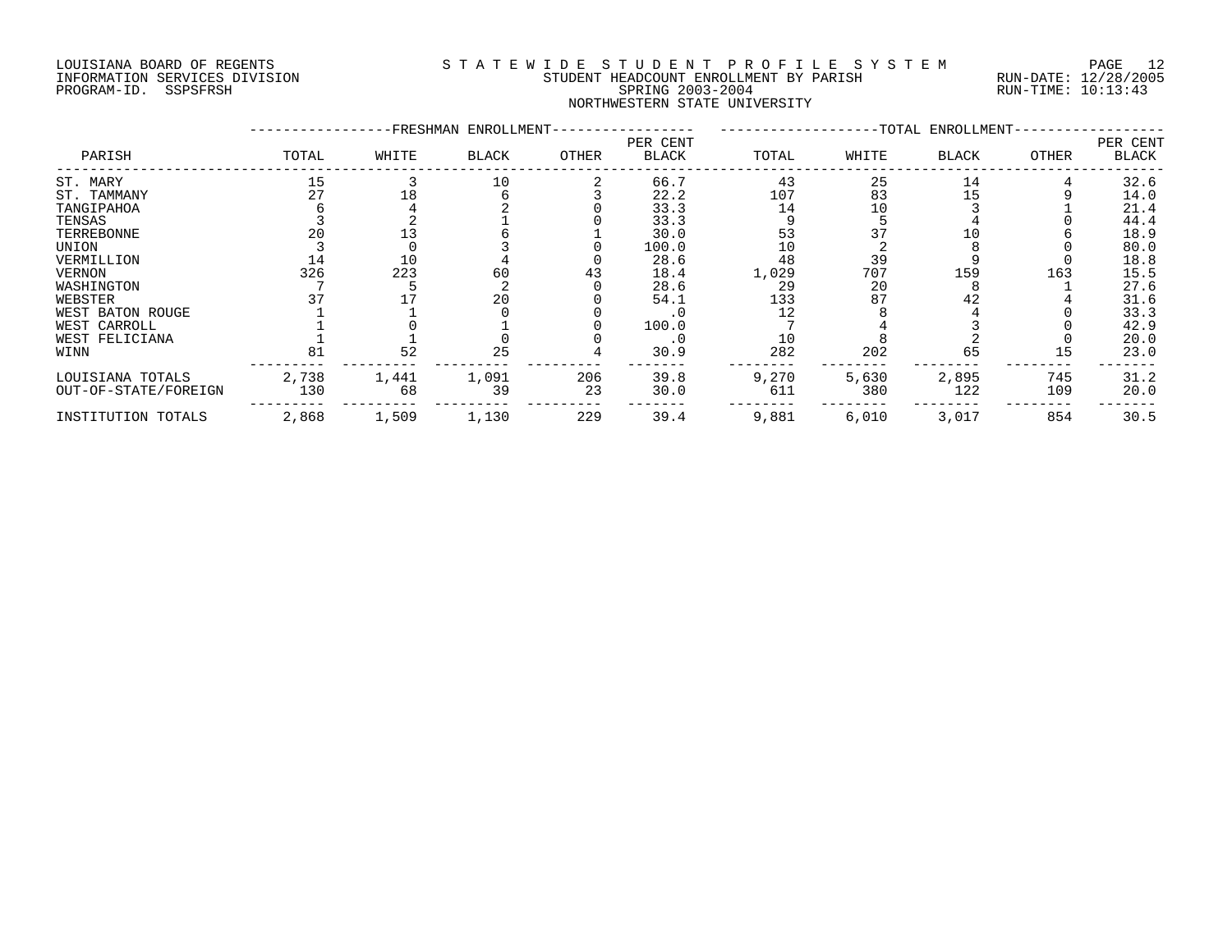# LOUISIANA BOARD OF REGENTS S T A T E W I D E S T U D E N T P R O F I L E S Y S T E M PAGE 12 INFORMATION SERVICES DIVISION STUDENT HEADCOUNT ENROLLMENT BY PARISH RUN-DATE: 12/28/2005 PROGRAM-ID. SSPSFRSH SPRING 2003-2004 RUN-TIME: 10:13:43 NORTHWESTERN STATE UNIVERSITY

|                      |       |       | -FRESHMAN ENROLLMENT- |       |                   |       |       | -TOTAL ENROLLMENT- |       |                   |
|----------------------|-------|-------|-----------------------|-------|-------------------|-------|-------|--------------------|-------|-------------------|
| PARISH               | TOTAL | WHITE | <b>BLACK</b>          | OTHER | PER CENT<br>BLACK | TOTAL | WHITE | <b>BLACK</b>       | OTHER | PER CENT<br>BLACK |
| ST. MARY             | 15    |       | 10                    |       | 66.7              | 43    | 25    | 14                 |       | 32.6              |
| ST. TAMMANY          |       | 18    |                       |       | 22.2              | 107   | 83    | 15                 |       | 14.0              |
| TANGIPAHOA           |       |       |                       |       | 33.3              | 14    | 10    |                    |       | 21.4              |
| TENSAS               |       |       |                       |       | 33.3              |       |       |                    |       | 44.4              |
| TERREBONNE           |       |       |                       |       | 30.0              | 53    | 37    | 10                 |       | 18.9              |
| UNION                |       |       |                       |       | 100.0             | 10    |       |                    |       | 80.0              |
| VERMILLION           | 14    | 10    |                       |       | 28.6              | 48    | 39    |                    |       | 18.8              |
| VERNON               | 326   | 223   | 60                    | 43    | 18.4              | 1,029 | 707   | 159                | 163   | 15.5              |
| WASHINGTON           |       |       |                       |       | 28.6              | 29    | 20    |                    |       | 27.6              |
| WEBSTER              |       |       | 20                    |       | 54.1              | 133   | 87    | 42                 |       | 31.6              |
| WEST BATON ROUGE     |       |       |                       |       |                   |       |       |                    |       | 33.3              |
| WEST CARROLL         |       |       |                       |       | 100.0             |       |       |                    |       | 42.9              |
| WEST FELICIANA       |       |       |                       |       | . 0               |       |       |                    |       | 20.0              |
| WINN                 | 81    | 52    | 25                    |       | 30.9              | 282   | 202   | 65                 | 15    | 23.0              |
| LOUISIANA TOTALS     | 2,738 | 1,441 | 1,091                 | 206   | 39.8              | 9,270 | 5,630 | 2,895              | 745   | 31.2              |
| OUT-OF-STATE/FOREIGN | 130   | 68    | 39                    | 23    | 30.0              | 611   | 380   | 122                | 109   | 20.0              |
| INSTITUTION TOTALS   | 2,868 | 1,509 | 1,130                 | 229   | 39.4              | 9,881 | 6,010 | 3,017              | 854   | 30.5              |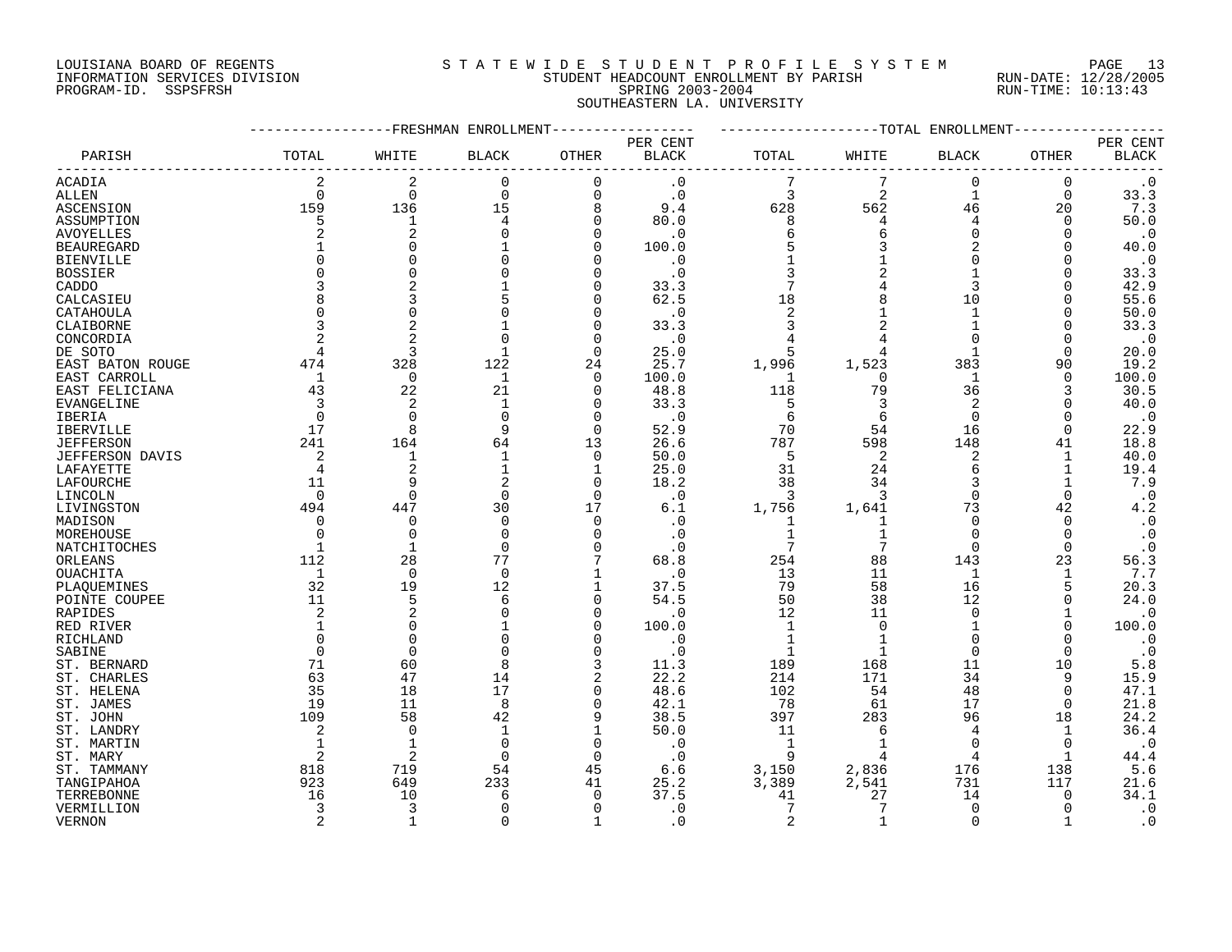# LOUISIANA BOARD OF REGENTS S T A T E W I D E S T U D E N T P R O F I L E S Y S T E M PAGE 13 INFORMATION SERVICES DIVISION STUDENT HEADCOUNT ENROLLMENT BY PARISH RUN-DATE: 12/28/2005 PROGRAM-ID. SSPSFRSH SPRING 2003-2004 RUN-TIME: 10:13:43 SOUTHEASTERN LA. UNIVERSITY

|                   |                |                | FRESHMAN ENROLLMENT- |                |                          |                | --TOTAL        | ENROLLMENT   |              |                          |
|-------------------|----------------|----------------|----------------------|----------------|--------------------------|----------------|----------------|--------------|--------------|--------------------------|
| PARISH            | TOTAL          | WHITE          | BLACK                | <b>OTHER</b>   | PER CENT<br><b>BLACK</b> | TOTAL          | WHITE          | BLACK        | OTHER        | PER CENT<br><b>BLACK</b> |
| ACADIA            | $\overline{2}$ | $\overline{2}$ | $\mathbf 0$          | $\mathbf 0$    | $\cdot$ 0                |                |                | 0            | 0            | $\cdot$ 0                |
| <b>ALLEN</b>      | $\Omega$       | $\Omega$       | $\Omega$             | $\mathbf 0$    | $\cdot$ 0                | 3              | $\overline{2}$ | $\mathbf{1}$ | $\Omega$     | 33.3                     |
| ASCENSION         | 159            | 136            | 15                   | 8              | 9.4                      | 628            | 562            | 46           | 20           | 7.3                      |
|                   | 5              | $\mathbf 1$    |                      | 0              | 80.0                     | 8              |                | 4            | 0            | 50.0                     |
| ASSUMPTION        |                |                |                      |                |                          |                |                | $\Omega$     |              |                          |
| <b>AVOYELLES</b>  |                | 2              |                      | $\Omega$       | $\cdot$ 0                | 6              |                |              | 0            | $\cdot$ 0                |
| <b>BEAUREGARD</b> |                |                |                      | $\Omega$       | 100.0                    | 5              |                | 2            |              | 40.0                     |
| <b>BIENVILLE</b>  |                |                |                      | $\Omega$       | . 0                      |                |                | U            | U            | $\cdot$ 0                |
| <b>BOSSIER</b>    |                |                |                      | $\Omega$       | $\cdot$ 0                |                |                |              |              | 33.3                     |
| CADDO             |                |                |                      | $\Omega$       | 33.3                     | 7              |                | 3            |              | 42.9                     |
| CALCASIEU         |                |                |                      | $\Omega$       | 62.5                     | 18             |                | 10           |              | 55.6                     |
| CATAHOULA         |                |                |                      | $\Omega$       | . 0                      | 2              |                | $\mathbf{1}$ | 0            | 50.0                     |
| CLAIBORNE         |                |                |                      | $\Omega$       | 33.3                     | 3              |                | 1            | O            | 33.3                     |
| CONCORDIA         |                |                |                      | $\Omega$       | $\cdot$ 0                |                |                | $\Omega$     |              | $\cdot$ 0                |
| DE SOTO           |                | 3              |                      | $\Omega$       | 25.0                     | 5              |                | $\mathbf{1}$ | 0            | 20.0                     |
| EAST BATON ROUGE  | 474            | 328            | 122                  | 24             | 25.7                     | 1,996          | 1,523          | 383          | 90           | 19.2                     |
| EAST CARROLL      | 1              | 0              | 1                    | 0              | 100.0                    | 1              | $\Omega$       | 1            | 0            | 100.0                    |
| EAST FELICIANA    | 43             | 22             | 21                   | 0              | 48.8                     | 118            | 79             | 36           | 3            | 30.5                     |
| EVANGELINE        | 3              | 2              |                      | $\Omega$       | 33.3                     | 5              |                | 2            |              | 40.0                     |
| IBERIA            | $\Omega$       | $\Omega$       | ∩                    | $\mathbf 0$    | . 0                      | 6              | 6              | 0            | $\Omega$     | $\cdot$ 0                |
|                   | 17             | $\mathsf{R}$   | Q                    | $\Omega$       |                          | 70             | 54             | 16           | $\Omega$     |                          |
| <b>IBERVILLE</b>  |                |                |                      |                | 52.9                     |                |                |              |              | 22.9                     |
| <b>JEFFERSON</b>  | 241            | 164            | 64                   | 13             | 26.6                     | 787            | 598            | 148          | 41           | 18.8                     |
| JEFFERSON DAVIS   | 2              | 1              |                      | $\mathbf 0$    | 50.0                     | 5              | 2              | 2            | 1            | 40.0                     |
| LAFAYETTE         | $\overline{4}$ | $\overline{2}$ |                      | 1              | 25.0                     | 31             | 24             | 6            | 1            | 19.4                     |
| LAFOURCHE         | 11             | q              | 2                    | $\Omega$       | 18.2                     | 38             | 34             | 3            | $\mathbf{1}$ | 7.9                      |
| LINCOLN           | $\Omega$       | $\Omega$       | $\Omega$             | $\Omega$       | $\cdot$ 0                | 3              | 3              | $\Omega$     | $\Omega$     | $\cdot$ 0                |
| LIVINGSTON        | 494            | 447            | 30                   | 17             | 6.1                      | 1,756          | 1,641          | 73           | 42           | 4.2                      |
| MADISON           | $\Omega$       | $\Omega$       | O                    | 0              | . 0                      | 1              | 1              | 0            | 0            | $\cdot$ 0                |
| MOREHOUSE         |                | $\Omega$       | ∩                    | $\Omega$       | . 0                      | 1              |                | O            | $\Omega$     | $\cdot$ 0                |
| NATCHITOCHES      | 1              | $\mathbf{1}$   | O                    | $\Omega$       | $\cdot$ 0                | 7              | 7              | $\Omega$     | $\Omega$     | $\cdot$ 0                |
| ORLEANS           | 112            | 28             | 77                   |                | 68.8                     | 254            | 88             | 143          | 23           | 56.3                     |
| OUACHITA          | 1              | $\Omega$       | $\Omega$             |                | $\cdot$ 0                | 13             | 11             | $\mathbf 1$  | $\mathbf{1}$ | 7.7                      |
| PLAQUEMINES       | 32             | 19             | 12                   | 1              | 37.5                     | 79             | 58             | 16           | 5            | 20.3                     |
| POINTE COUPEE     | 11             | 5              | 6                    | $\Omega$       | 54.5                     | 50             | 38             | 12           |              | 24.0                     |
| RAPIDES           | 2              | $\overline{c}$ |                      | 0              | . 0                      | 12             | 11             | 0            | 1            | $\cdot$ 0                |
| RED RIVER         |                | $\Omega$       |                      | $\Omega$       | 100.0                    | 1              | $\Omega$       | 1            | U            | 100.0                    |
| RICHLAND          |                | $\Omega$       |                      | $\Omega$       | $\cdot$ 0                |                |                | $\Omega$     |              | $\cdot$ 0                |
| SABINE            | $\Omega$       | $\Omega$       |                      | $\Omega$       | . 0                      | 1              | $\mathbf{1}$   | 0            | 0            | $\cdot$ 0                |
| ST. BERNARD       | 71             | 60             | 8                    | 3              | 11.3                     | 189            | 168            | 11           | 10           | 5.8                      |
| ST. CHARLES       | 63             | 47             | 14                   | $\overline{2}$ | 22.2                     | 214            | 171            | 34           | 9            | 15.9                     |
|                   | 35             | 18             | 17                   | 0              | 48.6                     | 102            | 54             | 48           | 0            | 47.1                     |
| ST. HELENA        | 19             | 11             | 8                    | $\Omega$       |                          |                | 61             |              | $\Omega$     |                          |
| ST. JAMES         |                | 58             |                      | 9              | 42.1                     | 78             |                | 17           |              | 21.8<br>24.2             |
| ST. JOHN          | 109            |                | 42                   |                | 38.5                     | 397            | 283            | 96           | 18           |                          |
| ST. LANDRY        | $\mathfrak{D}$ | $\Omega$       |                      | $\mathbf{1}$   | 50.0                     | 11             |                | 4            | 1            | 36.4                     |
| ST. MARTIN        |                | $\mathbf 1$    | $\Omega$             | $\mathbf 0$    | . 0                      | $\mathbf{1}$   |                | $\Omega$     | $\Omega$     | $\cdot$ 0                |
| ST. MARY          | $\overline{2}$ | 2              |                      | $\mathbf 0$    | . 0                      | 9              |                | 4            | -1           | 44.4                     |
| ST. TAMMANY       | 818            | 719            | 54                   | 45             | 6.6                      | 3,150          | 2,836          | 176          | 138          | 5.6                      |
| TANGIPAHOA        | 923            | 649            | 233                  | 41             | 25.2                     | 3,389          | 2,541          | 731          | 117          | 21.6                     |
| TERREBONNE        | 16             | 10             | 6                    | $\Omega$       | 37.5                     | 41             | 27             | 14           | $\Omega$     | 34.1                     |
| VERMILLION        | 3              | 3              | $\Omega$             | $\Omega$       | $\cdot$ 0                | 7              | 7              | 0            | $\Omega$     | $\cdot$ 0                |
| <b>VERNON</b>     | $\overline{2}$ | $\mathbf{1}$   | $\Omega$             | $\mathbf{1}$   | . 0                      | $\overline{2}$ | $\mathbf{1}$   | $\Omega$     | $\mathbf{1}$ | $\cdot$ 0                |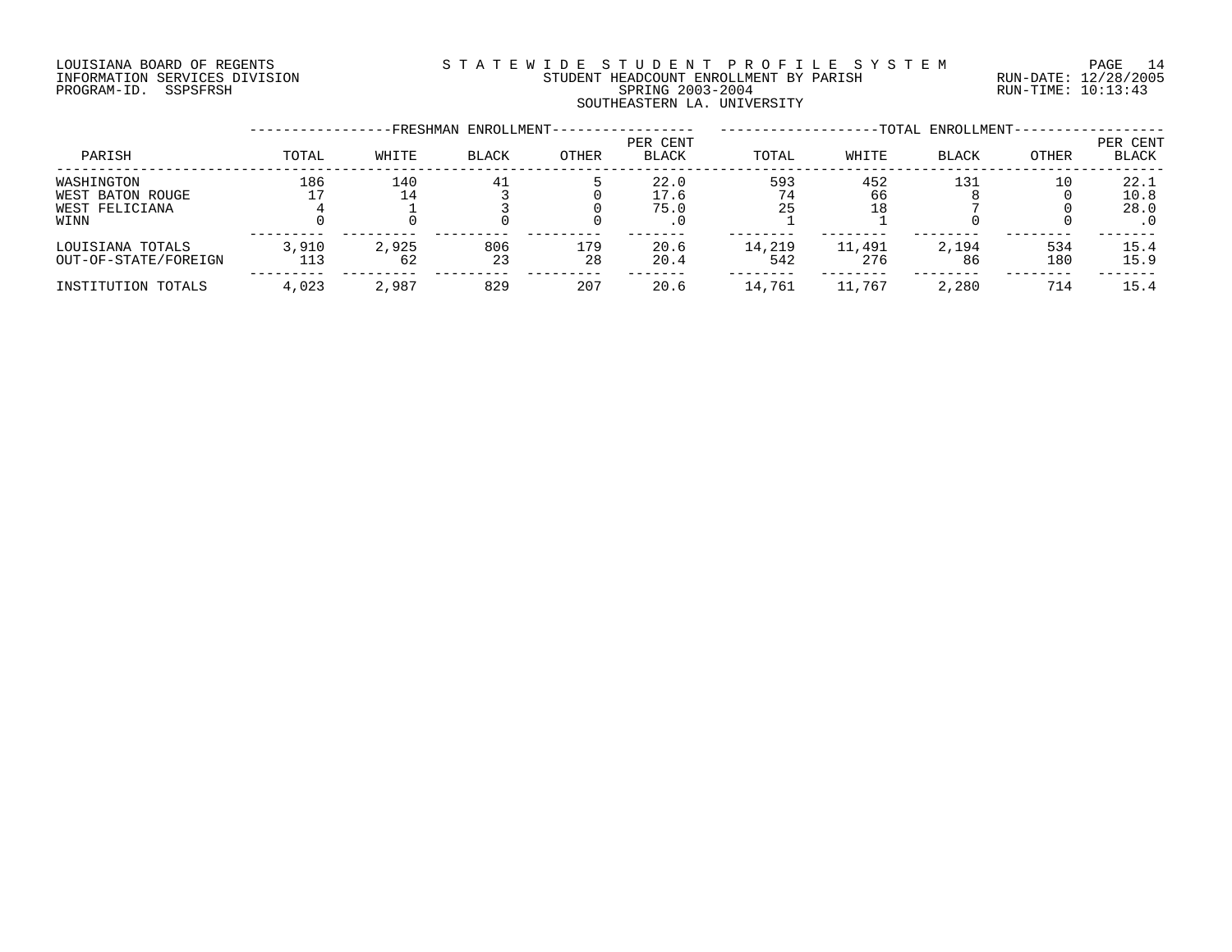# LOUISIANA BOARD OF REGENTS S T A T E W I D E S T U D E N T P R O F I L E S Y S T E M PAGE 14 INFORMATION SERVICES DIVISION STUDENT HEADCOUNT ENROLLMENT BY PARISH RUN-DATE: 12/28/2005 PROGRAM-ID. SSPSFRSH SPRING 2003-2004 RUN-TIME: 10:13:43 SOUTHEASTERN LA. UNIVERSITY

|                                                          |              |             | FRESHMAN ENROLLMENT- |           |                          |               |                 | -TOTAL ENROLLMENT- |              |                          |
|----------------------------------------------------------|--------------|-------------|----------------------|-----------|--------------------------|---------------|-----------------|--------------------|--------------|--------------------------|
| PARISH                                                   | TOTAL        | WHITE       | <b>BLACK</b>         | OTHER     | PER CENT<br><b>BLACK</b> | TOTAL         | WHITE           | <b>BLACK</b>       | <b>OTHER</b> | PER CENT<br><b>BLACK</b> |
| WASHINGTON<br>WEST BATON ROUGE<br>WEST FELICIANA<br>WINN | 186          | 140<br>14   | 41                   |           | 22.0<br>17.6<br>75.0     | 593<br>25     | 452<br>66<br>18 | 131                | 10           | 22.1<br>10.8<br>28.0     |
| LOUISIANA TOTALS<br>OUT-OF-STATE/FOREIGN                 | 3,910<br>113 | 2,925<br>62 | 806<br>23            | 179<br>28 | 20.6<br>20.4             | 14,219<br>542 | 11,491<br>276   | 2,194<br>86        | 534<br>180   | 15.4<br>15.9             |
| INSTITUTION TOTALS                                       | 4,023        | 2,987       | 829                  | 207       | 20.6                     | 14,761        | 11,767          | 2,280              | 714          | 15.4                     |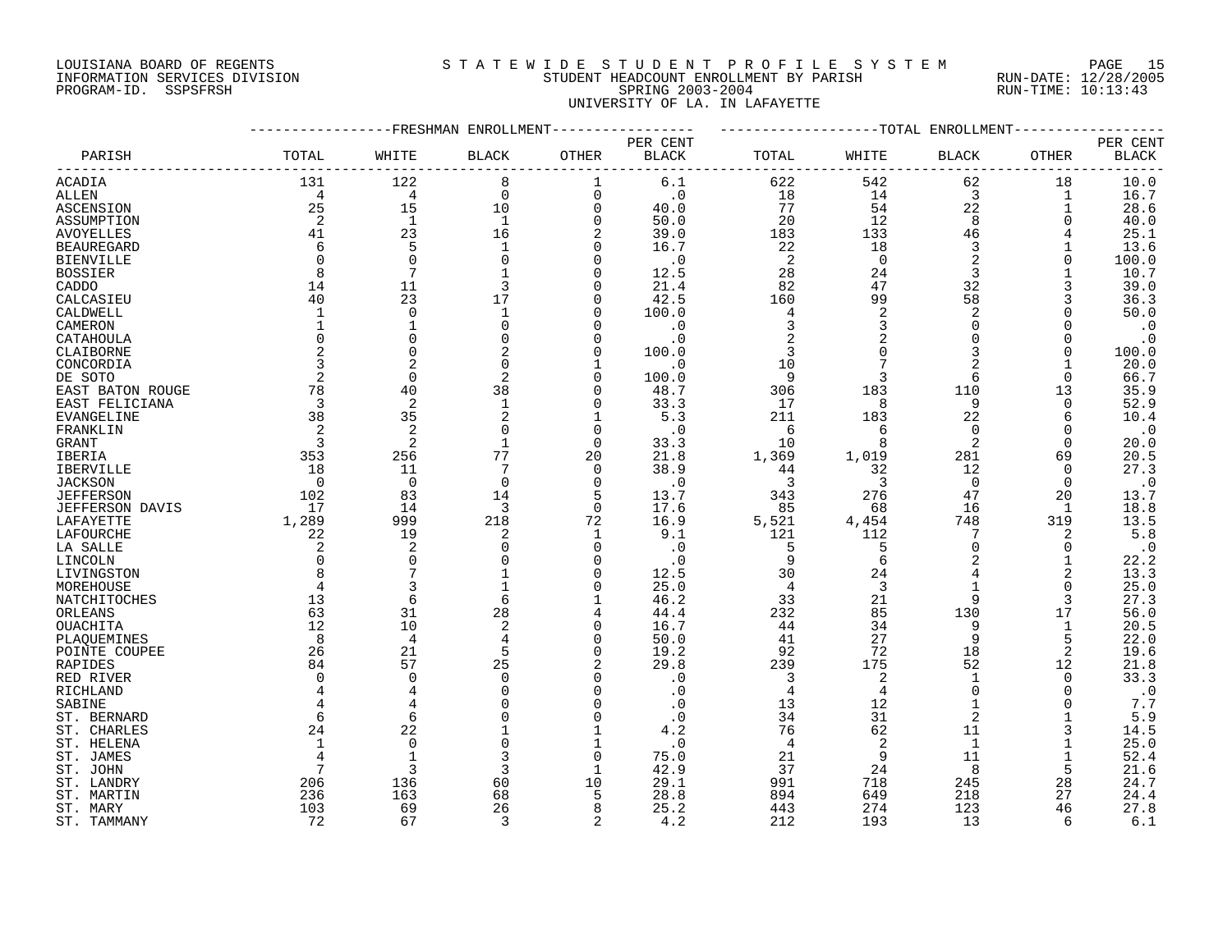# LOUISIANA BOARD OF REGENTS S T A T E W I D E S T U D E N T P R O F I L E S Y S T E M PAGE 15 INFORMATION SERVICES DIVISION STUDENT HEADCOUNT ENROLLMENT BY PARISH RUN-DATE: 12/28/2005 PROGRAM-ID. SSPSFRSH SPRING 2003-2004 RUN-TIME: 10:13:43 UNIVERSITY OF LA. IN LAFAYETTE

|                        |                | FRESHMAN       | ENROLLMENT              |                |              |                | -TOTAL         | ENROLLMENT     |               |                        |
|------------------------|----------------|----------------|-------------------------|----------------|--------------|----------------|----------------|----------------|---------------|------------------------|
|                        |                |                |                         |                | PER CENT     |                |                |                |               | PER CENT               |
| PARISH                 | TOTAL          | WHITE          | <b>BLACK</b>            | <b>OTHER</b>   | <b>BLACK</b> | TOTAL          | WHITE          | <b>BLACK</b>   | <b>OTHER</b>  | <b>BLACK</b>           |
|                        |                |                |                         |                |              |                |                |                |               |                        |
| <b>ACADIA</b>          | 131            | 122            | 8                       | 1              | 6.1          | 622            | 542            | 62             | 18            | 10.0                   |
| ALLEN                  | 4              | 4              | $\mathbf 0$             | $\overline{0}$ | $\cdot$ 0    | 18             | 14             | 3              | 1             | 16.7                   |
| ASCENSION              | 25             | 15             | 10                      | $\Omega$       | 40.0         | 77             | 54             | 22             | 1             | 28.6                   |
| ASSUMPTION             | 2              | $\mathbf{1}$   | $\mathbf{1}$            | $\Omega$       | 50.0         | 20             | 12             | 8              | $\Omega$      | 40.0                   |
| <b>AVOYELLES</b>       | 41             | 23             | 16                      | 2              | 39.0         | 183            | 133            | 46             |               | 25.1                   |
| <b>BEAUREGARD</b>      | 6              | 5              | $\mathbf{1}$            | $\Omega$       | 16.7         | 22             | 18             | 3              | 1             | 13.6                   |
| <b>BIENVILLE</b>       | $\Omega$       | $\Omega$       | $\Omega$                | $\Omega$       | $\cdot$ 0    | 2              | $\mathbf 0$    | $\overline{2}$ | 0             | 100.0                  |
|                        |                | 7              |                         | $\Omega$       |              |                |                |                |               |                        |
| <b>BOSSIER</b>         | 8              |                |                         |                | 12.5         | 28             | 24             | 3              |               | 10.7                   |
| CADDO                  | 14             | 11             | 3                       | $\Omega$       | 21.4         | 82             | 47             | 32             | 3             | 39.0                   |
| CALCASIEU              | 40             | 23             | 17                      | $\Omega$       | 42.5         | 160            | 99             | 58             | 3             | 36.3                   |
| CALDWELL               | $\mathbf{1}$   | $\mathbf 0$    | $\mathbf{1}$            | $\Omega$       | 100.0        | 4              | $\overline{2}$ | $\overline{2}$ | $\Omega$      | 50.0                   |
| CAMERON                |                | $\mathbf 1$    | $\mathbf 0$             | $\mathbf 0$    | $\cdot$ 0    | 3              | 3              | $\Omega$       | $\Omega$      | $\boldsymbol{\cdot}$ 0 |
| CATAHOULA              |                | 0              | $\Omega$                | $\Omega$       | $\cdot$ 0    | 2              | 2              | $\Omega$       | $\Omega$      | $\cdot$ 0              |
| CLAIBORNE              | $\mathfrak{D}$ | $\Omega$       | 2                       | $\Omega$       | 100.0        | 3              | $\Omega$       | 3              | $\Omega$      | 100.0                  |
| CONCORDIA              | 3              | 2              | $\Omega$                | 1              | $\cdot$ 0    | 10             | 7              |                | 1             | 20.0                   |
| DE SOTO                | $\overline{2}$ | $\mathbf 0$    | 2                       | $\Omega$       | 100.0        | 9              | 3              | 6              | $\Omega$      | 66.7                   |
| EAST BATON ROUGE       | 78             | 40             | 38                      | 0              | 48.7         | 306            | 183            | 110            | 13            | 35.9                   |
| EAST FELICIANA         | 3              | 2              | $\mathbf{1}$            | $\Omega$       | 33.3         | 17             | 8              | 9              | $\Omega$      | 52.9                   |
| <b>EVANGELINE</b>      | 38             | 35             | $\overline{2}$          | $\mathbf{1}$   | 5.3          | 211            | 183            | 22             | 6             | 10.4                   |
| FRANKLIN               | 2              | $\overline{c}$ | $\Omega$                | $\mathbf 0$    | . 0          | 6              | 6              | $\Omega$       | $\Omega$      | $\cdot$ 0              |
| <b>GRANT</b>           | 3              | 2              |                         | $\Omega$       | 33.3         | 10             | 8              | $\overline{2}$ | $\Omega$      | 20.0                   |
| <b>IBERIA</b>          | 353            | 256            | 77                      | 20             | 21.8         | 1,369          | 1,019          | 281            | 69            | 20.5                   |
| <b>IBERVILLE</b>       | 18             | 11             | 7                       | $\Omega$       | 38.9         | 44             | 32             | 12             | $\Omega$      | 27.3                   |
| <b>JACKSON</b>         | $\mathbf 0$    | $\mathbf 0$    | $\mathbf 0$             | $\mathbf 0$    | $\cdot$ 0    | 3              | 3              | $\mathbf 0$    | 0             | $\cdot$ 0              |
| <b>JEFFERSON</b>       | 102            | 83             | 14                      | 5              | 13.7         | 343            | 276            | 47             | 20            | 13.7                   |
| <b>JEFFERSON DAVIS</b> | 17             | 14             | 3                       | $\Omega$       | 17.6         | 85             | 68             | 16             | $\mathbf{1}$  | 18.8                   |
| LAFAYETTE              | 1,289          | 999            | 218                     | 72             | 16.9         | 5,521          | 4,454          | 748            | 319           | 13.5                   |
|                        |                | 19             |                         |                |              | 121            |                | 7              |               | 5.8                    |
| LAFOURCHE              | 22             |                | 2<br>$\Omega$           | 1<br>$\Omega$  | 9.1          |                | 112            | $\mathbf 0$    | 2<br>$\Omega$ |                        |
| LA SALLE               | 2              | 2              |                         |                | $\cdot$ 0    | 5              | 5              |                |               | $\boldsymbol{\cdot}$ 0 |
| LINCOLN                | $\Omega$       | 0              | $\Omega$                | $\Omega$       | $\cdot$ 0    | 9              | 6              | 2              | 1             | 22.2                   |
| LIVINGSTON             |                |                |                         | $\Omega$       | 12.5         | 30             | 24             |                | 2             | 13.3                   |
| MOREHOUSE              |                |                |                         | 0              | 25.0         | 4              | 3              | $\mathbf{1}$   | 0             | 25.0                   |
| NATCHITOCHES           | 13             | 6              | 6                       | $\mathbf{1}$   | 46.2         | 33             | 21             | 9              | 3             | 27.3                   |
| ORLEANS                | 63             | 31             | 28                      | 4              | 44.4         | 232            | 85             | 130            | 17            | 56.0                   |
| <b>OUACHITA</b>        | 12             | 10             | $\overline{\mathbf{c}}$ | $\Omega$       | 16.7         | 44             | 34             | 9              | $\mathbf{1}$  | 20.5                   |
| PLAQUEMINES            | 8              | 4              | 4                       | $\Omega$       | 50.0         | 41             | 27             | 9              | 5             | 22.0                   |
| POINTE COUPEE          | 26             | 21             | 5                       | $\Omega$       | 19.2         | 92             | 72             | 18             | 2             | 19.6                   |
| RAPIDES                | 84             | 57             | 25                      |                | 29.8         | 239            | 175            | 52             | 12            | 21.8                   |
| RED RIVER              | $\Omega$       | $\Omega$       | $\cap$                  | $\Omega$       | $\cdot$ 0    | 3              | $\sqrt{2}$     | $\mathbf{1}$   | 0             | 33.3                   |
| RICHLAND               |                | 4              |                         | $\Omega$       | . 0          | 4              | 4              | $\Omega$       | $\Omega$      | $\boldsymbol{\cdot}$ 0 |
| SABINE                 |                |                |                         | $\Omega$       | $\cdot$ 0    | 13             | 12             |                | $\Omega$      | 7.7                    |
| ST. BERNARD            | 6              | 6              |                         | $\Omega$       | $\cdot$ 0    | 34             | 31             | $\overline{2}$ |               | 5.9                    |
| ST. CHARLES            | 24             | 22             |                         | 1              | 4.2          | 76             | 62             | 11             | 3             | 14.5                   |
| ST. HELENA             | 1              | $\Omega$       | $\Omega$                | 1              | $\cdot$ 0    | $\overline{4}$ | 2              | $\mathbf{1}$   | 1             | 25.0                   |
| ST. JAMES              |                |                | 3                       | $\Omega$       | 75.0         | 21             | 9              | 11             | 1             | 52.4                   |
| ST. JOHN               | 7              | ς              | 3                       | $\mathbf{1}$   | 42.9         | 37             | 24             | 8              | 5             | 21.6                   |
| ST. LANDRY             | 206            | 136            | 60                      | 10             | 29.1         | 991            | 718            | 245            | 28            | 24.7                   |
| ST. MARTIN             | 236            | 163            | 68                      | 5              | 28.8         | 894            | 649            | 218            | 27            | 24.4                   |
| ST. MARY               | 103            | 69             | 26                      | 8              | 25.2         | 443            | 274            | 123            | 46            | 27.8                   |
| ST. TAMMANY            | 72             | 67             | 3                       | 2              | 4.2          | 212            | 193            | 13             | 6             | 6.1                    |
|                        |                |                |                         |                |              |                |                |                |               |                        |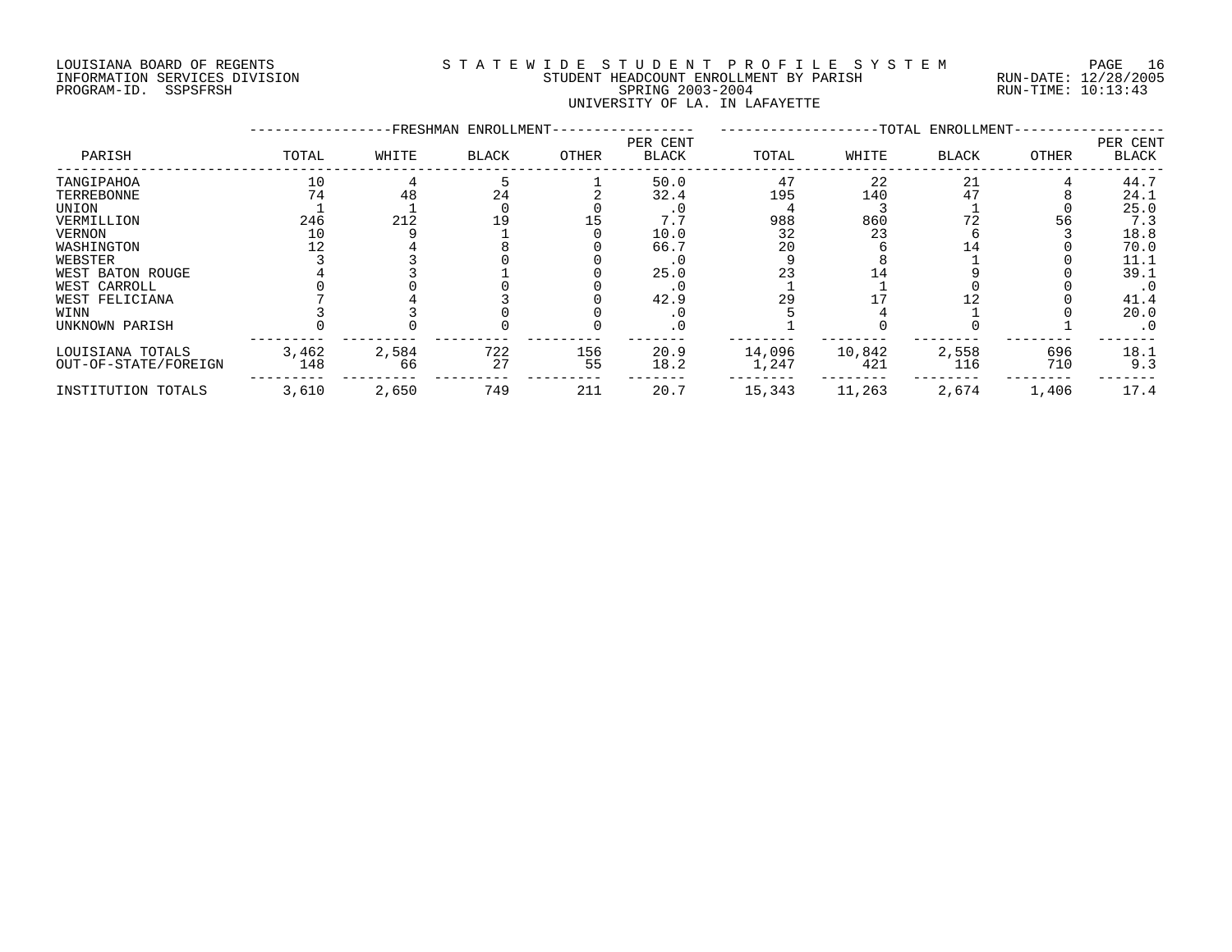# LOUISIANA BOARD OF REGENTS S T A T E W I D E S T U D E N T P R O F I L E S Y S T E M PAGE 16 INFORMATION SERVICES DIVISION STUDENT HEADCOUNT ENROLLMENT BY PARISH RUN-DATE: 12/28/2005 PROGRAM-ID. SSPSFRSH SPRING 2003-2004 RUN-TIME: 10:13:43 UNIVERSITY OF LA. IN LAFAYETTE

|                      |       |       | -FRESHMAN ENROLLMENT- |       |                          |        |        | -TOTAL ENROLLMENT- |       |                          |
|----------------------|-------|-------|-----------------------|-------|--------------------------|--------|--------|--------------------|-------|--------------------------|
| PARISH               | TOTAL | WHITE | <b>BLACK</b>          | OTHER | PER CENT<br><b>BLACK</b> | TOTAL  | WHITE  | <b>BLACK</b>       | OTHER | PER CENT<br><b>BLACK</b> |
| TANGIPAHOA           | 10    |       |                       |       | 50.0                     | 47     | 22     | 21                 |       | 44.7                     |
| TERREBONNE           | 74    | 48    | 24                    |       | 32.4                     | 195    | 140    |                    |       | 24.1                     |
| <b>UNION</b>         |       |       |                       |       |                          |        |        |                    |       | 25.0                     |
| VERMILLION           | 246   | 212   | 19                    |       | 7.7                      | 988    | 860    | 72                 | 56    | 7.3                      |
| <b>VERNON</b>        | 10    |       |                       |       | 10.0                     | 32     | 23     |                    |       | 18.8                     |
| WASHINGTON           |       |       |                       |       | 66.7                     | 20     |        | 14                 |       | 70.0                     |
| WEBSTER              |       |       |                       |       |                          |        |        |                    |       | 11.1                     |
| WEST BATON ROUGE     |       |       |                       |       | 25.0                     |        |        |                    |       | 39.1                     |
| WEST CARROLL         |       |       |                       |       |                          |        |        |                    |       | $\cdot$ 0                |
| WEST FELICIANA       |       |       |                       |       | 42.9                     | 29     |        |                    |       | 41.4                     |
| WINN                 |       |       |                       |       |                          |        |        |                    |       | 20.0                     |
| UNKNOWN PARISH       |       |       |                       |       | . 0                      |        |        |                    |       | $\cdot$ 0                |
| LOUISIANA TOTALS     | 3,462 | 2,584 | 722                   | 156   | 20.9                     | 14,096 | 10,842 | 2,558              | 696   | 18.1                     |
| OUT-OF-STATE/FOREIGN | 148   | 66    | 27                    | 55    | 18.2                     | 1,247  | 421    | 116                | 710   | 9.3                      |
| INSTITUTION TOTALS   | 3,610 | 2,650 | 749                   | 211   | 20.7                     | 15,343 | 11,263 | 2,674              | 1,406 | 17.4                     |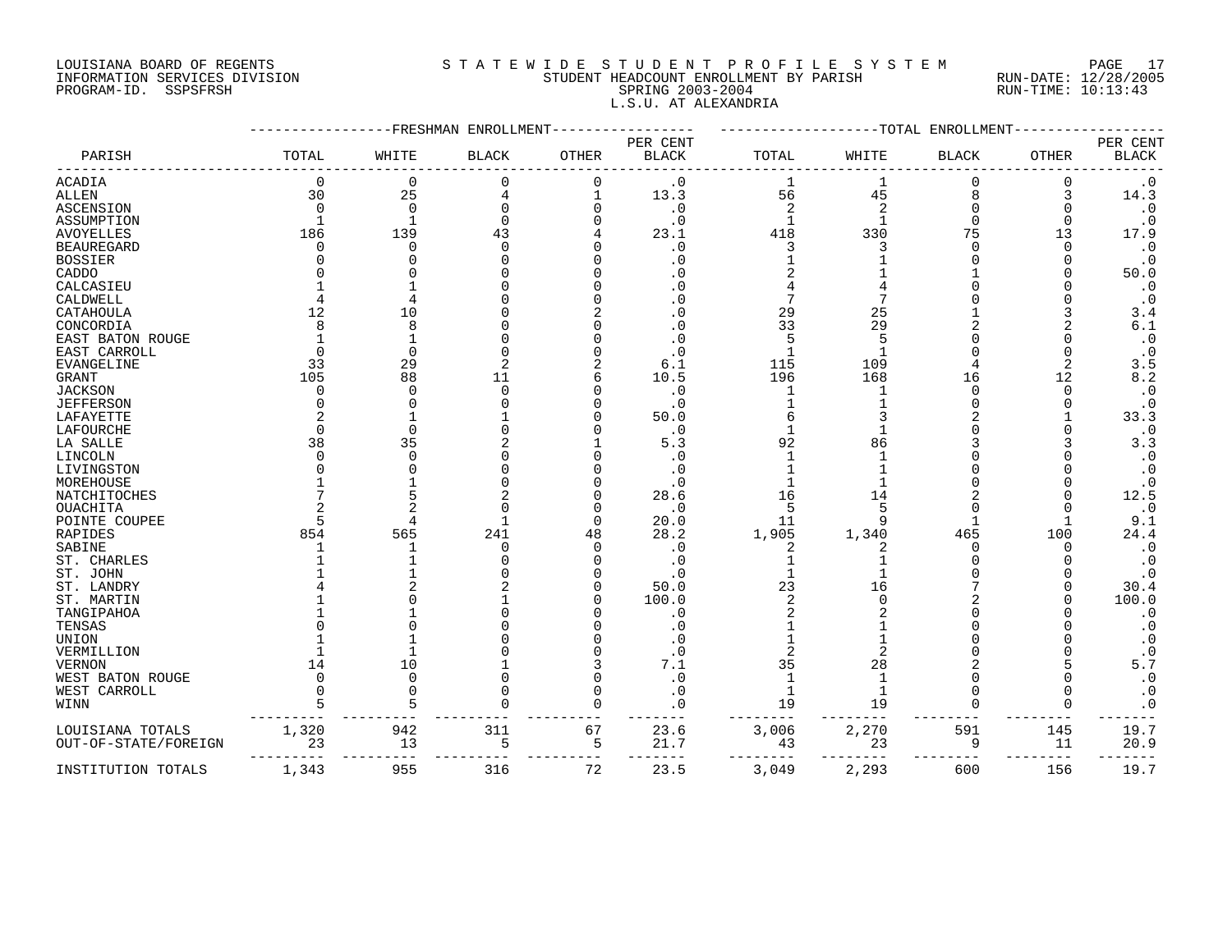#### LOUISIANA BOARD OF REGENTS S T A T E W I D E S T U D E N T P R O F I L E S Y S T E M PAGE 17 INFORMATION SERVICES DIVISION STUDENT HEADCOUNT ENROLLMENT BY PARISH RUN-DATE: 12/28/2005 PROGRAM-ID. SSPSFRSH SPRING 2003-2004 RUN-TIME: 10:13:43 L.S.U. AT ALEXANDRIA

|                      |          |          | FRESHMAN ENROLLMENT- |              |                          |                | -TOTAL         | ENROLLMENT   |              |                            |
|----------------------|----------|----------|----------------------|--------------|--------------------------|----------------|----------------|--------------|--------------|----------------------------|
| PARISH               | TOTAL    | WHITE    | <b>BLACK</b>         | <b>OTHER</b> | PER CENT<br><b>BLACK</b> | TOTAL          | WHITE          | <b>BLACK</b> | <b>OTHER</b> | PER CENT<br>$_{\rm BLACK}$ |
| <b>ACADIA</b>        | 0        | 0        | 0                    |              | . 0                      | 1              |                |              |              | $\cdot$ 0                  |
| <b>ALLEN</b>         | 30       | 25       |                      |              | 13.3                     | 56             | 45             |              | 3            | 14.3                       |
| <b>ASCENSION</b>     | $\Omega$ | $\Omega$ |                      |              | $\cdot$ 0                | $\overline{2}$ | $\overline{c}$ |              |              | $\cdot$ 0                  |
| ASSUMPTION           |          |          |                      |              | $\cdot$ 0                |                |                |              |              | $\cdot$ 0                  |
| <b>AVOYELLES</b>     | 186      | 139      | 43                   |              | 23.1                     | 418            | 330            | 75           | 13           | 17.9                       |
| <b>BEAUREGARD</b>    | ∩        | C        |                      |              | $\cdot$ 0                |                |                |              | ∩            | $\cdot$ 0                  |
| <b>BOSSIER</b>       |          |          |                      |              | . 0                      |                |                |              |              | $\cdot$ 0                  |
| CADDO                |          |          |                      |              |                          |                |                |              |              | 50.0                       |
| CALCASIEU            |          |          |                      |              |                          |                |                |              |              | $\cdot$ 0                  |
| CALDWELL             |          |          |                      |              |                          |                |                |              |              | $\cdot$ 0                  |
| CATAHOULA            | 12       | 10       |                      |              |                          | 29             | 25             |              |              | 3.4                        |
| CONCORDIA            | 8        | 8        |                      |              | . 0                      | 33             | 29             |              |              | 6.1                        |
| EAST BATON ROUGE     |          |          |                      |              |                          |                |                |              |              | $\cdot$ 0                  |
| EAST CARROLL         | ∩        | $\Omega$ |                      |              | . 0                      |                |                |              |              | $\cdot$ 0                  |
| EVANGELINE           | 33       | 29       |                      |              | 6.1                      | 115            | 109            |              | 2            | 3.5                        |
| GRANT                | 105      | 88       | 11                   |              | 10.5                     | 196            | 168            | 16           | 12           | 8.2                        |
| <b>JACKSON</b>       | O        | C        | ∩                    |              | $\cdot$ 0                |                |                |              | O            | $\boldsymbol{\cdot}$ 0     |
| <b>JEFFERSON</b>     | U        |          |                      |              | $\cdot$ 0                |                |                |              |              | $\cdot$ 0                  |
| LAFAYETTE            |          |          |                      |              | 50.0                     |                |                |              |              | 33.3                       |
| LAFOURCHE            | ∩        |          |                      |              | $\cdot$ 0                |                |                |              |              | $\boldsymbol{\cdot}$ 0     |
| LA SALLE             | 38       | 35       |                      |              | 5.3                      | 92             | 86             |              |              | 3.3                        |
| LINCOLN              | U        |          |                      |              | . 0                      |                |                |              |              | $\boldsymbol{\cdot}$ 0     |
| LIVINGSTON           |          |          |                      |              | $\cdot$ 0                |                |                |              |              | $\cdot$ 0                  |
| MOREHOUSE            |          |          |                      |              | $\cdot$ 0                |                |                |              |              | $\cdot$ 0                  |
| <b>NATCHITOCHES</b>  |          |          |                      |              | 28.6                     | 16             | 14             |              |              | 12.5                       |
|                      |          |          |                      |              | $\cdot$ 0                | 5              |                |              |              | $\cdot$ 0                  |
| OUACHITA             |          |          |                      |              | 20.0                     |                |                |              |              | 9.1                        |
| POINTE COUPEE        |          |          |                      |              |                          | 11             |                |              |              |                            |
| RAPIDES              | 854      | 565      | 241                  | 48           | 28.2                     | 1,905          | 1,340          | 465          | 100          | 24.4                       |
| SABINE               |          |          | O                    |              | $\cdot$ 0                | 2              |                |              | O            | $\cdot$ 0                  |
| ST. CHARLES          |          |          |                      |              | . 0                      |                |                |              |              | $\cdot$ 0                  |
| ST. JOHN             |          |          |                      |              | $\cdot$ 0                |                |                |              |              | $\cdot$ 0                  |
| ST. LANDRY           |          |          |                      |              | 50.0                     | 23             | 16             |              |              | 30.4                       |
| ST. MARTIN           |          |          |                      |              | 100.0                    |                |                |              |              | 100.0                      |
| TANGIPAHOA           |          |          |                      |              | . 0                      |                |                |              |              | $\cdot$ 0                  |
| TENSAS               |          |          |                      |              | . 0                      |                |                |              |              | $\cdot$ 0                  |
| UNION                |          |          |                      |              | . 0                      |                |                |              |              | $\cdot$ 0                  |
| VERMILLION           |          |          |                      |              | $\cdot$ 0                |                |                |              |              | $\cdot$ 0                  |
| <b>VERNON</b>        | 14       | 10       |                      |              | 7.1                      | 35             | 28             |              |              | 5.7                        |
| WEST BATON ROUGE     | $\Omega$ | $\cap$   |                      |              | $\cdot$ 0                |                |                |              |              | $\cdot$ 0                  |
| WEST CARROLL         |          |          |                      |              | . 0                      | -1             |                |              |              | $\cdot$ 0                  |
| WINN                 | 5        |          |                      |              | $\cdot$ 0                | 19             | 19             |              |              | $\cdot$ 0                  |
| LOUISIANA TOTALS     | 1,320    | 942      | 311                  | 67           | 23.6                     | 3,006          | 2,270          | 591          | 145          | 19.7                       |
| OUT-OF-STATE/FOREIGN | 23       | 13       | 5                    | 5            | 21.7                     | 43             | 23             | 9            | 11           | 20.9                       |
| INSTITUTION TOTALS   | 1,343    | 955      | 316                  | 72           | 23.5                     | 3,049          | 2,293          | 600          | 156          | 19.7                       |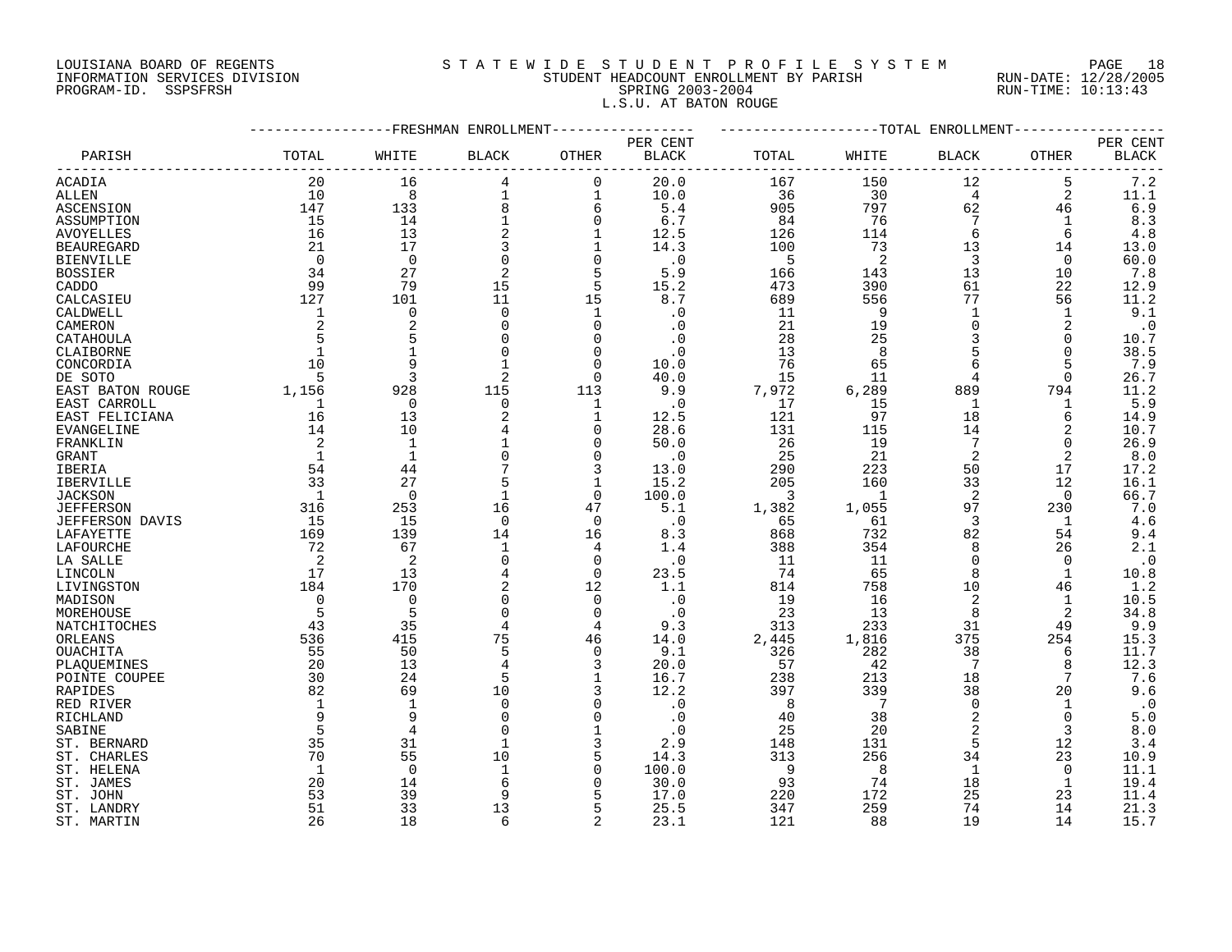# LOUISIANA BOARD OF REGENTS S T A T E W I D E S T U D E N T P R O F I L E S Y S T E M PAGE 18 INFORMATION SERVICES DIVISION STUDENT HEADCOUNT ENROLLMENT BY PARISH RUN-DATE: 12/28/2005 PROGRAM-ID. SSPSFRSH SPRING 2003-2004 RUN-TIME: 10:13:43 L.S.U. AT BATON ROUGE

|                        |              |                          | FRESHMAN ENROLLMENT |                   |                          |          |              | -TOTAL ENROLLMENT |                   |                          |
|------------------------|--------------|--------------------------|---------------------|-------------------|--------------------------|----------|--------------|-------------------|-------------------|--------------------------|
| PARISH                 | TOTAL        | WHITE                    | <b>BLACK</b>        | OTHER             | PER CENT<br><b>BLACK</b> | TOTAL    | WHITE        | <b>BLACK</b>      | OTHER             | PER CENT<br><b>BLACK</b> |
| ACADIA                 | 20           | 16                       | 4                   | $\mathbf 0$       | 20.0                     | 167      | 150          | 12                | 5                 | 7.2                      |
| ALLEN                  | 10           | 8                        | 1                   | $\mathbf 1$       | 10.0                     | 36       | 30           | 4                 | 2                 | 11.1                     |
| ASCENSION              | 147          | 133                      | 8                   | 6                 | 5.4                      | 905      | 797          | 62                | 46                | 6.9                      |
| ASSUMPTION             | 15           | 14                       |                     | $\mathbf 0$       | 6.7                      | 84       | 76           | 7                 | 1                 | 8.3                      |
|                        | 16           | 13                       |                     | 1                 |                          | 126      | 114          | 6                 | 6                 | 4.8                      |
| <b>AVOYELLES</b>       | 21           | 17                       | 3                   |                   | 12.5                     | 100      |              | 13                |                   |                          |
| <b>BEAUREGARD</b>      | 0            | $\mathbf 0$              | $\Omega$            |                   | 14.3                     |          | 73<br>2      | 3                 | 14                | 13.0<br>60.0             |
| <b>BIENVILLE</b>       |              | 27                       |                     | 0<br>5            | $\cdot$ 0                | 5        |              | 13                | 0                 |                          |
| <b>BOSSIER</b>         | 34<br>99     |                          | 2                   |                   | 5.9<br>15.2              | 166      | 143          | 61                | 10                | 7.8                      |
| CADDO                  |              | 79                       | 15                  | 5                 |                          | 473      | 390          |                   | 22                | 12.9                     |
| CALCASIEU              | 127          | 101                      | 11                  | 15                | 8.7                      | 689      | 556          | 77                | 56                | 11.2                     |
| CALDWELL               | 1            | $\mathbf 0$              | $\Omega$            | $\mathbf 1$       | . 0                      | 11       | 9            | $\mathbf{1}$      | $\mathbf{1}$      | 9.1                      |
| CAMERON                | 2            | $\overline{2}$           | $\Omega$            | $\mathbf 0$       | . 0                      | 21       | 19           | 0                 | 2                 | $\cdot$ 0                |
| CATAHOULA              | 5            | 5                        |                     | $\Omega$          | . 0                      | 28       | 25           | 3                 | $\Omega$          | 10.7                     |
| CLAIBORNE              | $\mathbf{1}$ | $\mathbf{1}$             |                     | $\mathbf 0$       | $\cdot$ 0                | 13       | 8            | 5                 | $\Omega$          | 38.5                     |
| CONCORDIA              | 10           | 9                        |                     | $\Omega$          | 10.0                     | 76       | 65           | 6                 | 5                 | 7.9                      |
| DE SOTO                | 5            | 3                        | 2                   | 0                 | 40.0                     | 15       | 11           | 4                 | 0                 | 26.7                     |
| EAST BATON ROUGE       | 1,156        | 928                      | 115                 | 113               | 9.9                      | 7,972    | 6,289        | 889               | 794               | 11.2                     |
| EAST CARROLL           | 1            | 0                        | $\Omega$            | 1                 | $\cdot$ 0                | 17       | 15           | 1                 | 1                 | 5.9                      |
| EAST FELICIANA         | 16           | 13                       |                     | 1                 | 12.5                     | 121      | 97           | 18                | 6                 | 14.9                     |
| <b>EVANGELINE</b>      | 14           | 10                       |                     | $\Omega$          | 28.6                     | 131      | 115          | 14                | 2                 | 10.7                     |
| FRANKLIN               | 2            | $\mathbf{1}$             |                     | $\mathbf 0$       | 50.0                     | 26       | 19           | 7                 | $\Omega$          | 26.9                     |
| GRANT                  | $\mathbf{1}$ | $\mathbf{1}$             |                     | $\Omega$          | . 0                      | 25       | 21           | 2                 | 2                 | 8.0                      |
| IBERIA                 | 54           | 44                       |                     | 3                 | 13.0                     | 290      | 223          | 50                | 17                | 17.2                     |
| IBERVILLE              | 33           | 27                       |                     | $\mathbf 1$       | 15.2                     | 205      | 160          | 33                | 12                | 16.1                     |
| <b>JACKSON</b>         | 1            | $\Omega$                 | $\mathbf{1}$        | $\Omega$          | 100.0                    | 3        | $\mathbf{1}$ | 2                 | $\Omega$          | 66.7                     |
| <b>JEFFERSON</b>       | 316          | 253                      | 16                  | 47                | 5.1                      | 1,382    | 1,055        | 97                | 230               | 7.0                      |
| <b>JEFFERSON DAVIS</b> | 15           | 15                       | $\Omega$            | $\mathbf 0$       | $\cdot$ 0                | 65       | 61           | 3                 | 1                 | 4.6                      |
| LAFAYETTE              | 169          | 139                      | 14                  | 16                | 8.3                      | 868      | 732          | 82                | 54                | 9.4                      |
| LAFOURCHE              | 72           | 67                       | $\mathbf{1}$        | 4                 | 1.4                      | 388      | 354          | 8                 | 26                | 2.1                      |
| LA SALLE               | 2            | $\overline{\mathcal{L}}$ |                     | $\Omega$          | $\cdot$ 0                | 11       | 11           | $\Omega$          | $\Omega$          | $\cdot$ 0                |
| LINCOLN                | 17           | 13                       |                     | $\Omega$          | 23.5                     | 74       | 65           | 8                 | $\mathbf{1}$      | 10.8                     |
| LIVINGSTON             | 184          | 170                      | 2                   | 12                | 1.1                      | 814      | 758          | 10                | 46                | 1.2                      |
| MADISON                | 0            | $\mathbf 0$              | $\Omega$            | 0                 | $\boldsymbol{\cdot}$ 0   | 19       | 16           | 2                 | 1                 | 10.5                     |
| MOREHOUSE              | 5            | 5                        | $\Omega$            | $\mathbf 0$       | . 0                      | 23       | 13           | 8                 | 2                 | 34.8                     |
| NATCHITOCHES           | 43           | 35                       | 4                   | 4                 | 9.3                      | 313      | 233          | 31                | 49                | 9.9                      |
| ORLEANS                | 536          | 415                      | 75                  | 46                | 14.0                     | 2,445    | 1,816        | 375               | 254               | 15.3                     |
| OUACHITA               | 55           | 50                       | 5                   | $\mathbf 0$       | 9.1                      | 326      | 282          | 38                | 6                 | 11.7                     |
| PLAQUEMINES            | 20           | 13                       |                     | 3                 | 20.0                     | 57       | 42           | 7                 | 8                 | 12.3                     |
| POINTE COUPEE          | 30           | 24                       | 5                   | $\mathbf{1}$      | 16.7                     | 238      | 213          | 18                | 7                 | 7.6                      |
| RAPIDES                | 82           | 69<br>$\mathbf{1}$       | 10<br>$\Omega$      | 3<br>$\Omega$     | 12.2<br>$\cdot$ 0        | 397      | 339<br>7     | 38<br>$\Omega$    | 20                | 9.6                      |
| RED RIVER              | $\mathbf 1$  |                          |                     |                   |                          | 8        |              | 2                 | 1                 | $\cdot$ 0                |
| RICHLAND               | 9<br>5       | 9<br>$\overline{4}$      | $\Omega$            | 0<br>$\mathbf{1}$ | . 0                      | 40       | 38           |                   | $\mathbf 0$       | 5.0                      |
| SABINE                 |              |                          |                     |                   | . 0                      | 25       | 20           | 2<br>5            | 3                 | 8.0                      |
| ST. BERNARD            | 35           | 31                       | $\mathbf{1}$<br>10  | 3                 | 2.9                      | 148      | 131          |                   | 12                | 3.4                      |
| ST. CHARLES            | 70           | 55<br>$\Omega$           | $\mathbf{1}$        | 5<br>$\Omega$     | 14.3                     | 313<br>9 | 256<br>8     | 34<br>1           | 23<br>$\mathbf 0$ | 10.9                     |
| ST. HELENA             | 1            |                          |                     | $\Omega$          | 100.0                    |          |              | 18                |                   | 11.1                     |
| ST. JAMES              | 20           | 14                       | q                   |                   | 30.0                     | 93       | 74           |                   | 1                 | 19.4                     |
| ST. JOHN               | 53           | 39                       |                     | 5                 | 17.0                     | 220      | 172          | 25                | 23                | 11.4                     |
| ST. LANDRY             | 51           | 33                       | 13                  | 5                 | 25.5                     | 347      | 259          | 74                | 14                | 21.3                     |
| ST. MARTIN             | 26           | 18                       | 6                   | $\overline{2}$    | 23.1                     | 121      | 88           | 19                | 14                | 15.7                     |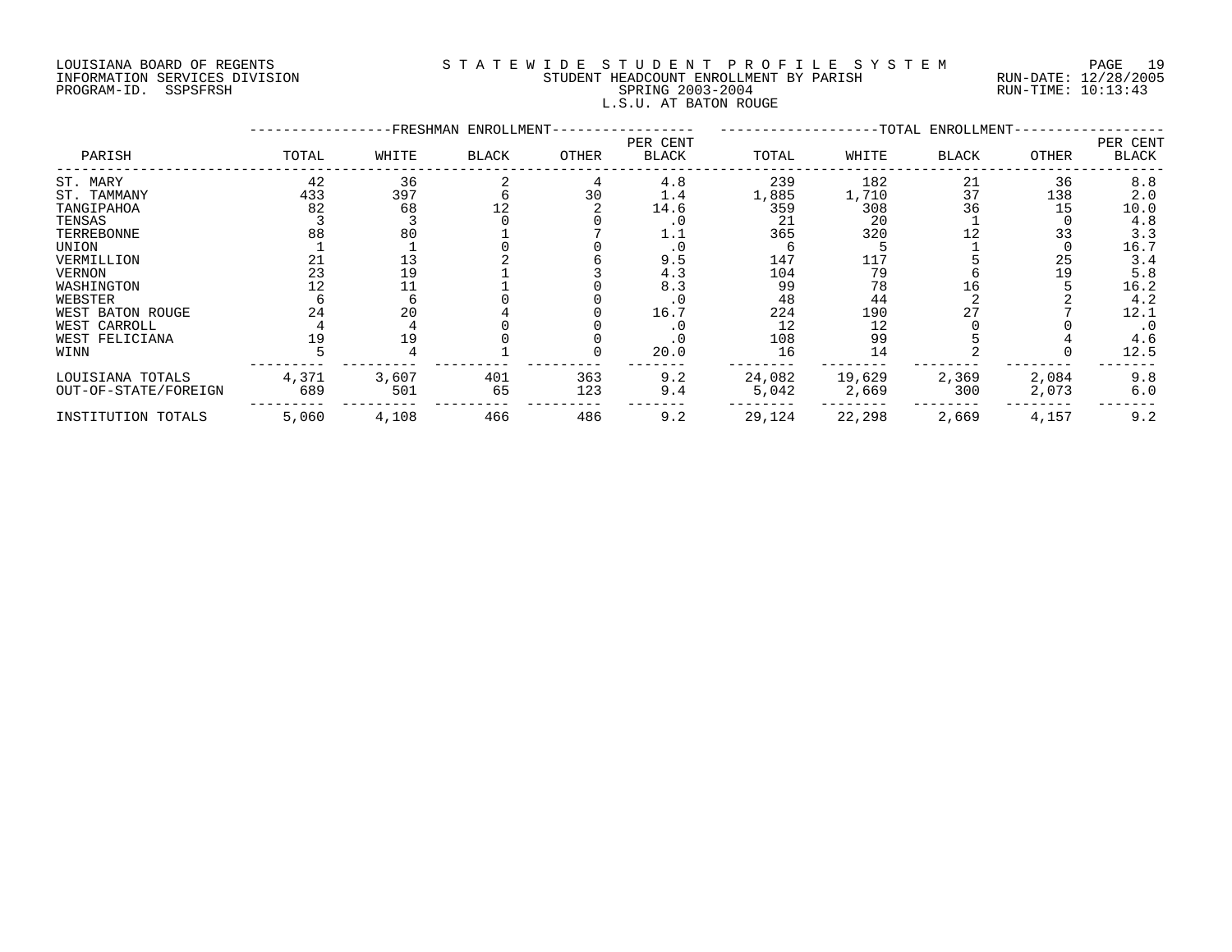# LOUISIANA BOARD OF REGENTS S T A T E W I D E S T U D E N T P R O F I L E S Y S T E M PAGE 19 INFORMATION SERVICES DIVISION STUDENT HEADCOUNT ENROLLMENT BY PARISH RUN-DATE: 12/28/2005 PROGRAM-ID. SSPSFRSH SPRING 2003-2004 RUN-TIME: 10:13:43 L.S.U. AT BATON ROUGE

|                      |       |       | -FRESHMAN ENROLLMENT- |       |                          |        |        | -TOTAL ENROLLMENT- |       |                          |
|----------------------|-------|-------|-----------------------|-------|--------------------------|--------|--------|--------------------|-------|--------------------------|
| PARISH               | TOTAL | WHITE | <b>BLACK</b>          | OTHER | PER CENT<br><b>BLACK</b> | TOTAL  | WHITE  | <b>BLACK</b>       | OTHER | PER CENT<br><b>BLACK</b> |
| ST. MARY             | 42    | 36    |                       |       | 4.8                      | 239    | 182    | 21                 | 36    | 8.8                      |
| ST. TAMMANY          | 433   | 397   |                       | 30    | 1.4                      | 1,885  | 1,710  | 37                 | 138   | 2.0                      |
| TANGIPAHOA           | 82    | 68    |                       |       | 14.6                     | 359    | 308    | 36                 | 15    | 10.0                     |
| TENSAS               |       |       |                       |       | . 0                      | 21     | 20     |                    |       | 4.8                      |
| TERREBONNE           | 88    | 80    |                       |       | 1.1                      | 365    | 320    |                    | 33    | 3.3                      |
| UNION                |       |       |                       |       |                          |        |        |                    |       | 16.7                     |
| VERMILLION           |       |       |                       |       | 9.5                      | 147    | 117    |                    | 25    | 3.4                      |
| <b>VERNON</b>        | 23    | 19    |                       |       | 4.3                      | 104    | 79     |                    | 19    | 5.8                      |
| WASHINGTON           |       |       |                       |       | 8.3                      | 99     | 78     | 16                 |       | 16.2                     |
| WEBSTER              |       |       |                       |       |                          | 48     | 44     |                    |       | 4.2                      |
| WEST BATON ROUGE     | 24    | 20    |                       |       | 16.7                     | 224    | 190    | 27                 |       | 12.1                     |
| WEST CARROLL         |       |       |                       |       |                          | 12     | 12     |                    |       | $\cdot$ 0                |
| WEST FELICIANA       |       | 19    |                       |       |                          | 108    | 99     |                    |       | 4.6                      |
| WINN                 |       |       |                       |       | 20.0                     | 16     | 14     |                    |       | 12.5                     |
| LOUISIANA TOTALS     | 4,371 | 3,607 | 401                   | 363   | 9.2                      | 24,082 | 19,629 | 2,369              | 2,084 | 9.8                      |
| OUT-OF-STATE/FOREIGN | 689   | 501   | 65                    | 123   | 9.4                      | 5,042  | 2,669  | 300                | 2,073 | 6.0                      |
| INSTITUTION TOTALS   | 5,060 | 4,108 | 466                   | 486   | 9.2                      | 29,124 | 22,298 | 2,669              | 4,157 | 9.2                      |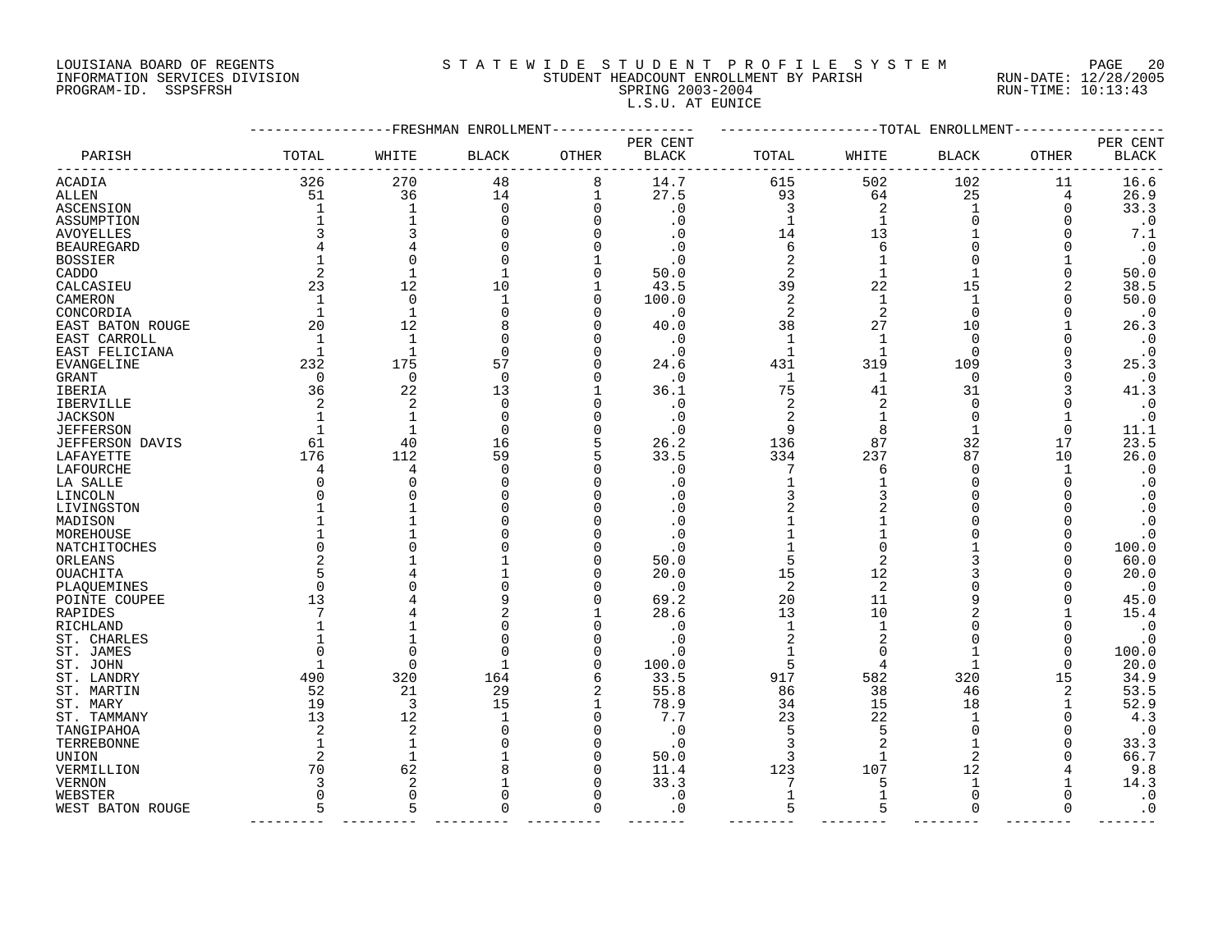# LOUISIANA BOARD OF REGENTS S T A T E W I D E S T U D E N T P R O F I L E S Y S T E M PAGE 20 INFORMATION SERVICES DIVISION STUDENT HEADCOUNT ENROLLMENT BY PARISH RUN-DATE: 12/28/2005 PROGRAM-ID. SSPSFRSH SPRING 2003-2004 RUN-TIME: 10:13:43 L.S.U. AT EUNICE

|                   |             |                   | -FRESHMAN ENROLLMENT |              |              |                |          | -TOTAL ENROLLMENT |       |              |
|-------------------|-------------|-------------------|----------------------|--------------|--------------|----------------|----------|-------------------|-------|--------------|
|                   |             |                   |                      |              | PER CENT     |                |          |                   |       | PER CENT     |
| PARISH            | TOTAL       | WHITE             | <b>BLACK</b>         | OTHER        | <b>BLACK</b> | TOTAL          | WHITE    | <b>BLACK</b>      | OTHER | <b>BLACK</b> |
| ACADIA            | 326         | 270               | 48                   | 8            | 14.7         | 615            | 502      | 102               | 11    | 16.6         |
| ALLEN             | 51          | 36                | 14                   | 1            | 27.5         | 93             | 64       | 25                | 4     | 26.9         |
| ASCENSION         | 1           | 1                 | 0                    | 0            | . 0          | 3              | 2        | 1                 | 0     | 33.3         |
| ASSUMPTION        |             | 1                 |                      | 0            | . 0          | $\mathbf{1}$   | 1        | $\Omega$          |       | $\cdot$ 0    |
| <b>AVOYELLES</b>  |             | 3                 |                      | O            |              | 14             | 13       |                   |       | 7.1          |
| <b>BEAUREGARD</b> |             |                   |                      | O            | C            | 6              | 6        |                   |       | $\cdot$ 0    |
| <b>BOSSIER</b>    |             | $\Omega$          |                      |              |              | 2              |          | ∩                 |       | $\cdot$ 0    |
| CADDO             | 2           | 1                 | 1                    | 0            | 50.0         | $\overline{2}$ | 1        |                   | 0     | 50.0         |
| CALCASIEU         | 23          | 12                | 10                   | $\mathbf{1}$ | 43.5         | 39             | 22       | 15                | 2     | 38.5         |
| CAMERON           |             | $\mathbf 0$       | $\mathbf 1$          | 0            | 100.0        | 2              | 1        | 1                 |       | 50.0         |
| CONCORDIA         | 1           | $\mathbf{1}$      | $\Omega$             | 0            | . 0          | 2              | 2        | $\Omega$          |       | $\cdot$ 0    |
| EAST BATON ROUGE  | 20          | 12                | 8                    | O            | 40.0         | 38             | 27       | 10                |       | 26.3         |
| EAST CARROLL      | 1           | $\mathbf{1}$      |                      | 0            | . 0          | 1              | 1        | 0                 |       | $\cdot$ 0    |
| EAST FELICIANA    | 1           | $\mathbf{1}$      | $\Omega$             | O            | . 0          | $\mathbf{1}$   | -1       | $\Omega$          |       | $\cdot$ 0    |
| EVANGELINE        | 232         | 175               | 57                   | 0            | 24.6         | 431            | 319      | 109               |       | 25.3         |
|                   | $\mathbf 0$ | 0                 | $\mathbf 0$          | 0            | . 0          | 1              | 1        | 0                 |       | $\cdot$ 0    |
| GRANT             | 36          | 22                | 13                   | 1            | 36.1         | 75             | 41       | 31                |       | 41.3         |
| IBERIA            |             |                   |                      | 0            |              | 2              |          |                   |       |              |
| IBERVILLE         |             | 2<br>$\mathbf{1}$ | 0<br><sup>0</sup>    | O            | . 0          |                | 2        | 0<br>$\Omega$     |       | $\cdot$ 0    |
| JACKSON           |             |                   |                      |              | . 0          | 2              |          |                   |       | $\cdot$ 0    |
| <b>JEFFERSON</b>  |             | $\mathbf{1}$      | $\Omega$             | O            | . 0          | 9              | 8        |                   | 0     | 11.1         |
| JEFFERSON DAVIS   | 61          | 40                | 16                   | 5            | 26.2         | 136            | 87       | 32                | 17    | 23.5         |
| LAFAYETTE         | 176         | 112               | 59                   | 5            | 33.5         | 334            | 237      | 87                | 10    | 26.0         |
| LAFOURCHE         | 4           | 4                 | $\Omega$             | 0            | . 0          | 7              | 6        | 0                 | 1     | $\cdot$ 0    |
| LA SALLE          |             | $\Omega$          |                      | 0            | 0            |                |          | $\Omega$          |       | $\cdot$ 0    |
| LINCOLN           |             | $\Omega$          |                      | O            | . 0          | 3              |          | $\Omega$          |       | $\cdot$ 0    |
| LIVINGSTON        |             | 1                 |                      | O            | . 0          | 2              |          | ∩                 |       | $\cdot$ 0    |
| MADISON           |             |                   |                      | O            | . 0          |                |          | O                 |       | $\cdot$ 0    |
| MOREHOUSE         |             | 1                 |                      | O            | . 0          |                |          |                   |       | $\cdot$ 0    |
| NATCHITOCHES      |             | U                 |                      | O            | . 0          |                |          |                   |       | 100.0        |
| ORLEANS           |             |                   |                      | O            | 50.0         | 5              |          |                   |       | 60.0         |
| OUACHITA          |             |                   |                      | 0            | 20.0         | 15             | 12       |                   |       | 20.0         |
| PLAQUEMINES       | $\Omega$    |                   |                      | 0            | . 0          | 2              | 2        |                   |       | $\cdot$ 0    |
| POINTE COUPEE     | 13          |                   |                      | 0            | 69.2         | 20             | 11       | 9                 |       | 45.0         |
| RAPIDES           |             |                   |                      | 1            | 28.6         | 13             | 10       |                   |       | 15.4         |
| RICHLAND          |             |                   |                      | O            | . 0          | 1              |          | $\Omega$          |       | $\cdot$ 0    |
| ST. CHARLES       |             | 1                 |                      | O            | . 0          | 2              | 2        | ∩                 |       | $\cdot$ 0    |
| ST. JAMES         |             | $\Omega$          |                      | O            | . 0          | 1              | $\Omega$ | 1                 | O     | 100.0        |
| ST. JOHN          |             | $\mathbf 0$       | -1                   | 0            | 100.0        | 5              | 4        | 1                 | 0     | 20.0         |
| ST. LANDRY        | 490         | 320               | 164                  | 6            | 33.5         | 917            | 582      | 320               | 15    | 34.9         |
| ST. MARTIN        | 52          | 21                | 29                   | 2            | 55.8         | 86             | 38       | 46                | 2     | 53.5         |
| ST. MARY          | 19          | 3                 | 15                   | 1            | 78.9         | 34             | 15       | 18                |       | 52.9         |
| ST. TAMMANY       | 13          | 12                |                      | 0            | 7.7          | 23             | 22       |                   |       | 4.3          |
| TANGIPAHOA        | 2           | 2                 |                      | 0            | . 0          | 5              | 5        | $\Omega$          |       | $\cdot$ 0    |
| TERREBONNE        |             | $\mathbf{1}$      |                      | 0            | . 0          | 3              |          |                   |       | 33.3         |
| UNION             |             | $\mathbf{1}$      |                      | 0            | 50.0         | 3              |          | 2                 |       | 66.7         |
| VERMILLION        | 70          | 62                |                      | 0            | 11.4         | 123            | 107      | 12                |       | 9.8          |
| VERNON            |             | 2                 |                      | 0            | 33.3         |                | 5        | 1                 |       | 14.3         |
| WEBSTER           | $\Omega$    | $\mathbf 0$       |                      | 0            | . 0          | $\mathbf{1}$   |          | $\Omega$          |       | $\cdot$ 0    |
| WEST BATON ROUGE  | 5           | 5                 | O                    | 0            | . 0          | 5              | 5        | $\Omega$          | 0     | $\cdot$ 0    |
|                   |             |                   |                      |              |              |                |          |                   |       |              |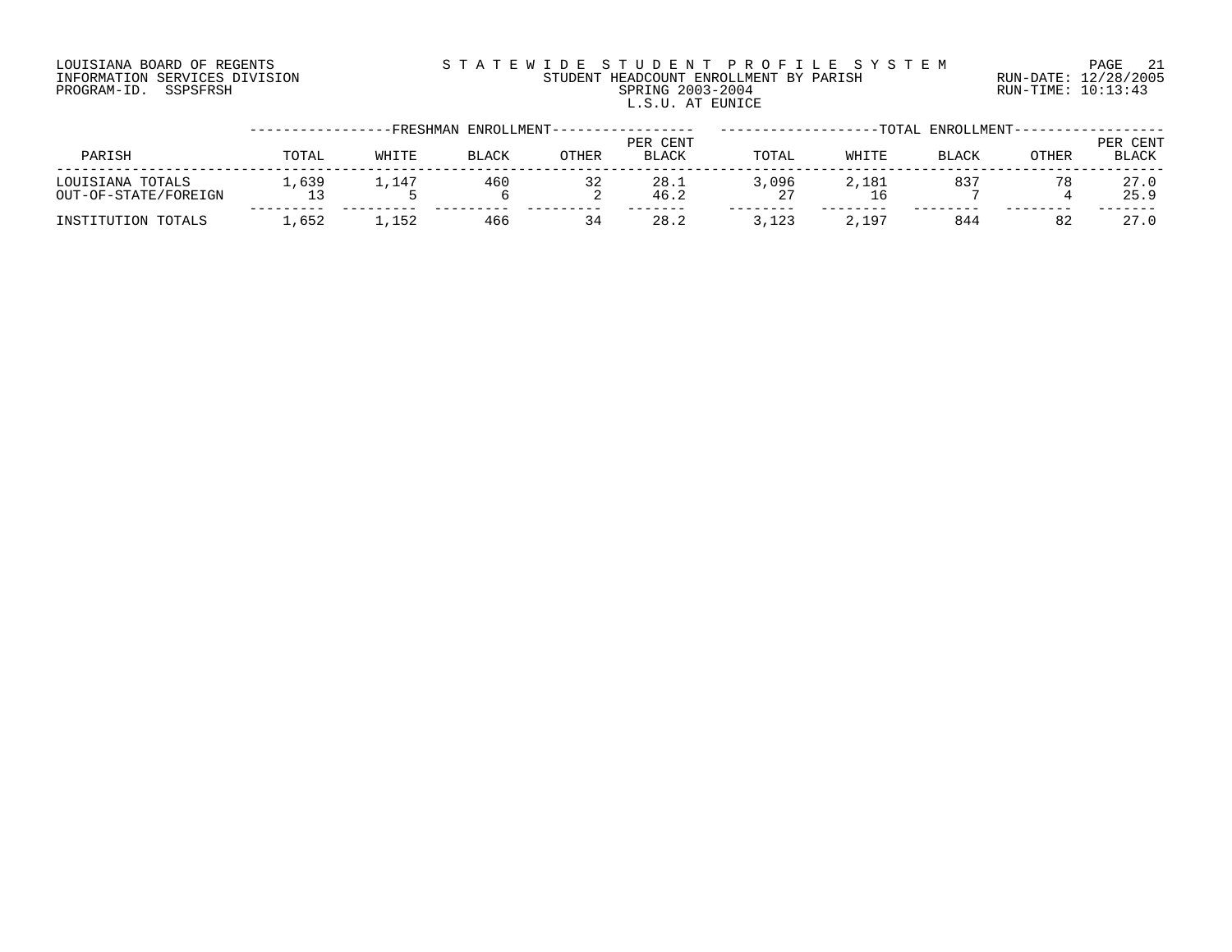# LOUISIANA BOARD OF REGENTS S T A T E W I D E S T U D E N T P R O F I L E S Y S T E M PAGE 21 INFORMATION SERVICES DIVISION STUDENT HEADCOUNT ENROLLMENT BY PARISH RUN-DATE: 12/28/2005 PROGRAM-ID. SSPSFRSH SPRING 2003-2004 RUN-TIME: 10:13:43 L.S.U. AT EUNICE

|                                          |       |        | FRESHMAN-<br>ENROLLMENT-- |              |                   |       |       | TOTAL ENROLLMENT- |              |                          |
|------------------------------------------|-------|--------|---------------------------|--------------|-------------------|-------|-------|-------------------|--------------|--------------------------|
| PARISH                                   | TOTAL | WHITE  | <b>BLACK</b>              | <b>OTHER</b> | PER CENT<br>BLACK | TOTAL | WHITE | <b>BLACK</b>      | <b>OTHER</b> | PER CENT<br><b>BLACK</b> |
| LOUISIANA TOTALS<br>OUT-OF-STATE/FOREIGN | .639  | 147ء س | 460                       | 32<br>▵      | 28.1<br>46.2      | 3,096 | 2,181 | 837               | 78           | 27.0<br>25.9             |
| INSTITUTION TOTALS                       | ,652  | 1,152  | 466                       | 34           | 28.2              | 3,123 | 2,197 | 844               | 82           | 27.0                     |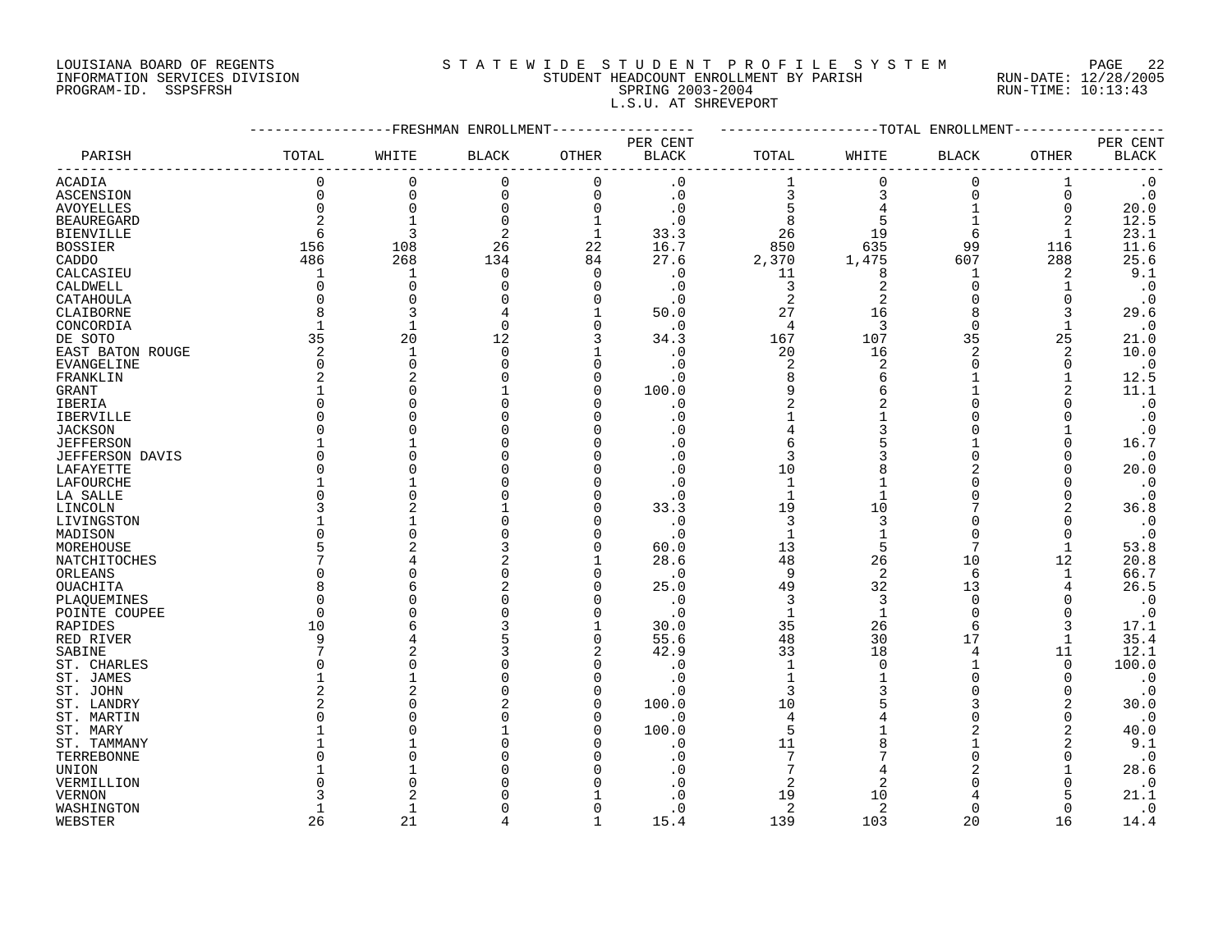# LOUISIANA BOARD OF REGENTS S T A T E W I D E S T U D E N T P R O F I L E S Y S T E M PAGE 22 INFORMATION SERVICES DIVISION STUDENT HEADCOUNT ENROLLMENT BY PARISH RUN-DATE: 12/28/2005 PROGRAM-ID. SSPSFRSH SPRING 2003-2004 RUN-TIME: 10:13:43 L.S.U. AT SHREVEPORT

| PER CENT<br>PER CENT<br>PARISH<br>TOTAL<br>WHITE<br><b>BLACK</b><br>OTHER<br><b>BLACK</b><br>WHITE<br>OTHER<br><b>BLACK</b><br>TOTAL<br><b>BLACK</b><br>0<br>0<br>0<br>$\cdot$ 0<br>$\Omega$<br>$\Omega$<br>$\cdot$ 0<br><b>ACADIA</b><br>$\Omega$<br>1<br>$\Omega$<br>$\Omega$<br>$\cdot 0$<br>3<br>$\cdot$ 0<br>ASCENSION<br>0<br>$\Omega$<br>3<br>$\Omega$<br>0<br>0<br>$\Omega$<br>$\Omega$<br>$\cdot$ 0<br>20.0<br><b>AVOYELLES</b><br>$\Omega$<br>$\Omega$<br>12.5<br>2<br>8<br><b>BEAUREGARD</b><br>$\Omega$<br>. 0<br>2<br>1<br>23.1<br>3<br>2<br>33.3<br><b>BIENVILLE</b><br>6<br>$\mathbf 1$<br>26<br>19<br>6<br>850<br>635<br>11.6<br><b>BOSSIER</b><br>156<br>108<br>26<br>22<br>16.7<br>99<br>116<br>27.6<br>25.6<br>486<br>268<br>134<br>2,370<br>1,475<br>288<br>CADDO<br>84<br>607<br>9.1<br>$\mathbf 0$<br>$\Omega$<br>$\cdot$ 0<br>11<br>8<br>2<br>CALCASIEU<br>1<br>1<br>$\cdot$ 0<br>CALDWELL<br>$\Omega$<br>3<br>$\overline{2}$<br>C<br>O<br>n<br>$\cdot$ 0<br>$\Omega$<br>$\overline{2}$<br>$\overline{2}$<br>$\cdot$ 0<br>CATAHOULA<br>0<br>$\Omega$<br>$\cdot$ 0<br>$\Omega$<br>8<br>27<br>29.6<br>CLAIBORNE<br>3<br>50.0<br>16<br>8<br>3<br>$\overline{4}$<br>3<br>$\Omega$<br>$\cdot$ 0<br>$\mathbf 1$<br>$\Omega$<br>CONCORDIA<br>∩<br>. 0<br>1<br>35<br>20<br>107<br>35<br>DE SOTO<br>12<br>34.3<br>167<br>25<br>21.0<br>2<br>$\overline{2}$<br>10.0<br>$\mathbf 0$<br>20<br>16<br>2<br>EAST BATON ROUGE<br>1<br>. 0<br>$\overline{2}$<br>$\boldsymbol{\cdot}$ 0<br><b>EVANGELINE</b><br>$\Omega$<br>$\Omega$<br>2<br>$\Omega$<br>. 0<br>$\Omega$<br>12.5<br>$\overline{2}$<br>8<br>FRANKLIN<br>2<br>$\cdot$ 0<br>6<br>n<br>100.0<br>9<br>11.1<br>6<br>2<br>GRANT<br>C<br>$\Omega$<br>$\overline{2}$<br>2<br>$\cdot$ 0<br>IBERIA<br>O<br>$\cdot$ 0<br>O<br>$\cdot$ 0<br><b>IBERVILLE</b><br>U<br>. 0<br><b>JACKSON</b><br>3<br>$\cdot$ 0<br>U<br>16.7<br><b>JEFFERSON</b><br>6<br>∩<br>$\Omega$<br>3<br>$\cdot$ 0<br><b>JEFFERSON DAVIS</b><br>O<br>20.0<br>LAFAYETTE<br>$\Omega$<br>10<br>$\Omega$<br>$\boldsymbol{\cdot}$ 0<br>LAFOURCHE<br>$\Omega$<br>1<br>$\mathbf{1}$<br>$\cdot$ 0<br>LA SALLE<br>O<br>$\cdot$ 0<br>$\Omega$<br>O<br>19<br>10<br>36.8<br>33.3<br>2<br>LINCOLN<br>3<br>3<br>3<br>$\cdot$ 0<br>LIVINGSTON<br>$\cdot$ 0<br>$\Omega$<br>$\cdot$ 0<br>MADISON<br>$\cdot$ 0<br>$\mathbf{1}$<br>N<br>$\Omega$<br>$\Omega$<br>13<br>5<br>7<br>53.8<br>MOREHOUSE<br>5<br>60.0<br>$\mathbf{1}$<br>28.6<br>48<br>20.8<br>NATCHITOCHES<br>26<br>10<br>12<br>66.7<br>9<br>2<br>ORLEANS<br>O<br>$\cdot$ 0<br>6<br>1<br>49<br>32<br>26.5<br>OUACHITA<br>8<br>25.0<br>13<br>4<br>$\boldsymbol{\cdot}$ 0<br>3<br>3<br>$\Omega$<br>PLAQUEMINES<br>U<br>. 0<br>$\boldsymbol{\cdot}$ 0<br>$\cdot$ 0<br>$\mathbf{1}$<br>$\mathbf 1$<br>$\Omega$<br>POINTE COUPEE<br>$\Omega$<br>n<br>$\Omega$<br>35<br>26<br>10<br>30.0<br>6<br>3<br>17.1<br>RAPIDES<br>55.6<br>48<br>30<br>17<br>35.4<br>RED RIVER<br>9<br>$\Omega$<br>42.9<br>33<br>18<br>11<br>12.1<br>2<br>SABINE<br>4<br>100.0<br>ST. CHARLES<br>O<br>. 0<br>$\mathbf{1}$<br>O<br>$\Omega$<br>$\mathbf{1}$<br>$\cdot$ 0<br>ST. JAMES<br>$\cdot$ 0<br>$\Omega$<br>O<br>2<br>3<br>$\cdot$ 0<br>n<br>$\Omega$<br>ST. JOHN<br>. 0<br>100.0<br>10<br>30.0<br>ST. LANDRY<br>3<br>2<br>$\cdot$ 0<br>ST. MARTIN<br>$\overline{4}$<br>U<br>. 0<br>$\Omega$<br>5<br>40.0<br>ST. MARY<br>100.0<br>2<br>n<br>11<br>9.1<br>2<br>ST. TAMMANY<br>. 0<br>7<br>$\cdot$ 0<br>TERREBONNE<br>. 0<br>O<br>28.6<br>UNION<br>2<br>2<br>$\cdot$ 0<br>VERMILLION<br>. 0<br>19<br>10<br>21.1<br><b>VERNON</b><br>. 0<br>5<br>$\overline{2}$<br>$\cdot$ 0<br>WASHINGTON<br>$\mathbf{1}$<br>. 0<br>2<br>$\Omega$<br>$\Omega$<br>26<br>21<br>139<br>103<br>20<br>WEBSTER<br>$\mathbf{1}$<br>15.4<br>16<br>14.4 |  | FRESHMAN ENROLLMENT- |  |  | -TOTAL ENROLLMENT |  |
|---------------------------------------------------------------------------------------------------------------------------------------------------------------------------------------------------------------------------------------------------------------------------------------------------------------------------------------------------------------------------------------------------------------------------------------------------------------------------------------------------------------------------------------------------------------------------------------------------------------------------------------------------------------------------------------------------------------------------------------------------------------------------------------------------------------------------------------------------------------------------------------------------------------------------------------------------------------------------------------------------------------------------------------------------------------------------------------------------------------------------------------------------------------------------------------------------------------------------------------------------------------------------------------------------------------------------------------------------------------------------------------------------------------------------------------------------------------------------------------------------------------------------------------------------------------------------------------------------------------------------------------------------------------------------------------------------------------------------------------------------------------------------------------------------------------------------------------------------------------------------------------------------------------------------------------------------------------------------------------------------------------------------------------------------------------------------------------------------------------------------------------------------------------------------------------------------------------------------------------------------------------------------------------------------------------------------------------------------------------------------------------------------------------------------------------------------------------------------------------------------------------------------------------------------------------------------------------------------------------------------------------------------------------------------------------------------------------------------------------------------------------------------------------------------------------------------------------------------------------------------------------------------------------------------------------------------------------------------------------------------------------------------------------------------------------------------------------------------------------------------------------------------------------------------------------------------------------------------------------------------------------------------------------------------------------------------------------------------------------------------------------------------------------------------------------------------------------------------------------------------------------------------------------------------------------------------------------------------------------------------------------------------------------------------------------------------------------------------------------------------------------------|--|----------------------|--|--|-------------------|--|
|                                                                                                                                                                                                                                                                                                                                                                                                                                                                                                                                                                                                                                                                                                                                                                                                                                                                                                                                                                                                                                                                                                                                                                                                                                                                                                                                                                                                                                                                                                                                                                                                                                                                                                                                                                                                                                                                                                                                                                                                                                                                                                                                                                                                                                                                                                                                                                                                                                                                                                                                                                                                                                                                                                                                                                                                                                                                                                                                                                                                                                                                                                                                                                                                                                                                                                                                                                                                                                                                                                                                                                                                                                                                                                                                                                     |  |                      |  |  |                   |  |
|                                                                                                                                                                                                                                                                                                                                                                                                                                                                                                                                                                                                                                                                                                                                                                                                                                                                                                                                                                                                                                                                                                                                                                                                                                                                                                                                                                                                                                                                                                                                                                                                                                                                                                                                                                                                                                                                                                                                                                                                                                                                                                                                                                                                                                                                                                                                                                                                                                                                                                                                                                                                                                                                                                                                                                                                                                                                                                                                                                                                                                                                                                                                                                                                                                                                                                                                                                                                                                                                                                                                                                                                                                                                                                                                                                     |  |                      |  |  |                   |  |
|                                                                                                                                                                                                                                                                                                                                                                                                                                                                                                                                                                                                                                                                                                                                                                                                                                                                                                                                                                                                                                                                                                                                                                                                                                                                                                                                                                                                                                                                                                                                                                                                                                                                                                                                                                                                                                                                                                                                                                                                                                                                                                                                                                                                                                                                                                                                                                                                                                                                                                                                                                                                                                                                                                                                                                                                                                                                                                                                                                                                                                                                                                                                                                                                                                                                                                                                                                                                                                                                                                                                                                                                                                                                                                                                                                     |  |                      |  |  |                   |  |
|                                                                                                                                                                                                                                                                                                                                                                                                                                                                                                                                                                                                                                                                                                                                                                                                                                                                                                                                                                                                                                                                                                                                                                                                                                                                                                                                                                                                                                                                                                                                                                                                                                                                                                                                                                                                                                                                                                                                                                                                                                                                                                                                                                                                                                                                                                                                                                                                                                                                                                                                                                                                                                                                                                                                                                                                                                                                                                                                                                                                                                                                                                                                                                                                                                                                                                                                                                                                                                                                                                                                                                                                                                                                                                                                                                     |  |                      |  |  |                   |  |
|                                                                                                                                                                                                                                                                                                                                                                                                                                                                                                                                                                                                                                                                                                                                                                                                                                                                                                                                                                                                                                                                                                                                                                                                                                                                                                                                                                                                                                                                                                                                                                                                                                                                                                                                                                                                                                                                                                                                                                                                                                                                                                                                                                                                                                                                                                                                                                                                                                                                                                                                                                                                                                                                                                                                                                                                                                                                                                                                                                                                                                                                                                                                                                                                                                                                                                                                                                                                                                                                                                                                                                                                                                                                                                                                                                     |  |                      |  |  |                   |  |
|                                                                                                                                                                                                                                                                                                                                                                                                                                                                                                                                                                                                                                                                                                                                                                                                                                                                                                                                                                                                                                                                                                                                                                                                                                                                                                                                                                                                                                                                                                                                                                                                                                                                                                                                                                                                                                                                                                                                                                                                                                                                                                                                                                                                                                                                                                                                                                                                                                                                                                                                                                                                                                                                                                                                                                                                                                                                                                                                                                                                                                                                                                                                                                                                                                                                                                                                                                                                                                                                                                                                                                                                                                                                                                                                                                     |  |                      |  |  |                   |  |
|                                                                                                                                                                                                                                                                                                                                                                                                                                                                                                                                                                                                                                                                                                                                                                                                                                                                                                                                                                                                                                                                                                                                                                                                                                                                                                                                                                                                                                                                                                                                                                                                                                                                                                                                                                                                                                                                                                                                                                                                                                                                                                                                                                                                                                                                                                                                                                                                                                                                                                                                                                                                                                                                                                                                                                                                                                                                                                                                                                                                                                                                                                                                                                                                                                                                                                                                                                                                                                                                                                                                                                                                                                                                                                                                                                     |  |                      |  |  |                   |  |
|                                                                                                                                                                                                                                                                                                                                                                                                                                                                                                                                                                                                                                                                                                                                                                                                                                                                                                                                                                                                                                                                                                                                                                                                                                                                                                                                                                                                                                                                                                                                                                                                                                                                                                                                                                                                                                                                                                                                                                                                                                                                                                                                                                                                                                                                                                                                                                                                                                                                                                                                                                                                                                                                                                                                                                                                                                                                                                                                                                                                                                                                                                                                                                                                                                                                                                                                                                                                                                                                                                                                                                                                                                                                                                                                                                     |  |                      |  |  |                   |  |
|                                                                                                                                                                                                                                                                                                                                                                                                                                                                                                                                                                                                                                                                                                                                                                                                                                                                                                                                                                                                                                                                                                                                                                                                                                                                                                                                                                                                                                                                                                                                                                                                                                                                                                                                                                                                                                                                                                                                                                                                                                                                                                                                                                                                                                                                                                                                                                                                                                                                                                                                                                                                                                                                                                                                                                                                                                                                                                                                                                                                                                                                                                                                                                                                                                                                                                                                                                                                                                                                                                                                                                                                                                                                                                                                                                     |  |                      |  |  |                   |  |
|                                                                                                                                                                                                                                                                                                                                                                                                                                                                                                                                                                                                                                                                                                                                                                                                                                                                                                                                                                                                                                                                                                                                                                                                                                                                                                                                                                                                                                                                                                                                                                                                                                                                                                                                                                                                                                                                                                                                                                                                                                                                                                                                                                                                                                                                                                                                                                                                                                                                                                                                                                                                                                                                                                                                                                                                                                                                                                                                                                                                                                                                                                                                                                                                                                                                                                                                                                                                                                                                                                                                                                                                                                                                                                                                                                     |  |                      |  |  |                   |  |
|                                                                                                                                                                                                                                                                                                                                                                                                                                                                                                                                                                                                                                                                                                                                                                                                                                                                                                                                                                                                                                                                                                                                                                                                                                                                                                                                                                                                                                                                                                                                                                                                                                                                                                                                                                                                                                                                                                                                                                                                                                                                                                                                                                                                                                                                                                                                                                                                                                                                                                                                                                                                                                                                                                                                                                                                                                                                                                                                                                                                                                                                                                                                                                                                                                                                                                                                                                                                                                                                                                                                                                                                                                                                                                                                                                     |  |                      |  |  |                   |  |
|                                                                                                                                                                                                                                                                                                                                                                                                                                                                                                                                                                                                                                                                                                                                                                                                                                                                                                                                                                                                                                                                                                                                                                                                                                                                                                                                                                                                                                                                                                                                                                                                                                                                                                                                                                                                                                                                                                                                                                                                                                                                                                                                                                                                                                                                                                                                                                                                                                                                                                                                                                                                                                                                                                                                                                                                                                                                                                                                                                                                                                                                                                                                                                                                                                                                                                                                                                                                                                                                                                                                                                                                                                                                                                                                                                     |  |                      |  |  |                   |  |
|                                                                                                                                                                                                                                                                                                                                                                                                                                                                                                                                                                                                                                                                                                                                                                                                                                                                                                                                                                                                                                                                                                                                                                                                                                                                                                                                                                                                                                                                                                                                                                                                                                                                                                                                                                                                                                                                                                                                                                                                                                                                                                                                                                                                                                                                                                                                                                                                                                                                                                                                                                                                                                                                                                                                                                                                                                                                                                                                                                                                                                                                                                                                                                                                                                                                                                                                                                                                                                                                                                                                                                                                                                                                                                                                                                     |  |                      |  |  |                   |  |
|                                                                                                                                                                                                                                                                                                                                                                                                                                                                                                                                                                                                                                                                                                                                                                                                                                                                                                                                                                                                                                                                                                                                                                                                                                                                                                                                                                                                                                                                                                                                                                                                                                                                                                                                                                                                                                                                                                                                                                                                                                                                                                                                                                                                                                                                                                                                                                                                                                                                                                                                                                                                                                                                                                                                                                                                                                                                                                                                                                                                                                                                                                                                                                                                                                                                                                                                                                                                                                                                                                                                                                                                                                                                                                                                                                     |  |                      |  |  |                   |  |
|                                                                                                                                                                                                                                                                                                                                                                                                                                                                                                                                                                                                                                                                                                                                                                                                                                                                                                                                                                                                                                                                                                                                                                                                                                                                                                                                                                                                                                                                                                                                                                                                                                                                                                                                                                                                                                                                                                                                                                                                                                                                                                                                                                                                                                                                                                                                                                                                                                                                                                                                                                                                                                                                                                                                                                                                                                                                                                                                                                                                                                                                                                                                                                                                                                                                                                                                                                                                                                                                                                                                                                                                                                                                                                                                                                     |  |                      |  |  |                   |  |
|                                                                                                                                                                                                                                                                                                                                                                                                                                                                                                                                                                                                                                                                                                                                                                                                                                                                                                                                                                                                                                                                                                                                                                                                                                                                                                                                                                                                                                                                                                                                                                                                                                                                                                                                                                                                                                                                                                                                                                                                                                                                                                                                                                                                                                                                                                                                                                                                                                                                                                                                                                                                                                                                                                                                                                                                                                                                                                                                                                                                                                                                                                                                                                                                                                                                                                                                                                                                                                                                                                                                                                                                                                                                                                                                                                     |  |                      |  |  |                   |  |
|                                                                                                                                                                                                                                                                                                                                                                                                                                                                                                                                                                                                                                                                                                                                                                                                                                                                                                                                                                                                                                                                                                                                                                                                                                                                                                                                                                                                                                                                                                                                                                                                                                                                                                                                                                                                                                                                                                                                                                                                                                                                                                                                                                                                                                                                                                                                                                                                                                                                                                                                                                                                                                                                                                                                                                                                                                                                                                                                                                                                                                                                                                                                                                                                                                                                                                                                                                                                                                                                                                                                                                                                                                                                                                                                                                     |  |                      |  |  |                   |  |
|                                                                                                                                                                                                                                                                                                                                                                                                                                                                                                                                                                                                                                                                                                                                                                                                                                                                                                                                                                                                                                                                                                                                                                                                                                                                                                                                                                                                                                                                                                                                                                                                                                                                                                                                                                                                                                                                                                                                                                                                                                                                                                                                                                                                                                                                                                                                                                                                                                                                                                                                                                                                                                                                                                                                                                                                                                                                                                                                                                                                                                                                                                                                                                                                                                                                                                                                                                                                                                                                                                                                                                                                                                                                                                                                                                     |  |                      |  |  |                   |  |
|                                                                                                                                                                                                                                                                                                                                                                                                                                                                                                                                                                                                                                                                                                                                                                                                                                                                                                                                                                                                                                                                                                                                                                                                                                                                                                                                                                                                                                                                                                                                                                                                                                                                                                                                                                                                                                                                                                                                                                                                                                                                                                                                                                                                                                                                                                                                                                                                                                                                                                                                                                                                                                                                                                                                                                                                                                                                                                                                                                                                                                                                                                                                                                                                                                                                                                                                                                                                                                                                                                                                                                                                                                                                                                                                                                     |  |                      |  |  |                   |  |
|                                                                                                                                                                                                                                                                                                                                                                                                                                                                                                                                                                                                                                                                                                                                                                                                                                                                                                                                                                                                                                                                                                                                                                                                                                                                                                                                                                                                                                                                                                                                                                                                                                                                                                                                                                                                                                                                                                                                                                                                                                                                                                                                                                                                                                                                                                                                                                                                                                                                                                                                                                                                                                                                                                                                                                                                                                                                                                                                                                                                                                                                                                                                                                                                                                                                                                                                                                                                                                                                                                                                                                                                                                                                                                                                                                     |  |                      |  |  |                   |  |
|                                                                                                                                                                                                                                                                                                                                                                                                                                                                                                                                                                                                                                                                                                                                                                                                                                                                                                                                                                                                                                                                                                                                                                                                                                                                                                                                                                                                                                                                                                                                                                                                                                                                                                                                                                                                                                                                                                                                                                                                                                                                                                                                                                                                                                                                                                                                                                                                                                                                                                                                                                                                                                                                                                                                                                                                                                                                                                                                                                                                                                                                                                                                                                                                                                                                                                                                                                                                                                                                                                                                                                                                                                                                                                                                                                     |  |                      |  |  |                   |  |
|                                                                                                                                                                                                                                                                                                                                                                                                                                                                                                                                                                                                                                                                                                                                                                                                                                                                                                                                                                                                                                                                                                                                                                                                                                                                                                                                                                                                                                                                                                                                                                                                                                                                                                                                                                                                                                                                                                                                                                                                                                                                                                                                                                                                                                                                                                                                                                                                                                                                                                                                                                                                                                                                                                                                                                                                                                                                                                                                                                                                                                                                                                                                                                                                                                                                                                                                                                                                                                                                                                                                                                                                                                                                                                                                                                     |  |                      |  |  |                   |  |
|                                                                                                                                                                                                                                                                                                                                                                                                                                                                                                                                                                                                                                                                                                                                                                                                                                                                                                                                                                                                                                                                                                                                                                                                                                                                                                                                                                                                                                                                                                                                                                                                                                                                                                                                                                                                                                                                                                                                                                                                                                                                                                                                                                                                                                                                                                                                                                                                                                                                                                                                                                                                                                                                                                                                                                                                                                                                                                                                                                                                                                                                                                                                                                                                                                                                                                                                                                                                                                                                                                                                                                                                                                                                                                                                                                     |  |                      |  |  |                   |  |
|                                                                                                                                                                                                                                                                                                                                                                                                                                                                                                                                                                                                                                                                                                                                                                                                                                                                                                                                                                                                                                                                                                                                                                                                                                                                                                                                                                                                                                                                                                                                                                                                                                                                                                                                                                                                                                                                                                                                                                                                                                                                                                                                                                                                                                                                                                                                                                                                                                                                                                                                                                                                                                                                                                                                                                                                                                                                                                                                                                                                                                                                                                                                                                                                                                                                                                                                                                                                                                                                                                                                                                                                                                                                                                                                                                     |  |                      |  |  |                   |  |
|                                                                                                                                                                                                                                                                                                                                                                                                                                                                                                                                                                                                                                                                                                                                                                                                                                                                                                                                                                                                                                                                                                                                                                                                                                                                                                                                                                                                                                                                                                                                                                                                                                                                                                                                                                                                                                                                                                                                                                                                                                                                                                                                                                                                                                                                                                                                                                                                                                                                                                                                                                                                                                                                                                                                                                                                                                                                                                                                                                                                                                                                                                                                                                                                                                                                                                                                                                                                                                                                                                                                                                                                                                                                                                                                                                     |  |                      |  |  |                   |  |
|                                                                                                                                                                                                                                                                                                                                                                                                                                                                                                                                                                                                                                                                                                                                                                                                                                                                                                                                                                                                                                                                                                                                                                                                                                                                                                                                                                                                                                                                                                                                                                                                                                                                                                                                                                                                                                                                                                                                                                                                                                                                                                                                                                                                                                                                                                                                                                                                                                                                                                                                                                                                                                                                                                                                                                                                                                                                                                                                                                                                                                                                                                                                                                                                                                                                                                                                                                                                                                                                                                                                                                                                                                                                                                                                                                     |  |                      |  |  |                   |  |
|                                                                                                                                                                                                                                                                                                                                                                                                                                                                                                                                                                                                                                                                                                                                                                                                                                                                                                                                                                                                                                                                                                                                                                                                                                                                                                                                                                                                                                                                                                                                                                                                                                                                                                                                                                                                                                                                                                                                                                                                                                                                                                                                                                                                                                                                                                                                                                                                                                                                                                                                                                                                                                                                                                                                                                                                                                                                                                                                                                                                                                                                                                                                                                                                                                                                                                                                                                                                                                                                                                                                                                                                                                                                                                                                                                     |  |                      |  |  |                   |  |
|                                                                                                                                                                                                                                                                                                                                                                                                                                                                                                                                                                                                                                                                                                                                                                                                                                                                                                                                                                                                                                                                                                                                                                                                                                                                                                                                                                                                                                                                                                                                                                                                                                                                                                                                                                                                                                                                                                                                                                                                                                                                                                                                                                                                                                                                                                                                                                                                                                                                                                                                                                                                                                                                                                                                                                                                                                                                                                                                                                                                                                                                                                                                                                                                                                                                                                                                                                                                                                                                                                                                                                                                                                                                                                                                                                     |  |                      |  |  |                   |  |
|                                                                                                                                                                                                                                                                                                                                                                                                                                                                                                                                                                                                                                                                                                                                                                                                                                                                                                                                                                                                                                                                                                                                                                                                                                                                                                                                                                                                                                                                                                                                                                                                                                                                                                                                                                                                                                                                                                                                                                                                                                                                                                                                                                                                                                                                                                                                                                                                                                                                                                                                                                                                                                                                                                                                                                                                                                                                                                                                                                                                                                                                                                                                                                                                                                                                                                                                                                                                                                                                                                                                                                                                                                                                                                                                                                     |  |                      |  |  |                   |  |
|                                                                                                                                                                                                                                                                                                                                                                                                                                                                                                                                                                                                                                                                                                                                                                                                                                                                                                                                                                                                                                                                                                                                                                                                                                                                                                                                                                                                                                                                                                                                                                                                                                                                                                                                                                                                                                                                                                                                                                                                                                                                                                                                                                                                                                                                                                                                                                                                                                                                                                                                                                                                                                                                                                                                                                                                                                                                                                                                                                                                                                                                                                                                                                                                                                                                                                                                                                                                                                                                                                                                                                                                                                                                                                                                                                     |  |                      |  |  |                   |  |
|                                                                                                                                                                                                                                                                                                                                                                                                                                                                                                                                                                                                                                                                                                                                                                                                                                                                                                                                                                                                                                                                                                                                                                                                                                                                                                                                                                                                                                                                                                                                                                                                                                                                                                                                                                                                                                                                                                                                                                                                                                                                                                                                                                                                                                                                                                                                                                                                                                                                                                                                                                                                                                                                                                                                                                                                                                                                                                                                                                                                                                                                                                                                                                                                                                                                                                                                                                                                                                                                                                                                                                                                                                                                                                                                                                     |  |                      |  |  |                   |  |
|                                                                                                                                                                                                                                                                                                                                                                                                                                                                                                                                                                                                                                                                                                                                                                                                                                                                                                                                                                                                                                                                                                                                                                                                                                                                                                                                                                                                                                                                                                                                                                                                                                                                                                                                                                                                                                                                                                                                                                                                                                                                                                                                                                                                                                                                                                                                                                                                                                                                                                                                                                                                                                                                                                                                                                                                                                                                                                                                                                                                                                                                                                                                                                                                                                                                                                                                                                                                                                                                                                                                                                                                                                                                                                                                                                     |  |                      |  |  |                   |  |
|                                                                                                                                                                                                                                                                                                                                                                                                                                                                                                                                                                                                                                                                                                                                                                                                                                                                                                                                                                                                                                                                                                                                                                                                                                                                                                                                                                                                                                                                                                                                                                                                                                                                                                                                                                                                                                                                                                                                                                                                                                                                                                                                                                                                                                                                                                                                                                                                                                                                                                                                                                                                                                                                                                                                                                                                                                                                                                                                                                                                                                                                                                                                                                                                                                                                                                                                                                                                                                                                                                                                                                                                                                                                                                                                                                     |  |                      |  |  |                   |  |
|                                                                                                                                                                                                                                                                                                                                                                                                                                                                                                                                                                                                                                                                                                                                                                                                                                                                                                                                                                                                                                                                                                                                                                                                                                                                                                                                                                                                                                                                                                                                                                                                                                                                                                                                                                                                                                                                                                                                                                                                                                                                                                                                                                                                                                                                                                                                                                                                                                                                                                                                                                                                                                                                                                                                                                                                                                                                                                                                                                                                                                                                                                                                                                                                                                                                                                                                                                                                                                                                                                                                                                                                                                                                                                                                                                     |  |                      |  |  |                   |  |
|                                                                                                                                                                                                                                                                                                                                                                                                                                                                                                                                                                                                                                                                                                                                                                                                                                                                                                                                                                                                                                                                                                                                                                                                                                                                                                                                                                                                                                                                                                                                                                                                                                                                                                                                                                                                                                                                                                                                                                                                                                                                                                                                                                                                                                                                                                                                                                                                                                                                                                                                                                                                                                                                                                                                                                                                                                                                                                                                                                                                                                                                                                                                                                                                                                                                                                                                                                                                                                                                                                                                                                                                                                                                                                                                                                     |  |                      |  |  |                   |  |
|                                                                                                                                                                                                                                                                                                                                                                                                                                                                                                                                                                                                                                                                                                                                                                                                                                                                                                                                                                                                                                                                                                                                                                                                                                                                                                                                                                                                                                                                                                                                                                                                                                                                                                                                                                                                                                                                                                                                                                                                                                                                                                                                                                                                                                                                                                                                                                                                                                                                                                                                                                                                                                                                                                                                                                                                                                                                                                                                                                                                                                                                                                                                                                                                                                                                                                                                                                                                                                                                                                                                                                                                                                                                                                                                                                     |  |                      |  |  |                   |  |
|                                                                                                                                                                                                                                                                                                                                                                                                                                                                                                                                                                                                                                                                                                                                                                                                                                                                                                                                                                                                                                                                                                                                                                                                                                                                                                                                                                                                                                                                                                                                                                                                                                                                                                                                                                                                                                                                                                                                                                                                                                                                                                                                                                                                                                                                                                                                                                                                                                                                                                                                                                                                                                                                                                                                                                                                                                                                                                                                                                                                                                                                                                                                                                                                                                                                                                                                                                                                                                                                                                                                                                                                                                                                                                                                                                     |  |                      |  |  |                   |  |
|                                                                                                                                                                                                                                                                                                                                                                                                                                                                                                                                                                                                                                                                                                                                                                                                                                                                                                                                                                                                                                                                                                                                                                                                                                                                                                                                                                                                                                                                                                                                                                                                                                                                                                                                                                                                                                                                                                                                                                                                                                                                                                                                                                                                                                                                                                                                                                                                                                                                                                                                                                                                                                                                                                                                                                                                                                                                                                                                                                                                                                                                                                                                                                                                                                                                                                                                                                                                                                                                                                                                                                                                                                                                                                                                                                     |  |                      |  |  |                   |  |
|                                                                                                                                                                                                                                                                                                                                                                                                                                                                                                                                                                                                                                                                                                                                                                                                                                                                                                                                                                                                                                                                                                                                                                                                                                                                                                                                                                                                                                                                                                                                                                                                                                                                                                                                                                                                                                                                                                                                                                                                                                                                                                                                                                                                                                                                                                                                                                                                                                                                                                                                                                                                                                                                                                                                                                                                                                                                                                                                                                                                                                                                                                                                                                                                                                                                                                                                                                                                                                                                                                                                                                                                                                                                                                                                                                     |  |                      |  |  |                   |  |
|                                                                                                                                                                                                                                                                                                                                                                                                                                                                                                                                                                                                                                                                                                                                                                                                                                                                                                                                                                                                                                                                                                                                                                                                                                                                                                                                                                                                                                                                                                                                                                                                                                                                                                                                                                                                                                                                                                                                                                                                                                                                                                                                                                                                                                                                                                                                                                                                                                                                                                                                                                                                                                                                                                                                                                                                                                                                                                                                                                                                                                                                                                                                                                                                                                                                                                                                                                                                                                                                                                                                                                                                                                                                                                                                                                     |  |                      |  |  |                   |  |
|                                                                                                                                                                                                                                                                                                                                                                                                                                                                                                                                                                                                                                                                                                                                                                                                                                                                                                                                                                                                                                                                                                                                                                                                                                                                                                                                                                                                                                                                                                                                                                                                                                                                                                                                                                                                                                                                                                                                                                                                                                                                                                                                                                                                                                                                                                                                                                                                                                                                                                                                                                                                                                                                                                                                                                                                                                                                                                                                                                                                                                                                                                                                                                                                                                                                                                                                                                                                                                                                                                                                                                                                                                                                                                                                                                     |  |                      |  |  |                   |  |
|                                                                                                                                                                                                                                                                                                                                                                                                                                                                                                                                                                                                                                                                                                                                                                                                                                                                                                                                                                                                                                                                                                                                                                                                                                                                                                                                                                                                                                                                                                                                                                                                                                                                                                                                                                                                                                                                                                                                                                                                                                                                                                                                                                                                                                                                                                                                                                                                                                                                                                                                                                                                                                                                                                                                                                                                                                                                                                                                                                                                                                                                                                                                                                                                                                                                                                                                                                                                                                                                                                                                                                                                                                                                                                                                                                     |  |                      |  |  |                   |  |
|                                                                                                                                                                                                                                                                                                                                                                                                                                                                                                                                                                                                                                                                                                                                                                                                                                                                                                                                                                                                                                                                                                                                                                                                                                                                                                                                                                                                                                                                                                                                                                                                                                                                                                                                                                                                                                                                                                                                                                                                                                                                                                                                                                                                                                                                                                                                                                                                                                                                                                                                                                                                                                                                                                                                                                                                                                                                                                                                                                                                                                                                                                                                                                                                                                                                                                                                                                                                                                                                                                                                                                                                                                                                                                                                                                     |  |                      |  |  |                   |  |
|                                                                                                                                                                                                                                                                                                                                                                                                                                                                                                                                                                                                                                                                                                                                                                                                                                                                                                                                                                                                                                                                                                                                                                                                                                                                                                                                                                                                                                                                                                                                                                                                                                                                                                                                                                                                                                                                                                                                                                                                                                                                                                                                                                                                                                                                                                                                                                                                                                                                                                                                                                                                                                                                                                                                                                                                                                                                                                                                                                                                                                                                                                                                                                                                                                                                                                                                                                                                                                                                                                                                                                                                                                                                                                                                                                     |  |                      |  |  |                   |  |
|                                                                                                                                                                                                                                                                                                                                                                                                                                                                                                                                                                                                                                                                                                                                                                                                                                                                                                                                                                                                                                                                                                                                                                                                                                                                                                                                                                                                                                                                                                                                                                                                                                                                                                                                                                                                                                                                                                                                                                                                                                                                                                                                                                                                                                                                                                                                                                                                                                                                                                                                                                                                                                                                                                                                                                                                                                                                                                                                                                                                                                                                                                                                                                                                                                                                                                                                                                                                                                                                                                                                                                                                                                                                                                                                                                     |  |                      |  |  |                   |  |
|                                                                                                                                                                                                                                                                                                                                                                                                                                                                                                                                                                                                                                                                                                                                                                                                                                                                                                                                                                                                                                                                                                                                                                                                                                                                                                                                                                                                                                                                                                                                                                                                                                                                                                                                                                                                                                                                                                                                                                                                                                                                                                                                                                                                                                                                                                                                                                                                                                                                                                                                                                                                                                                                                                                                                                                                                                                                                                                                                                                                                                                                                                                                                                                                                                                                                                                                                                                                                                                                                                                                                                                                                                                                                                                                                                     |  |                      |  |  |                   |  |
|                                                                                                                                                                                                                                                                                                                                                                                                                                                                                                                                                                                                                                                                                                                                                                                                                                                                                                                                                                                                                                                                                                                                                                                                                                                                                                                                                                                                                                                                                                                                                                                                                                                                                                                                                                                                                                                                                                                                                                                                                                                                                                                                                                                                                                                                                                                                                                                                                                                                                                                                                                                                                                                                                                                                                                                                                                                                                                                                                                                                                                                                                                                                                                                                                                                                                                                                                                                                                                                                                                                                                                                                                                                                                                                                                                     |  |                      |  |  |                   |  |
|                                                                                                                                                                                                                                                                                                                                                                                                                                                                                                                                                                                                                                                                                                                                                                                                                                                                                                                                                                                                                                                                                                                                                                                                                                                                                                                                                                                                                                                                                                                                                                                                                                                                                                                                                                                                                                                                                                                                                                                                                                                                                                                                                                                                                                                                                                                                                                                                                                                                                                                                                                                                                                                                                                                                                                                                                                                                                                                                                                                                                                                                                                                                                                                                                                                                                                                                                                                                                                                                                                                                                                                                                                                                                                                                                                     |  |                      |  |  |                   |  |
|                                                                                                                                                                                                                                                                                                                                                                                                                                                                                                                                                                                                                                                                                                                                                                                                                                                                                                                                                                                                                                                                                                                                                                                                                                                                                                                                                                                                                                                                                                                                                                                                                                                                                                                                                                                                                                                                                                                                                                                                                                                                                                                                                                                                                                                                                                                                                                                                                                                                                                                                                                                                                                                                                                                                                                                                                                                                                                                                                                                                                                                                                                                                                                                                                                                                                                                                                                                                                                                                                                                                                                                                                                                                                                                                                                     |  |                      |  |  |                   |  |
|                                                                                                                                                                                                                                                                                                                                                                                                                                                                                                                                                                                                                                                                                                                                                                                                                                                                                                                                                                                                                                                                                                                                                                                                                                                                                                                                                                                                                                                                                                                                                                                                                                                                                                                                                                                                                                                                                                                                                                                                                                                                                                                                                                                                                                                                                                                                                                                                                                                                                                                                                                                                                                                                                                                                                                                                                                                                                                                                                                                                                                                                                                                                                                                                                                                                                                                                                                                                                                                                                                                                                                                                                                                                                                                                                                     |  |                      |  |  |                   |  |
|                                                                                                                                                                                                                                                                                                                                                                                                                                                                                                                                                                                                                                                                                                                                                                                                                                                                                                                                                                                                                                                                                                                                                                                                                                                                                                                                                                                                                                                                                                                                                                                                                                                                                                                                                                                                                                                                                                                                                                                                                                                                                                                                                                                                                                                                                                                                                                                                                                                                                                                                                                                                                                                                                                                                                                                                                                                                                                                                                                                                                                                                                                                                                                                                                                                                                                                                                                                                                                                                                                                                                                                                                                                                                                                                                                     |  |                      |  |  |                   |  |
|                                                                                                                                                                                                                                                                                                                                                                                                                                                                                                                                                                                                                                                                                                                                                                                                                                                                                                                                                                                                                                                                                                                                                                                                                                                                                                                                                                                                                                                                                                                                                                                                                                                                                                                                                                                                                                                                                                                                                                                                                                                                                                                                                                                                                                                                                                                                                                                                                                                                                                                                                                                                                                                                                                                                                                                                                                                                                                                                                                                                                                                                                                                                                                                                                                                                                                                                                                                                                                                                                                                                                                                                                                                                                                                                                                     |  |                      |  |  |                   |  |
|                                                                                                                                                                                                                                                                                                                                                                                                                                                                                                                                                                                                                                                                                                                                                                                                                                                                                                                                                                                                                                                                                                                                                                                                                                                                                                                                                                                                                                                                                                                                                                                                                                                                                                                                                                                                                                                                                                                                                                                                                                                                                                                                                                                                                                                                                                                                                                                                                                                                                                                                                                                                                                                                                                                                                                                                                                                                                                                                                                                                                                                                                                                                                                                                                                                                                                                                                                                                                                                                                                                                                                                                                                                                                                                                                                     |  |                      |  |  |                   |  |
|                                                                                                                                                                                                                                                                                                                                                                                                                                                                                                                                                                                                                                                                                                                                                                                                                                                                                                                                                                                                                                                                                                                                                                                                                                                                                                                                                                                                                                                                                                                                                                                                                                                                                                                                                                                                                                                                                                                                                                                                                                                                                                                                                                                                                                                                                                                                                                                                                                                                                                                                                                                                                                                                                                                                                                                                                                                                                                                                                                                                                                                                                                                                                                                                                                                                                                                                                                                                                                                                                                                                                                                                                                                                                                                                                                     |  |                      |  |  |                   |  |
|                                                                                                                                                                                                                                                                                                                                                                                                                                                                                                                                                                                                                                                                                                                                                                                                                                                                                                                                                                                                                                                                                                                                                                                                                                                                                                                                                                                                                                                                                                                                                                                                                                                                                                                                                                                                                                                                                                                                                                                                                                                                                                                                                                                                                                                                                                                                                                                                                                                                                                                                                                                                                                                                                                                                                                                                                                                                                                                                                                                                                                                                                                                                                                                                                                                                                                                                                                                                                                                                                                                                                                                                                                                                                                                                                                     |  |                      |  |  |                   |  |
|                                                                                                                                                                                                                                                                                                                                                                                                                                                                                                                                                                                                                                                                                                                                                                                                                                                                                                                                                                                                                                                                                                                                                                                                                                                                                                                                                                                                                                                                                                                                                                                                                                                                                                                                                                                                                                                                                                                                                                                                                                                                                                                                                                                                                                                                                                                                                                                                                                                                                                                                                                                                                                                                                                                                                                                                                                                                                                                                                                                                                                                                                                                                                                                                                                                                                                                                                                                                                                                                                                                                                                                                                                                                                                                                                                     |  |                      |  |  |                   |  |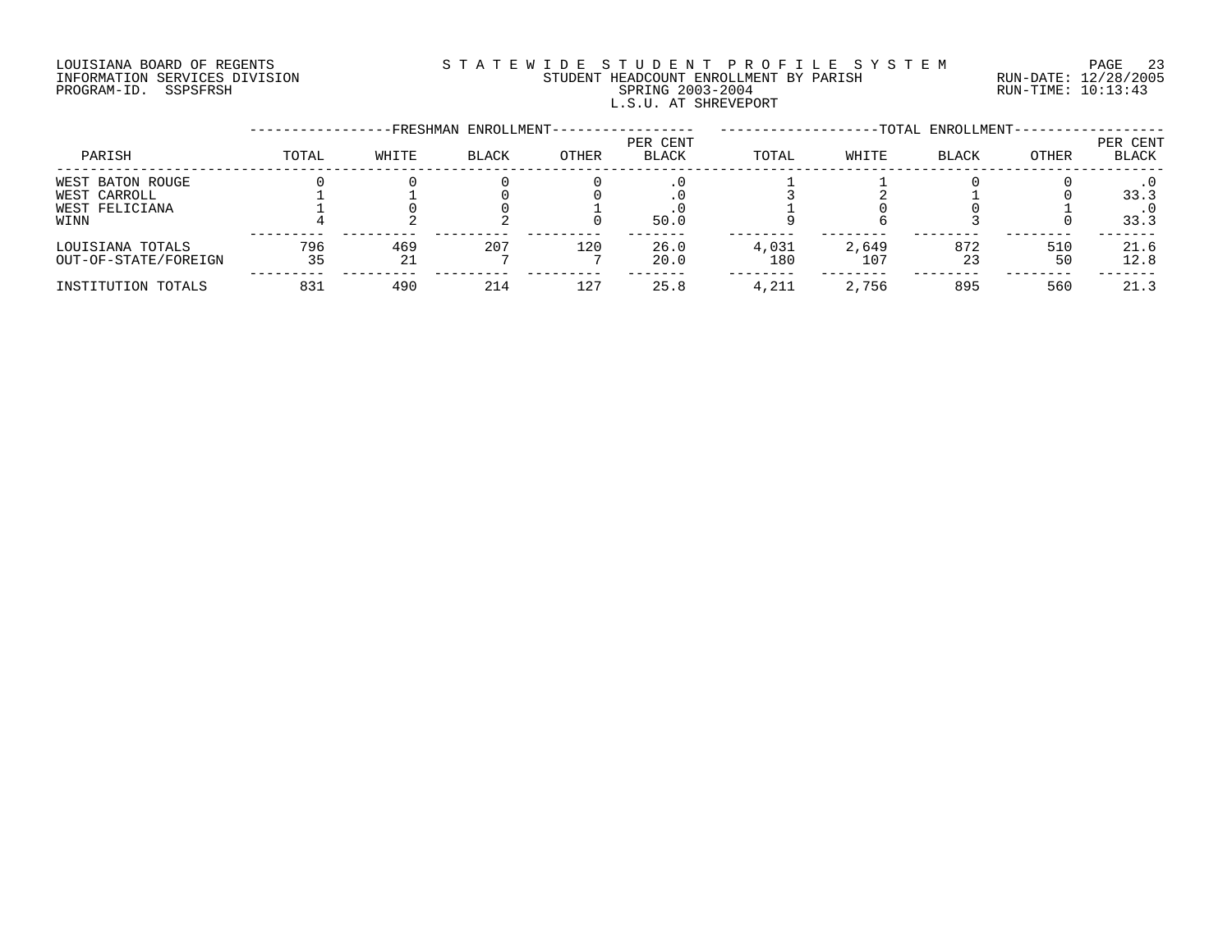# LOUISIANA BOARD OF REGENTS S T A T E W I D E S T U D E N T P R O F I L E S Y S T E M PAGE 23 INFORMATION SERVICES DIVISION STUDENT HEADCOUNT ENROLLMENT BY PARISH RUN-DATE: 12/28/2005 PROGRAM-ID. SSPSFRSH SPRING 2003-2004 RUN-TIME: 10:13:43 L.S.U. AT SHREVEPORT

|                                                            |           |           | -FRESHMAN ENROLLMENT- |       |                          |              |              | -TOTAL ENROLLMENT- |           |                   |
|------------------------------------------------------------|-----------|-----------|-----------------------|-------|--------------------------|--------------|--------------|--------------------|-----------|-------------------|
| PARISH                                                     | TOTAL     | WHITE     | <b>BLACK</b>          | OTHER | PER CENT<br><b>BLACK</b> | TOTAL        | WHITE        | <b>BLACK</b>       | OTHER     | PER CENT<br>BLACK |
| WEST BATON ROUGE<br>WEST CARROLL<br>WEST FELICIANA<br>WINN |           |           |                       |       | 50.0                     |              |              |                    |           | 33.3<br>33.3      |
| LOUISIANA TOTALS<br>OUT-OF-STATE/FOREIGN                   | 796<br>35 | 469<br>21 | 207                   | 120   | 26.0<br>20.0             | 4,031<br>180 | 2,649<br>107 | 872<br>23          | 510<br>50 | 21.6<br>12.8      |
| INSTITUTION TOTALS                                         | 831       | 490       | 214                   | 127   | 25.8                     | 4,211        | 2,756        | 895                | 560       | 21.3              |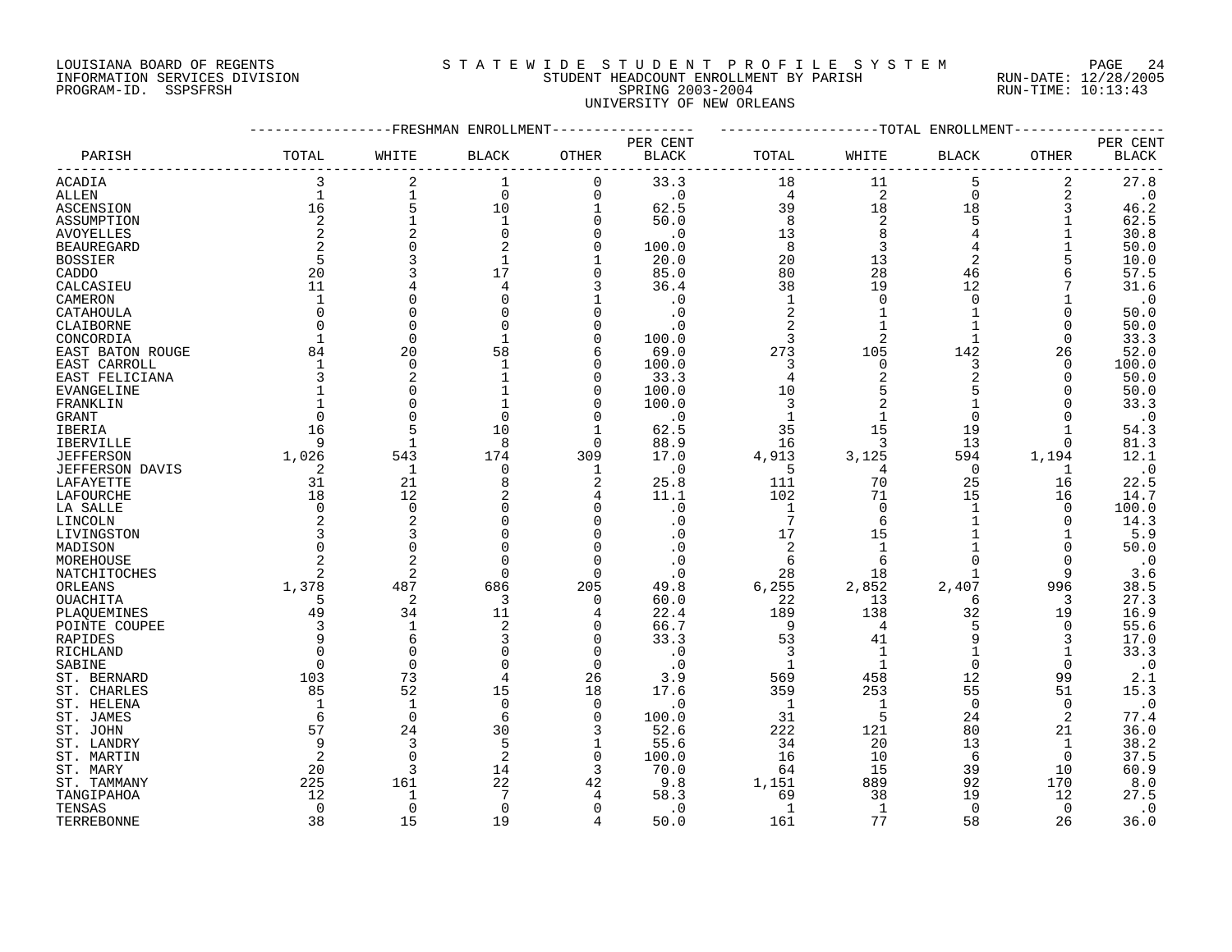## LOUISIANA BOARD OF REGENTS S T A T E W I D E S T U D E N T P R O F I L E S Y S T E M PAGE 24 INFORMATION SERVICES DIVISION STUDENT HEADCOUNT ENROLLMENT BY PARISH RUN-DATE: 12/28/2005 PROGRAM-ID. SSPSFRSH SPRING 2003-2004 RUN-TIME: 10:13:43 UNIVERSITY OF NEW ORLEANS

|                   |                |                | -FRESHMAN ENROLLMENT |             |              |                 |                | --TOTAL ENROLLMENT |              |              |
|-------------------|----------------|----------------|----------------------|-------------|--------------|-----------------|----------------|--------------------|--------------|--------------|
|                   |                |                |                      |             | PER CENT     |                 |                |                    |              | PER CENT     |
| PARISH            | TOTAL          | WHITE          | <b>BLACK</b>         | OTHER       | <b>BLACK</b> | TOTAL           | WHITE          | <b>BLACK</b>       | OTHER        | <b>BLACK</b> |
| ACADIA            | 3              | $\overline{2}$ | 1                    | 0           | 33.3         | 18              | 11             | 5                  | 2            | 27.8         |
| ALLEN             | $\mathbf{1}$   | $\mathbf 1$    | $\Omega$             | $\Omega$    | $\cdot$ 0    | $\overline{4}$  | 2              | $\Omega$           | 2            | $\cdot$ 0    |
| ASCENSION         | 16             | 5              | 10                   | $\mathbf 1$ | 62.5         | 39              | 18             | 18                 | 3            | 46.2         |
| ASSUMPTION        | $\overline{2}$ | $\mathbf{1}$   | $\mathbf{1}$         | $\Omega$    | 50.0         | 8               | $\overline{2}$ | 5                  |              | 62.5         |
| <b>AVOYELLES</b>  | 2              | $\overline{c}$ | $\Omega$             | U           | $\cdot$ 0    | 13              | 8              | 4                  |              | 30.8         |
| <b>BEAUREGARD</b> |                | 0              |                      | $\Omega$    | 100.0        | 8               | 3              | 4                  |              | 50.0         |
| BOSSIER           | 5              |                | 1                    |             | 20.0         | 20              | 13             | 2                  | 5            | 10.0         |
| CADDO             | 20             | 3              | 17                   | $\Omega$    | 85.0         | 80              | 28             | 46                 | 6            | 57.5         |
| CALCASIEU         | 11             | 4              | 4                    | 3           | 36.4         | 38              | 19             | 12                 |              | 31.6         |
| CAMERON           |                | $\Omega$       |                      |             | $\cdot$ 0    | $\mathbf{1}$    | $\Omega$       | $\Omega$           |              | $\cdot$ 0    |
| CATAHOULA         | $\Omega$       | $\Omega$       |                      | U           | . 0          | 2               |                | $\mathbf{1}$       | O            | 50.0         |
| CLAIBORNE         |                | 0              |                      | 0           | $\cdot$ 0    | 2               |                |                    | $\Omega$     | 50.0         |
| CONCORDIA         |                | 0              | -1                   | 0           | 100.0        | 3               | 2              | 1                  | $\Omega$     | 33.3         |
| EAST BATON ROUGE  | 84             | 20             | 58                   | 6           | 69.0         | 273             | 105            | 142                | 26           | 52.0         |
| EAST CARROLL      |                | 0              |                      | O           | 100.0        | 3               | 0              | 3                  | $\Omega$     | 100.0        |
| EAST FELICIANA    | 3              | 2              |                      | $\Omega$    | 33.3         | 4               |                | 2                  | $\Omega$     | 50.0         |
| EVANGELINE        |                | 0              |                      | 0           | 100.0        | 10              |                | 5                  | <sup>0</sup> | 50.0         |
| FRANKLIN          |                | $\Omega$       |                      | U           | 100.0        | 3               |                |                    | O            | 33.3         |
| <b>GRANT</b>      | $\Omega$       | $\Omega$       | $\Omega$             | O           | $\cdot$ 0    | $\mathbf{1}$    | $\mathbf 1$    | $\Omega$           | O            | $\cdot$ 0    |
| IBERIA            | 16             | 5              | 10                   |             | 62.5         | 35              | 15             | 19                 |              | 54.3         |
| <b>IBERVILLE</b>  | 9              | $\mathbf{1}$   | 8                    | $\Omega$    | 88.9         | 16              | 3              | 13                 | 0            | 81.3         |
| <b>JEFFERSON</b>  | 1,026          | 543            | 174                  | 309         | 17.0         | 4,913           | 3,125          | 594                | 1,194        | 12.1         |
| JEFFERSON DAVIS   | 2              | $\mathbf{1}$   | $\Omega$             | 1           | $\cdot$ 0    | 5               | 4              | $\mathbf 0$        | 1            | $\cdot$ 0    |
| LAFAYETTE         | 31             | 21             | 8                    | 2           | 25.8         | 111             | 70             | 25                 | 16           | 22.5         |
| LAFOURCHE         | 18             | 12             |                      | 4           | 11.1         | 102             | 71             | 15                 | 16           | 14.7         |
| LA SALLE          | $\Omega$       | $\mathbf 0$    | $\Omega$             | $\Omega$    | $\cdot$ 0    | $\mathbf{1}$    | $\Omega$       | $\mathbf{1}$       | $\Omega$     | 100.0        |
| LINCOLN           |                | 2              | $\Omega$             | $\Omega$    | $\cdot$ 0    | $7\phantom{.0}$ | 6              |                    | $\Omega$     | 14.3         |
| LIVINGSTON        |                | 3              |                      | O           | . 0          | 17              | 15             |                    |              | 5.9          |
| MADISON           |                | 0              | O                    | 0           | . 0          | 2               | $\mathbf{1}$   |                    | $\Omega$     | 50.0         |
| MOREHOUSE         |                | $\overline{2}$ | $\cap$               | $\Omega$    | . 0          | 6               | 6              | $\Omega$           | $\Omega$     | $\cdot$ 0    |
| NATCHITOCHES      |                | 2              | ∩                    | $\Omega$    | $\cdot$ 0    | 28              | 18             |                    | 9            | 3.6          |
| ORLEANS           | 1,378          | 487            | 686                  | 205         | 49.8         | 6,255           | 2,852          | 2,407              | 996          | 38.5         |
| <b>OUACHITA</b>   | 5              | 2              | 3                    | 0           | 60.0         | 22              | 13             | 6                  | 3            | 27.3         |
| PLAQUEMINES       | 49             | 34             | 11                   | 4           | 22.4         | 189             | 138            | 32                 | 19           | 16.9         |
| POINTE COUPEE     | 3              | $\mathbf{1}$   | $\overline{2}$       | $\Omega$    | 66.7         | 9               | 4              | 5                  | 0            | 55.6         |
| RAPIDES           | 9              | 6              |                      | 0           | 33.3         | 53              | 41             | 9                  | 3            | 17.0         |
| RICHLAND          |                | 0              |                      | 0           | $\cdot$ 0    | 3               | 1              |                    |              | 33.3         |
| SABINE            | $\Omega$       | $\mathbf 0$    |                      | $\Omega$    | . 0          | 1               | -1             | $\Omega$           | $\Omega$     | $\cdot$ 0    |
| ST. BERNARD       | 103            | 73             | 4                    | 26          | 3.9          | 569             | 458            | 12                 | 99           | 2.1          |
| ST. CHARLES       | 85             | 52             | 15                   | 18          | 17.6         | 359             | 253            | 55                 | 51           | 15.3         |
| ST. HELENA        |                | $\mathbf{1}$   | $\Omega$             | $\Omega$    | . 0          | 1               | 1              | $\overline{0}$     | $\mathbf 0$  | $\cdot$ 0    |
| ST. JAMES         | 6              | $\mathbf 0$    | 6                    | $\Omega$    | 100.0        | 31              | 5              | 24                 | 2            | 77.4         |
| ST. JOHN          | 57             | 24             | 30                   | 3           | 52.6         | 222             | 121            | 80                 | 21           | 36.0         |
| ST. LANDRY        | 9              | 3              | 5                    | 1           | 55.6         | 34              | 20             | 13                 | 1            | 38.2         |
| ST. MARTIN        |                | $\Omega$       | $\overline{2}$       | 0           | 100.0        | 16              | 10             | 6                  | $\Omega$     | 37.5         |
| ST. MARY          | 20             | 3              | 14                   | 3           | 70.0         | 64              | 15             | 39                 | 10           | 60.9         |
| ST. TAMMANY       | 225            | 161            | 22                   | 42          | 9.8          | 1,151           | 889            | 92                 | 170          | 8.0          |
| TANGIPAHOA        | 12             | $\mathbf{1}$   |                      | 4           | 58.3         | 69              | 38             | 19                 | 12           | 27.5         |
| TENSAS            | $\Omega$       | $\mathbf 0$    | $\Omega$             | $\Omega$    | $\cdot$ 0    | 1               | 1              | $\Omega$           | 0            | $\cdot$ 0    |
| TERREBONNE        | 38             | 15             | 19                   | 4           | 50.0         | 161             | 77             | 58                 | 26           | 36.0         |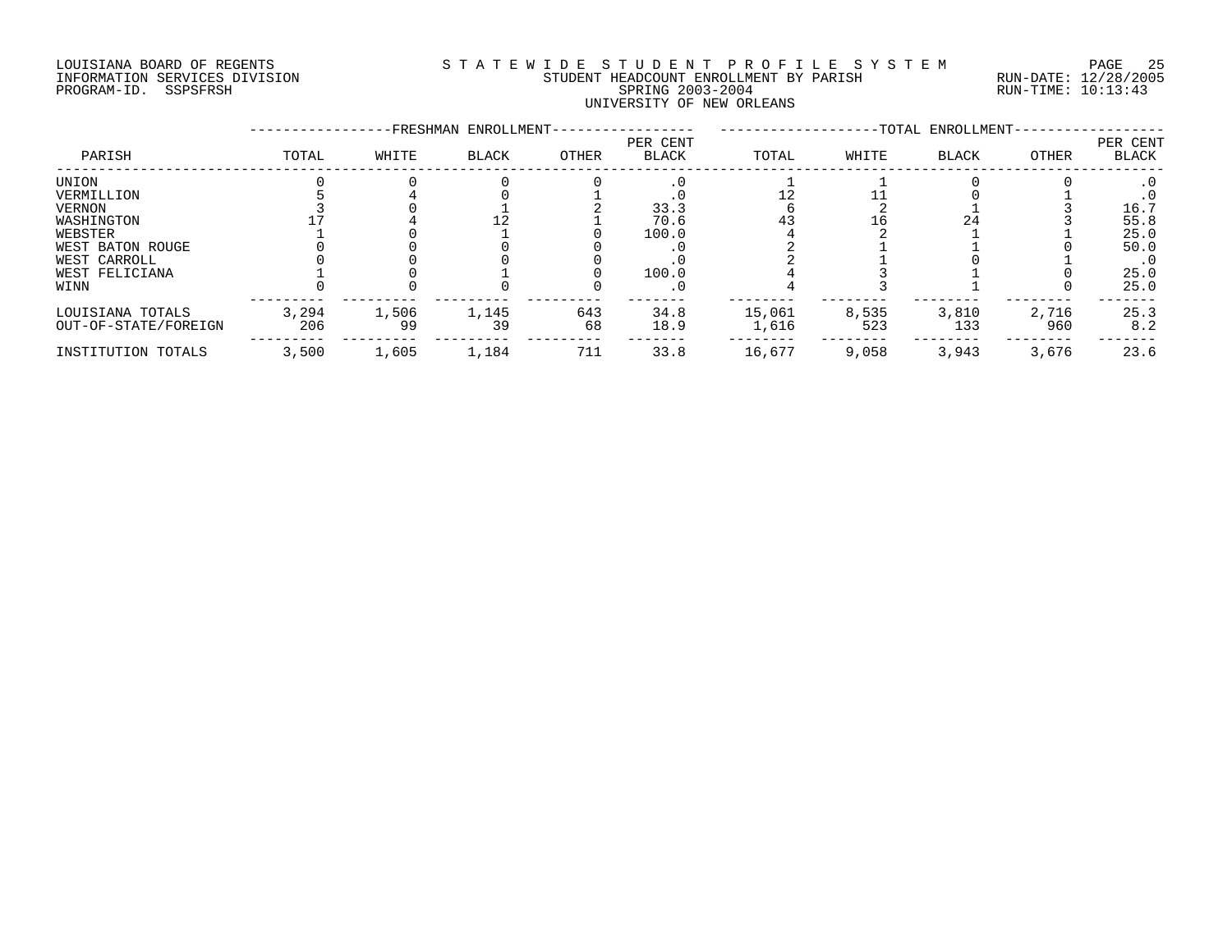# LOUISIANA BOARD OF REGENTS S T A T E W I D E S T U D E N T P R O F I L E S Y S T E M PAGE 25 INFORMATION SERVICES DIVISION STUDENT HEADCOUNT ENROLLMENT BY PARISH RUN-DATE: 12/28/2005 PROGRAM-ID. SSPSFRSH SPRING 2003-2004 RUN-TIME: 10:13:43 UNIVERSITY OF NEW ORLEANS

|                      |       |       | -FRESHMAN ENROLLMENT- |       |                          |        |       | -TOTAL ENROLLMENT- |       |                          |
|----------------------|-------|-------|-----------------------|-------|--------------------------|--------|-------|--------------------|-------|--------------------------|
| PARISH               | TOTAL | WHITE | <b>BLACK</b>          | OTHER | PER CENT<br><b>BLACK</b> | TOTAL  | WHITE | <b>BLACK</b>       | OTHER | PER CENT<br><b>BLACK</b> |
| UNION                |       |       |                       |       |                          |        |       |                    |       |                          |
| VERMILLION           |       |       |                       |       |                          |        |       |                    |       |                          |
| VERNON               |       |       |                       |       | 33.3                     |        |       |                    |       | 16.7                     |
| WASHINGTON           |       |       |                       |       | 70.6                     | 43     | 16    | 24                 |       | 55.8                     |
| WEBSTER              |       |       |                       |       | 100.0                    |        |       |                    |       | 25.0                     |
| WEST BATON ROUGE     |       |       |                       |       |                          |        |       |                    |       | 50.0                     |
| WEST CARROLL         |       |       |                       |       |                          |        |       |                    |       | $\cdot$ 0                |
| WEST FELICIANA       |       |       |                       |       | 100.0                    |        |       |                    |       | 25.0                     |
| WINN                 |       |       |                       |       | . 0                      |        |       |                    |       | 25.0                     |
| LOUISIANA TOTALS     | 3,294 | 1,506 | 1,145                 | 643   | 34.8                     | 15,061 | 8,535 | 3,810              | 2,716 | 25.3                     |
| OUT-OF-STATE/FOREIGN | 206   | 99    | 39                    | 68    | 18.9                     | 1,616  | 523   | 133                | 960   | 8.2                      |
| INSTITUTION TOTALS   | 3,500 | 1,605 | 1,184                 | 711   | 33.8                     | 16,677 | 9,058 | 3,943              | 3,676 | 23.6                     |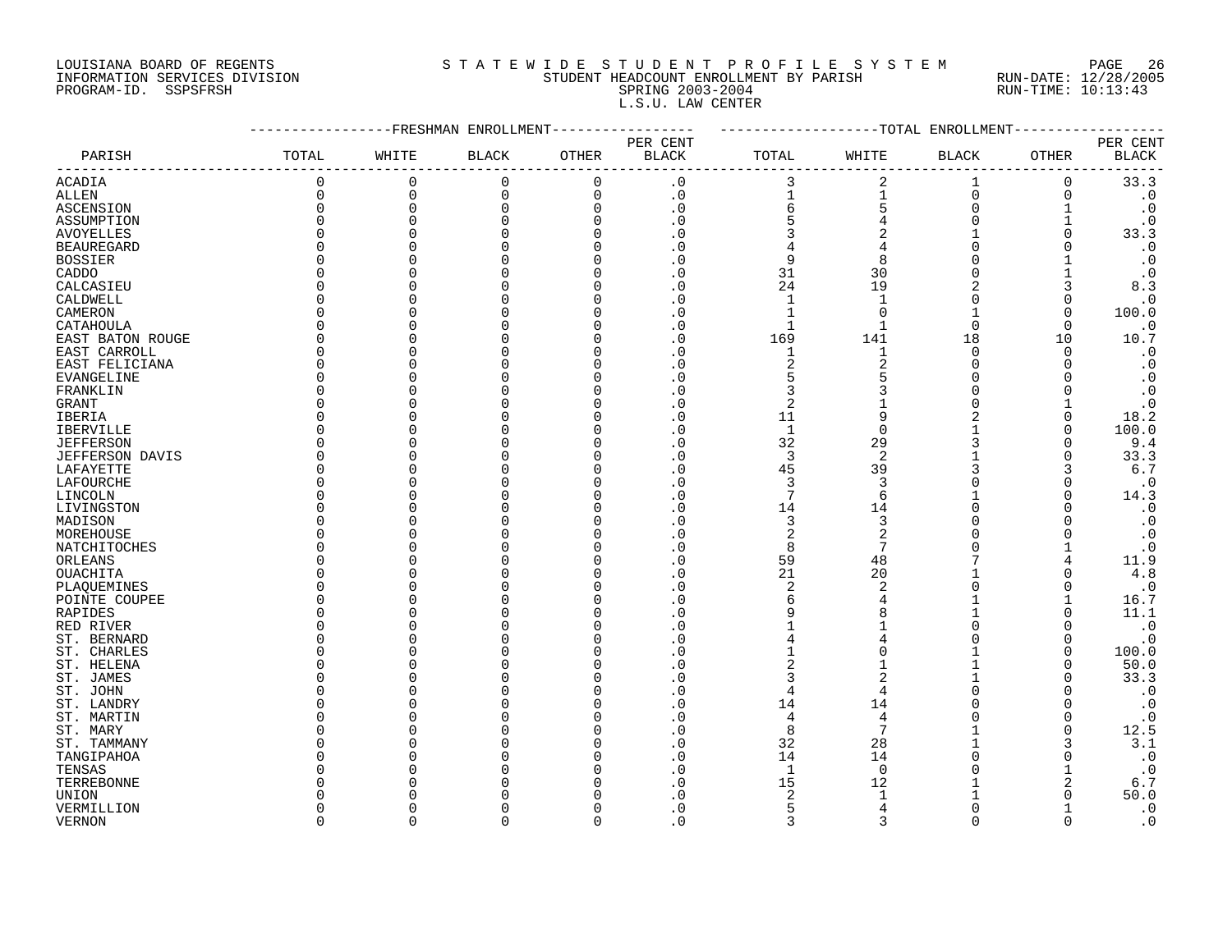# LOUISIANA BOARD OF REGENTS S T A T E W I D E S T U D E N T P R O F I L E S Y S T E M PAGE 26 INFORMATION SERVICES DIVISION STUDENT HEADCOUNT ENROLLMENT BY PARISH RUN-DATE: 12/28/2005 PROGRAM-ID. SSPSFRSH SPRING 2003-2004 RUN-TIME: 10:13:43 L.S.U. LAW CENTER

|                      |          |          | FRESHMAN ENROLLMENT |              |                            |                |                | --TOTAL ENROLLMENT |          |                        |
|----------------------|----------|----------|---------------------|--------------|----------------------------|----------------|----------------|--------------------|----------|------------------------|
|                      |          |          |                     |              | PER CENT                   |                |                |                    |          | PER CENT               |
| PARISH               | TOTAL    | WHITE    | <b>BLACK</b>        | OTHER        | <b>BLACK</b>               | TOTAL          | WHITE          | <b>BLACK</b>       | OTHER    | <b>BLACK</b>           |
| ACADIA               | 0        | $\Omega$ | $\mathbf 0$         | 0            | $\cdot$ 0                  | 3              | 2              | 1                  | 0        | 33.3                   |
| <b>ALLEN</b>         | $\Omega$ | $\Omega$ | $\Omega$            | $\mathbf 0$  | $\cdot$ 0                  |                |                | 0                  | 0        | $\cdot$ 0              |
| ASCENSION            | $\Omega$ | $\Omega$ |                     | $\Omega$     | $\cdot$ 0                  | 6              |                | $\Omega$           |          | $\cdot$ 0              |
| ASSUMPTION           | $\Omega$ |          |                     | $\Omega$     | . 0                        | 5              |                | $\Omega$           |          | $\cdot$ 0              |
| <b>AVOYELLES</b>     | U        |          |                     | $\Omega$     | . 0                        | 3              | $\overline{2}$ |                    |          | 33.3                   |
| <b>BEAUREGARD</b>    | $\Omega$ |          |                     | <sup>0</sup> | . 0                        | 4              | 4              | $\Omega$           |          | $\boldsymbol{\cdot}$ 0 |
| <b>BOSSIER</b>       | O        |          |                     | $\Omega$     | . 0                        | 9              | 8              | $\Omega$           |          | $\cdot$ 0              |
| CADDO                |          |          |                     | $\Omega$     | . 0                        | 31             | 30             | $\Omega$           |          | $\cdot$ 0              |
| CALCASIEU            | U        |          |                     | $\Omega$     | . 0                        | 24             | 19             | $\overline{2}$     |          | 8.3                    |
| CALDWELL             | U        |          |                     | $\Omega$     | . 0                        |                |                | ∩                  | ∩        | $\cdot$ 0              |
| CAMERON              | U        |          |                     | $\Omega$     | . 0                        |                | $\Omega$       | $\mathbf{1}$       | ∩        | 100.0                  |
| CATAHOULA            | U        |          |                     | $\Omega$     | . 0                        | $\mathbf{1}$   |                | $\Omega$           | $\Omega$ | $\cdot$ 0              |
| EAST BATON ROUGE     | $\Omega$ |          |                     | $\Omega$     | $\overline{\phantom{0}}$ . | 169            | 141            | 18                 | 10       | 10.7                   |
| EAST CARROLL         | U        |          |                     | $\Omega$     | . 0                        | $\mathbf{1}$   |                | $\Omega$           | $\Omega$ | $\cdot$ 0              |
| EAST FELICIANA       | $\Omega$ |          |                     | <sup>0</sup> | $\overline{\phantom{0}}$ . | $\overline{a}$ | $\overline{2}$ | $\Omega$           |          | $\boldsymbol{\cdot}$ 0 |
| EVANGELINE           | $\Omega$ |          |                     | $\Omega$     | . 0                        | 5              | 5              | $\Omega$           |          | $\cdot$ 0              |
| FRANKLIN             | O        |          |                     | $\Omega$     | . 0                        | 3              | 3              | $\Omega$           |          | $\cdot$ 0              |
| GRANT                | U        |          |                     | $\Omega$     | . 0                        | $\overline{2}$ |                | $\Omega$           |          | $\cdot$ 0              |
| IBERIA               | U        |          |                     | <sup>0</sup> | . 0                        | 11             | 9              | $\overline{2}$     | O        | 18.2                   |
| <b>IBERVILLE</b>     | U        |          |                     | $\Omega$     | $\Omega$                   | $\mathbf{1}$   | $\Omega$       |                    |          | 100.0                  |
| <b>JEFFERSON</b>     | U        |          |                     | $\Omega$     | . 0                        | 32             | 29             | 3                  | ∩        | 9.4                    |
| JEFFERSON DAVIS      | U        |          |                     | $\Omega$     | . 0                        | 3              | 2              |                    | U        | 33.3                   |
| LAFAYETTE            | $\cap$   |          |                     | $\Omega$     | . 0                        | 45             | 39             | 3                  | 3        | $6.7$                  |
| LAFOURCHE            | ∩        |          |                     | <sup>0</sup> | $\cdot$ 0                  | 3              | 3              |                    |          | $\boldsymbol{\cdot}$ 0 |
| LINCOLN              |          |          |                     | <sup>0</sup> | $\Omega$                   | $\overline{7}$ | 6              |                    |          | 14.3                   |
| LIVINGSTON           | C        |          |                     | <sup>0</sup> | . 0                        | 14             | 14             | $\Omega$           |          | $\cdot$ 0              |
|                      |          |          |                     | $\Omega$     | . 0                        | 3              | 3              | $\Omega$           |          | $\cdot$ 0              |
| MADISON<br>MOREHOUSE | U        |          |                     | $\Omega$     | . 0                        |                | 2              | $\Omega$           |          |                        |
|                      | U        |          |                     | $\Omega$     | . 0                        | 2<br>8         | 7              | $\Omega$           |          | $\cdot$ 0<br>$\cdot$ 0 |
| NATCHITOCHES         | U        |          |                     | $\Omega$     | $\Omega$                   | 59             | 48             |                    | 4        | 11.9                   |
| ORLEANS              | U        |          |                     | $\Omega$     | . 0                        | 21             | 20             |                    | $\Omega$ | $4.8$                  |
| OUACHITA             | U        |          |                     | $\Omega$     | . 0                        | $\overline{2}$ | $\overline{2}$ | $\Omega$           |          | $\cdot$ 0              |
| PLAQUEMINES          |          |          |                     |              |                            |                |                |                    |          |                        |
| POINTE COUPEE        | O<br>U   |          |                     | <sup>0</sup> | . 0                        | 6              | 8              |                    |          | 16.7                   |
| RAPIDES              |          |          |                     | <sup>0</sup> | $\mathbf 0$                | 9              |                | 1                  |          | 11.1                   |
| RED RIVER            | O        |          |                     | $\Omega$     | $\Omega$                   |                |                | $\Omega$           |          | $\cdot$ 0              |
| ST. BERNARD          | U        |          |                     | $\Omega$     | . 0                        | $\overline{4}$ | 4              | $\Omega$           | $\Omega$ | $\cdot$ 0              |
| ST. CHARLES          | U        |          |                     | $\Omega$     | . 0                        |                | $\Omega$       |                    | $\Omega$ | 100.0                  |
| ST. HELENA           | U        |          |                     | $\Omega$     | $\cdot$ 0                  | 2              |                |                    | ∩        | 50.0                   |
| ST. JAMES            | U        |          |                     | $\Omega$     | . 0                        | 3              | $\overline{2}$ |                    |          | 33.3                   |
| ST. JOHN             | U        |          |                     | $\Omega$     | $\Omega$                   | 4              | $\overline{4}$ | $\Omega$           |          | $\cdot$ 0              |
| ST. LANDRY           |          |          |                     | $\Omega$     | . 0                        | 14             | 14             | $\Omega$           |          | $\cdot$ 0              |
| ST. MARTIN           |          |          |                     | <sup>0</sup> | . 0                        | 4              | 4              | O                  | O        | $\cdot$ 0              |
| ST. MARY             |          |          |                     |              | $\mathbf 0$                | 8              | 7              |                    | ∩        | 12.5                   |
| ST. TAMMANY          |          |          |                     | $\Omega$     | . 0                        | 32             | 28             |                    |          | 3.1                    |
| TANGIPAHOA           |          |          |                     | <sup>0</sup> | . 0                        | 14             | 14             | ∩                  |          | $\cdot$ 0              |
| TENSAS               |          |          |                     |              | . 0                        | $\mathbf{1}$   | $\Omega$       |                    |          | $\cdot$ 0              |
| TERREBONNE           |          |          |                     |              | . 0                        | 15             | 12             |                    | 2        | 6.7                    |
| UNION                |          |          |                     |              | $\Omega$                   | 2              |                |                    |          | 50.0                   |
| VERMILLION           | ∩        |          |                     | $\Omega$     | . 0                        | 5              | 4              | $\Omega$           |          | $\cdot$ 0              |
| <b>VERNON</b>        | $\cap$   | $\cap$   |                     | $\Omega$     | $\Omega$                   | $\mathbf{3}$   | $\mathbf{z}$   | $\Omega$           | $\Omega$ | $\cdot$ 0              |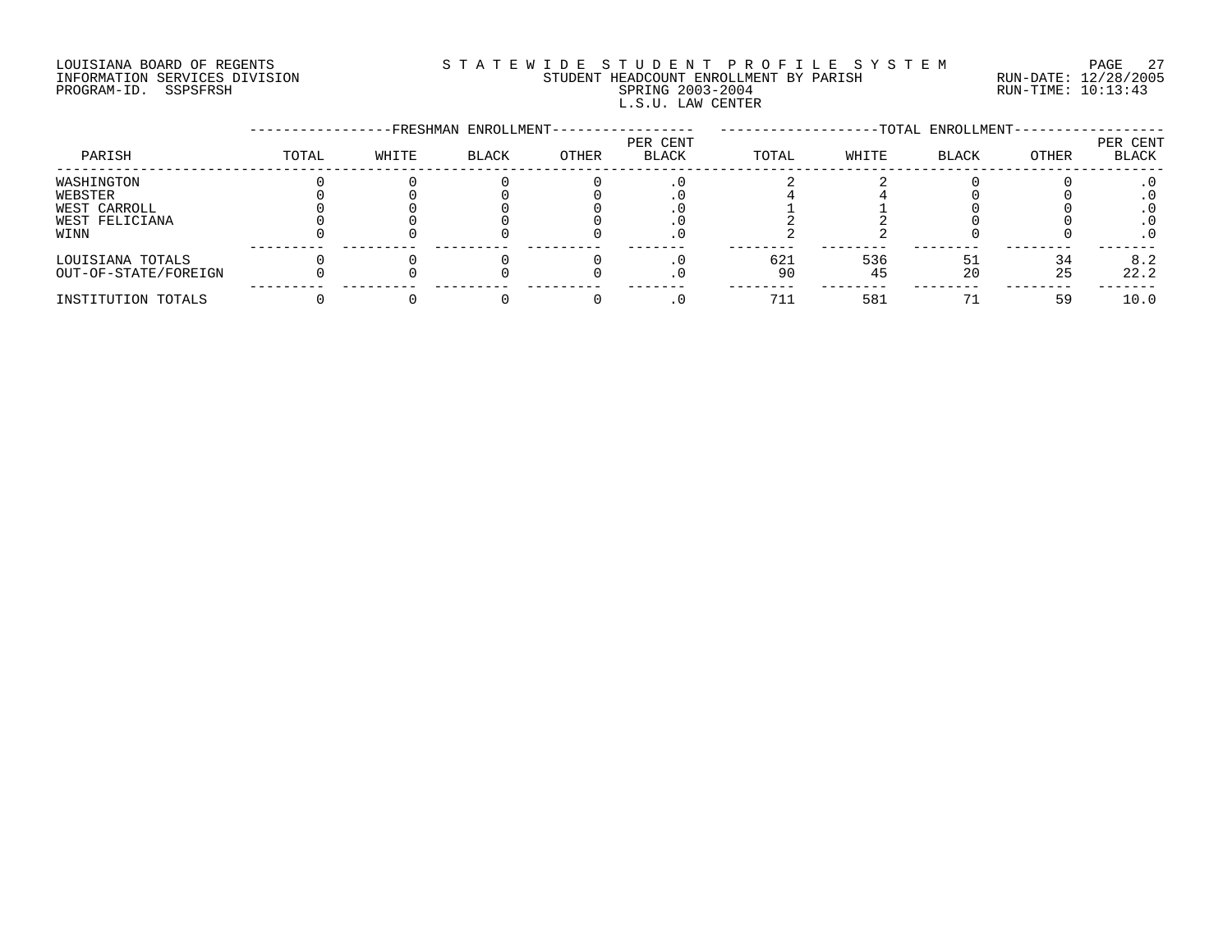# LOUISIANA BOARD OF REGENTS S T A T E W I D E S T U D E N T P R O F I L E S Y S T E M PAGE 27 INFORMATION SERVICES DIVISION STUDENT HEADCOUNT ENROLLMENT BY PARISH RUN-DATE: 12/28/2005 PROGRAM-ID. SSPSFRSH SPRING 2003-2004 RUN-TIME: 10:13:43 L.S.U. LAW CENTER

|                      |       |       | -FRESHMAN ENROLLMENT- |       |                   | -TOTAL ENROLLMENT- |       |              |       |                          |
|----------------------|-------|-------|-----------------------|-------|-------------------|--------------------|-------|--------------|-------|--------------------------|
| PARISH               | TOTAL | WHITE | <b>BLACK</b>          | OTHER | PER CENT<br>BLACK | TOTAL              | WHITE | <b>BLACK</b> | OTHER | PER CENT<br><b>BLACK</b> |
| WASHINGTON           |       |       |                       |       |                   |                    |       |              |       |                          |
| WEBSTER              |       |       |                       |       |                   |                    |       |              |       |                          |
| WEST CARROLL         |       |       |                       |       |                   |                    |       |              |       |                          |
| WEST FELICIANA       |       |       |                       |       |                   |                    |       |              |       |                          |
| WINN                 |       |       |                       |       |                   |                    |       |              |       |                          |
| LOUISIANA TOTALS     |       |       |                       |       |                   | 621                | 536   |              | 34    | 8.2                      |
| OUT-OF-STATE/FOREIGN |       |       |                       |       |                   | 90                 | 45    | 20           | 25    | 22.2                     |
| INSTITUTION TOTALS   |       |       |                       |       |                   |                    | 581   |              | 59    | 10.0                     |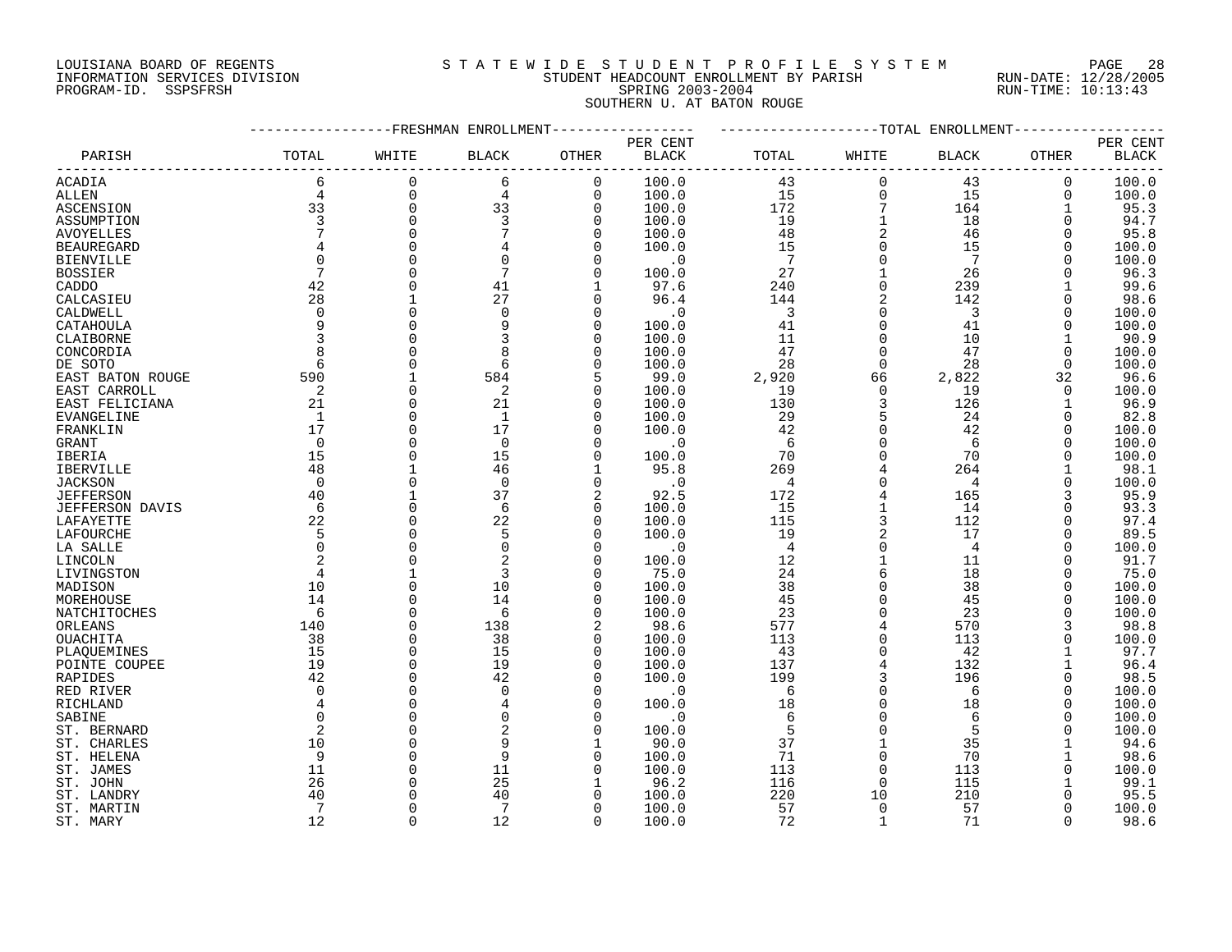# LOUISIANA BOARD OF REGENTS S T A T E W I D E S T U D E N T P R O F I L E S Y S T E M PAGE 28 INFORMATION SERVICES DIVISION STUDENT HEADCOUNT ENROLLMENT BY PARISH RUN-DATE: 12/28/2005 PROGRAM-ID. SSPSFRSH SPRING 2003-2004 RUN-TIME: 10:13:43 SOUTHERN U. AT BATON ROUGE

|                        |                |             | FRESHMAN ENROLLMENT |                |              |                |              | -TOTAL ENROLLMENT |              |              |
|------------------------|----------------|-------------|---------------------|----------------|--------------|----------------|--------------|-------------------|--------------|--------------|
|                        |                |             |                     |                | PER CENT     |                |              |                   |              | PER CENT     |
| PARISH                 | TOTAL          | WHITE       | <b>BLACK</b>        | <b>OTHER</b>   | <b>BLACK</b> | TOTAL          | WHITE        | <b>BLACK</b>      | OTHER        | <b>BLACK</b> |
| ACADIA                 | 6              | $\Omega$    | 6                   | 0              | 100.0        | 43             | 0            | 43                | $\mathbf 0$  | 100.0        |
| ALLEN                  | $\overline{4}$ | $\Omega$    | 4                   | $\mathbf 0$    | 100.0        | 15             | $\mathbf 0$  | 15                | $\mathbf 0$  | 100.0        |
| ASCENSION              | 33             | $\mathbf 0$ | 33                  | $\mathbf 0$    | 100.0        | 172            | 7            | 164               | $\mathbf{1}$ | 95.3         |
| ASSUMPTION             | 3              | $\Omega$    | 3                   | $\mathbf 0$    | 100.0        | 19             |              | 18                | $\Omega$     | 94.7         |
| <b>AVOYELLES</b>       |                |             |                     | $\Omega$       | 100.0        | 48             |              | 46                | $\Omega$     | 95.8         |
| <b>BEAUREGARD</b>      |                |             |                     | $\Omega$       | 100.0        | 15             |              | 15                | $\Omega$     | 100.0        |
| <b>BIENVILLE</b>       | $\Omega$       |             |                     | 0              | . 0          | 7              | $\Omega$     | 7                 | $\Omega$     | 100.0        |
| <b>BOSSIER</b>         |                |             |                     | $\Omega$       | 100.0        | 27             |              | 26                |              | 96.3         |
| CADDO                  | 42             |             | 41                  | 1              | 97.6         | 240            | $\Omega$     | 239               |              | 99.6         |
| CALCASIEU              | 28             |             | 27                  | $\Omega$       | 96.4         | 144            |              | 142               | $\Omega$     | 98.6         |
| CALDWELL               | $\Omega$       | $\Omega$    | $\Omega$            | $\Omega$       | $\cdot$ 0    | $\overline{3}$ |              | 3                 | $\Omega$     | 100.0        |
| CATAHOULA              | 9              | $\Omega$    |                     | $\mathbf 0$    | 100.0        | 41             | $\Omega$     | 41                | $\Omega$     | 100.0        |
| CLAIBORNE              | $\overline{3}$ |             |                     | $\Omega$       | 100.0        | 11             |              | 10                | 1            | 90.9         |
| CONCORDIA              | 8              |             |                     | $\Omega$       | 100.0        | 47             | $\Omega$     | 47                | $\Omega$     | 100.0        |
| DE SOTO                | 6              |             | 6                   | 0              | 100.0        | 28             | $\Omega$     | 28                | 0            | 100.0        |
| EAST BATON ROUGE       | 590            |             | 584                 | 5              | 99.0         | 2,920          | 66           | 2,822             | 32           | 96.6         |
| EAST CARROLL           | 2              | $\Omega$    | 2                   | 0              | 100.0        | 19             | $\mathbf 0$  | 19                | 0            | 100.0        |
|                        | 21             | $\Omega$    | 21                  | $\Omega$       | 100.0        | 130            | 3            | 126               |              | 96.9         |
| EAST FELICIANA         | 1              | $\cap$      | $\mathbf{1}$        | 0              |              | 29             | 5            | 24                | $\Omega$     |              |
| EVANGELINE             |                | $\Omega$    | 17                  | $\Omega$       | 100.0        |                |              |                   | $\Omega$     | 82.8         |
| FRANKLIN               | 17             | $\cap$      |                     |                | 100.0        | 42             | $\Omega$     | 42                | $\Omega$     | 100.0        |
| GRANT                  | $\Omega$       | $\Omega$    | $\Omega$            | $\Omega$       | $\cdot$ 0    | 6              |              | 6                 |              | 100.0        |
| IBERIA                 | 15             |             | 15                  | $\mathbf 0$    | 100.0        | 70             |              | 70                | $\Omega$     | 100.0        |
| <b>IBERVILLE</b>       | 48             |             | 46                  | $\mathbf{1}$   | 95.8         | 269            |              | 264               |              | 98.1         |
| <b>JACKSON</b>         | $\mathbf 0$    |             | $\Omega$            | $\mathsf 0$    | $\cdot$ 0    | 4              |              | $\overline{4}$    | $\Omega$     | 100.0        |
| <b>JEFFERSON</b>       | 40             |             | 37                  | $\overline{2}$ | 92.5         | 172            |              | 165               |              | 95.9         |
| <b>JEFFERSON DAVIS</b> | 6              | $\Omega$    | 6                   | $\mathbf 0$    | 100.0        | 15             |              | 14                | $\Omega$     | 93.3         |
| LAFAYETTE              | 22             |             | 22                  | $\mathbf 0$    | 100.0        | 115            | 3            | 112               | $\Omega$     | 97.4         |
| LAFOURCHE              | 5              |             | 5                   | $\Omega$       | 100.0        | 19             |              | 17                | $\Omega$     | 89.5         |
| LA SALLE               | $\Omega$       | $\Omega$    | $\Omega$            | $\Omega$       | $\cdot$ 0    | $\overline{4}$ | $\Omega$     | $\overline{4}$    | $\Omega$     | 100.0        |
| LINCOLN                |                |             |                     | $\Omega$       | 100.0        | 12             |              | 11                | $\Omega$     | 91.7         |
| LIVINGSTON             | 4              |             |                     | $\Omega$       | 75.0         | 24             | 6            | 18                | $\Omega$     | 75.0         |
| MADISON                | 10             |             | 10                  | $\Omega$       | 100.0        | 38             |              | 38                | $\Omega$     | 100.0        |
| MOREHOUSE              | 14             |             | 14                  | 0              | 100.0        | 45             |              | 45                | $\Omega$     | 100.0        |
| NATCHITOCHES           | -6             | $\Omega$    | 6                   | $\Omega$       | 100.0        | 23             | $\Omega$     | 23                |              | 100.0        |
| ORLEANS                | 140            | $\Omega$    | 138                 | 2              | 98.6         | 577            |              | 570               | 3            | 98.8         |
| OUACHITA               | 38             |             | 38                  | $\mathbf 0$    | 100.0        | 113            | $\Omega$     | 113               |              | 100.0        |
| PLAQUEMINES            | 15             | $\Omega$    | 15                  | $\mathbf 0$    | 100.0        | 43             | $\Omega$     | 42                |              | 97.7         |
| POINTE COUPEE          | 19             | $\cap$      | 19                  | $\Omega$       | 100.0        | 137            |              | 132               |              | 96.4         |
| RAPIDES                | 42             | $\Omega$    | 42                  | $\Omega$       | 100.0        | 199            | 3            | 196               | $\Omega$     | 98.5         |
| RED RIVER              | $\Omega$       |             | $\Omega$            | $\Omega$       | $\cdot$ 0    | 6              | $\Omega$     | 6                 | $\Omega$     | 100.0        |
| RICHLAND               | $\overline{4}$ |             |                     | $\Omega$       | 100.0        | 18             |              | 18                | $\Omega$     | 100.0        |
| SABINE                 | $\Omega$       |             |                     | 0              | . 0          | 6              |              | 6                 | $\Omega$     | 100.0        |
| ST. BERNARD            | 2              |             |                     | $\Omega$       | 100.0        | 5              |              | 5                 | $\Omega$     | 100.0        |
| ST. CHARLES            | 10             |             |                     | 1              | 90.0         | 37             |              | 35                |              | 94.6         |
| ST. HELENA             | 9              |             |                     | 0              | 100.0        | 71             | $\Omega$     | 70                |              | 98.6         |
| ST. JAMES              | 11             |             | 11                  | $\Omega$       | 100.0        | 113            |              | 113               |              | 100.0        |
| ST. JOHN               | 26             |             | 25                  | 1              | 96.2         | 116            | 0            | 115               |              | 99.1         |
| ST. LANDRY             | 40             |             | 40                  |                | 100.0        | 220            | 10           | 210               |              | 95.5         |
| ST. MARTIN             | 7              |             | 7                   | O              | 100.0        | 57             | $\Omega$     | 57                | $\Omega$     | 100.0        |
| ST. MARY               | 12             | $\cap$      | 12                  | $\Omega$       | 100.0        | 72             | $\mathbf{1}$ | 71                | $\cap$       | 98.6         |
|                        |                |             |                     |                |              |                |              |                   |              |              |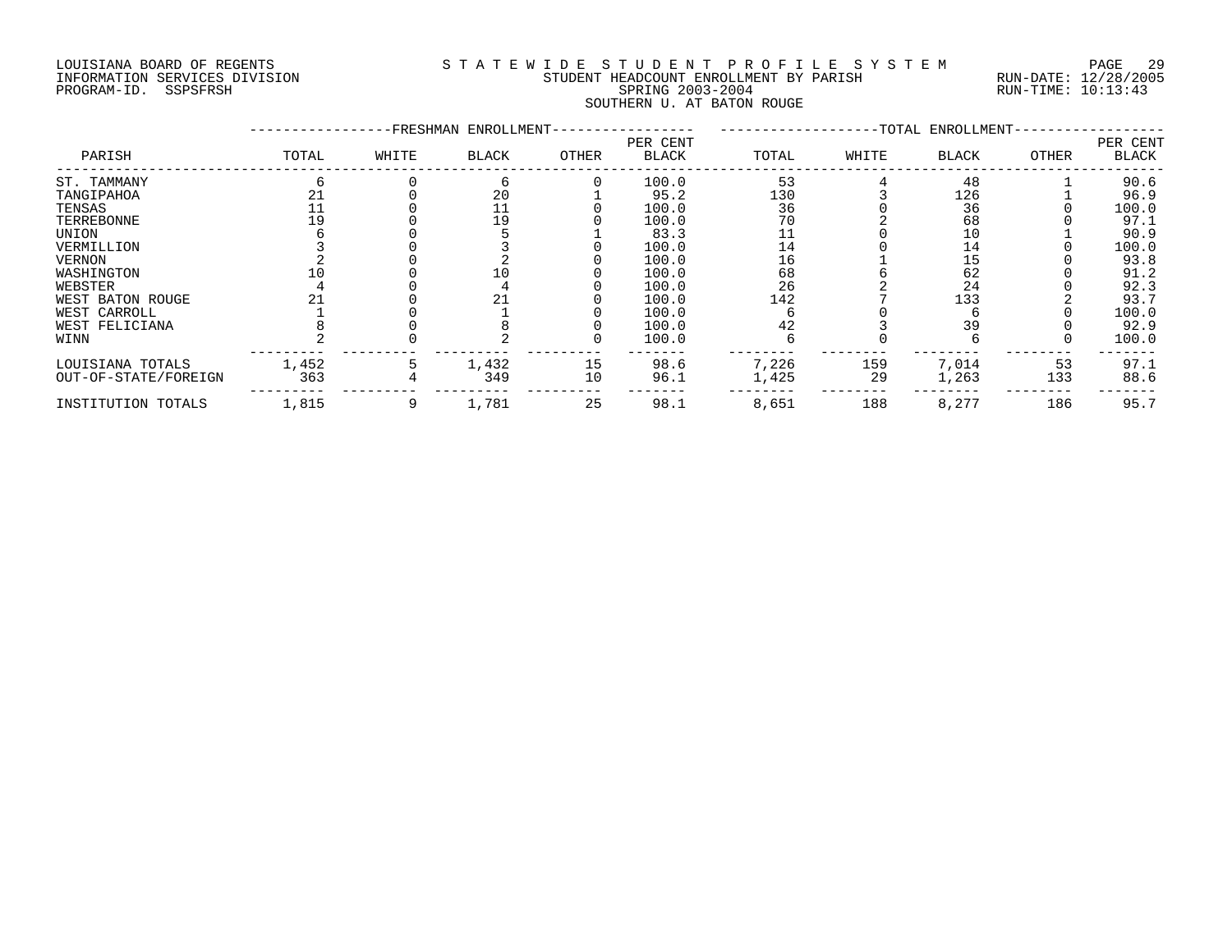# LOUISIANA BOARD OF REGENTS S T A T E W I D E S T U D E N T P R O F I L E S Y S T E M PAGE 29 INFORMATION SERVICES DIVISION STUDENT HEADCOUNT ENROLLMENT BY PARISH RUN-DATE: 12/28/2005 PROGRAM-ID. SSPSFRSH SPRING 2003-2004 RUN-TIME: 10:13:43 SOUTHERN U. AT BATON ROUGE

|                      |       | -FRESHMAN | ENROLLMENT- |       |                          | -TOTAL ENROLLMENT- |       |              |       |                   |
|----------------------|-------|-----------|-------------|-------|--------------------------|--------------------|-------|--------------|-------|-------------------|
| PARISH               | TOTAL | WHITE     | BLACK       | OTHER | PER CENT<br><b>BLACK</b> | TOTAL              | WHITE | <b>BLACK</b> | OTHER | PER CENT<br>BLACK |
| ST. TAMMANY          |       |           |             |       | 100.0                    | 53                 |       | 48           |       | 90.6              |
| TANGIPAHOA           |       |           | 20          |       | 95.2                     | 130                |       | 126          |       | 96.9              |
| TENSAS               |       |           | 11          |       | 100.0                    | 36                 |       | 36           |       | 100.0             |
| TERREBONNE           |       |           | 19          |       | 100.0                    | 70                 |       | 68           |       | 97.1              |
| UNION                |       |           |             |       | 83.3                     |                    |       | 10           |       | 90.9              |
| VERMILLION           |       |           |             |       | 100.0                    | 14                 |       | 14           |       | 100.0             |
| <b>VERNON</b>        |       |           |             |       | 100.0                    | 16                 |       | 15           |       | 93.8              |
| WASHINGTON           |       |           |             |       | 100.0                    | 68                 |       | 62           |       | 91.2              |
| WEBSTER              |       |           |             |       | 100.0                    | 26                 |       | 24           |       | 92.3              |
| WEST BATON ROUGE     |       |           | 21          |       | 100.0                    | 142                |       | 133          |       | 93.7              |
| WEST CARROLL         |       |           |             |       | 100.0                    |                    |       |              |       | 100.0             |
| WEST FELICIANA       |       |           |             |       | 100.0                    | 42                 |       | 39           |       | 92.9              |
| WINN                 |       |           |             |       | 100.0                    |                    |       |              |       | 100.0             |
| LOUISIANA TOTALS     | 1,452 |           | 1,432       | 15    | 98.6                     | 7,226              | 159   | 7,014        | 53    | 97.1              |
| OUT-OF-STATE/FOREIGN | 363   |           | 349         | 10    | 96.1                     | 1,425              | 29    | 1,263        | 133   | 88.6              |
| INSTITUTION TOTALS   | 1,815 |           | 1,781       | 25    | 98.1                     | 8,651              | 188   | 8,277        | 186   | 95.7              |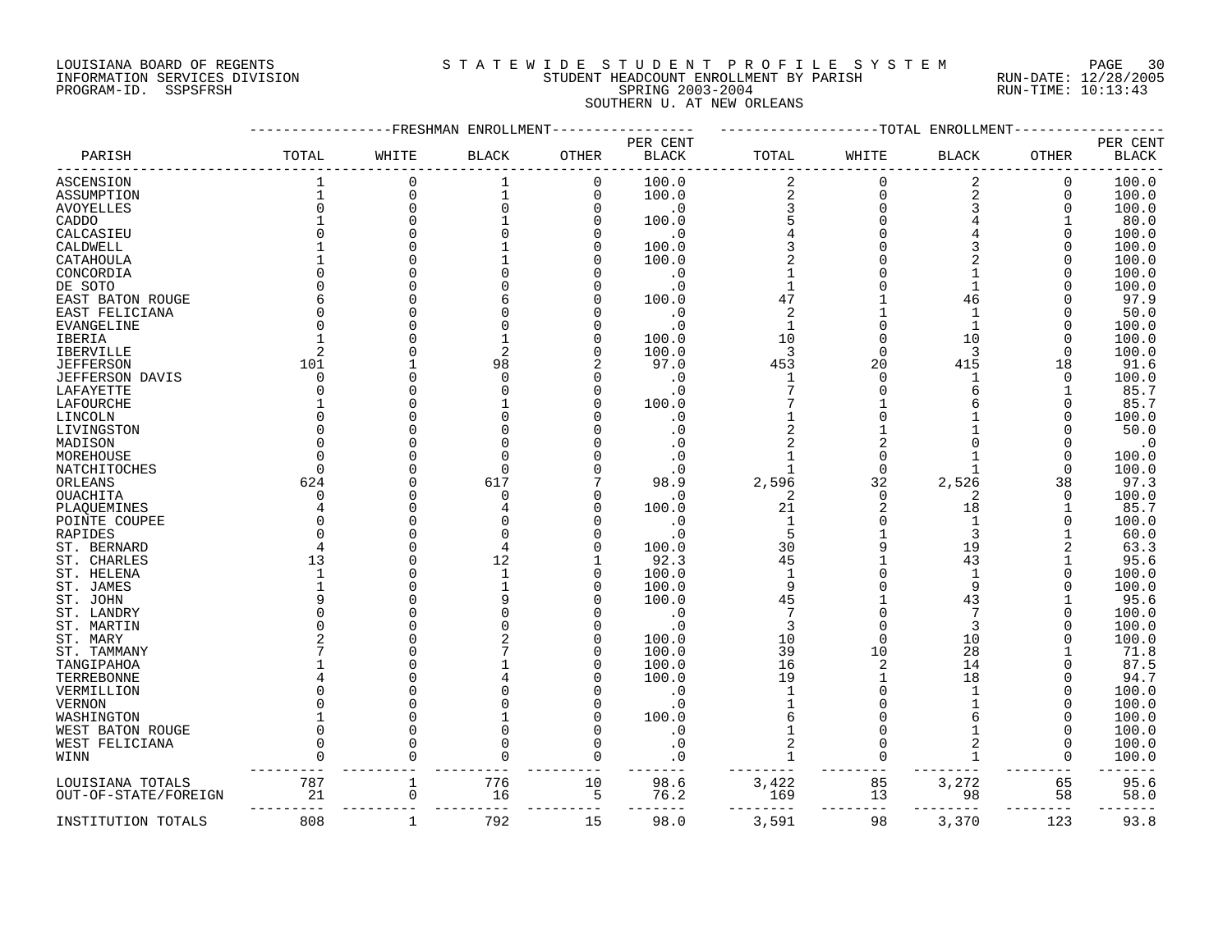# LOUISIANA BOARD OF REGENTS S T A T E W I D E S T U D E N T P R O F I L E S Y S T E M PAGE 30 INFORMATION SERVICES DIVISION STUDENT HEADCOUNT ENROLLMENT BY PARISH RUN-DATE: 12/28/2005 PROGRAM-ID. SSPSFRSH SPRING 2003-2004 RUN-TIME: 10:13:43 SOUTHERN U. AT NEW ORLEANS

|                        |          | FRESHMAN    | ENROLLMENT   |              |                          |                |             | TOTAL ENROLLMENT |          |                          |
|------------------------|----------|-------------|--------------|--------------|--------------------------|----------------|-------------|------------------|----------|--------------------------|
| PARISH                 | TOTAL    | WHITE       | <b>BLACK</b> | <b>OTHER</b> | PER CENT<br><b>BLACK</b> | TOTAL          | WHITE       | <b>BLACK</b>     | OTHER    | PER CENT<br><b>BLACK</b> |
| ASCENSION              |          | $\Omega$    | 1            | 0            | 100.0                    | 2              | 0           | 2                | 0        | 100.0                    |
| ASSUMPTION             |          | $\mathbf 0$ |              | 0            | 100.0                    | $\overline{a}$ | $\mathbf 0$ | $\mathbf 2$      | 0        | 100.0                    |
| <b>AVOYELLES</b>       |          | $\Omega$    |              | $\mathbf 0$  | $\cdot$ 0                | 3              | $\Omega$    | 3                | 0        | 100.0                    |
| CADDO                  |          | $\Omega$    |              | $\Omega$     | 100.0                    |                |             |                  |          | 80.0                     |
| CALCASIEU              |          |             |              | O            | . 0                      |                |             |                  | O        | 100.0                    |
| CALDWELL               |          | $\Omega$    |              | 0            | 100.0                    |                |             | 3                | O        | 100.0                    |
| CATAHOULA              |          |             |              | O            | 100.0                    | $\overline{2}$ |             | 2                |          | 100.0                    |
| CONCORDIA              |          |             |              |              | $\cdot$ 0                |                |             |                  |          | 100.0                    |
| DE SOTO                |          |             |              |              | . 0                      | 1              |             | 1                |          | 100.0                    |
| EAST BATON ROUGE       |          |             |              |              | 100.0                    | 47             |             | 46               |          | 97.9                     |
| EAST FELICIANA         |          |             |              |              | . 0                      | $\overline{2}$ |             |                  |          | 50.0                     |
| EVANGELINE             |          |             |              |              | . 0                      | $\mathbf{1}$   |             | $\mathbf{1}$     |          | 100.0                    |
| IBERIA                 |          |             |              | O            | 100.0                    | 10             |             | 10               | U        | 100.0                    |
| IBERVILLE              |          |             |              | O            | 100.0                    | 3              | $\Omega$    | 3                |          | 100.0                    |
| <b>JEFFERSON</b>       | 101      |             | 98           |              | 97.0                     | 453            | 20          | 415              | 18       | 91.6                     |
| <b>JEFFERSON DAVIS</b> | $\Omega$ |             |              |              | $\cdot$ 0                | $\mathbf{1}$   | $\Omega$    |                  | $\Omega$ | 100.0                    |
|                        |          |             |              | 0            | . 0                      |                |             | 6                |          | 85.7                     |
| LAFAYETTE              |          |             |              |              | 100.0                    |                |             | 6                | U        | 85.7                     |
| LAFOURCHE              |          |             |              |              |                          |                |             |                  | U        |                          |
| LINCOLN                |          |             |              |              | . 0                      |                |             |                  |          | 100.0                    |
| LIVINGSTON             |          |             |              |              | . 0                      |                |             |                  |          | 50.0                     |
| MADISON                |          |             |              |              |                          |                |             |                  |          | $\cdot$ 0                |
| MOREHOUSE              |          |             |              |              | . 0                      | 1              |             |                  | O        | 100.0                    |
| NATCHITOCHES           |          |             |              |              |                          | 1              | $\Omega$    |                  | U        | 100.0                    |
| ORLEANS                | 624      |             | 617          |              | 98.9                     | 2,596          | 32          | 2,526            | 38       | 97.3                     |
| OUACHITA               |          |             |              |              | . 0                      | 2              | $\Omega$    | 2                | O        | 100.0                    |
| PLAQUEMINES            |          |             |              | U            | 100.0                    | 21             |             | 18               |          | 85.7                     |
| POINTE COUPEE          |          |             |              |              | $\cdot$ 0                | $\mathbf{1}$   | $\Omega$    | $\mathbf{1}$     |          | 100.0                    |
| RAPIDES                |          | O           |              |              | . 0                      | 5              |             | 3                |          | 60.0                     |
| ST. BERNARD            |          |             |              |              | 100.0                    | 30             |             | 19               |          | 63.3                     |
| ST. CHARLES            | 13       |             | 12           |              | 92.3                     | 45             |             | 43               |          | 95.6                     |
| ST. HELENA             |          |             |              | U            | 100.0                    | $\mathbf{1}$   |             | $\mathbf{1}$     |          | 100.0                    |
| ST. JAMES              |          | O           |              | 0            | 100.0                    | 9              |             | 9                |          | 100.0                    |
| ST. JOHN               |          |             |              | O            | 100.0                    | 45             |             | 43               |          | 95.6                     |
| ST. LANDRY             |          |             |              |              | $\cdot$ 0                |                |             |                  | O        | 100.0                    |
| ST. MARTIN             |          |             |              |              | . 0                      | 3              |             | 3                | U        | 100.0                    |
| ST. MARY               |          |             |              | 0            | 100.0                    | 10             | $\Omega$    | 10               |          | 100.0                    |
| ST. TAMMANY            |          |             |              | $\Omega$     | 100.0                    | 39             | 10          | 28               |          | 71.8                     |
| TANGIPAHOA             |          |             |              | O            | 100.0                    | 16             |             | 14               |          | 87.5                     |
| TERREBONNE             |          |             |              |              | 100.0                    | 19             |             | 18               |          | 94.7                     |
| VERMILLION             |          |             |              |              | . 0                      | $\mathbf{1}$   |             |                  |          | 100.0                    |
| VERNON                 |          |             |              |              | . 0                      |                |             |                  |          | 100.0                    |
| WASHINGTON             |          |             |              |              | 100.0                    |                |             |                  |          | 100.0                    |
| WEST BATON ROUGE       |          | $\Omega$    |              | O            | . 0                      |                |             |                  |          | 100.0                    |
| WEST FELICIANA         |          |             |              |              | . 0                      |                |             | 2                |          | 100.0                    |
| WINN                   |          |             |              | O            | . 0                      | 1              |             | $\mathbf{1}$     | O        | 100.0                    |
| LOUISIANA TOTALS       | 787      |             | 776          | 10           | 98.6                     | 3,422          | 85          | 3,272            | 65       | 95.6                     |
| OUT-OF-STATE/FOREIGN   | 21       | 0           | 16           | 5            | 76.2                     | 169            | 13          | 98               | 58       | 58.0                     |
| INSTITUTION TOTALS     | 808      | $\mathbf 1$ | 792          | 15           | 98.0                     | 3,591          | 98          | 3,370            | 123      | 93.8                     |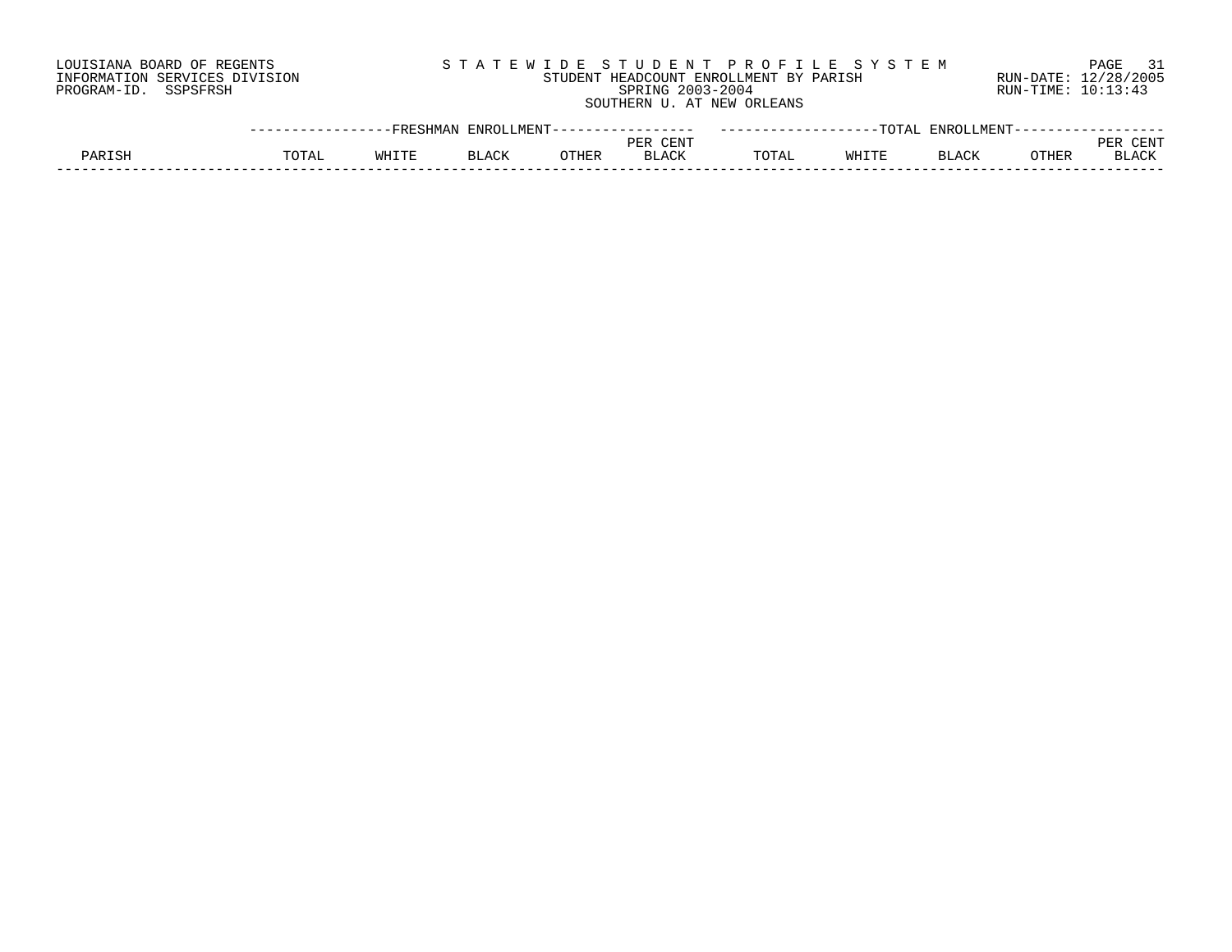LOUISIANA BOARD OF REGENTS SOURCLEARIE S T A T E W I D E S T U D E N T P R O F I L E S Y S T E M PAGE 31 INFORMATION SERVICES DIVISION STUDENT HEADCOUNT ENROLLMENT BY PARISH RUN-DATE: 12/28/2005 PROGRAM-ID. SSPSFRSH SPRING 2003-2004 RUN-TIME: 10:13:43 SOUTHERN U. AT NEW ORLEANS

|               | $-  -$ | <b>FRESHMA</b><br>1. TZT | MUNT<br><b>ENRC</b><br>ـ ۱۳۱۰ ست |              |                    |       | $T$ $\cap$ $T$ $\Delta$ .<br>------- | <b>ENRO</b>  |                   |                |
|---------------|--------|--------------------------|----------------------------------|--------------|--------------------|-------|--------------------------------------|--------------|-------------------|----------------|
|               |        |                          |                                  |              | $C$ UNTE<br>זים רי |       |                                      |              |                   | . L IN         |
| <b>PARTSH</b> | ͲႶͲϪ   | ᄳᄓᅚ                      | <b>BLAC</b><br>$R$ $\cap$ $R$    | <b>CTHER</b> | BLACK              | ™∩TA⊥ |                                      | $. \pi \sim$ | <b>ATTID</b><br>. | $R$ $\cap$ $T$ |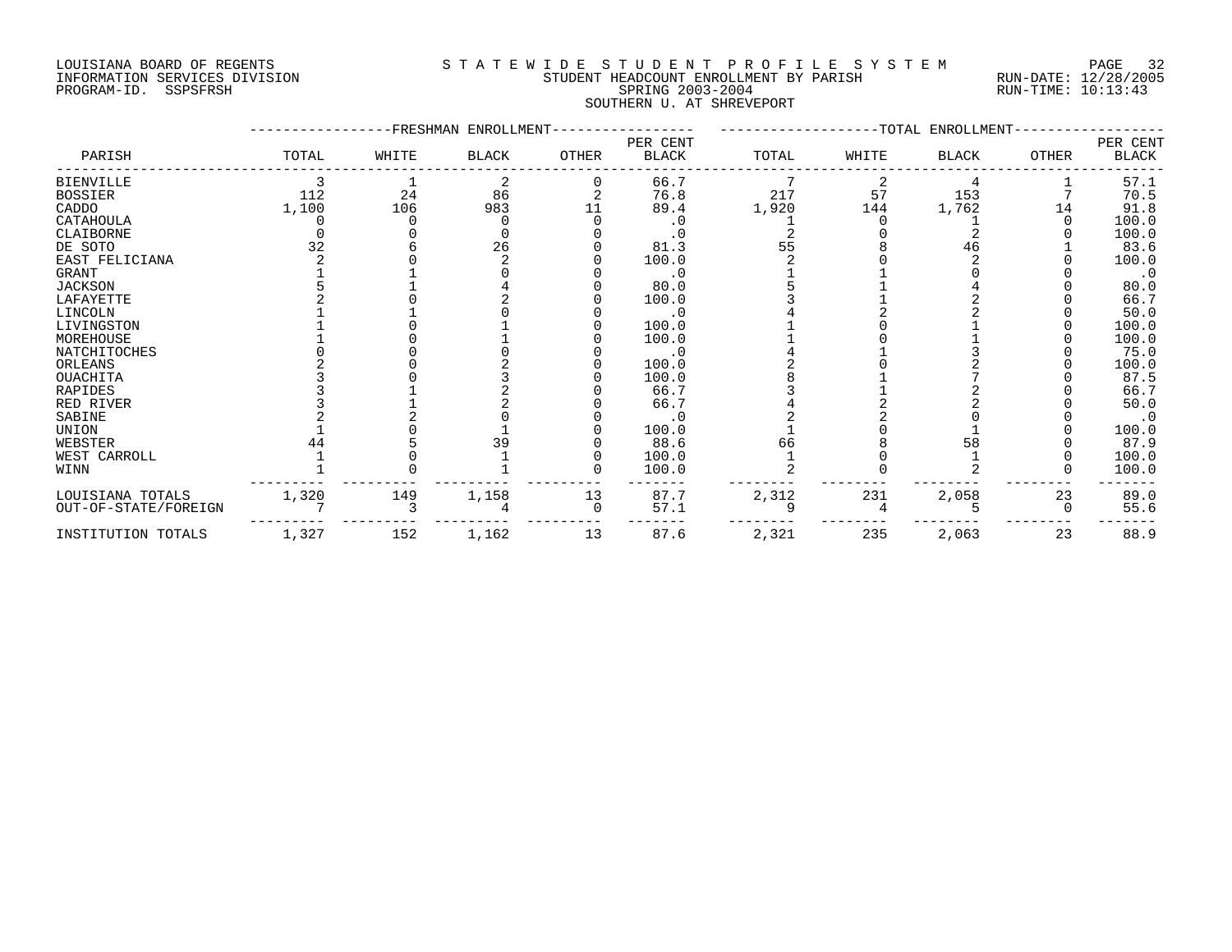#### LOUISIANA BOARD OF REGENTS S T A T E W I D E S T U D E N T P R O F I L E S Y S T E M PAGE 32 INFORMATION SERVICES DIVISION STUDENT HEADCOUNT ENROLLMENT BY PARISH RUN-DATE: 12/28/2005 PROGRAM-ID. SSPSFRSH SPRING 2003-2004 SPRING 2003-2004 RUN-TIME: 10:13:43 SOUTHERN U. AT SHREVEPORT

|                      |       |       | FRESHMAN ENROLLMENT- |              |                          |       |       | TOTAL ENROLLMENT |          |                   |
|----------------------|-------|-------|----------------------|--------------|--------------------------|-------|-------|------------------|----------|-------------------|
| PARISH               | TOTAL | WHITE | <b>BLACK</b>         | OTHER        | PER CENT<br><b>BLACK</b> | TOTAL | WHITE | <b>BLACK</b>     | OTHER    | PER CENT<br>BLACK |
| <b>BIENVILLE</b>     |       |       | 2                    | <sup>0</sup> | 66.7                     |       |       |                  |          | 57.1              |
| <b>BOSSIER</b>       | 112   | 24    | 86                   |              | 76.8                     | 217   | 57    | 153              |          | 70.5              |
| CADDO                | 1,100 | 106   | 983                  | 11           | 89.4                     | 1,920 | 144   | 1,762            | 14       | 91.8              |
| CATAHOULA            |       |       |                      |              | $\cdot$ 0                |       |       |                  |          | 100.0             |
| CLAIBORNE            |       |       |                      |              | $\cdot$ 0                |       |       |                  |          | 100.0             |
| DE SOTO              | 32    |       | 26                   |              | 81.3                     | 55    |       | 46               |          | 83.6              |
| EAST FELICIANA       |       |       |                      |              | 100.0                    |       |       |                  |          | 100.0             |
| GRANT                |       |       |                      |              | $\cdot$ 0                |       |       |                  |          | $\cdot$ 0         |
| <b>JACKSON</b>       |       |       |                      |              | 80.0                     |       |       |                  |          | 80.0              |
| LAFAYETTE            |       |       |                      |              | 100.0                    |       |       |                  |          | 66.7              |
| LINCOLN              |       |       |                      |              | . 0                      |       |       |                  |          | 50.0              |
| LIVINGSTON           |       |       |                      |              | 100.0                    |       |       |                  |          | 100.0             |
| MOREHOUSE            |       |       |                      |              | 100.0                    |       |       |                  |          | 100.0             |
| NATCHITOCHES         |       |       |                      |              | . 0                      |       |       |                  |          | 75.0              |
| ORLEANS              |       |       |                      |              | 100.0                    |       |       |                  |          | 100.0             |
| OUACHITA             |       |       |                      |              | 100.0                    |       |       |                  |          | 87.5              |
| <b>RAPIDES</b>       |       |       |                      |              | 66.7                     |       |       |                  |          | 66.7              |
| RED RIVER            |       |       |                      |              | 66.7                     |       |       |                  |          | 50.0              |
| SABINE               |       |       |                      |              | $\cdot$ 0                |       |       |                  |          |                   |
| UNION                |       |       |                      |              | 100.0                    |       |       |                  |          | 100.0             |
| WEBSTER              |       |       | 39                   |              | 88.6                     | 66    |       | 58               |          | 87.9              |
| WEST CARROLL         |       |       |                      |              | 100.0                    |       |       |                  |          | 100.0             |
| WINN                 |       |       |                      |              | 100.0                    |       |       |                  |          | 100.0             |
| LOUISIANA TOTALS     | 1,320 | 149   | 1,158                | 13           | 87.7                     | 2,312 | 231   | 2,058            | 23       | 89.0              |
| OUT-OF-STATE/FOREIGN |       |       |                      | $\Omega$     | 57.1                     |       |       |                  | $\Omega$ | 55.6              |
| INSTITUTION TOTALS   | 1,327 | 152   | 1,162                | 13           | 87.6                     | 2,321 | 235   | 2,063            | 23       | 88.9              |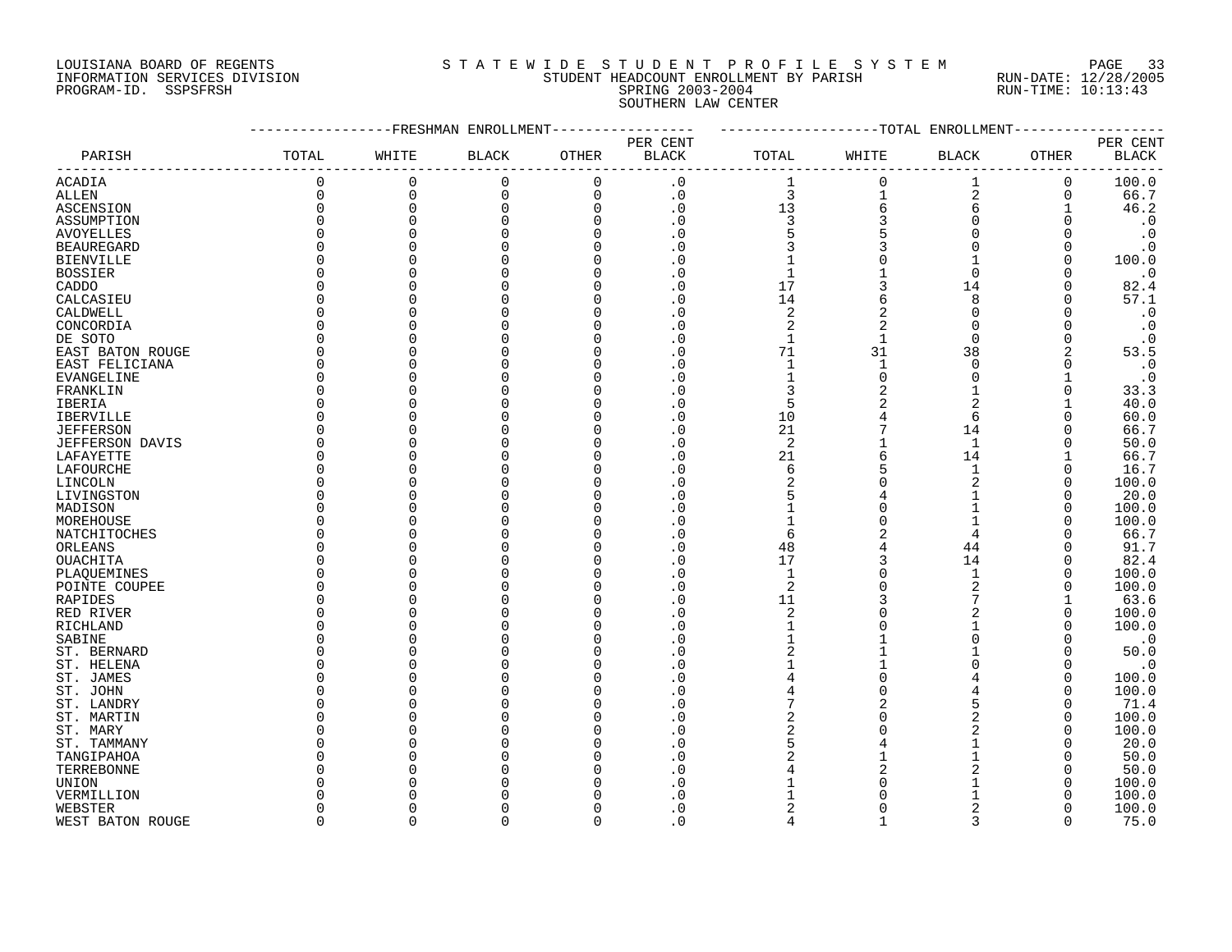### LOUISIANA BOARD OF REGENTS S T A T E W I D E S T U D E N T P R O F I L E S Y S T E M PAGE 33 INFORMATION SERVICES DIVISION STUDENT HEADCOUNT ENROLLMENT BY PARISH RUN-DATE: 12/28/2005 PROGRAM-ID. SSPSFRSH SPRING 2003-2004 RUN-TIME: 10:13:43 SOUTHERN LAW CENTER

|                               |              |             | -FRESHMAN ENROLLMENT |             |                |                |                | --TOTAL ENROLLMENT |              |                        |
|-------------------------------|--------------|-------------|----------------------|-------------|----------------|----------------|----------------|--------------------|--------------|------------------------|
|                               |              |             |                      |             | PER CENT       |                |                |                    |              | PER CENT               |
| PARISH                        | TOTAL        | WHITE       | <b>BLACK</b>         | OTHER       | <b>BLACK</b>   | TOTAL          | WHITE          | BLACK              | OTHER        | <b>BLACK</b>           |
| <b>ACADIA</b>                 | 0            | $\mathbf 0$ | $\mathbf 0$          | $\mathbf 0$ | $\cdot$ 0      | 1              | $\Omega$       | 1                  | 0            | 100.0                  |
| $\operatorname{ALLEN}$        | $\Omega$     | $\Omega$    | $\mathbf 0$          | $\mathbf 0$ | $\cdot$ 0      | $\overline{3}$ | 1              | $\overline{2}$     | $\mathbf 0$  | 66.7                   |
| ASCENSION                     | $\Omega$     | $\Omega$    | $\Omega$             | $\Omega$    | $\cdot$ 0      | 13             | 6              | 6                  |              | 46.2                   |
| ASSUMPTION                    | $\Omega$     | $\cap$      | O                    | $\Omega$    | . 0            | 3              | 3              | $\Omega$           |              | $\boldsymbol{\cdot}$ 0 |
| <b>AVOYELLES</b>              | $\Omega$     |             |                      | $\cap$      | . 0            | 5              | 5              | $\Omega$           |              | $\boldsymbol{\cdot}$ 0 |
| <b>BEAUREGARD</b>             | $\Omega$     |             |                      |             | . 0            | 3              | 3              | <sup>0</sup>       |              | $\boldsymbol{\cdot}$ 0 |
| <b>BIENVILLE</b>              | 0            |             |                      | O           | . 0            |                |                |                    | $\Omega$     | 100.0                  |
| <b>BOSSIER</b>                | O            |             |                      |             | . 0            | $\mathbf{1}$   |                | $\Omega$           | <sup>0</sup> | $\cdot$ 0              |
| CADDO                         | O            |             |                      |             | . 0            | 17             | 3              | 14                 | $\Omega$     | 82.4                   |
| CALCASIEU                     | U            |             |                      |             | $\cdot$ 0      | 14             | 6              | 8                  | O            | 57.1                   |
| CALDWELL                      | O            |             |                      |             | $\Omega$       | $\overline{c}$ | 2              | $\Omega$           |              | $\cdot$ 0              |
| CONCORDIA                     | $\Omega$     |             |                      |             | . 0            | $\overline{2}$ | $\overline{2}$ | $\Omega$           |              | $\cdot$ 0              |
| DE SOTO                       | $\Omega$     |             |                      |             | . 0            | $\mathbf{1}$   |                | $\Omega$           | $\Omega$     | $\cdot$ 0              |
| EAST BATON ROUGE              | $\Omega$     |             |                      |             | . 0            | 71             | 31             | 38                 | 2            | 53.5                   |
|                               | <sup>0</sup> |             |                      |             | $\cdot$ 0      | 1              | $\mathbf{1}$   | $\Omega$           | O            | $\cdot$ 0              |
| EAST FELICIANA<br>EVANGELINE  | 0            |             |                      |             | . 0            | $\mathbf{1}$   | $\Omega$       | $\Omega$           |              | $\cdot$ 0              |
|                               | 0            |             |                      |             | . 0            | 3              | 2              |                    | 0            | 33.3                   |
| FRANKLIN<br>IBERIA            | $\Omega$     |             |                      |             | . 0            | 5              | 2              | 2                  |              | 40.0                   |
|                               | $\Omega$     |             |                      |             | . 0            | 10             |                | 6                  |              | 60.0                   |
| IBERVILLE<br><b>JEFFERSON</b> | $\Omega$     |             |                      |             | $\Omega$       | 21             |                |                    |              | 66.7                   |
|                               | $\Omega$     |             |                      | n           | . 0            | 2              |                | 14<br>$\mathbf{1}$ | O            | 50.0                   |
| JEFFERSON DAVIS               | $\Omega$     |             |                      |             | . 0            | 21             | 6              | 14                 |              | 66.7                   |
| LAFAYETTE                     | $\Omega$     |             |                      |             |                | 6              | 5              | $\mathbf{1}$       | $\Omega$     | 16.7                   |
| LAFOURCHE                     | <sup>0</sup> |             |                      |             |                | $\overline{2}$ | U              | $\overline{2}$     | O            |                        |
| LINCOLN                       |              |             |                      |             | . 0            |                |                |                    |              | 100.0                  |
| LIVINGSTON                    | O            |             |                      |             | $\Omega$       | 5              | 4<br>O         |                    |              | 20.0                   |
| MADISON                       | 0            |             |                      |             | . 0            |                |                |                    | O            | 100.0                  |
| MOREHOUSE                     | O            |             |                      |             |                | 1              |                |                    | O            | 100.0                  |
| NATCHITOCHES                  | <sup>0</sup> |             |                      |             |                | 6              | 2              |                    |              | 66.7                   |
| ORLEANS                       | $\Omega$     |             |                      |             | $\overline{0}$ | 48             | 4              | 44                 |              | 91.7                   |
| OUACHITA                      | $\Omega$     |             |                      |             | $\Omega$       | 17             | 3              | 14                 |              | 82.4                   |
| PLAQUEMINES                   | $\Omega$     |             |                      |             | . 0            | $\mathbf{1}$   | $\Omega$       | $\mathbf{1}$       | $\Omega$     | 100.0                  |
| POINTE COUPEE                 | $\Omega$     |             |                      |             | $\Omega$       | 2              | $\Omega$       | $\overline{a}$     |              | 100.0                  |
| RAPIDES                       | <sup>0</sup> |             |                      |             | $\cdot$ 0      | 11             | 3              |                    |              | 63.6                   |
| RED RIVER                     | O            |             |                      |             | $\overline{0}$ | $\overline{2}$ |                |                    | O            | 100.0                  |
| RICHLAND                      | O            |             |                      |             | . 0            | $\mathbf{1}$   |                |                    |              | 100.0                  |
| SABINE                        | <sup>0</sup> |             |                      |             | . 0            |                |                | $\Omega$           |              | $\cdot$ 0              |
| ST. BERNARD                   | O            |             |                      |             | . 0            | 2              |                |                    | $\Omega$     | 50.0                   |
| ST. HELENA                    | O            |             |                      |             | $\cdot$ 0      |                |                |                    | $\Omega$     | $\cdot$ 0              |
| ST. JAMES                     | $\Omega$     |             |                      |             | $\Omega$       | 4              | $\Omega$       |                    | $\Omega$     | 100.0                  |
| ST. JOHN                      | $\Omega$     |             |                      |             |                | 4              | U              |                    | $\Omega$     | 100.0                  |
| ST. LANDRY                    | $\Omega$     |             |                      |             | . 0            | 7              | $\overline{2}$ | 5                  | $\Omega$     | 71.4                   |
| ST. MARTIN                    | 0            |             |                      |             | . 0            | $\overline{c}$ |                |                    | 0            | 100.0                  |
| ST. MARY                      | O            |             |                      |             | . 0            | $\overline{2}$ |                |                    | O            | 100.0                  |
| ST. TAMMANY                   | O            |             |                      |             | . 0            | 5              |                |                    |              | 20.0                   |
| TANGIPAHOA                    | O            |             |                      |             | . 0            |                |                |                    | O            | 50.0                   |
| TERREBONNE                    | O            |             |                      |             | . 0            |                | 2              |                    |              | 50.0                   |
| UNION                         | N            |             |                      |             |                |                |                |                    | O            | 100.0                  |
| VERMILLION                    |              |             |                      |             | $\cap$         |                |                |                    |              | 100.0                  |
| WEBSTER                       | O            |             |                      |             | $\cdot$ 0      | $\overline{c}$ |                | 2                  |              | 100.0                  |
| WEST BATON ROUGE              | $\cap$       | $\cap$      | $\Omega$             | $\Omega$    | $\Omega$       | $\Delta$       |                | $\mathbf{3}$       | $\Omega$     | 75.0                   |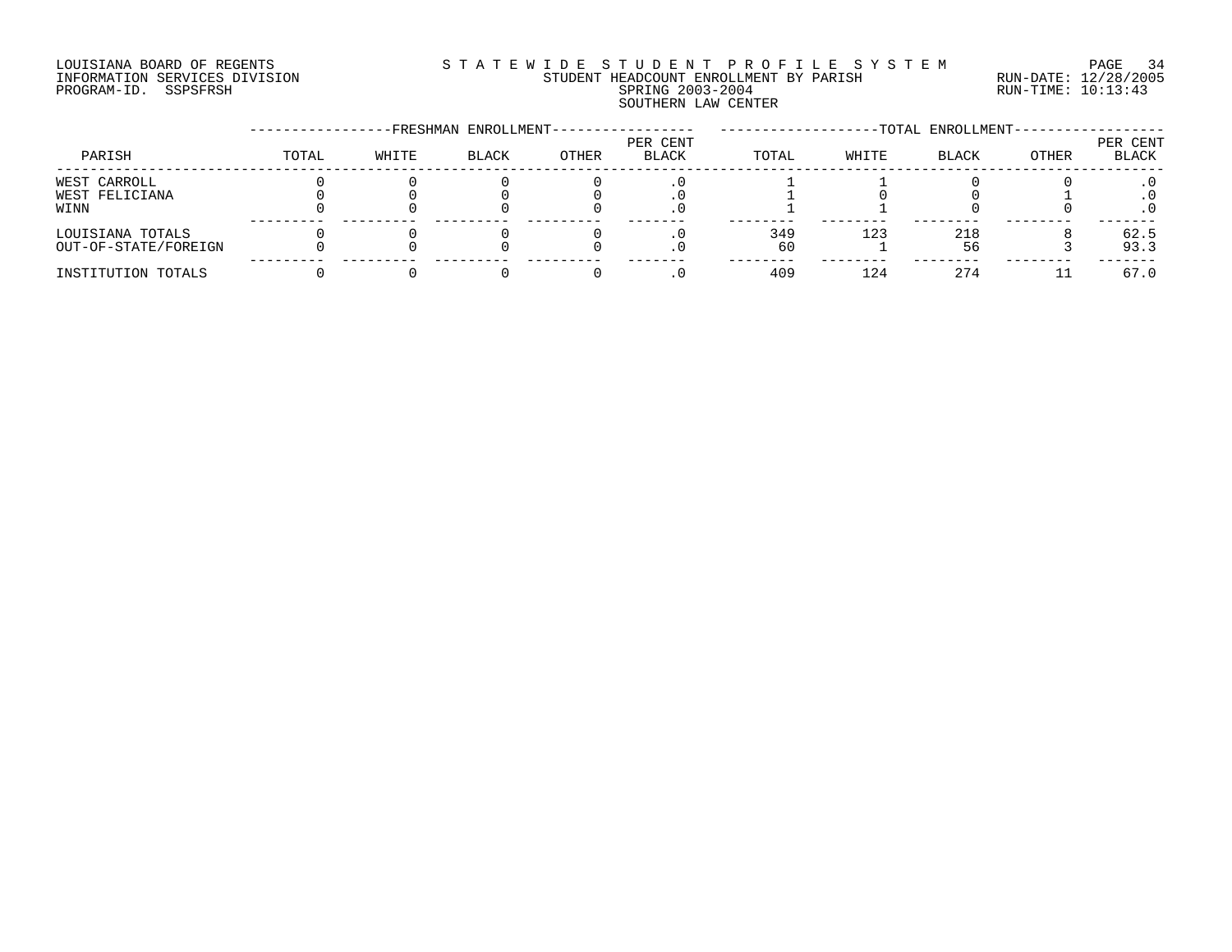# LOUISIANA BOARD OF REGENTS S T A T E W I D E S T U D E N T P R O F I L E S Y S T E M PAGE 34 INFORMATION SERVICES DIVISION STUDENT HEADCOUNT ENROLLMENT BY PARISH RUN-DATE: 12/28/2005 PROGRAM-ID. SSPSFRSH SPRING 2003-2004 RUN-TIME: 10:13:43 SOUTHERN LAW CENTER

|                                          |       |       | -FRESHMAN ENROLLMENT- |       |                   |            |       | -TOTAL ENROLLMENT- |              |                   |
|------------------------------------------|-------|-------|-----------------------|-------|-------------------|------------|-------|--------------------|--------------|-------------------|
| PARISH                                   | TOTAL | WHITE | <b>BLACK</b>          | OTHER | PER CENT<br>BLACK | TOTAL      | WHITE | <b>BLACK</b>       | <b>OTHER</b> | PER CENT<br>BLACK |
| WEST CARROLL<br>WEST FELICIANA<br>WINN   |       |       |                       |       |                   |            |       |                    |              |                   |
| LOUISIANA TOTALS<br>OUT-OF-STATE/FOREIGN |       |       |                       |       |                   | 349<br>6 U | 123   | 218<br>56          |              | 62.5<br>93.3      |
| INSTITUTION TOTALS                       |       |       |                       |       |                   | 409        | 124   | 274                |              | 67.0              |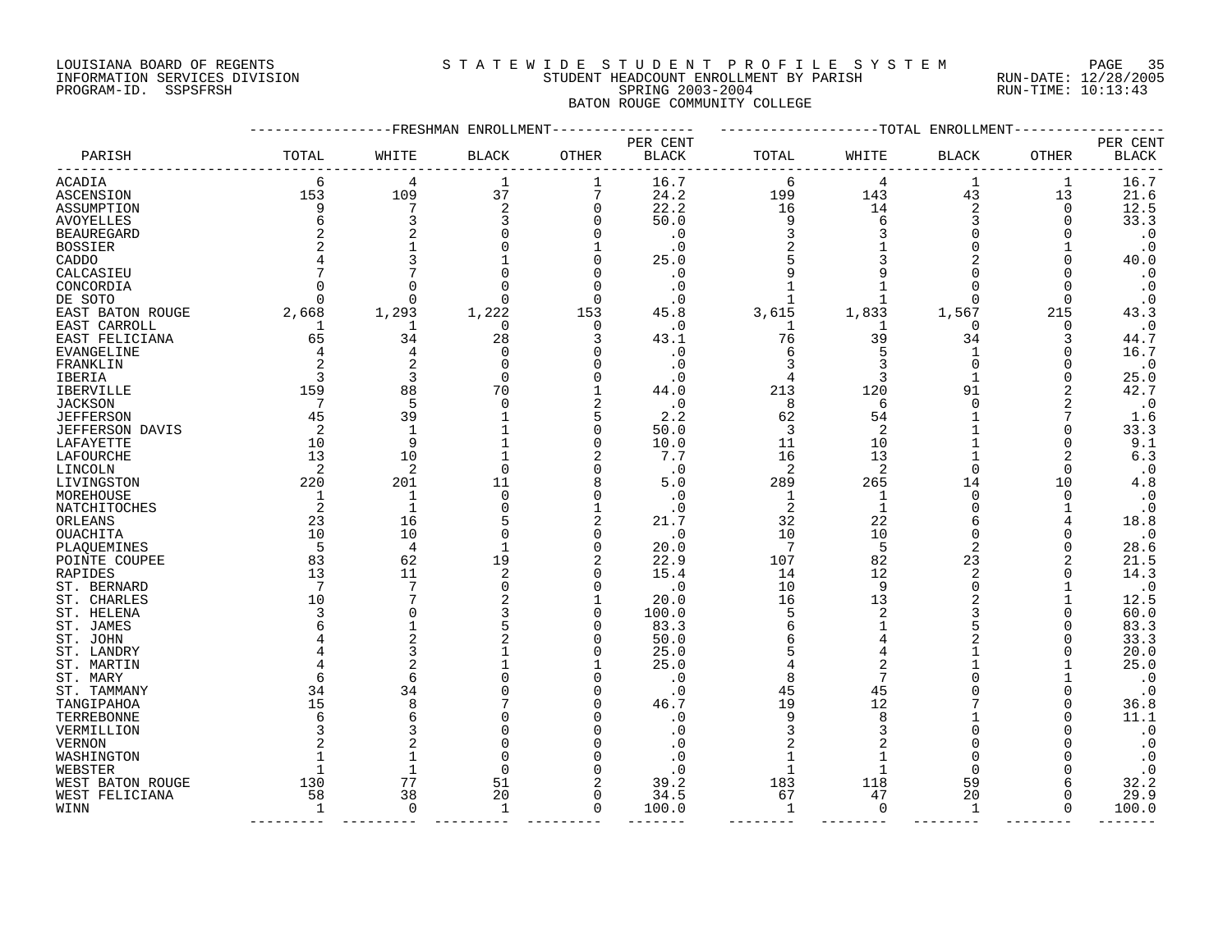# LOUISIANA BOARD OF REGENTS S T A T E W I D E S T U D E N T P R O F I L E S Y S T E M PAGE 35 INFORMATION SERVICES DIVISION STUDENT HEADCOUNT ENROLLMENT BY PARISH RUN-DATE: 12/28/2005 PROGRAM-ID. SSPSFRSH SPRING 2003-2004 RUN-TIME: 10:13:43 BATON ROUGE COMMUNITY COLLEGE

|                        |       |                | ----------FRESHMAN ENROLLMENT |                |                          |                |                | ------------TOTAL ENROLLMENT |          |                          |
|------------------------|-------|----------------|-------------------------------|----------------|--------------------------|----------------|----------------|------------------------------|----------|--------------------------|
| PARISH                 | TOTAL | WHITE          | <b>BLACK</b>                  | OTHER          | PER CENT<br><b>BLACK</b> | TOTAL          | WHITE          | <b>BLACK</b>                 | OTHER    | PER CENT<br><b>BLACK</b> |
| ACADIA                 | 6     | 4              | 1                             | 1              | 16.7                     | 6              | 4              | 1                            | 1        | 16.7                     |
| ASCENSION              | 153   | 109            | 37                            | 7              | 24.2                     | 199            | 143            | 43                           | 13       | 21.6                     |
| ASSUMPTION             | 9     | 7              | 2                             | $\mathbf 0$    | 22.2                     | 16             | 14             | 2                            | $\Omega$ | 12.5                     |
| AVOYELLES              |       |                |                               | 0              | 50.0                     | 9              | 6              | 3                            | O        | 33.3                     |
| <b>BEAUREGARD</b>      |       |                |                               | 0              | $\cdot$ 0                | 3              |                | ∩                            |          | $\cdot$ 0                |
| <b>BOSSIER</b>         |       |                |                               | 1              | . 0                      | 2              |                |                              |          | $\cdot$ 0                |
| CADDO                  |       |                |                               | O              | 25.0                     |                |                |                              |          | 40.0                     |
| CALCASIEU              |       |                |                               | $\Omega$       | . 0                      |                |                |                              |          | $\cdot$ 0                |
| CONCORDIA              |       | O              |                               | 0              | . 0                      |                |                |                              | O        | $\cdot$ 0                |
| DE SOTO                |       | $\Omega$       |                               | $\Omega$       | . 0                      |                |                | ∩                            | ∩        | $\cdot$ 0                |
| EAST BATON ROUGE       | 2,668 | 1,293          | 1,222                         | 153            | 45.8                     | 3,615          | 1,833          | 1,567                        | 215      | 43.3                     |
| EAST CARROLL           | ı     | 1              | $\Omega$                      | 0              | . 0                      | 1              | -1             | $\Omega$                     | O        | $\cdot$ 0                |
| EAST FELICIANA         | 65    | 34             | 28                            | 3              | 43.1                     | 76             | 39             | 34                           | 3        | 44.7                     |
| EVANGELINE             |       | 4              | $\Omega$                      | 0              | . 0                      | 6              |                |                              | ∩        | 16.7                     |
| FRANKLIN               |       | $\overline{2}$ | $\Omega$                      | O              | . 0                      | 3              |                | $\Omega$                     |          | $\cdot$ 0                |
| IBERIA                 |       | 3              | $\Omega$                      | O              | . 0                      | 4              | 3              |                              |          | 25.0                     |
| <b>IBERVILLE</b>       | 159   | 88             | 70                            |                | 44.0                     | 213            | 120            | 91                           | 2        | 42.7                     |
| <b>JACKSON</b>         | 7     | 5              | $\Omega$                      | 2              | $\cdot$ 0                | 8              | 6              | $\Omega$                     | 2        | $\cdot$ 0                |
| <b>JEFFERSON</b>       | 45    | 39             |                               | 5              | 2.2                      | 62             | 54             |                              |          | 1.6                      |
| <b>JEFFERSON DAVIS</b> | 2     | $\mathbf{1}$   |                               | $\Omega$       | 50.0                     | 3              | 2              |                              | ∩        | 33.3                     |
| LAFAYETTE              | 10    | 9              |                               | $\mathbf 0$    | 10.0                     | 11             | 10             |                              | $\Omega$ | 9.1                      |
| LAFOURCHE              | 13    | 10             |                               | 2              | 7.7                      | 16             | 13             |                              |          | 6.3                      |
| LINCOLN                | 2     | $\overline{2}$ | $\Omega$                      | $\Omega$       | $\cdot$ 0                | $\overline{2}$ | $\overline{2}$ | $\Omega$                     | $\Omega$ | $\cdot$ 0                |
| LIVINGSTON             | 220   | 201            | 11                            | 8              | 5.0                      | 289            | 265            | 14                           | 10       | 4.8                      |
| MOREHOUSE              | 1     | 1              | $\Omega$                      | 0              | . 0                      | 1              | 1              | $\Omega$                     | O        | $\cdot$ 0                |
| NATCHITOCHES           | 2     | $\mathbf{1}$   |                               | 1              | . 0                      | 2              | $\mathbf{1}$   | $\Omega$                     |          | $\cdot$ 0                |
| ORLEANS                | 23    | 16             |                               | 2              | 21.7                     | 32             | 22             |                              |          | 18.8                     |
| OUACHITA               | 10    | 10             |                               | 0              | $\cdot$ 0                | 10             | 10             | $\Omega$                     |          | $\cdot$ 0                |
| PLAQUEMINES            | 5     | 4              | -1                            | 0              | 20.0                     | 7              | 5              | 2                            | O        | 28.6                     |
| POINTE COUPEE          | 83    | 62             | 19                            | 2              | 22.9                     | 107            | 82             | 23                           |          | 21.5                     |
| RAPIDES                | 13    | 11             | 2                             | 0              | 15.4                     | 14             | 12             | 2                            |          | 14.3                     |
| ST. BERNARD            |       | 7              |                               | O              | . 0                      | 10             | 9              | ∩                            |          | $\cdot$ 0                |
| ST. CHARLES            | 10    | 7              |                               | 1              | 20.0                     | 16             | 13             |                              |          | 12.5                     |
| ST. HELENA             |       | O              |                               | 0              | 100.0                    | 5              |                |                              | ∩        | 60.0                     |
| ST. JAMES              |       |                |                               | $\Omega$       | 83.3                     | 6              |                |                              |          | 83.3                     |
| ST. JOHN               |       | 2              |                               | 0              | 50.0                     | 6              |                |                              |          | 33.3                     |
| ST. LANDRY             |       | 3              |                               | O              | 25.0                     | 5              |                |                              |          | 20.0                     |
| ST. MARTIN             |       | $\overline{2}$ |                               | 1              | 25.0                     | 4              |                |                              |          | 25.0                     |
| ST. MARY               |       | 6              |                               | 0              | . 0                      | 8              |                |                              |          | $\cdot$ 0                |
| ST. TAMMANY            | 34    | 34             |                               | U              | . 0                      | 45             | 45             |                              |          | $\cdot$ 0                |
| TANGIPAHOA             | 15    | 8              |                               | O              | 46.7                     | 19             | 12             |                              |          | 36.8                     |
| TERREBONNE             |       | 6              |                               |                | . 0                      | 9              | 8              |                              |          | 11.1                     |
| VERMILLION             |       |                |                               |                | . 0                      | 3              |                | ∩                            |          | $\cdot$ 0                |
| <b>VERNON</b>          |       |                |                               | U              | . 0                      | 2              |                |                              |          | $\cdot$ 0                |
| WASHINGTON             |       |                |                               |                | . 0                      |                |                |                              |          | $\cdot$ 0                |
| WEBSTER                |       | $\mathbf{1}$   | $\Omega$                      | 0              | . 0                      |                |                |                              |          | $\cdot$ 0                |
| WEST BATON ROUGE       | 130   | 77             | 51                            | 2              | 39.2                     | 183            | 118            | 59                           |          | 32.2                     |
| WEST FELICIANA         | 58    | 38             | 20                            | $\overline{0}$ | 34.5                     | 67             | 47             | 20                           | $\Omega$ | 29.9                     |
| WINN                   | 1     | $\Omega$       | 1                             | $\mathbf 0$    | 100.0                    | $\mathbf{1}$   | $\Omega$       | $\mathbf 1$                  | $\Omega$ | 100.0                    |
|                        |       |                |                               |                |                          |                |                |                              |          |                          |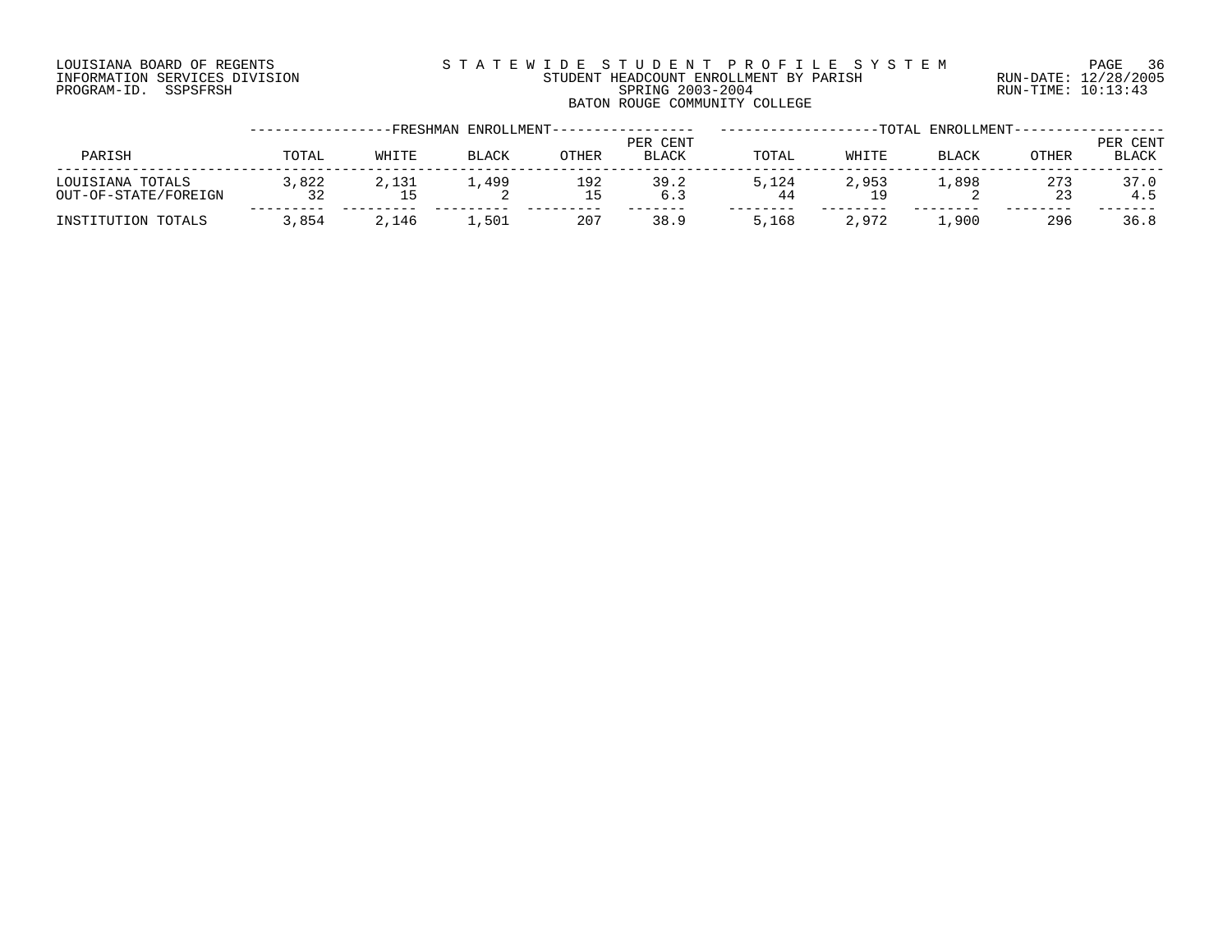# LOUISIANA BOARD OF REGENTS S T A T E W I D E S T U D E N T P R O F I L E S Y S T E M PAGE 36 INFORMATION SERVICES DIVISION STUDENT HEADCOUNT ENROLLMENT BY PARISH RUN-DATE: 12/28/2005 PROGRAM-ID. SSPSFRSH SPRING 2003-2004 RUN-TIME: 10:13:43 BATON ROUGE COMMUNITY COLLEGE

|                                          |             | FRESHMAN- | ENROLLMENT-- |           |                   |       |       | -TOTAL ENROLLMENT-- |           |                   |
|------------------------------------------|-------------|-----------|--------------|-----------|-------------------|-------|-------|---------------------|-----------|-------------------|
| PARISH                                   | TOTAL       | WHITE     | <b>BLACK</b> | OTHER     | PER CENT<br>BLACK | TOTAL | WHITE | BLACK               | OTHER     | PER CENT<br>BLACK |
| LOUISIANA TOTALS<br>OUT-OF-STATE/FOREIGN | 3,822<br>32 | 2,131     | 1,499<br>▵   | 192<br>15 | 39.2<br>6.3       | 5.124 | 2,953 | 1,898               | 273<br>23 | 37.0<br>4.5       |
| INSTITUTION TOTALS                       | 3,854       | 2,146     | 1,501        | 207       | 38.9              | 5,168 | 2,972 | 1,900               | 296       | 36.8              |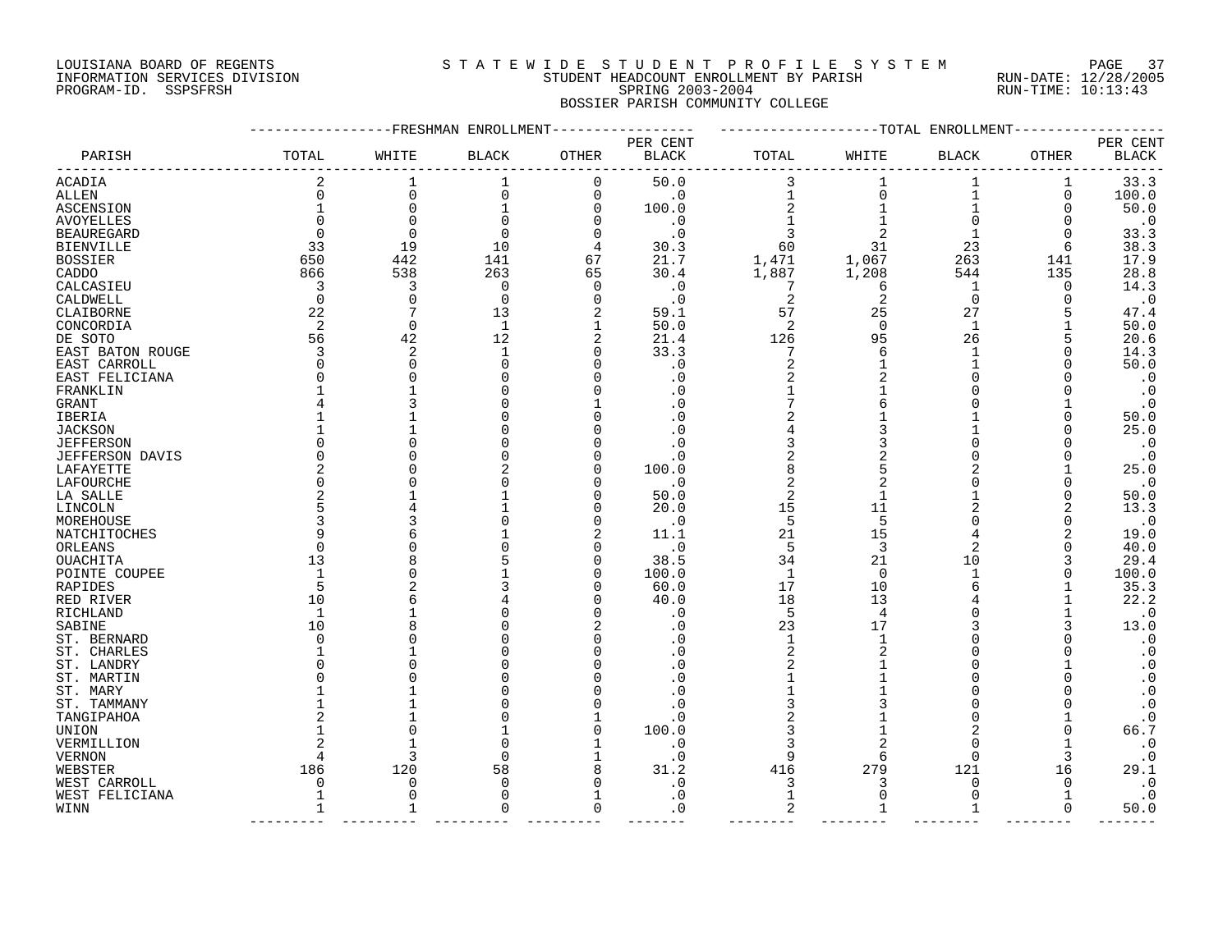# LOUISIANA BOARD OF REGENTS S T A T E W I D E S T U D E N T P R O F I L E S Y S T E M PAGE 37 INFORMATION SERVICES DIVISION STUDENT HEADCOUNT ENROLLMENT BY PARISH RUN-DATE: 12/28/2005 PROGRAM-ID. SSPSFRSH SPRING 2003-2004 RUN-TIME: 10:13:43 BOSSIER PARISH COMMUNITY COLLEGE

|                        |       | ----------FRESHMAN ENROLLMENT |              |             |                          |                |             | -------------TOTAL ENROLLMENT |       |                          |
|------------------------|-------|-------------------------------|--------------|-------------|--------------------------|----------------|-------------|-------------------------------|-------|--------------------------|
| PARISH                 | TOTAL | WHITE                         | <b>BLACK</b> | OTHER       | PER CENT<br><b>BLACK</b> | TOTAL          | WHITE       |                               | OTHER | PER CENT<br><b>BLACK</b> |
|                        |       |                               |              |             |                          |                |             | BLACK                         |       |                          |
| ACADIA                 | 2     |                               | 1            | 0           | 50.0                     | 3              |             |                               | 1     | 33.3                     |
| ALLEN                  | 0     | $\Omega$                      | $\Omega$     | 0           | $\cdot$ 0                |                | $\mathbf 0$ | 1                             | 0     | 100.0                    |
| ASCENSION              |       | $\Omega$                      |              | 0           | 100.0                    | 2              |             | $\mathbf{1}$                  | O     | 50.0                     |
| <b>AVOYELLES</b>       |       | $\Omega$                      | O            | 0           | $\cdot$ 0                |                |             | $\Omega$                      | O     | $\cdot$ 0                |
| BEAUREGARD             |       | $\mathbf 0$                   | O            | 0           | $\cdot$ 0                | 3              |             |                               |       | 33.3                     |
| BIENVILLE              | 33    | 19                            | 10           | 4           | 30.3                     | 60             | 31          | 23                            | 6     | 38.3                     |
| <b>BOSSIER</b>         | 650   | 442                           | 141          | 67          | 21.7                     | 1,471          | 1,067       | 263                           | 141   | 17.9                     |
| CADDO                  | 866   | 538                           | 263          | 65          | 30.4                     | 1,887          | 1,208       | 544                           | 135   | 28.8                     |
| CALCASIEU              | 3     | 3                             | 0            | 0           | . 0                      | -7             | 6           | 1                             | 0     | 14.3                     |
| CALDWELL               | 0     | $\mathbf 0$                   | $\Omega$     | $\mathbf 0$ | $\cdot$ 0                | 2              | 2           | $\mathbf 0$                   | O     | $\cdot$ 0                |
| CLAIBORNE              | 22    | 7                             | 13           | 2           | 59.1                     | 57             | 25          | 27                            | 5     | 47.4                     |
| CONCORDIA              | 2     | 0                             | 1            | 1           | 50.0                     | 2              | $\Omega$    | $\mathbf 1$                   |       | 50.0                     |
| DE SOTO                | 56    | 42                            | 12           | 2           | 21.4                     | 126            | 95          | 26                            | 5     | 20.6                     |
| EAST BATON ROUGE       | 3     | 2                             | $\mathbf{1}$ | 0           | 33.3                     | 7              | 6           | 1                             |       | 14.3                     |
| EAST CARROLL           |       | $\mathbf 0$                   |              | 0           | . 0                      | 2              |             |                               |       | 50.0                     |
| EAST FELICIANA         |       | $\Omega$                      |              | O           | . 0                      | 2              |             |                               |       | $\cdot$ 0                |
| FRANKLIN               |       |                               |              |             | . 0                      |                |             |                               |       | $\ddot{\bullet}$         |
| GRANT                  |       |                               |              |             | . 0                      |                |             |                               |       | $\cdot$ 0                |
| IBERIA                 |       |                               |              | O           | . 0                      |                |             |                               | O     | 50.0                     |
| JACKSON                |       |                               |              |             | . 0                      |                |             |                               |       | 25.0                     |
| <b>JEFFERSON</b>       |       |                               |              |             | . 0                      | 3              |             |                               |       | $\cdot$ 0                |
| <b>JEFFERSON DAVIS</b> |       |                               |              |             | . 0                      |                |             |                               |       | $\cdot$ 0                |
| LAFAYETTE              |       |                               |              | O           | 100.0                    | 8              | 5           |                               |       | 25.0                     |
| LAFOURCHE              |       |                               |              | O           | $\cdot$ 0                | 2              |             |                               |       | $\cdot$ 0                |
| LA SALLE               |       |                               |              | 0           | 50.0                     | $\overline{2}$ |             |                               |       | 50.0                     |
| LINCOLN                |       |                               |              | 0           | 20.0                     | 15             | 11          |                               | 2     | 13.3                     |
| MOREHOUSE              |       |                               |              | 0           | $\cdot$ 0                | 5              | 5           |                               |       | $\cdot$ 0                |
| NATCHITOCHES           |       |                               |              | 2           | 11.1                     | 21             | 15          | 4                             |       | 19.0                     |
| ORLEANS                |       |                               |              | 0           | $\cdot$ 0                | 5              | 3           | 2                             | O     | 40.0                     |
| OUACHITA               | 13    |                               |              | 0           | 38.5                     | 34             | 21          | 10                            |       | 29.4                     |
| POINTE COUPEE          |       |                               |              | 0           | 100.0                    | 1              | 0           | 1                             |       | 100.0                    |
| RAPIDES                | 5     |                               |              | O           | 60.0                     | 17             | 10          |                               |       | 35.3                     |
| RED RIVER              | 10    |                               |              | U           | 40.0                     | 18             | 13          |                               |       | 22.2                     |
| RICHLAND               |       |                               |              | O           | . 0                      | 5              | 4           |                               |       | $\cdot$ 0                |
| SABINE                 | 10    |                               |              |             | . 0                      | 23             | 17          |                               |       | 13.0                     |
| ST. BERNARD            |       |                               |              | O           | . 0                      | 1              |             |                               |       | $\cdot$ 0                |
| ST. CHARLES            |       |                               |              |             | . 0                      |                |             |                               |       | $\boldsymbol{\cdot}$ 0   |
| ST. LANDRY             |       |                               |              |             | . 0                      | 2              |             |                               |       | $\cdot$ 0                |
| ST. MARTIN             |       |                               |              |             | . 0                      |                |             | O                             |       | $\cdot$ 0                |
| ST. MARY               |       |                               |              |             | . 0                      |                |             |                               |       | $\cdot$ 0                |
| ST. TAMMANY            |       |                               |              |             | . 0                      |                |             |                               |       | $\cdot$ 0                |
| TANGIPAHOA             |       |                               |              |             | . 0                      |                |             |                               |       | $\cdot$ 0                |
| UNION                  |       |                               |              | O           | 100.0                    | 3              |             |                               |       | 66.7                     |
| VERMILLION             |       |                               |              |             | . 0                      | 3              |             | O                             |       | $\cdot$ 0                |
| <b>VERNON</b>          |       | 3                             |              | 1           | $\cdot$ 0                | 9              | 6           | $\Omega$                      |       | $\cdot$ 0                |
| WEBSTER                | 186   | 120                           | 58           | 8           | 31.2                     | 416            | 279         | 121                           | 16    | 29.1                     |
| WEST CARROLL           |       | O                             |              | 0           | . 0                      | 3              | 3           | O                             | O     | $\cdot$ 0                |
| WEST FELICIANA         |       | $\Omega$                      |              | 1           | . 0                      | $\mathbf{1}$   | $\Omega$    | $\Omega$                      |       | $\cdot$ 0                |
| WINN                   | 1     | 1                             | O            | 0           | . 0                      | 2              | 1           | 1                             | 0     | 50.0                     |
|                        |       |                               |              |             |                          |                |             |                               |       |                          |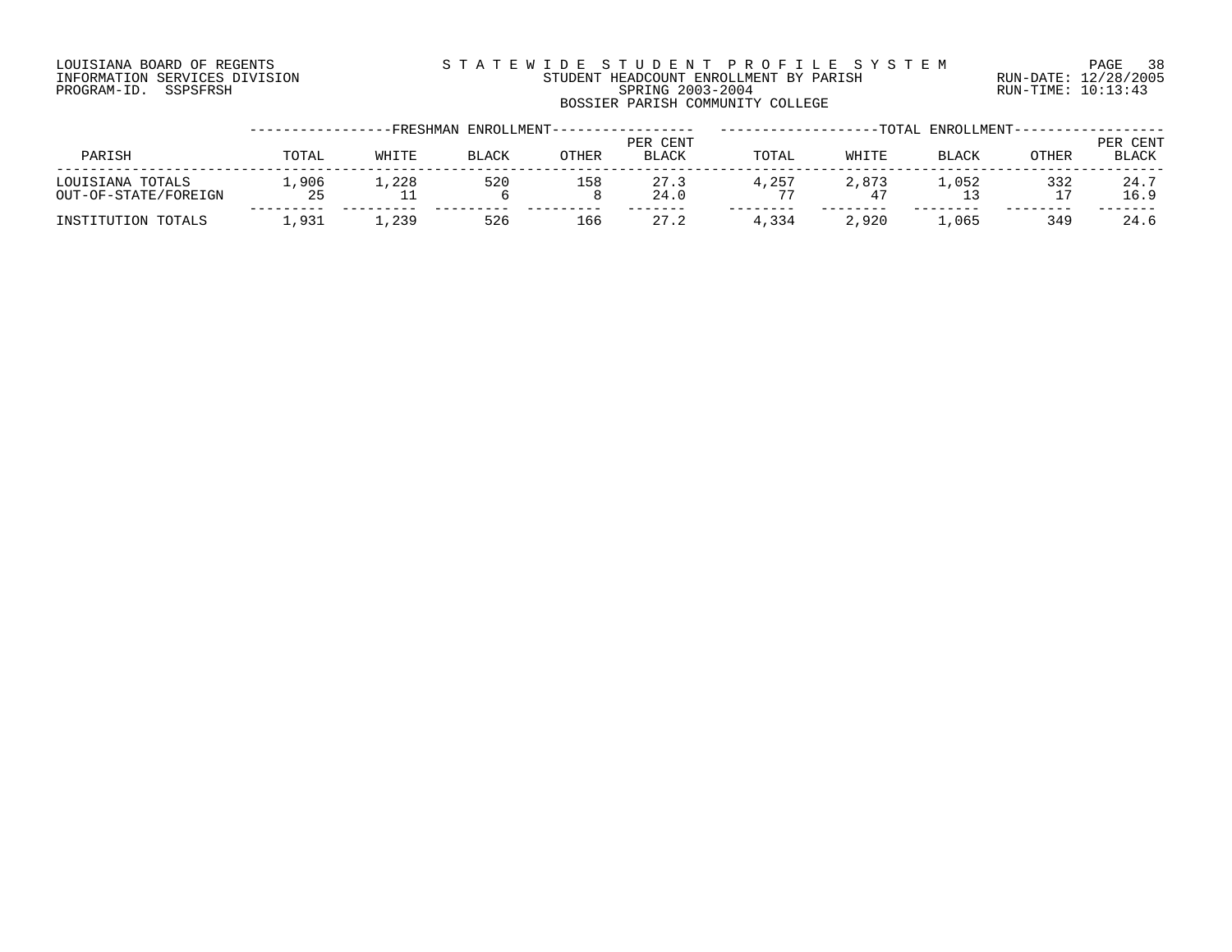# LOUISIANA BOARD OF REGENTS S T A T E W I D E S T U D E N T P R O F I L E S Y S T E M PAGE 38 INFORMATION SERVICES DIVISION STUDENT HEADCOUNT ENROLLMENT BY PARISH RUN-DATE: 12/28/2005 PROGRAM-ID. SSPSFRSH SPRING 2003-2004 RUN-TIME: 10:13:43 BOSSIER PARISH COMMUNITY COLLEGE

|                                          |            | FRESHMAN- | ENROLLMENT-  |       |                          |       |       | -TOTAL ENROLLMENT- |              |                          |
|------------------------------------------|------------|-----------|--------------|-------|--------------------------|-------|-------|--------------------|--------------|--------------------------|
| PARISH                                   | TOTAL      | WHITE     | <b>BLACK</b> | OTHER | PER CENT<br><b>BLACK</b> | TOTAL | WHITE | BLACK              | <b>OTHER</b> | PER CENT<br><b>BLACK</b> |
| LOUISIANA TOTALS<br>OUT-OF-STATE/FOREIGN | ,906<br>25 | 1,228     | 520          | 158   | 27.3<br>24.0             | 4,257 | 2,873 | . . 052            | 332<br>17    | 24.7<br>16.9             |
| INSTITUTION TOTALS                       | .931       | 1,239     | 526          | 166   | 27.2                     | 4,334 | 2,920 | ⊥,065              | 349          | 24.6                     |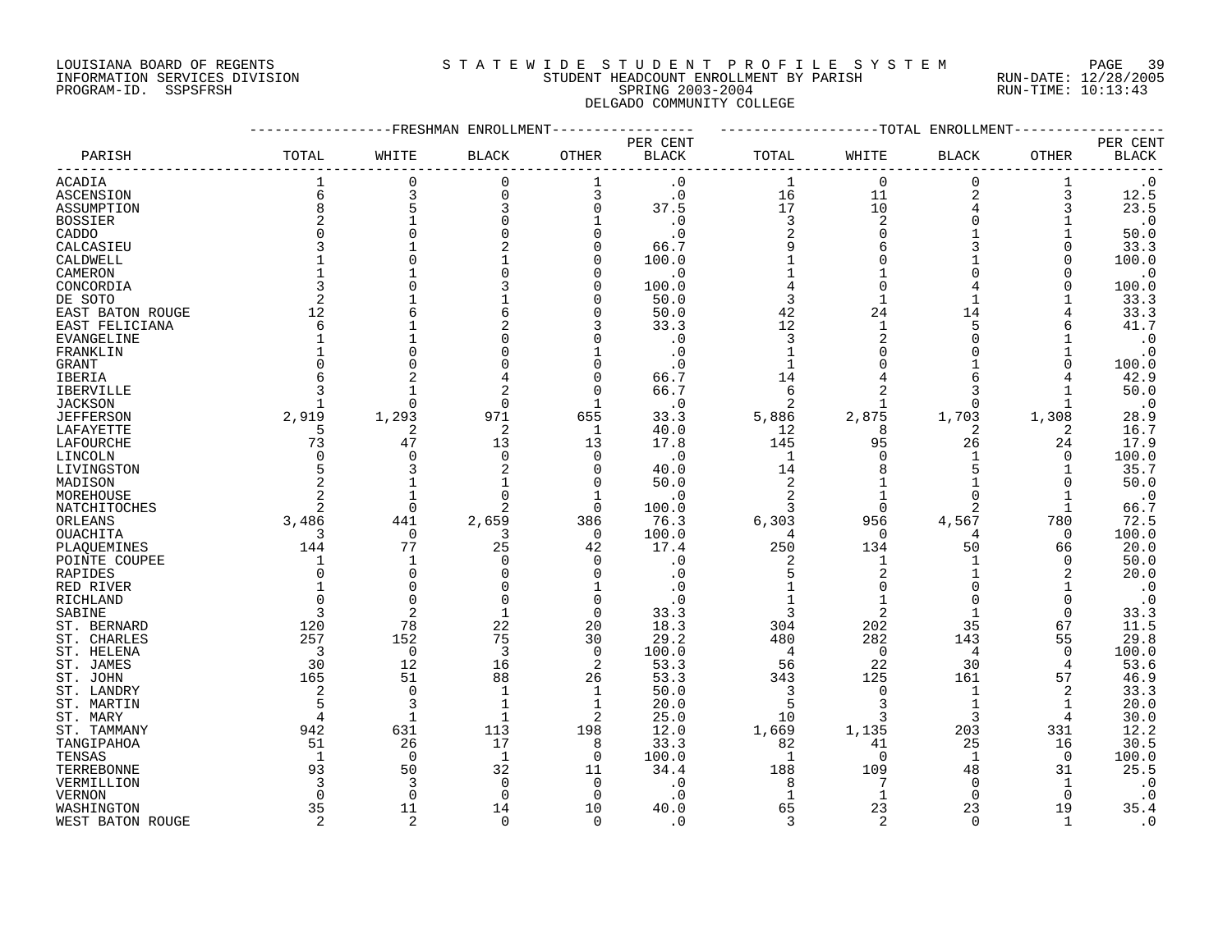# LOUISIANA BOARD OF REGENTS S T A T E W I D E S T U D E N T P R O F I L E S Y S T E M PAGE 39 INFORMATION SERVICES DIVISION STUDENT HEADCOUNT ENROLLMENT BY PARISH RUN-DATE: 12/28/2005 PROGRAM-ID. SSPSFRSH SPRING 2003-2004 RUN-TIME: 10:13:43 DELGADO COMMUNITY COLLEGE

|                  |                | FRESHMAN       | ENROLLMENT   |                |                        |                | -TOTAL         | ENROLLMENT     |              |                        |
|------------------|----------------|----------------|--------------|----------------|------------------------|----------------|----------------|----------------|--------------|------------------------|
|                  |                |                |              |                | PER CENT               |                |                |                |              | PER CENT               |
| PARISH           | TOTAL          | WHITE          | <b>BLACK</b> | <b>OTHER</b>   | $\operatorname{BLACK}$ | TOTAL          | WHITE          | <b>BLACK</b>   | OTHER        | <b>BLACK</b>           |
| <b>ACADIA</b>    |                | $\Omega$       | 0            |                | $\cdot$ 0              | $\mathbf 1$    | $\Omega$       | $\Omega$       |              | $\boldsymbol{\cdot}$ 0 |
| <b>ASCENSION</b> | 6              | 3              | $\Omega$     | 3              | $\cdot$ 0              | 16             | 11             | $\overline{2}$ | 3            | 12.5                   |
| ASSUMPTION       | 8              |                |              | $\Omega$       | 37.5                   | 17             | 10             |                | 3            | 23.5                   |
| <b>BOSSIER</b>   | 2              |                |              |                | . 0                    | 3              | 2              |                |              | $\cdot$ 0              |
| CADDO            | O              |                |              |                |                        | 2              |                |                |              | 50.0                   |
| CALCASIEU        | 3              |                |              |                | 66.7                   | 9              |                |                |              | 33.3                   |
| CALDWELL         |                |                |              | ∩              | 100.0                  |                |                |                | <sup>0</sup> | 100.0                  |
| CAMERON          |                |                |              |                | $\cdot$ 0              |                |                |                |              | $\cdot$ 0              |
| CONCORDIA        | 3              |                |              | n              | 100.0                  |                |                |                | O            | 100.0                  |
|                  | 2              |                |              | $\Omega$       |                        | 3              |                |                |              | 33.3                   |
| DE SOTO          |                |                |              |                | 50.0                   |                |                |                |              |                        |
| EAST BATON ROUGE | 12             |                |              | O              | 50.0                   | 42             | 24             | 14             |              | 33.3                   |
| EAST FELICIANA   | 6              |                |              |                | 33.3                   | 12             |                | 5              |              | 41.7                   |
| EVANGELINE       |                |                |              |                | . 0                    | 3              |                |                |              | $\cdot$ 0              |
| FRANKLIN         |                |                |              |                | . 0                    |                |                |                |              | $\cdot$ 0              |
| <b>GRANT</b>     |                |                |              |                |                        |                |                |                |              | 100.0                  |
| <b>IBERIA</b>    | 6              |                |              | n              | 66.7                   | 14             |                | 6              |              | 42.9                   |
| IBERVILLE        | 3              |                |              | $\Omega$       | 66.7                   | 6              |                | 3              |              | 50.0                   |
| <b>JACKSON</b>   |                | $\cap$         | $\Omega$     |                | $\cdot$ 0              | 2              |                | <sup>0</sup>   |              | $\cdot$ 0              |
| <b>JEFFERSON</b> | 2,919          | 1,293          | 971          | 655            | 33.3                   | 5,886          | 2,875          | 1,703          | 1,308        | 28.9                   |
| LAFAYETTE        | 5              | 2              | 2            | 1              | 40.0                   | 12             | 8              |                | 2            | 16.7                   |
| LAFOURCHE        | 73             | 47             | 13           | 13             | 17.8                   | 145            | 95             | 26             | 24           | 17.9                   |
| LINCOLN          | $\Omega$       | $\bigcap$      | $\Omega$     | $\Omega$       | . 0                    | $\mathbf{1}$   |                |                | $\Omega$     | 100.0                  |
| LIVINGSTON       | 5              |                |              | n              | 40.0                   | 14             |                |                |              | 35.7                   |
| MADISON          | 2              |                |              | $\Omega$       | 50.0                   | $\overline{2}$ |                |                |              | 50.0                   |
| MOREHOUSE        | $\overline{2}$ |                |              | -1             | . 0                    | $\overline{c}$ |                |                |              | $\cdot$ 0              |
| NATCHITOCHES     | 2              | $\overline{0}$ | 2            | $\Omega$       | 100.0                  | 3              | $\Omega$       | 2              | 1            | 66.7                   |
| ORLEANS          | 3,486          | 441            | 2,659        | 386            | 76.3                   | 6,303          | 956            | 4,567          | 780          | 72.5                   |
| <b>OUACHITA</b>  | 3              | 0              | 3            | $\Omega$       | 100.0                  | 4              | $\cap$         |                | $\Omega$     | 100.0                  |
| PLAQUEMINES      | 144            | 77             | 25           | 42             | 17.4                   | 250            | 134            | 50             | 66           | 20.0                   |
| POINTE COUPEE    |                |                | $\Omega$     | n              | $\cdot$ 0              |                |                |                | $\Omega$     | 50.0                   |
| RAPIDES          | 0              | $\Omega$       |              | n              | . 0                    |                |                |                | 2            | 20.0                   |
| RED RIVER        |                | $\bigcap$      |              |                |                        |                |                |                |              | $\cdot$ 0              |
|                  | U              | $\bigcap$      |              | n              |                        |                |                |                | $\Omega$     |                        |
| RICHLAND         |                |                |              |                |                        |                |                |                |              | $\cdot$ 0              |
| SABINE           | 3              |                |              | $\Omega$       | 33.3                   |                | $\overline{2}$ |                | $\Omega$     | 33.3                   |
| ST. BERNARD      | 120            | 78             | 22           | 20             | 18.3                   | 304            | 202            | 35             | 67           | 11.5                   |
| ST. CHARLES      | 257            | 152            | 75           | 30             | 29.2                   | 480            | 282            | 143            | 55           | 29.8                   |
| ST. HELENA       | 3              | $\mathbf 0$    | 3            | $\overline{0}$ | 100.0                  | 4              | $\mathbf 0$    | 4              | $\Omega$     | 100.0                  |
| ST. JAMES        | 30             | 12             | 16           | 2              | 53.3                   | 56             | 22             | 30             | 4            | 53.6                   |
| ST. JOHN         | 165            | 51             | 88           | 26             | 53.3                   | 343            | 125            | 161            | 57           | 46.9                   |
| ST. LANDRY       | 2              | $\bigcap$      |              | 1              | 50.0                   | 3              | O              |                | 2            | 33.3                   |
| ST. MARTIN       | 5              | 3              |              | $\mathbf{1}$   | 20.0                   | 5              |                |                |              | 20.0                   |
| ST. MARY         | 4              | $\mathbf{1}$   | $\mathbf{1}$ | 2              | 25.0                   | 10             | 3              | 3              | 4            | 30.0                   |
| ST. TAMMANY      | 942            | 631            | 113          | 198            | 12.0                   | 1,669          | 1,135          | 203            | 331          | 12.2                   |
| TANGIPAHOA       | 51             | 26             | 17           | 8              | 33.3                   | 82             | 41             | 25             | 16           | 30.5                   |
| TENSAS           | 1              | $\Omega$       | $\mathbf{1}$ | $\Omega$       | 100.0                  | 1              | $\Omega$       | $\mathbf{1}$   | 0            | 100.0                  |
| TERREBONNE       | 93             | 50             | 32           | 11             | 34.4                   | 188            | 109            | 48             | 31           | 25.5                   |
| VERMILLION       | 3              | 3              | $\Omega$     | $\Omega$       | . 0                    | 8              | 7              | $\Omega$       | 1            | $\cdot$ 0              |
| <b>VERNON</b>    | $\Omega$       | $\Omega$       | $\Omega$     | $\Omega$       | $\cdot$ 0              | $\mathbf{1}$   | 1              | $\Omega$       | $\Omega$     | $\cdot$ 0              |
| WASHINGTON       | 35             | 11             | 14           | 10             | 40.0                   | 65             | 23             | 23             | 19           | 35.4                   |
| WEST BATON ROUGE | $\overline{2}$ | $\overline{2}$ | $\Omega$     | $\Omega$       | $\cdot$ 0              | 3              | 2              | $\Omega$       | $\mathbf{1}$ | $\cdot$ 0              |
|                  |                |                |              |                |                        |                |                |                |              |                        |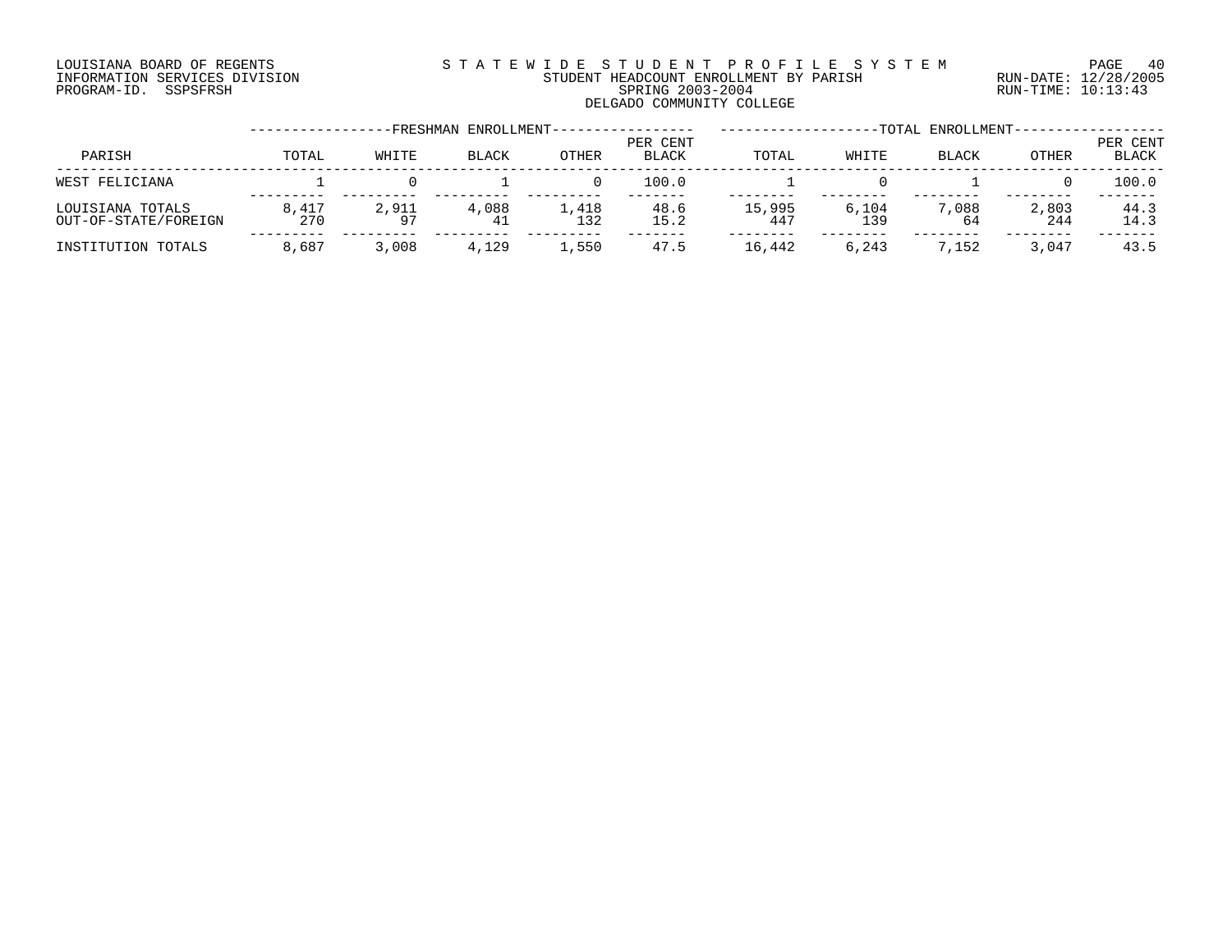# LOUISIANA BOARD OF REGENTS S T A T E W I D E S T U D E N T P R O F I L E S Y S T E M PAGE 40 INFORMATION SERVICES DIVISION STUDENT HEADCOUNT ENROLLMENT BY PARISH RUN-DATE: 12/28/2005 PROGRAM-ID. SSPSFRSH SPRING 2003-2004 RUN-TIME: 10:13:43 DELGADO COMMUNITY COLLEGE

|                                          |              |             | -FRESHMAN ENROLLMENT- |              |                          |               |              | -TOTAL ENROLLMENT- |              |                   |
|------------------------------------------|--------------|-------------|-----------------------|--------------|--------------------------|---------------|--------------|--------------------|--------------|-------------------|
| PARISH                                   | TOTAL        | WHITE       | BLACK                 | OTHER        | PER CENT<br><b>BLACK</b> | TOTAL         | WHITE        | BLACK              | OTHER        | PER CENT<br>BLACK |
| WEST FELICIANA                           |              |             |                       |              | 100.0                    |               |              |                    |              | 100.0             |
| LOUISIANA TOTALS<br>OUT-OF-STATE/FOREIGN | 8,417<br>270 | 2,911<br>97 | 4,088<br>41           | 1,418<br>132 | 48.6<br>15.2             | 15,995<br>447 | 6,104<br>139 | 7,088<br>64        | 2,803<br>244 | 44.3<br>14.3      |
| INSTITUTION TOTALS                       | 8,687        | 3,008       | 4,129                 | 1,550        | 47.5                     | 16,442        | 6,243        | 7,152              | 3,047        | 43.5              |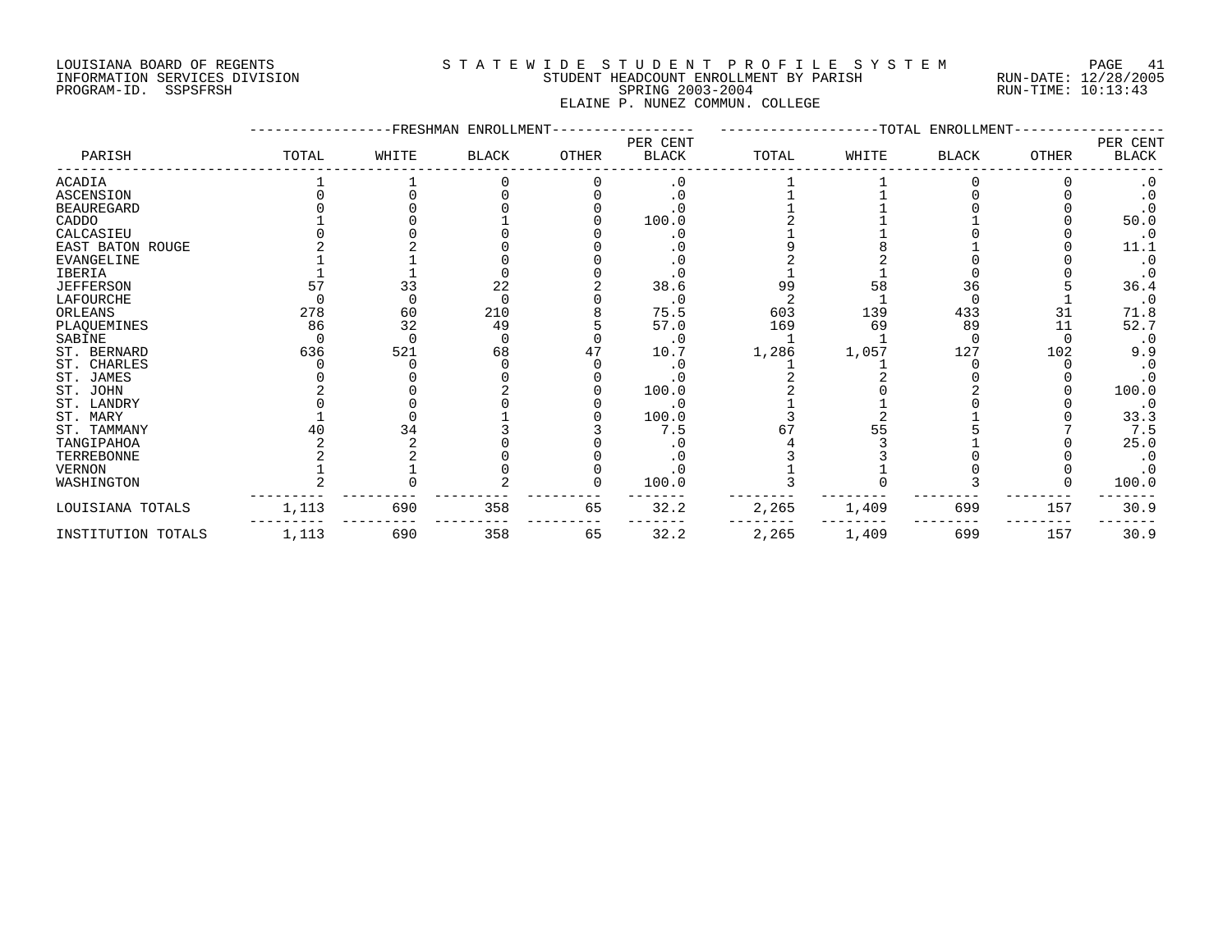# LOUISIANA BOARD OF REGENTS S T A T E W I D E S T U D E N T P R O F I L E S Y S T E M PAGE 41 INFORMATION SERVICES DIVISION STUDENT HEADCOUNT ENROLLMENT BY PARISH RUN-DATE: 12/28/2005 PROGRAM-ID. SSPSFRSH SPRING 2003-2004 RUN-TIME: 10:13:43 ELAINE P. NUNEZ COMMUN. COLLEGE

|                    |       |       | FRESHMAN ENROLLMENT |       |                          |       |       | -TOTAL ENROLLMENT |       |                          |
|--------------------|-------|-------|---------------------|-------|--------------------------|-------|-------|-------------------|-------|--------------------------|
| PARISH             | TOTAL | WHITE | <b>BLACK</b>        | OTHER | PER CENT<br><b>BLACK</b> | TOTAL | WHITE | BLACK             | OTHER | PER CENT<br><b>BLACK</b> |
| ACADIA             |       |       |                     |       | . 0                      |       |       |                   |       |                          |
| <b>ASCENSION</b>   |       |       |                     |       |                          |       |       |                   |       |                          |
| <b>BEAUREGARD</b>  |       |       |                     |       |                          |       |       |                   |       |                          |
| CADDO              |       |       |                     |       | 100.0                    |       |       |                   |       | 50.0                     |
| CALCASIEU          |       |       |                     |       | . 0                      |       |       |                   |       | $\cdot$ 0                |
| EAST BATON ROUGE   |       |       |                     |       |                          |       |       |                   |       | 11.1                     |
| EVANGELINE         |       |       |                     |       |                          |       |       |                   |       | $\cdot$ 0                |
| IBERIA             |       |       |                     |       | . 0                      |       |       |                   |       |                          |
| <b>JEFFERSON</b>   | 57    | 33    | 22                  |       | 38.6                     | 99    | 58    | 36                |       | 36.4                     |
| LAFOURCHE          |       |       |                     |       | $\cdot$ 0                |       |       |                   |       | $\cdot$ 0                |
| ORLEANS            | 278   | 60    | 210                 |       | 75.5                     | 603   | 139   | 433               | 31    | 71.8                     |
| PLAQUEMINES        | 86    | 32    | 49                  |       | 57.0                     | 169   | 69    | 89                | 11    | 52.7                     |
| SABINE             |       |       |                     |       | $\cdot$ 0                |       |       |                   |       | $\cdot$ 0                |
| ST. BERNARD        | 636   | 521   | 68                  |       | 10.7                     | 1,286 | 1,057 | 127               | 102   | 9.9                      |
| ST. CHARLES        |       |       |                     |       |                          |       |       |                   |       |                          |
| ST. JAMES          |       |       |                     |       |                          |       |       |                   |       |                          |
| ST. JOHN           |       |       |                     |       | 100.0                    |       |       |                   |       | 100.0                    |
| ST. LANDRY         |       |       |                     |       | . 0                      |       |       |                   |       | $\cdot$ 0                |
| ST. MARY           |       |       |                     |       | 100.0                    |       |       |                   |       | 33.3                     |
| ST. TAMMANY        |       | 34    |                     |       | 7.5                      |       |       |                   |       | 7.5                      |
| TANGIPAHOA         |       |       |                     |       |                          |       |       |                   |       | 25.0                     |
| TERREBONNE         |       |       |                     |       |                          |       |       |                   |       |                          |
| <b>VERNON</b>      |       |       |                     |       | $\cdot$ 0                |       |       |                   |       |                          |
| WASHINGTON         |       |       |                     |       | 100.0                    |       |       |                   |       | 100.0                    |
| LOUISIANA TOTALS   | 1,113 | 690   | 358                 | 65    | 32.2                     | 2,265 | 1,409 | 699               | 157   | 30.9                     |
| INSTITUTION TOTALS | 1,113 | 690   | 358                 | 65    | 32.2                     | 2,265 | 1,409 | 699               | 157   | 30.9                     |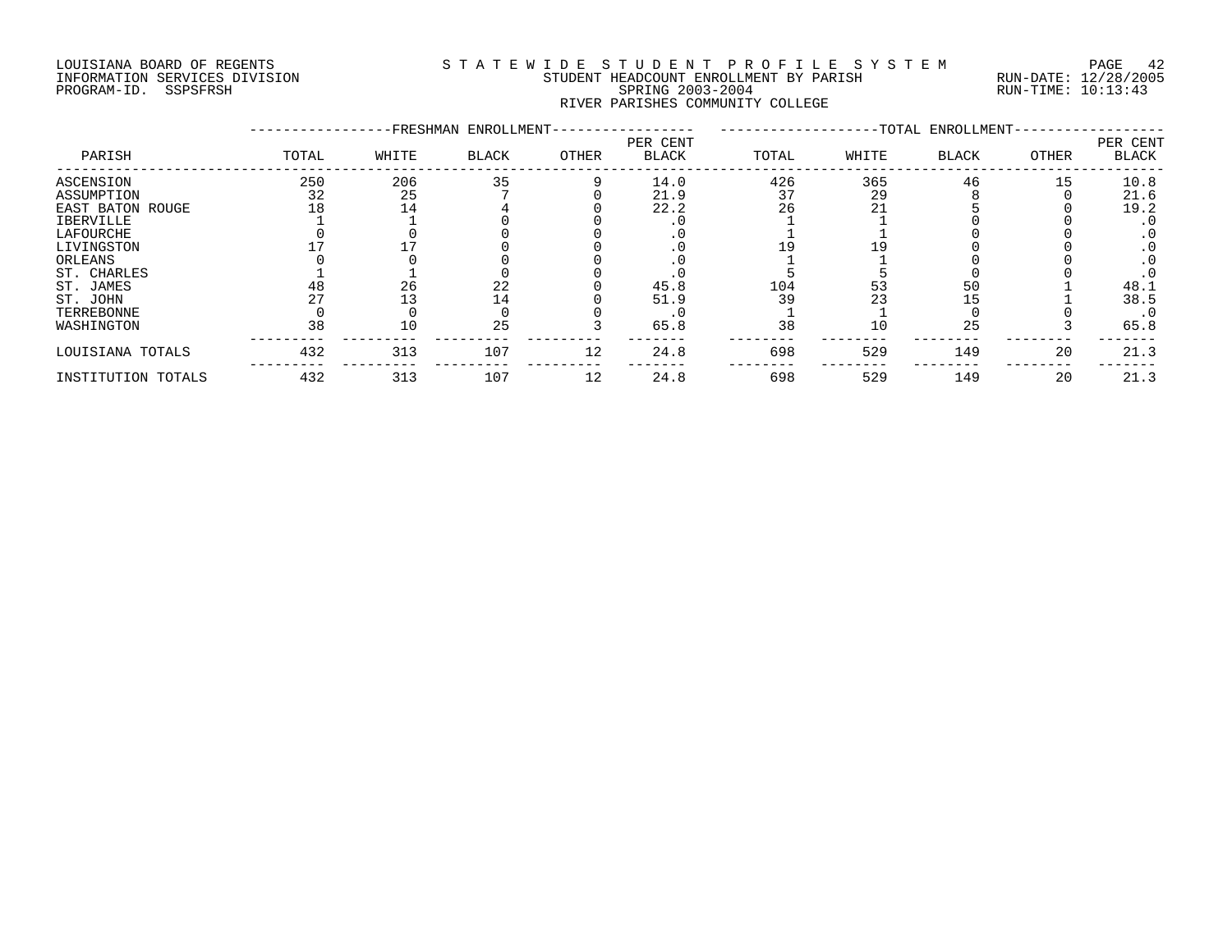# LOUISIANA BOARD OF REGENTS S T A T E W I D E S T U D E N T P R O F I L E S Y S T E M PAGE 42 INFORMATION SERVICES DIVISION STUDENT HEADCOUNT ENROLLMENT BY PARISH RUN-DATE: 12/28/2005 PROGRAM-ID. SSPSFRSH SPRING 2003-2004 RUN-TIME: 10:13:43 RIVER PARISHES COMMUNITY COLLEGE

|                    |       |       | -FRESHMAN ENROLLMENT- |       |                          |       |       | -TOTAL ENROLLMENT- |       |                          |
|--------------------|-------|-------|-----------------------|-------|--------------------------|-------|-------|--------------------|-------|--------------------------|
| PARISH             | TOTAL | WHITE | BLACK                 | OTHER | PER CENT<br><b>BLACK</b> | TOTAL | WHITE | <b>BLACK</b>       | OTHER | PER CENT<br><b>BLACK</b> |
| <b>ASCENSION</b>   | 250   | 206   | 35                    |       | 14.0                     | 426   | 365   | 46                 | 15    | 10.8                     |
| ASSUMPTION         | 32    | 25    |                       |       | 21.9                     | 37    | 29    |                    |       | 21.6                     |
| EAST BATON ROUGE   | l 8   | 14    |                       |       | 22.2                     | 26    | 21    |                    |       | 19.2                     |
| IBERVILLE          |       |       |                       |       |                          |       |       |                    |       | . 0                      |
| LAFOURCHE          |       |       |                       |       |                          |       |       |                    |       | $\cdot$ 0                |
| LIVINGSTON         |       |       |                       |       |                          |       |       |                    |       |                          |
| ORLEANS            |       |       |                       |       |                          |       |       |                    |       | . 0                      |
| ST. CHARLES        |       |       |                       |       |                          |       |       |                    |       |                          |
| ST. JAMES          |       | 26    | 22                    |       | 45.8                     | 104   | 53    | 50                 |       | 48.1                     |
| ST. JOHN           |       |       | 14                    |       | 51.9                     | 39    | 23    | .5                 |       | 38.5                     |
| TERREBONNE         |       |       |                       |       |                          |       |       |                    |       | $\cdot$ 0                |
| WASHINGTON         | 38    | 10    | 25                    |       | 65.8                     | 38    | 10    | 25                 |       | 65.8                     |
| LOUISIANA TOTALS   | 432   | 313   | 107                   | 12    | 24.8                     | 698   | 529   | 149                | 20    | 21.3                     |
| INSTITUTION TOTALS | 432   | 313   | 107                   | 12    | 24.8                     | 698   | 529   | 149                | 20    | 21.3                     |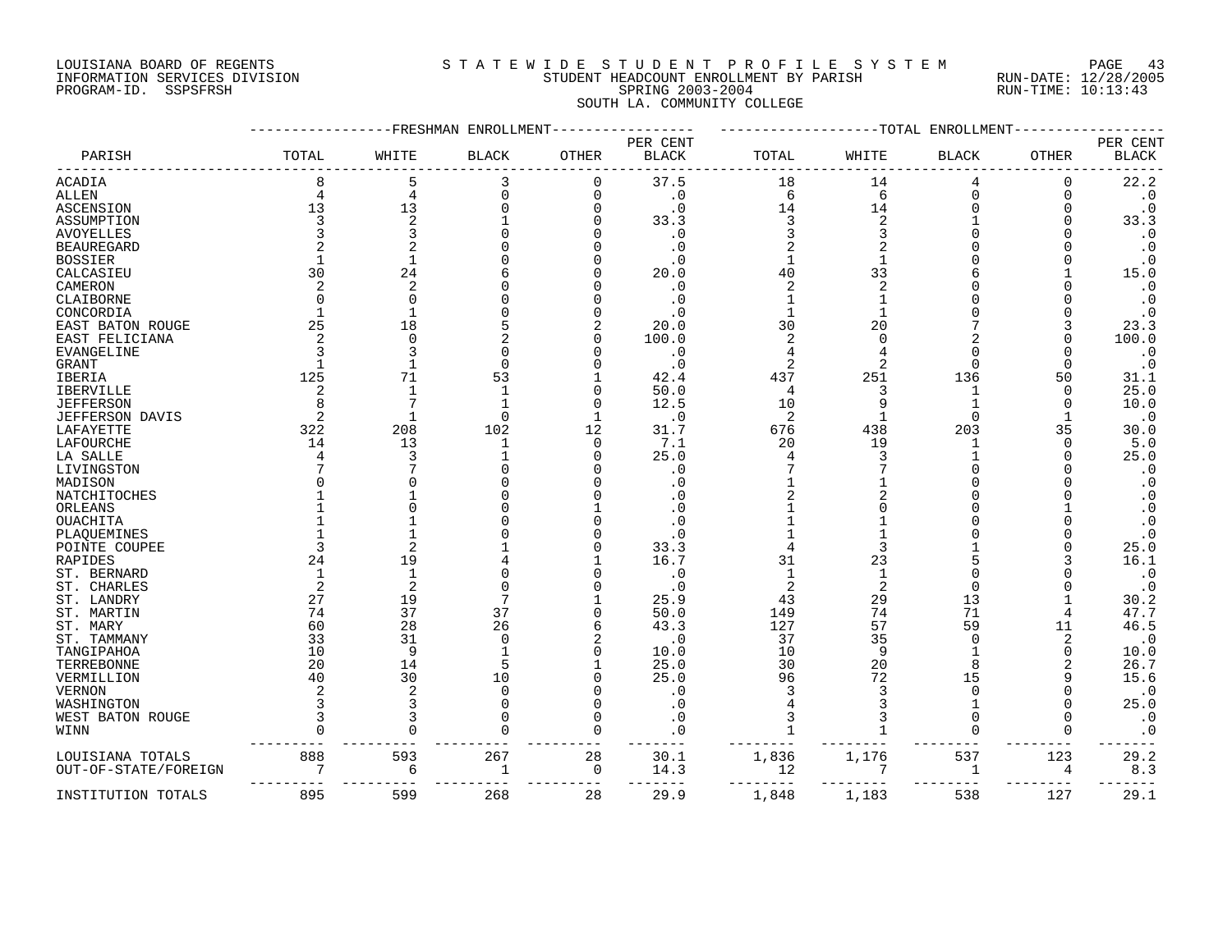# LOUISIANA BOARD OF REGENTS S T A T E W I D E S T U D E N T P R O F I L E S Y S T E M PAGE 43 INFORMATION SERVICES DIVISION STUDENT HEADCOUNT ENROLLMENT BY PARISH RUN-DATE: 12/28/2005 PROGRAM-ID. SSPSFRSH SPRING 2003-2004 RUN-TIME: 10:13:43 SOUTH LA. COMMUNITY COLLEGE

|                           |       | -FRESHMAN          | ENROLLMEN    |          |                          |       | -TOTAL | ENROLLMENT   |              |                                     |
|---------------------------|-------|--------------------|--------------|----------|--------------------------|-------|--------|--------------|--------------|-------------------------------------|
| PARISH                    | TOTAL | WHITE              | <b>BLACK</b> | OTHER    | PER CENT<br><b>BLACK</b> | TOTAL | WHITE  | <b>BLACK</b> | <b>OTHER</b> | PER CENT<br><b>BLACK</b>            |
| ACADIA                    | 8     | 5                  | 3            | 0        | 37.5                     | 18    | 14     | 4            | 0            | 22.2                                |
| ALLEN                     | 4     | $\overline{4}$     | $\Omega$     | 0        | $\cdot$ 0                | 6     | 6      | $\Omega$     | 0            | $\boldsymbol{\cdot}$ 0              |
| <b>ASCENSION</b>          | 13    | 13                 |              |          | . 0                      | 14    | 14     |              |              | $\boldsymbol{\cdot}$ 0              |
| ASSUMPTION                |       | 2                  |              |          | 33.3                     | 3     | 2      |              |              | 33.3                                |
| AVOYELLES                 |       | 3                  |              |          | . 0                      |       |        |              |              | $\cdot$ 0                           |
| <b>BEAUREGARD</b>         |       |                    |              |          | . 0                      |       |        |              |              | $\cdot$ 0                           |
| <b>BOSSIER</b>            |       | 1                  |              |          | . 0                      |       |        |              |              | $\cdot$ 0                           |
| CALCASIEU                 | 30    | 24                 |              |          | 20.0                     | 40    | 33     |              |              | 15.0                                |
| CAMERON                   |       | 2                  |              |          | . 0                      | 2     |        |              |              | $\cdot$ 0                           |
| CLAIBORNE                 |       | $\Omega$           |              |          | . 0                      |       |        |              |              | $\cdot$ 0                           |
| CONCORDIA                 |       | -1                 |              |          | . 0                      |       |        |              |              | $\cdot$ 0                           |
| EAST BATON ROUGE          | 25    | 18                 |              |          | 20.0                     | 30    | 20     |              |              | 23.3                                |
| EAST FELICIANA            |       | $\Omega$           |              |          | 100.0                    |       |        |              |              | 100.0                               |
| EVANGELINE                |       | 3                  |              |          | . 0                      |       |        |              |              | $\cdot$ 0                           |
| GRANT                     |       | $\mathbf{1}$       |              |          | . 0                      |       |        |              |              | $\cdot$ 0                           |
| IBERIA                    | 125   | 71                 | 53           |          | 42.4                     | 437   | 251    | 136          | 50           | 31.1                                |
| IBERVILLE                 |       | -1                 |              | Ω        | 50.0                     | 4     |        |              | ∩            | 25.0                                |
| <b>JEFFERSON</b>          |       | 7                  |              |          | 12.5                     | 10    |        |              | O            | 10.0                                |
| JEFFERSON DAVIS           |       | $\mathbf{1}$       | $\Omega$     |          | . 0                      | 2     |        | $\Omega$     |              | $\cdot$ 0                           |
| LAFAYETTE                 | 322   | 208                | 102          | 12       | 31.7                     | 676   | 438    | 203          | 35           | 30.0                                |
| LAFOURCHE                 | 14    | 13                 | -1           | $\Omega$ | 7.1                      | 20    | 19     | 1            | ∩            | 5.0                                 |
| LA SALLE                  |       | 3                  |              | U        | 25.0                     |       |        |              |              | 25.0                                |
| LIVINGSTON                |       |                    |              |          | . 0                      |       |        |              |              | $\cdot$ 0                           |
| MADISON                   |       | ∩                  |              |          | . 0                      |       |        |              |              | $\cdot$ 0                           |
| NATCHITOCHES              |       |                    |              |          |                          |       |        |              |              | $\cdot$ 0                           |
| ORLEANS                   |       |                    |              |          |                          |       |        |              |              | $\cdot$ 0                           |
| OUACHITA                  |       |                    |              |          |                          |       |        |              |              | $\cdot$ 0                           |
| PLAQUEMINES               |       | $\overline{2}$     |              |          |                          |       |        |              |              | $\cdot$ 0                           |
| POINTE COUPEE             |       |                    |              |          | 33.3                     |       |        |              |              | 25.0<br>16.1                        |
| RAPIDES                   | 24    | 19<br>$\mathbf{1}$ |              |          | 16.7                     | 31    | 23     |              |              |                                     |
| ST. BERNARD               |       | 2                  |              |          | . 0<br>. 0               |       |        |              |              | $\cdot$ 0<br>$\boldsymbol{\cdot}$ 0 |
| ST. CHARLES<br>ST. LANDRY | 27    | 19                 |              |          | 25.9                     | 43    | 29     | 13           |              | 30.2                                |
| ST. MARTIN                | 74    | 37                 | 37           | U        | 50.0                     | 149   | 74     | 71           |              | 47.7                                |
|                           | 60    | 28                 | 26           |          | 43.3                     | 127   | 57     | 59           | 11           | 46.5                                |
| ST. MARY<br>ST. TAMMANY   | 33    | 31                 | ∩            |          | . 0                      | 37    | 35     | $\Omega$     | 2            | $\cdot$ 0                           |
| TANGIPAHOA                | 10    | 9                  |              |          | 10.0                     | 10    | 9      |              |              | 10.0                                |
| TERREBONNE                | 20    | 14                 |              |          | 25.0                     | 30    | 20     |              |              | 26.7                                |
| VERMILLION                | 40    | 30                 | 10           |          | 25.0                     | 96    | 72     | 15           |              | 15.6                                |
| VERNON                    |       | 2                  | $\cap$       |          | . 0                      |       |        | U            |              | $\cdot$ 0                           |
| WASHINGTON                |       | 3                  |              |          | . 0                      |       |        |              |              | 25.0                                |
| WEST BATON ROUGE          |       |                    |              | U        | . 0                      | 3     |        | <sup>n</sup> |              | $\cdot$ 0                           |
| WINN                      |       | U                  |              | U        | . 0                      |       |        | <sup>n</sup> |              | $\cdot$ 0                           |
|                           |       |                    |              |          |                          |       |        |              |              |                                     |
| LOUISIANA TOTALS          | 888   | 593                | 267          | 28       | 30.1                     | 1,836 | 1,176  | 537          | 123          | 29.2                                |
| OUT-OF-STATE/FOREIGN      |       | 6                  | -1           | 0        | 14.3                     | 12    |        | 1            | 4            | 8.3                                 |
| INSTITUTION TOTALS        | 895   | 599                | 268          | 28       | 29.9                     | 1,848 | 1,183  | 538          | 127          | 29.1                                |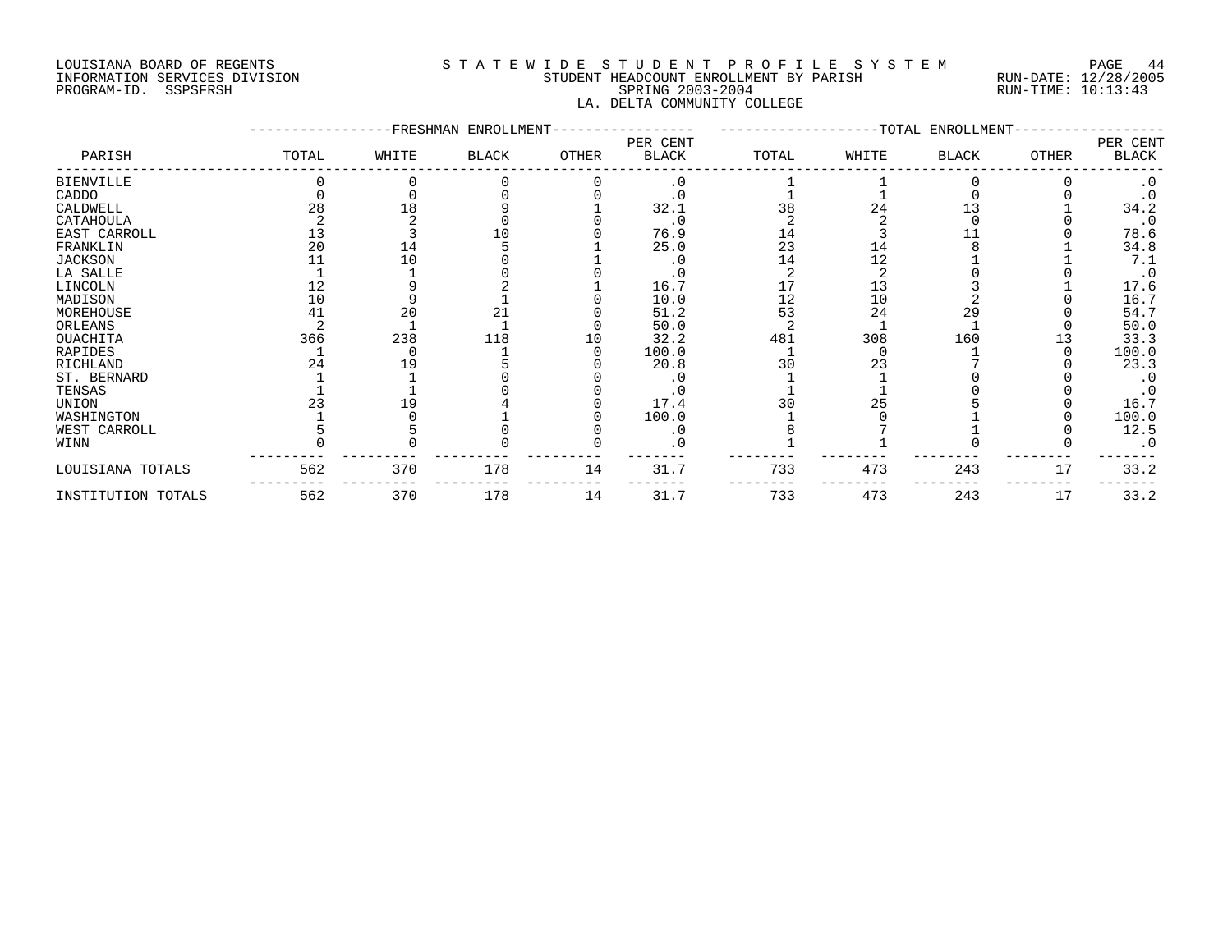# LOUISIANA BOARD OF REGENTS S T A T E W I D E S T U D E N T P R O F I L E S Y S T E M PAGE 44 INFORMATION SERVICES DIVISION STUDENT HEADCOUNT ENROLLMENT BY PARISH RUN-DATE: 12/28/2005 PROGRAM-ID. SSPSFRSH SPRING 2003-2004 RUN-TIME: 10:13:43 LA. DELTA COMMUNITY COLLEGE

|                    |       |       | FRESHMAN ENROLLMENT |       |                          |       |       | -TOTAL ENROLLMENT |              |                   |
|--------------------|-------|-------|---------------------|-------|--------------------------|-------|-------|-------------------|--------------|-------------------|
| PARISH             | TOTAL | WHITE | <b>BLACK</b>        | OTHER | PER CENT<br><b>BLACK</b> | TOTAL | WHITE | BLACK             | <b>OTHER</b> | PER CENT<br>BLACK |
| <b>BIENVILLE</b>   |       |       |                     |       | $\cdot$ 0                |       |       |                   |              |                   |
| CADDO              |       |       |                     |       |                          |       |       |                   |              |                   |
| CALDWELL           | 28    | 18    |                     |       | 32.1                     | 38    | 24    |                   |              | 34.2              |
| CATAHOULA          |       |       |                     |       | . 0                      |       |       |                   |              | $\cdot$ 0         |
| EAST CARROLL       | 13    |       |                     |       | 76.9                     | 14    |       |                   |              | 78.6              |
| FRANKLIN           | 20    | 14    |                     |       | 25.0                     | 23    | 14    |                   |              | 34.8              |
| JACKSON            |       | 10    |                     |       |                          | 14    | 12    |                   |              | 7.1               |
| LA SALLE           |       |       |                     |       |                          |       |       |                   |              | $\cdot$ 0         |
| LINCOLN            |       |       |                     |       | 16.7                     |       |       |                   |              | 17.6              |
| MADISON            | 10    |       |                     |       | 10.0                     | 12    | 10    |                   |              | 16.7              |
| MOREHOUSE          |       | 20    |                     |       | 51.2                     | 53    | 24    | 29                |              | 54.7              |
| ORLEANS            |       |       |                     |       | 50.0                     |       |       |                   |              | 50.0              |
| <b>OUACHITA</b>    | 366   | 238   | 118                 | 10    | 32.2                     | 481   | 308   | 160               |              | 33.3              |
| RAPIDES            |       |       |                     |       | 100.0                    |       |       |                   |              | 100.0             |
| RICHLAND           | 24    | L 9   |                     |       | 20.8                     | 30    | 23    |                   |              | 23.3              |
| ST. BERNARD        |       |       |                     |       |                          |       |       |                   |              |                   |
| TENSAS             |       |       |                     |       |                          |       |       |                   |              |                   |
| UNION              |       | 19    |                     |       | 17.4                     |       | 25    |                   |              | 16.7              |
| WASHINGTON         |       |       |                     |       | 100.0                    |       |       |                   |              | 100.0             |
| WEST CARROLL       |       |       |                     |       | . 0                      |       |       |                   |              | 12.5              |
| WINN               |       |       |                     |       |                          |       |       |                   |              |                   |
| LOUISIANA TOTALS   | 562   | 370   | 178                 | 14    | 31.7                     | 733   | 473   | 243               | 17           | 33.2              |
| INSTITUTION TOTALS | 562   | 370   | 178                 | 14    | 31.7                     | 733   | 473   | 243               | 17           | 33.2              |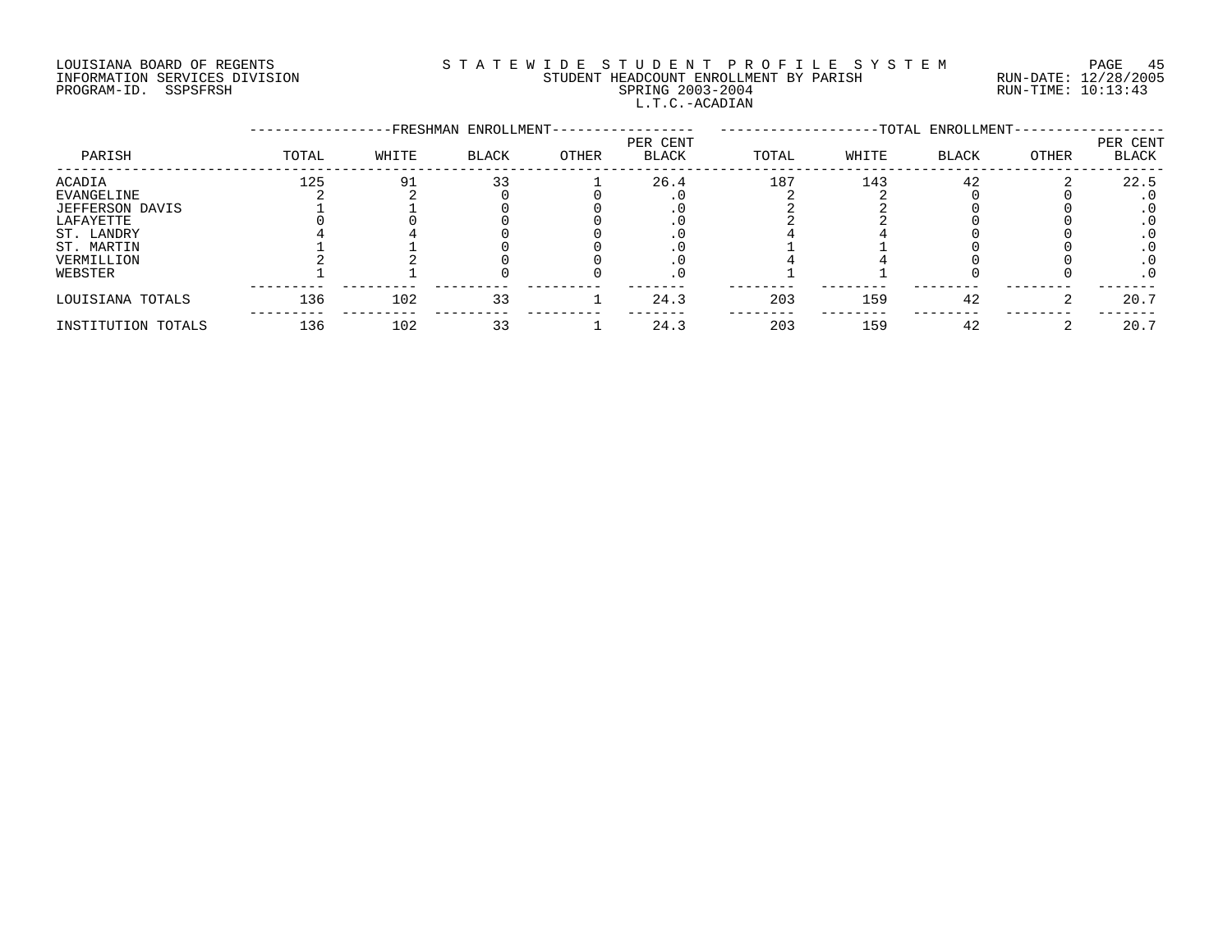# LOUISIANA BOARD OF REGENTS S T A T E W I D E S T U D E N T P R O F I L E S Y S T E M PAGE 45 INFORMATION SERVICES DIVISION STUDENT HEADCOUNT ENROLLMENT BY PARISH RUN-DATE: 12/28/2005 PROGRAM-ID. SSPSFRSH SPRING 2003-2004 RUN-TIME: 10:13:43 L.T.C.-ACADIAN

|                    |       |       | -FRESHMAN ENROLLMENT- |       |                          |       |       | -TOTAL ENROLLMENT- |       |                          |
|--------------------|-------|-------|-----------------------|-------|--------------------------|-------|-------|--------------------|-------|--------------------------|
| PARISH             | TOTAL | WHITE | <b>BLACK</b>          | OTHER | PER CENT<br><b>BLACK</b> | TOTAL | WHITE | <b>BLACK</b>       | OTHER | PER CENT<br><b>BLACK</b> |
| ACADIA             | 125   | g.    | 33                    |       | 26.4                     | 187   | 143   | 42                 |       | 22.5                     |
| EVANGELINE         |       |       |                       |       |                          |       |       |                    |       |                          |
| JEFFERSON DAVIS    |       |       |                       |       |                          |       |       |                    |       |                          |
| LAFAYETTE          |       |       |                       |       |                          |       |       |                    |       |                          |
| ST. LANDRY         |       |       |                       |       |                          |       |       |                    |       |                          |
| ST. MARTIN         |       |       |                       |       |                          |       |       |                    |       |                          |
| VERMILLION         |       |       |                       |       |                          |       |       |                    |       |                          |
| WEBSTER            |       |       |                       |       |                          |       |       |                    |       | . 0                      |
| LOUISIANA TOTALS   | 136   | 102   | 33                    |       | 24.3                     | 203   | 159   | 42                 |       | 20.7                     |
| INSTITUTION TOTALS | 136   | 102   | 33                    |       | 24.3                     | 203   | 159   | 42                 |       | 20.7                     |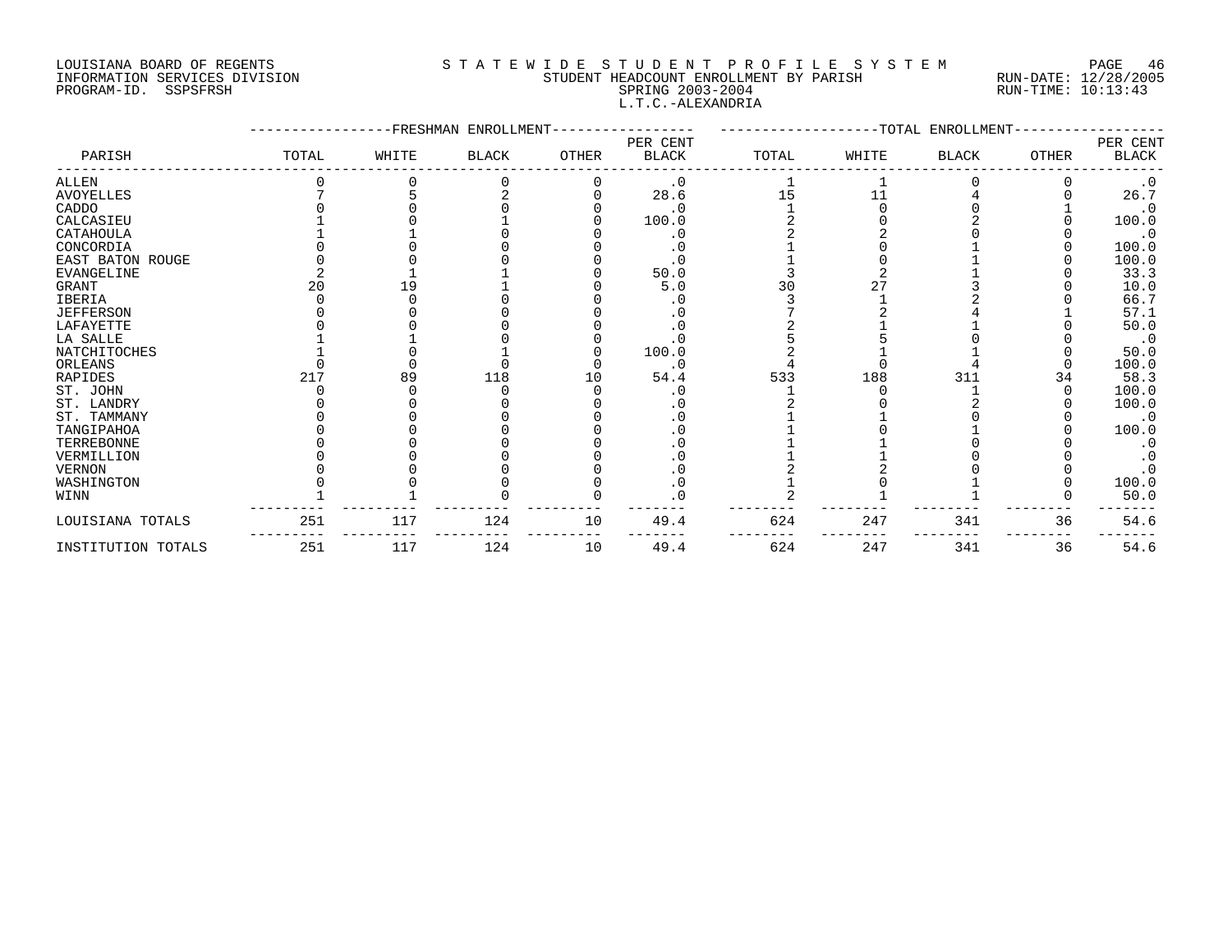# LOUISIANA BOARD OF REGENTS S T A T E W I D E S T U D E N T P R O F I L E S Y S T E M PAGE 46 INFORMATION SERVICES DIVISION STUDENT HEADCOUNT ENROLLMENT BY PARISH RUN-DATE: 12/28/2005 PROGRAM-ID. SSPSFRSH SPRING 2003-2004 RUN-TIME: 10:13:43 L.T.C.-ALEXANDRIA

| PARISH             | FRESHMAN ENROLLMENT<br>-TOTAL ENROLLMENT<br>PER CENT |       |              |       |              |       |       |              |       |                          |
|--------------------|------------------------------------------------------|-------|--------------|-------|--------------|-------|-------|--------------|-------|--------------------------|
|                    | TOTAL                                                | WHITE | <b>BLACK</b> | OTHER | <b>BLACK</b> | TOTAL | WHITE | <b>BLACK</b> | OTHER | PER CENT<br><b>BLACK</b> |
| ALLEN              |                                                      |       |              |       | $\cdot$ 0    |       |       |              |       |                          |
| <b>AVOYELLES</b>   |                                                      |       |              |       | 28.6         | 15    | 11    |              |       | 26.7                     |
| CADDO              |                                                      |       |              |       | $\cdot$ 0    |       |       |              |       | $\cdot$ 0                |
| CALCASIEU          |                                                      |       |              |       | 100.0        |       |       |              |       | 100.0                    |
| CATAHOULA          |                                                      |       |              |       | $\cdot$ 0    |       |       |              |       | $\cdot$ 0                |
| CONCORDIA          |                                                      |       |              |       |              |       |       |              |       | 100.0                    |
| EAST BATON ROUGE   |                                                      |       |              |       | . 0          |       |       |              |       | 100.0                    |
| EVANGELINE         |                                                      |       |              |       | 50.0         |       |       |              |       | 33.3                     |
| GRANT              | 20                                                   | 19    |              |       | 5.0          | 30    |       |              |       | 10.0                     |
| IBERIA             |                                                      |       |              |       | . 0          |       |       |              |       | 66.7                     |
| <b>JEFFERSON</b>   |                                                      |       |              |       | . 0          |       |       |              |       | 57.1                     |
| LAFAYETTE          |                                                      |       |              |       | . 0          |       |       |              |       | 50.0                     |
| LA SALLE           |                                                      |       |              |       |              |       |       |              |       | $\cdot$ 0                |
| NATCHITOCHES       |                                                      |       |              |       | 100.0        |       |       |              |       | 50.0                     |
| ORLEANS            |                                                      |       |              |       | . 0          |       |       |              |       | 100.0                    |
| RAPIDES            | 217                                                  | 89    | 118          | 10    | 54.4         | 533   | 188   | 311          | 34    | 58.3                     |
| ST. JOHN           |                                                      |       |              |       |              |       |       |              |       | 100.0                    |
| ST. LANDRY         |                                                      |       |              |       |              |       |       |              |       | 100.0                    |
| ST. TAMMANY        |                                                      |       |              |       | . 0          |       |       |              |       | $\cdot$ 0                |
| TANGIPAHOA         |                                                      |       |              |       | $\cdot$ 0    |       |       |              |       | 100.0                    |
| TERREBONNE         |                                                      |       |              |       |              |       |       |              |       | $\cdot$ 0                |
| VERMILLION         |                                                      |       |              |       |              |       |       |              |       | $\cdot$ 0                |
| <b>VERNON</b>      |                                                      |       |              |       | . 0          |       |       |              |       | $\cdot$ 0                |
| WASHINGTON         |                                                      |       |              |       | $\cdot$ 0    |       |       |              |       | 100.0                    |
| WINN               |                                                      |       |              |       | . 0          |       |       |              |       | 50.0                     |
| LOUISIANA TOTALS   | 251                                                  | 117   | 124          | 10    | 49.4         | 624   | 247   | 341          | 36    | 54.6                     |
| INSTITUTION TOTALS | 251                                                  | 117   | 124          | 10    | 49.4         | 624   | 247   | 341          | 36    | 54.6                     |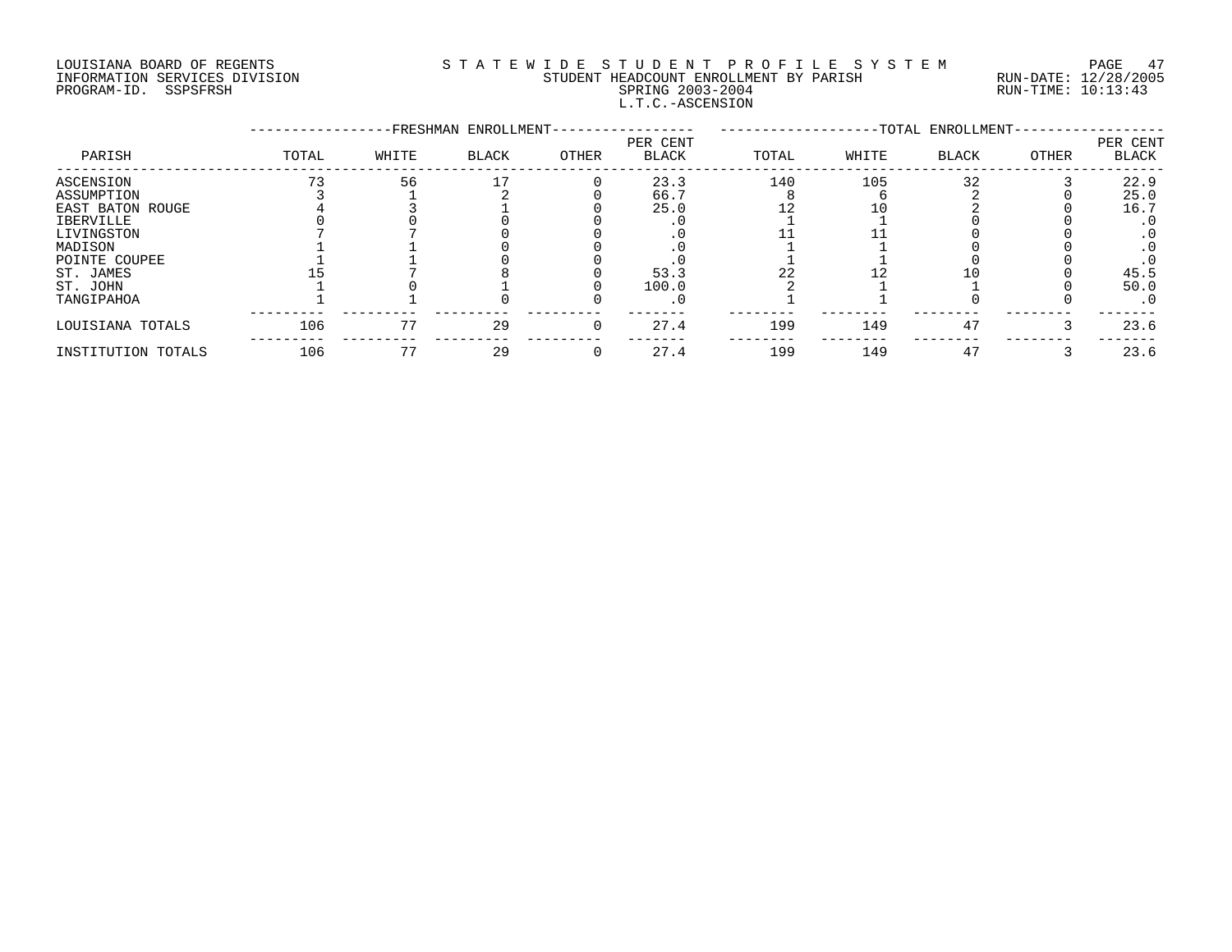# LOUISIANA BOARD OF REGENTS S T A T E W I D E S T U D E N T P R O F I L E S Y S T E M PAGE 47 INFORMATION SERVICES DIVISION STUDENT HEADCOUNT ENROLLMENT BY PARISH RUN-DATE: 12/28/2005 PROGRAM-ID. SSPSFRSH SPRING 2003-2004 RUN-TIME: 10:13:43 L.T.C.-ASCENSION

|                    |       |       | -FRESHMAN ENROLLMENT- |       |                          |       |       | -TOTAL ENROLLMENT- |       |                          |
|--------------------|-------|-------|-----------------------|-------|--------------------------|-------|-------|--------------------|-------|--------------------------|
| PARISH             | TOTAL | WHITE | <b>BLACK</b>          | OTHER | PER CENT<br><b>BLACK</b> | TOTAL | WHITE | <b>BLACK</b>       | OTHER | PER CENT<br><b>BLACK</b> |
| ASCENSION          |       | 56    |                       |       | 23.3                     | 140   | 105   | 32                 |       | 22.9                     |
| ASSUMPTION         |       |       |                       |       | 66.7                     |       |       |                    |       | 25.0                     |
| EAST BATON ROUGE   |       |       |                       |       | 25.0                     |       |       |                    |       | 16.7                     |
| IBERVILLE          |       |       |                       |       |                          |       |       |                    |       | $\cdot$ 0                |
| LIVINGSTON         |       |       |                       |       |                          |       |       |                    |       |                          |
| MADISON            |       |       |                       |       |                          |       |       |                    |       |                          |
| POINTE COUPEE      |       |       |                       |       |                          |       |       |                    |       |                          |
| ST. JAMES          |       |       |                       |       | 53.3                     |       |       |                    |       | 45.5                     |
| ST. JOHN           |       |       |                       |       | 100.0                    |       |       |                    |       | 50.0                     |
| TANGIPAHOA         |       |       |                       |       |                          |       |       |                    |       | . 0                      |
| LOUISIANA TOTALS   | 106   | 77    | 29                    | 0     | 27.4                     | 199   | 149   | 47                 |       | 23.6                     |
| INSTITUTION TOTALS | 106   | 77    | 29                    |       | 27.4                     | 199   | 149   | 47                 |       | 23.6                     |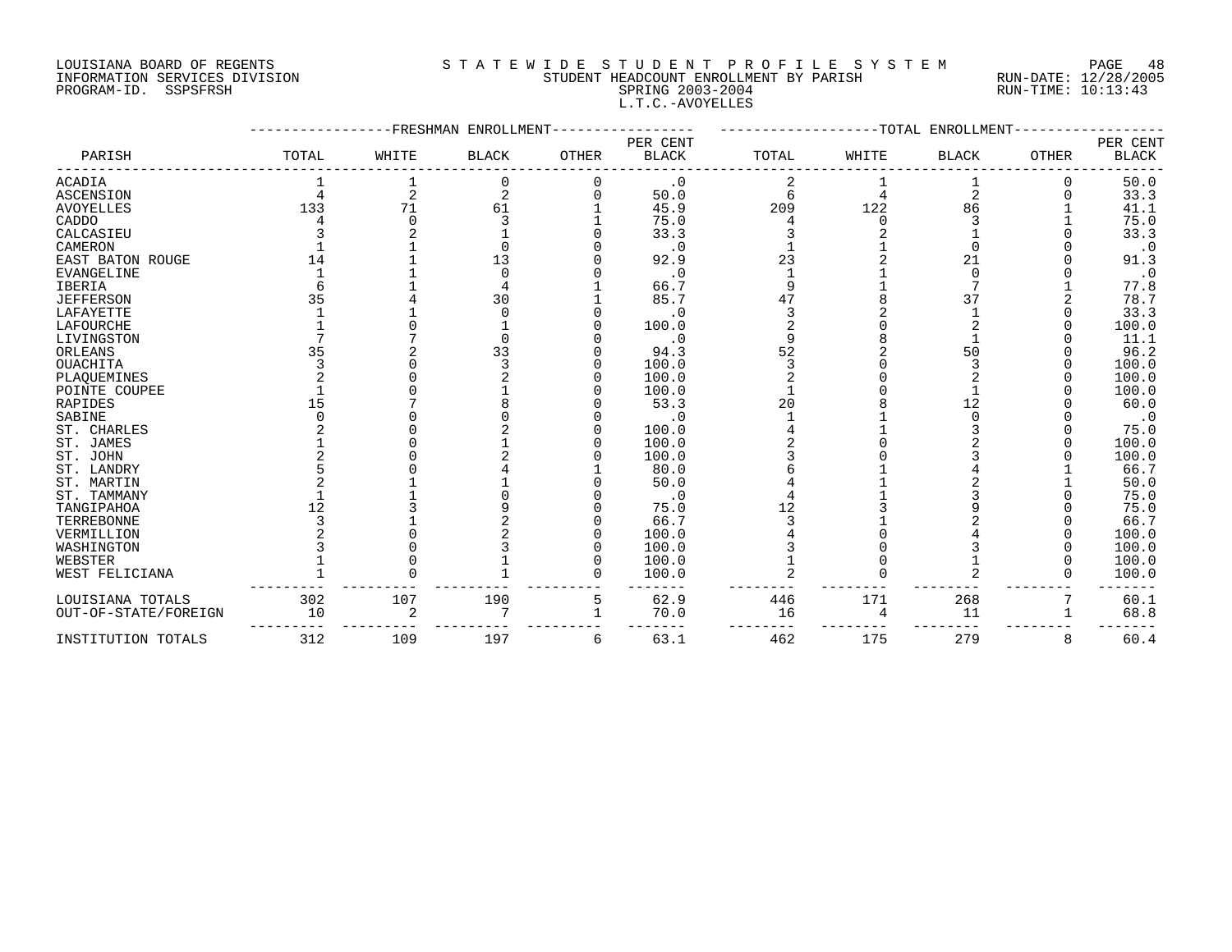#### LOUISIANA BOARD OF REGENTS S T A T E W I D E S T U D E N T P R O F I L E S Y S T E M PAGE 48 INFORMATION SERVICES DIVISION STUDENT HEADCOUNT ENROLLMENT BY PARISH RUN-DATE: 12/28/2005 PROGRAM-ID. SSPSFRSH SPRING 2003-2004 SPRING 2003-2004 RUN-TIME: 10:13:43 L.T.C.-AVOYELLES

|                         |       | -FRESHMAN      | ENROLLMENT   |              |              |       | --------TOTAL | ENROLLMENT     |              |              |
|-------------------------|-------|----------------|--------------|--------------|--------------|-------|---------------|----------------|--------------|--------------|
|                         |       |                |              |              | PER CENT     |       |               |                |              | PER CENT     |
| PARISH                  | TOTAL | WHITE          | <b>BLACK</b> | <b>OTHER</b> | <b>BLACK</b> | TOTAL | WHITE         | <b>BLACK</b>   | <b>OTHER</b> | <b>BLACK</b> |
| ACADIA                  |       |                |              |              | $\cdot$ 0    |       |               |                | 0            | 50.0         |
| <b>ASCENSION</b>        |       | $\overline{2}$ |              |              | 50.0         | 6     |               | $\overline{2}$ |              | 33.3         |
| <b>AVOYELLES</b>        | 133   | 71             | 61           |              | 45.9         | 209   | 122           | 86             |              | 41.1         |
| CADDO                   |       |                |              |              | 75.0         |       |               |                |              | 75.0         |
| CALCASIEU               |       |                |              |              | 33.3         |       |               |                |              | 33.3         |
| CAMERON                 |       |                |              |              | $\cdot$ 0    |       |               |                |              | $\cdot$ 0    |
| <b>EAST BATON ROUGE</b> | 14    |                | 13           |              | 92.9         | 23    |               | 21             |              | 91.3         |
| <b>EVANGELINE</b>       |       |                |              |              | . 0          |       |               | ∩              |              | $\cdot$ 0    |
| <b>IBERIA</b>           |       |                |              |              | 66.7         |       |               |                |              | 77.8         |
| <b>JEFFERSON</b>        | 35    |                | 30           |              | 85.7         | 47    |               | 37             |              | 78.7         |
| LAFAYETTE               |       |                |              |              | . 0          |       |               |                |              | 33.3         |
| <b>LAFOURCHE</b>        |       |                |              |              | 100.0        |       |               |                |              | 100.0        |
| LIVINGSTON              |       |                |              |              | $\cdot$ 0    |       |               |                |              | 11.1         |
| ORLEANS                 | 35    |                | 33           |              | 94.3         | 52    |               | 50             |              | 96.2         |
| <b>OUACHITA</b>         |       |                |              |              | 100.0        |       |               |                |              | 100.0        |
| PLAQUEMINES             |       |                |              |              | 100.0        |       |               |                |              | 100.0        |
| POINTE COUPEE           |       |                |              |              | 100.0        |       |               |                |              | 100.0        |
| RAPIDES                 | 15    |                |              |              | 53.3         | 20    |               | 12             |              | 60.0         |
| SABINE                  |       |                |              |              | . 0          |       |               |                |              | $\cdot$ 0    |
| ST. CHARLES             |       |                |              |              | 100.0        |       |               |                |              | 75.0         |
| ST. JAMES               |       |                |              |              | 100.0        |       |               |                |              | 100.0        |
| ST. JOHN                |       |                |              |              | 100.0        |       |               |                |              | 100.0        |
| ST. LANDRY              |       |                |              |              | 80.0         |       |               |                |              | 66.7         |
| ST. MARTIN              |       |                |              |              | 50.0         |       |               |                |              | 50.0         |
| ST. TAMMANY             |       |                |              |              | $\cdot$ 0    |       |               |                |              | 75.0         |
| TANGIPAHOA              | 12    |                |              |              | 75.0         | 12    |               |                |              | 75.0         |
| TERREBONNE              |       |                |              |              | 66.7         |       |               |                |              | 66.7         |
| VERMILLION              |       |                |              |              | 100.0        |       |               |                |              | 100.0        |
| WASHINGTON              |       |                |              |              | 100.0        |       |               |                |              | 100.0        |
| WEBSTER                 |       |                |              |              | 100.0        |       |               |                |              | 100.0        |
| WEST FELICIANA          |       |                |              |              | 100.0        |       |               |                |              | 100.0        |
| LOUISIANA TOTALS        | 302   | 107            | 190          | 5            | 62.9         | 446   | 171           | 268            |              | 60.1         |
| OUT-OF-STATE/FOREIGN    | 10    | 2              |              |              | 70.0         | 16    |               | 11             |              | 68.8         |
| INSTITUTION TOTALS      | 312   | 109            | 197          | 6            | 63.1         | 462   | 175           | 279            | 8            | 60.4         |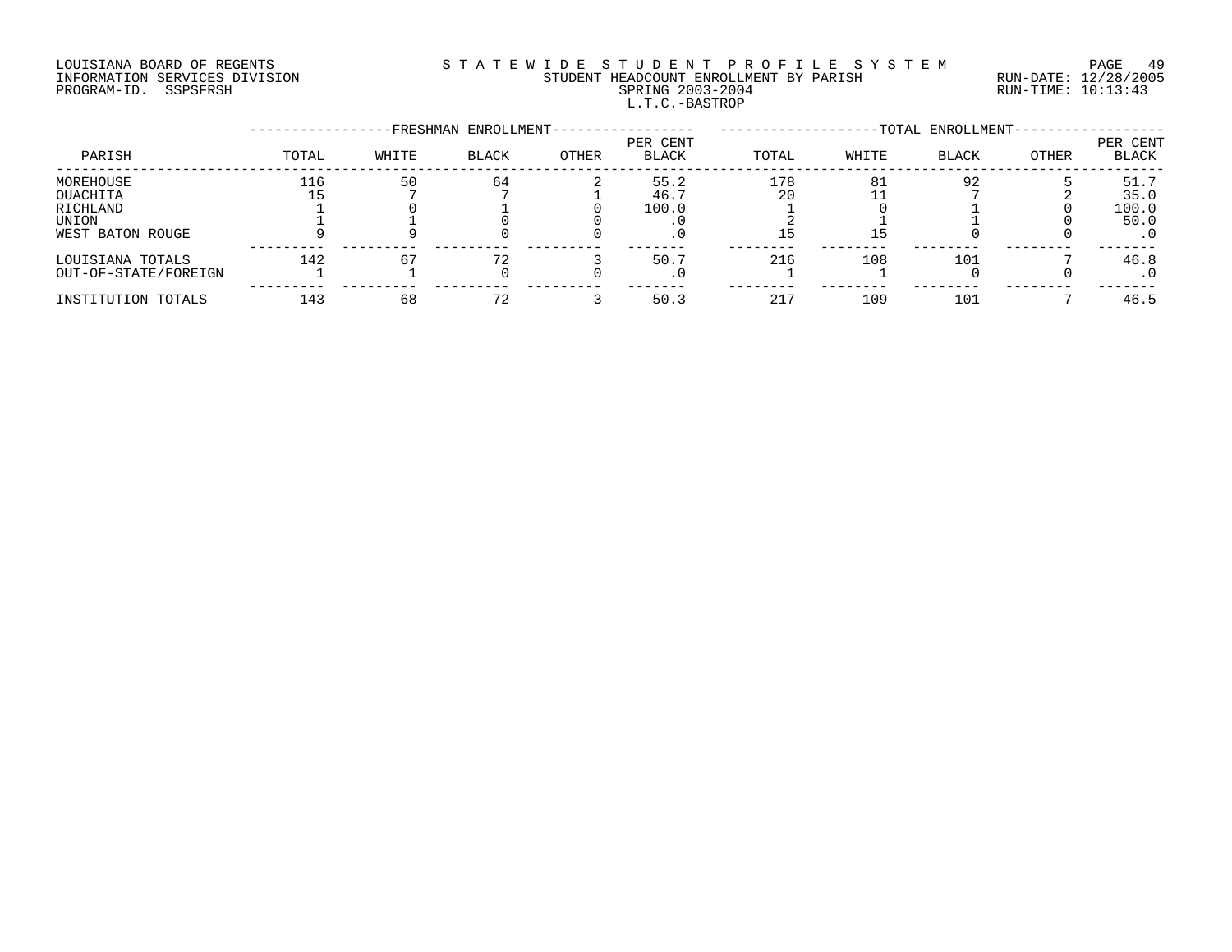# LOUISIANA BOARD OF REGENTS S T A T E W I D E S T U D E N T P R O F I L E S Y S T E M PAGE 49 INFORMATION SERVICES DIVISION STUDENT HEADCOUNT ENROLLMENT BY PARISH RUN-DATE: 12/28/2005 PROGRAM-ID. SSPSFRSH SPRING 2003-2004 RUN-TIME: 10:13:43 L.T.C.-BASTROP

|                      |       |       | -FRESHMAN ENROLLMENT- |       |                   |       |       | -TOTAL ENROLLMENT- |       |                   |
|----------------------|-------|-------|-----------------------|-------|-------------------|-------|-------|--------------------|-------|-------------------|
| PARISH               | TOTAL | WHITE | <b>BLACK</b>          | OTHER | PER CENT<br>BLACK | TOTAL | WHITE | <b>BLACK</b>       | OTHER | PER CENT<br>BLACK |
| MOREHOUSE            | 116   | 50    | 64                    |       | 55.2              | 178   | 81    | 92                 |       | 51.7              |
| OUACHITA             |       |       |                       |       | 46.7              | 20    |       |                    |       | 35.0              |
| RICHLAND             |       |       |                       |       | 100.0             |       |       |                    |       | 100.0             |
| UNION                |       |       |                       |       |                   |       |       |                    |       | 50.0              |
| WEST BATON ROUGE     |       |       |                       |       |                   |       | ל ב   |                    |       | $\cdot$ 0         |
| LOUISIANA TOTALS     | 142   | 67    | 72                    |       | 50.7              | 216   | 108   | 101                |       | 46.8              |
| OUT-OF-STATE/FOREIGN |       |       |                       |       | . U               |       |       |                    |       | . 0               |
| INSTITUTION TOTALS   | 143   | 68    | 72                    |       | 50.3              | 217   | 109   | 101                |       | 46.5              |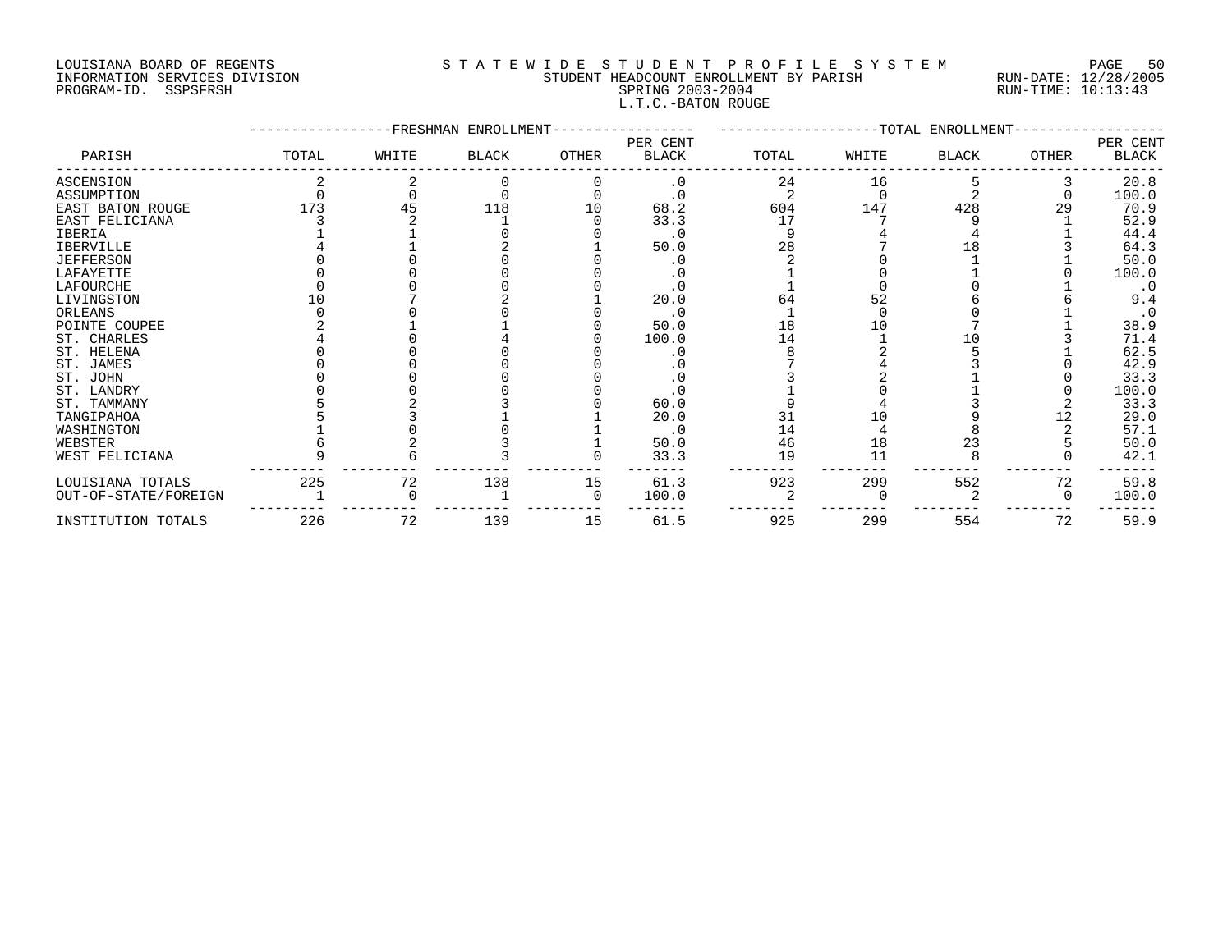# LOUISIANA BOARD OF REGENTS S T A T E W I D E S T U D E N T P R O F I L E S Y S T E M PAGE 50 INFORMATION SERVICES DIVISION STUDENT HEADCOUNT ENROLLMENT BY PARISH RUN-DATE: 12/28/2005 PROGRAM-ID. SSPSFRSH SPRING 2003-2004 RUN-TIME: 10:13:43 L.T.C.-BATON ROUGE

|                         |       |       | FRESHMAN ENROLLMENT |          |                          |       |       | -TOTAL ENROLLMENT |              |                   |
|-------------------------|-------|-------|---------------------|----------|--------------------------|-------|-------|-------------------|--------------|-------------------|
| PARISH                  | TOTAL | WHITE | <b>BLACK</b>        | OTHER    | PER CENT<br><b>BLACK</b> | TOTAL | WHITE | <b>BLACK</b>      | <b>OTHER</b> | PER CENT<br>BLACK |
| <b>ASCENSION</b>        |       |       |                     |          | $\cdot$ 0                | 24    | 16    |                   |              | 20.8              |
| ASSUMPTION              |       |       |                     |          |                          |       |       |                   |              | 100.0             |
| <b>EAST BATON ROUGE</b> | 173   | 45    | 118                 | 10       | 68.2                     | 604   | 147   | 428               | 29           | 70.9              |
| EAST FELICIANA          |       |       |                     |          | 33.3                     | 17    |       |                   |              | 52.9              |
| <b>IBERIA</b>           |       |       |                     |          | $\cdot$ 0                |       |       |                   |              | 44.4              |
| <b>IBERVILLE</b>        |       |       |                     |          | 50.0                     | 28    |       | 18                |              | 64.3              |
| <b>JEFFERSON</b>        |       |       |                     |          |                          |       |       |                   |              | 50.0              |
| LAFAYETTE               |       |       |                     |          |                          |       |       |                   |              | 100.0             |
| LAFOURCHE               |       |       |                     |          | $\cdot$ 0                |       |       |                   |              | $\cdot$ 0         |
| LIVINGSTON              |       |       |                     |          | 20.0                     | 64    | 52    |                   |              | 9.4               |
| ORLEANS                 |       |       |                     |          | $\cdot$ 0                |       |       |                   |              | $\cdot$ 0         |
| POINTE COUPEE           |       |       |                     |          | 50.0                     | 18    | 10    |                   |              | 38.9              |
| ST. CHARLES             |       |       |                     |          | 100.0                    | 14    |       |                   |              | 71.4              |
| ST. HELENA              |       |       |                     |          |                          |       |       |                   |              | 62.5              |
| ST. JAMES               |       |       |                     |          |                          |       |       |                   |              | 42.9              |
| ST. JOHN                |       |       |                     |          |                          |       |       |                   |              | 33.3              |
| ST. LANDRY              |       |       |                     |          |                          |       |       |                   |              | 100.0             |
| ST. TAMMANY             |       |       |                     |          | 60.0                     |       |       |                   |              | 33.3              |
| TANGIPAHOA              |       |       |                     |          | 20.0                     | 31    | 1 ೧   |                   |              | 29.0              |
| WASHINGTON              |       |       |                     |          | . 0                      | 14    |       |                   |              | 57.1              |
| WEBSTER                 |       |       |                     |          | 50.0                     | 46    | 18    | 23                |              | 50.0              |
| WEST FELICIANA          |       |       |                     |          | 33.3                     | 19    | 11    |                   |              | 42.1              |
| LOUISIANA TOTALS        | 225   | 72    | 138                 | 15       | 61.3                     | 923   | 299   | 552               | 72           | 59.8              |
| OUT-OF-STATE/FOREIGN    |       |       |                     | $\Omega$ | 100.0                    |       |       |                   | $\Omega$     | 100.0             |
| INSTITUTION TOTALS      | 226   | 72    | 139                 | 15       | 61.5                     | 925   | 299   | 554               | 72           | 59.9              |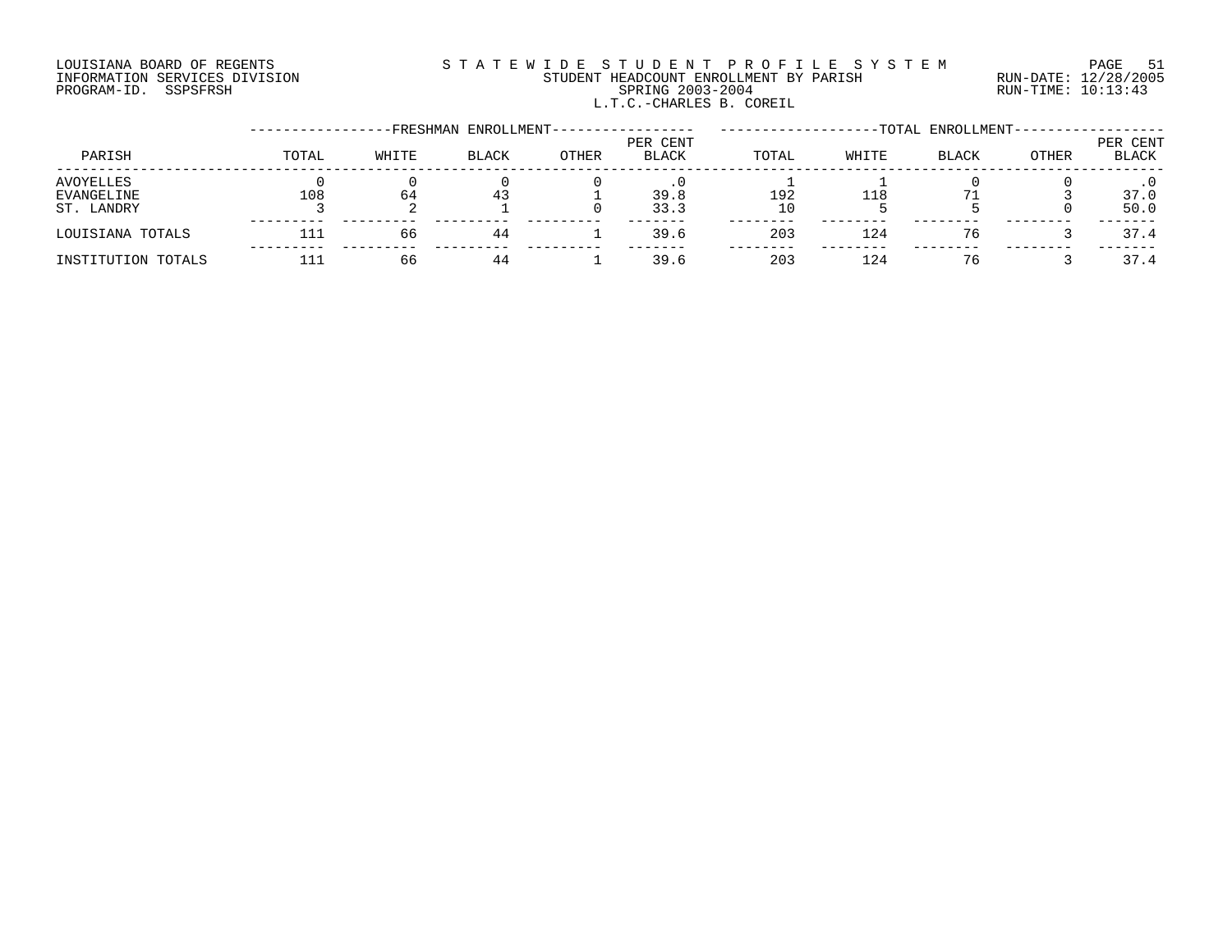# LOUISIANA BOARD OF REGENTS S T A T E W I D E S T U D E N T P R O F I L E S Y S T E M PAGE 51 INFORMATION SERVICES DIVISION STUDENT HEADCOUNT ENROLLMENT BY PARISH RUN-DATE: 12/28/2005 PROGRAM-ID. SSPSFRSH SPRING 2003-2004 RUN-TIME: 10:13:43 L.T.C.-CHARLES B. COREIL

|                                              |       |       | -FRESHMAN ENROLLMENT- |       |                   |           |            | -TOTAL ENROLLMENT- |       |                   |
|----------------------------------------------|-------|-------|-----------------------|-------|-------------------|-----------|------------|--------------------|-------|-------------------|
| PARISH                                       | TOTAL | WHITE | <b>BLACK</b>          | OTHER | PER CENT<br>BLACK | TOTAL     | WHITE      | BLACK              | OTHER | PER CENT<br>BLACK |
| <b>AVOYELLES</b><br>EVANGELINE<br>ST. LANDRY | 108   | 64    | 43                    |       | 39.8<br>33.3      | 192<br>10 | <b>118</b> |                    |       | 37.0<br>50.0      |
| LOUISIANA TOTALS                             | 111   | 66    | 44                    |       | 39.6              | 203       | 124        | 76                 |       | 37.4              |
| INSTITUTION TOTALS                           |       | 66    | 44                    |       | 39.6              | 203       | 124        | 76                 |       | 37.4              |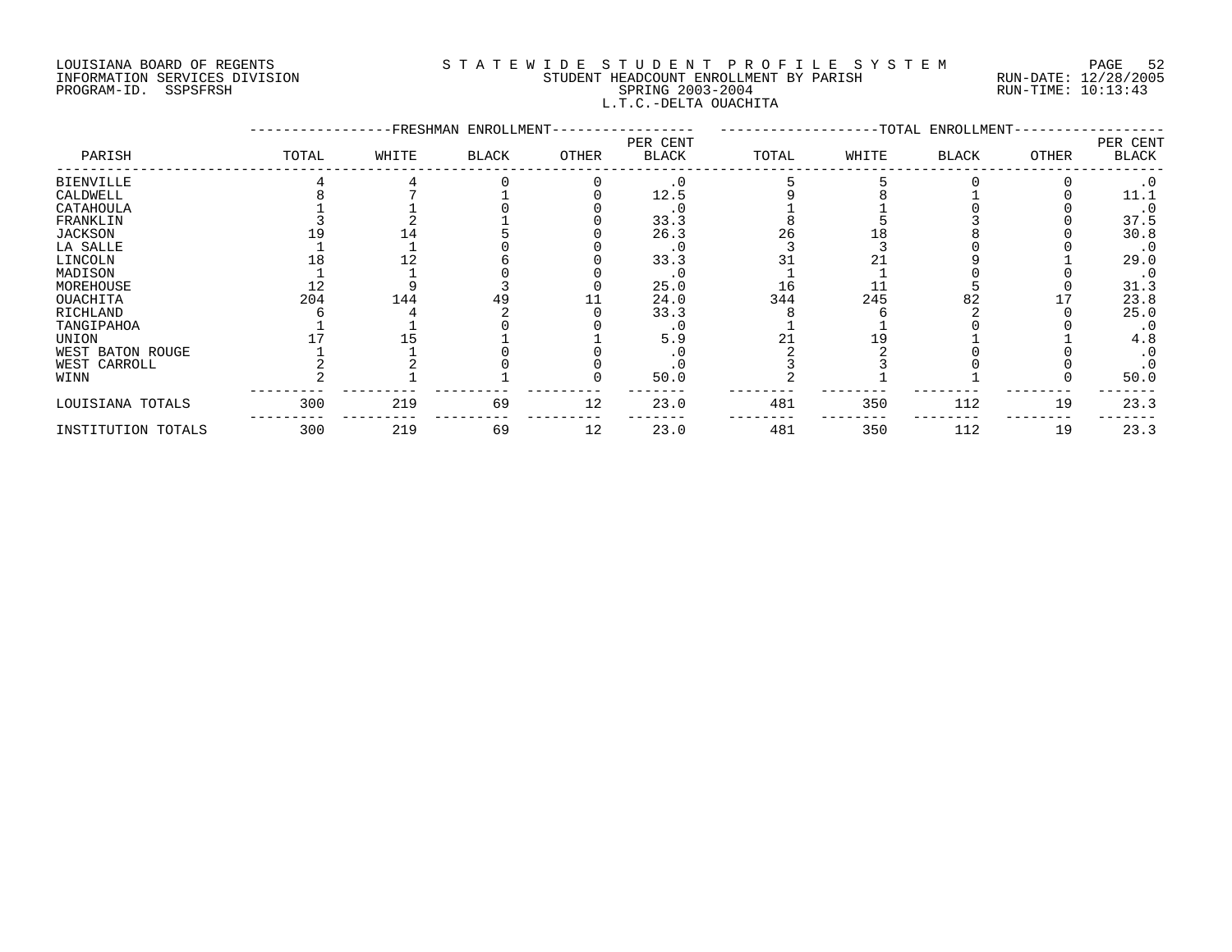# LOUISIANA BOARD OF REGENTS S T A T E W I D E S T U D E N T P R O F I L E S Y S T E M PAGE 52 INFORMATION SERVICES DIVISION STUDENT HEADCOUNT ENROLLMENT BY PARISH RUN-DATE: 12/28/2005 PROGRAM-ID. SSPSFRSH SPRING 2003-2004 RUN-TIME: 10:13:43 L.T.C.-DELTA OUACHITA

|                    |       |       | -FRESHMAN ENROLLMENT- |       |                          |       |       | -TOTAL ENROLLMENT- |              |                          |
|--------------------|-------|-------|-----------------------|-------|--------------------------|-------|-------|--------------------|--------------|--------------------------|
| PARISH             | TOTAL | WHITE | <b>BLACK</b>          | OTHER | PER CENT<br><b>BLACK</b> | TOTAL | WHITE | <b>BLACK</b>       | <b>OTHER</b> | PER CENT<br><b>BLACK</b> |
| <b>BIENVILLE</b>   |       |       |                       |       | $\cdot$ 0                |       |       |                    |              | $\cdot$ 0                |
| CALDWELL           |       |       |                       |       | 12.5                     |       |       |                    |              | 11.1                     |
| CATAHOULA          |       |       |                       |       | . U                      |       |       |                    |              | $\cdot$ 0                |
| FRANKLIN           |       |       |                       |       | 33.3                     |       |       |                    |              | 37.5                     |
| <b>JACKSON</b>     |       |       |                       |       | 26.3                     | 26    |       |                    |              | 30.8                     |
| LA SALLE           |       |       |                       |       |                          |       |       |                    |              | $\cdot$ 0                |
| LINCOLN            |       |       |                       |       | 33.3                     |       |       |                    |              | 29.0                     |
| MADISON            |       |       |                       |       |                          |       |       |                    |              | $\cdot$ 0                |
| MOREHOUSE          |       |       |                       |       | 25.0                     | 16    |       |                    |              | 31.3                     |
| OUACHITA           | 204   | 144   |                       |       | 24.0                     | 344   | 245   |                    |              | 23.8                     |
| RICHLAND           |       |       |                       |       | 33.3                     |       |       |                    |              | 25.0                     |
| TANGIPAHOA         |       |       |                       |       |                          |       |       |                    |              | $\cdot$ 0                |
| UNION              |       |       |                       |       | 5.9                      |       |       |                    |              | 4.8                      |
| WEST BATON ROUGE   |       |       |                       |       |                          |       |       |                    |              | $\cdot$ 0                |
| WEST CARROLL       |       |       |                       |       |                          |       |       |                    |              | $\cdot$ 0                |
| WINN               |       |       |                       |       | 50.0                     |       |       |                    |              | 50.0                     |
| LOUISIANA TOTALS   | 300   | 219   | 69                    | 12    | 23.0                     | 481   | 350   | 112                | 19           | 23.3                     |
| INSTITUTION TOTALS | 300   | 219   | 69                    | 12    | 23.0                     | 481   | 350   | 112                | 19           | 23.3                     |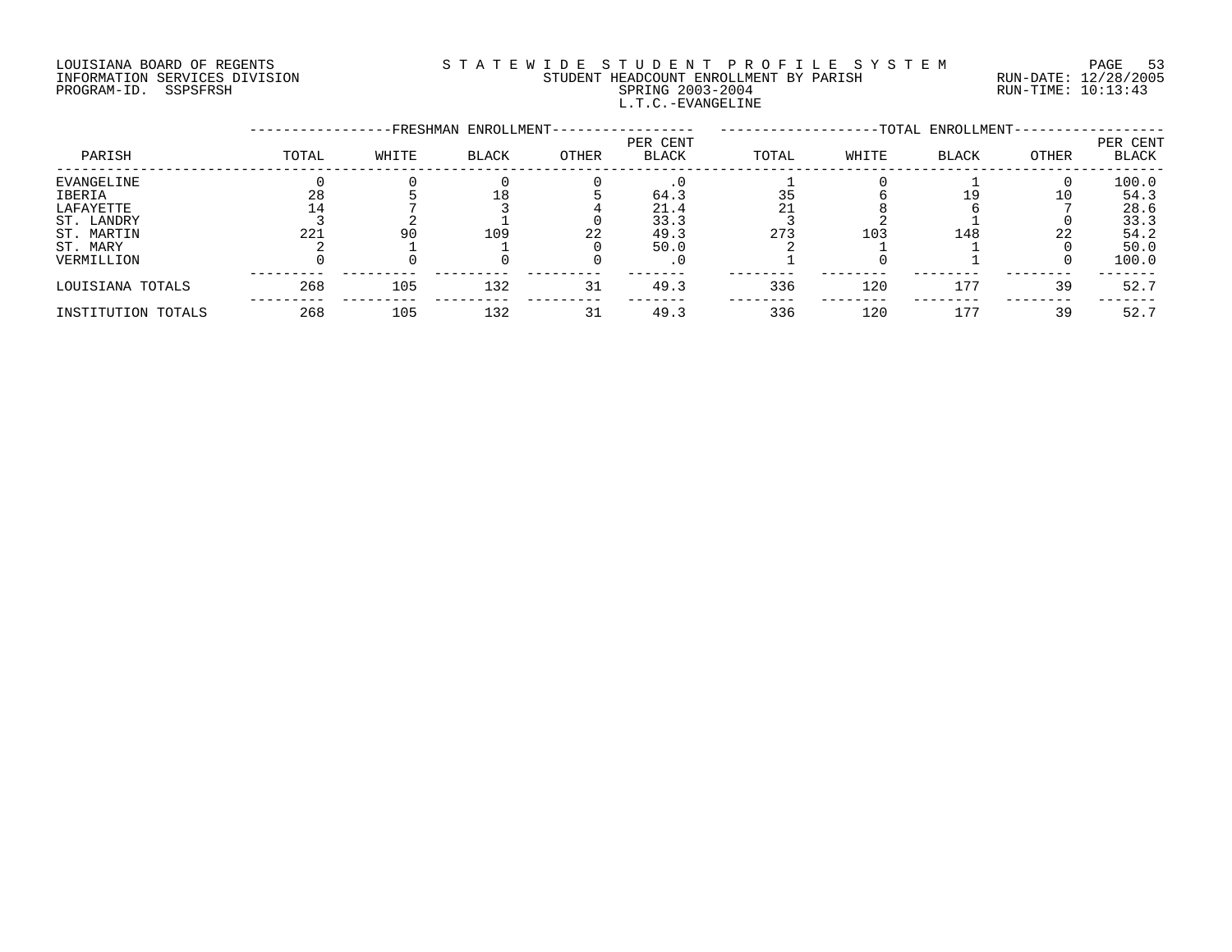# LOUISIANA BOARD OF REGENTS S T A T E W I D E S T U D E N T P R O F I L E S Y S T E M PAGE 53 INFORMATION SERVICES DIVISION STUDENT HEADCOUNT ENROLLMENT BY PARISH RUN-DATE: 12/28/2005 PROGRAM-ID. SSPSFRSH SPRING 2003-2004 RUN-TIME: 10:13:43 L.T.C.-EVANGELINE

|                    |       |       | FRESHMAN ENROLLMENT- |       |                          |       |       | -TOTAL ENROLLMENT- |       |                          |
|--------------------|-------|-------|----------------------|-------|--------------------------|-------|-------|--------------------|-------|--------------------------|
| PARISH             | TOTAL | WHITE | <b>BLACK</b>         | OTHER | PER CENT<br><b>BLACK</b> | TOTAL | WHITE | <b>BLACK</b>       | OTHER | PER CENT<br><b>BLACK</b> |
| EVANGELINE         |       |       |                      |       |                          |       |       |                    |       | 100.0                    |
| IBERIA             |       |       |                      |       | 64.3                     | 35    |       | 19                 | 10    | 54.3                     |
| LAFAYETTE          |       |       |                      |       | 21.4                     |       |       |                    |       | 28.6                     |
| ST. LANDRY         |       |       |                      |       | 33.3                     |       |       |                    |       | 33.3                     |
| ST. MARTIN         | 221   | 90    | 109                  | 22    | 49.3                     | 273   | 103   | 148                | 22    | 54.2                     |
| ST. MARY           |       |       |                      |       | 50.0                     |       |       |                    |       | 50.0                     |
| VERMILLION         |       |       |                      |       | . U                      |       |       |                    |       | 100.0                    |
| LOUISIANA TOTALS   | 268   | 105   | 132                  | 31    | 49.3                     | 336   | 120   | 177                | 39    | 52.7                     |
| INSTITUTION TOTALS | 268   | 105   | 132                  | 31    | 49.3                     | 336   | 120   | 177                | 39    | 52.7                     |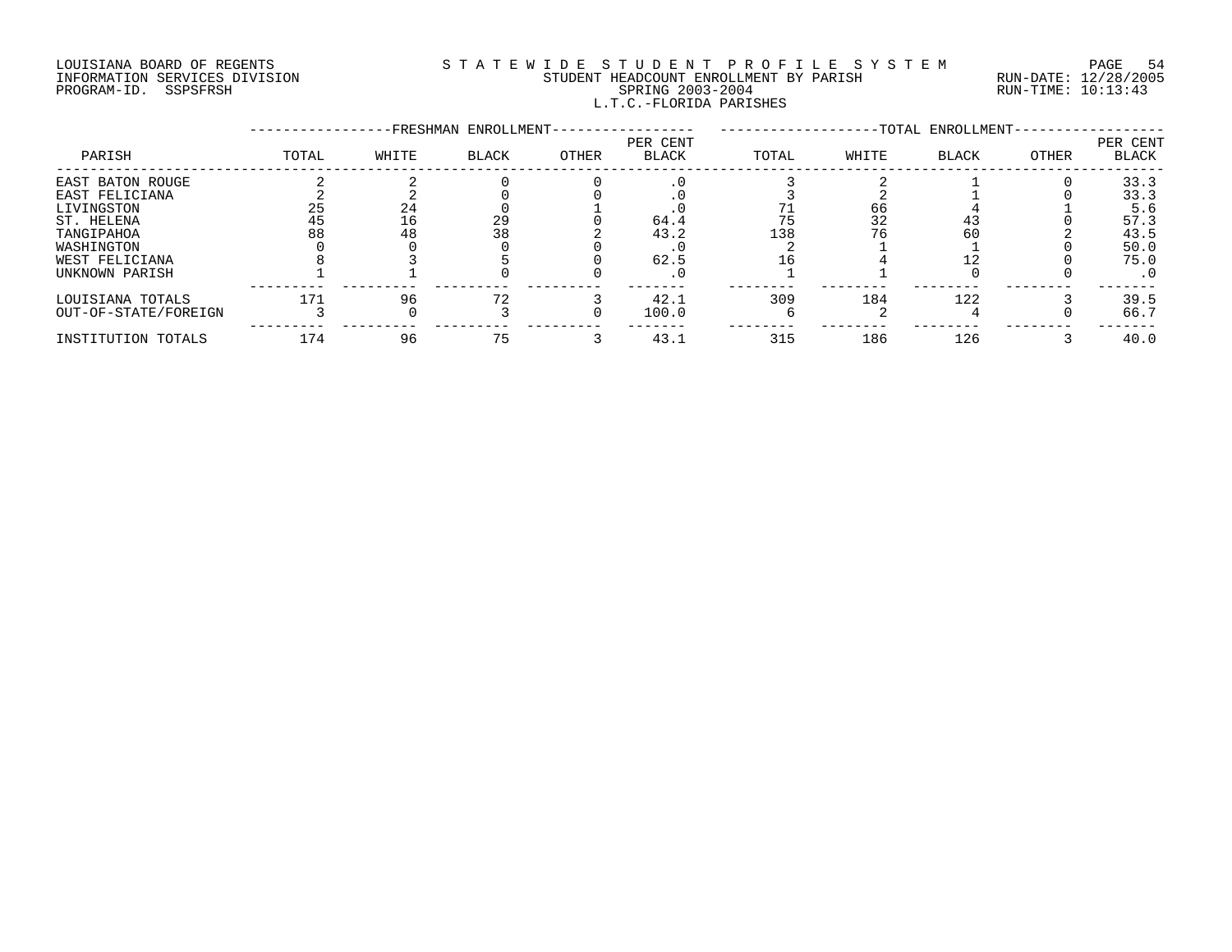# LOUISIANA BOARD OF REGENTS S T A T E W I D E S T U D E N T P R O F I L E S Y S T E M PAGE 54 INFORMATION SERVICES DIVISION STUDENT HEADCOUNT ENROLLMENT BY PARISH RUN-DATE: 12/28/2005 PROGRAM-ID. SSPSFRSH SPRING 2003-2004 RUN-TIME: 10:13:43 L.T.C.-FLORIDA PARISHES

|                      |       |       | -FRESHMAN ENROLLMENT- |       |                          |       |       | -TOTAL ENROLLMENT- |       |                   |
|----------------------|-------|-------|-----------------------|-------|--------------------------|-------|-------|--------------------|-------|-------------------|
| PARISH               | TOTAL | WHITE | <b>BLACK</b>          | OTHER | PER CENT<br><b>BLACK</b> | TOTAL | WHITE | <b>BLACK</b>       | OTHER | PER CENT<br>BLACK |
| EAST BATON ROUGE     |       |       |                       |       |                          |       |       |                    |       | 33.3              |
| EAST FELICIANA       |       |       |                       |       |                          |       |       |                    |       | 33.3              |
| LIVINGSTON           | 25    | 24    |                       |       |                          |       | 66    |                    |       | 5.6               |
| ST. HELENA           | 45    | 16    | 29                    |       | 64.4                     | 75    | 32    |                    |       | 57.3              |
| TANGIPAHOA           | 88    | 48    | 38                    |       | 43.2                     | 138   |       | 60                 |       | 43.5              |
| WASHINGTON           |       |       |                       |       |                          |       |       |                    |       | 50.0              |
| WEST FELICIANA       |       |       |                       |       | 62.5                     |       |       |                    |       | 75.0              |
| UNKNOWN PARISH       |       |       |                       |       |                          |       |       |                    |       | $\cdot$ 0         |
| LOUISIANA TOTALS     | 171   | 96    | 72                    |       | 42.1                     | 309   | 184   | 122                |       | 39.5              |
| OUT-OF-STATE/FOREIGN |       |       |                       |       | 100.0                    |       |       |                    |       | 66.7              |
| INSTITUTION TOTALS   | 174   | 96    | 75                    |       | 43.1                     | 315   | 186   | 126                |       | 40.0              |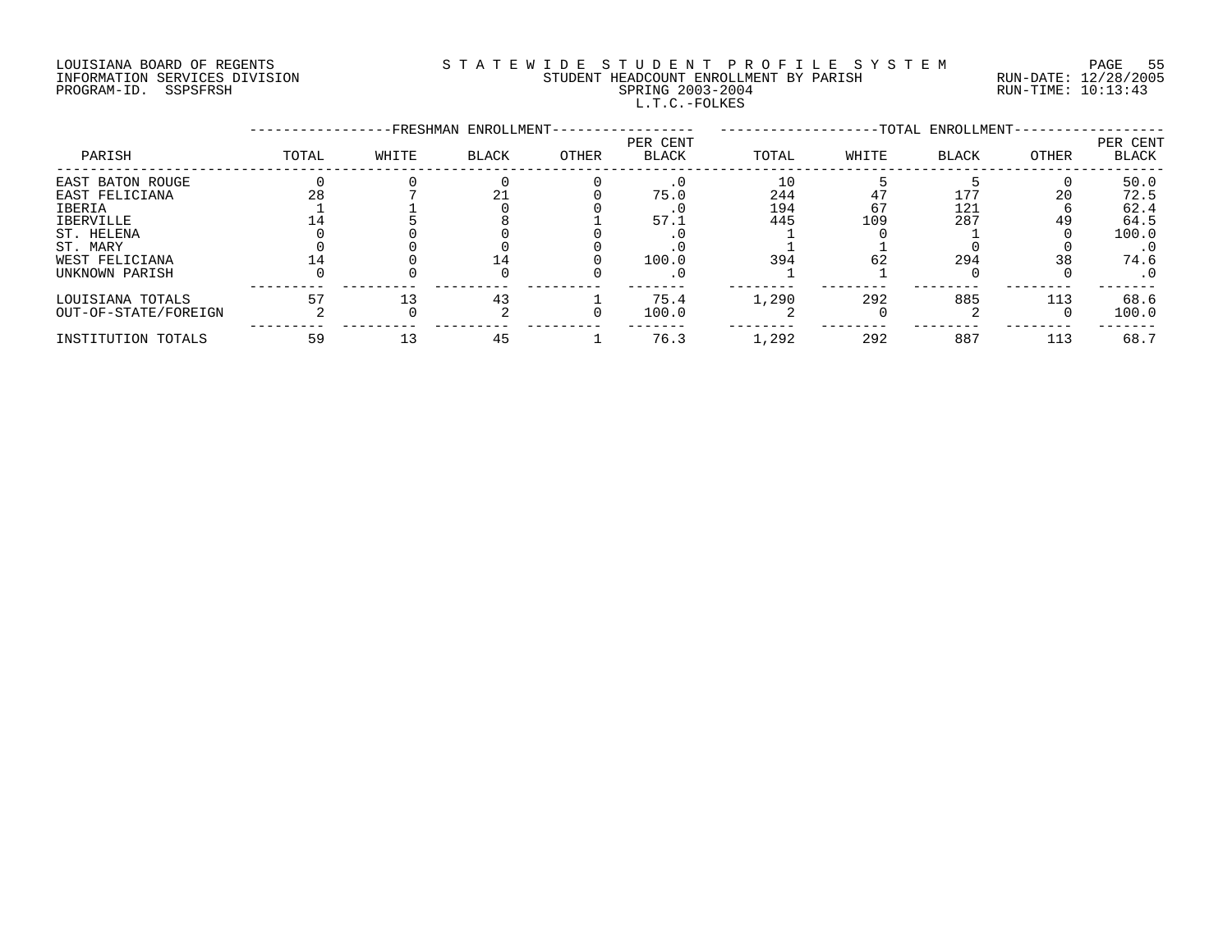# LOUISIANA BOARD OF REGENTS S T A T E W I D E S T U D E N T P R O F I L E S Y S T E M PAGE 55 INFORMATION SERVICES DIVISION STUDENT HEADCOUNT ENROLLMENT BY PARISH RUN-DATE: 12/28/2005 PROGRAM-ID. SSPSFRSH SPRING 2003-2004 RUN-TIME: 10:13:43 L.T.C.-FOLKES

|                      |       |       | -FRESHMAN ENROLLMENT- |       |                          |       |       | -TOTAL ENROLLMENT- |       |                   |
|----------------------|-------|-------|-----------------------|-------|--------------------------|-------|-------|--------------------|-------|-------------------|
| PARISH               | TOTAL | WHITE | <b>BLACK</b>          | OTHER | PER CENT<br><b>BLACK</b> | TOTAL | WHITE | BLACK              | OTHER | PER CENT<br>BLACK |
| EAST BATON ROUGE     |       |       |                       |       |                          | 10    |       |                    |       | 50.0              |
| EAST FELICIANA       | 28    |       |                       |       | 75.0                     | 244   |       | 177                | 20    | 72.5              |
| <b>IBERIA</b>        |       |       |                       |       |                          | 194   | 67    | 121                |       | 62.4              |
| <b>IBERVILLE</b>     |       |       |                       |       | 57.1                     | 445   | 109   | 287                | 49    | 64.5              |
| ST. HELENA           |       |       |                       |       |                          |       |       |                    |       | 100.0             |
| ST. MARY             |       |       |                       |       |                          |       |       |                    |       | $\cdot$ 0         |
| WEST FELICIANA       |       |       |                       |       | 100.0                    | 394   | 62    | 294                | 38    | 74.6              |
| UNKNOWN PARISH       |       |       |                       |       |                          |       |       |                    |       | . 0               |
| LOUISIANA TOTALS     |       |       | 43                    |       | 75.4                     | 1,290 | 292   | 885                | 113   | 68.6              |
| OUT-OF-STATE/FOREIGN |       |       |                       |       | 100.0                    |       |       |                    |       | 100.0             |
| INSTITUTION TOTALS   | 59    |       | 45                    |       | 76.3                     | 1,292 | 292   | 887                | 113   | 68.7              |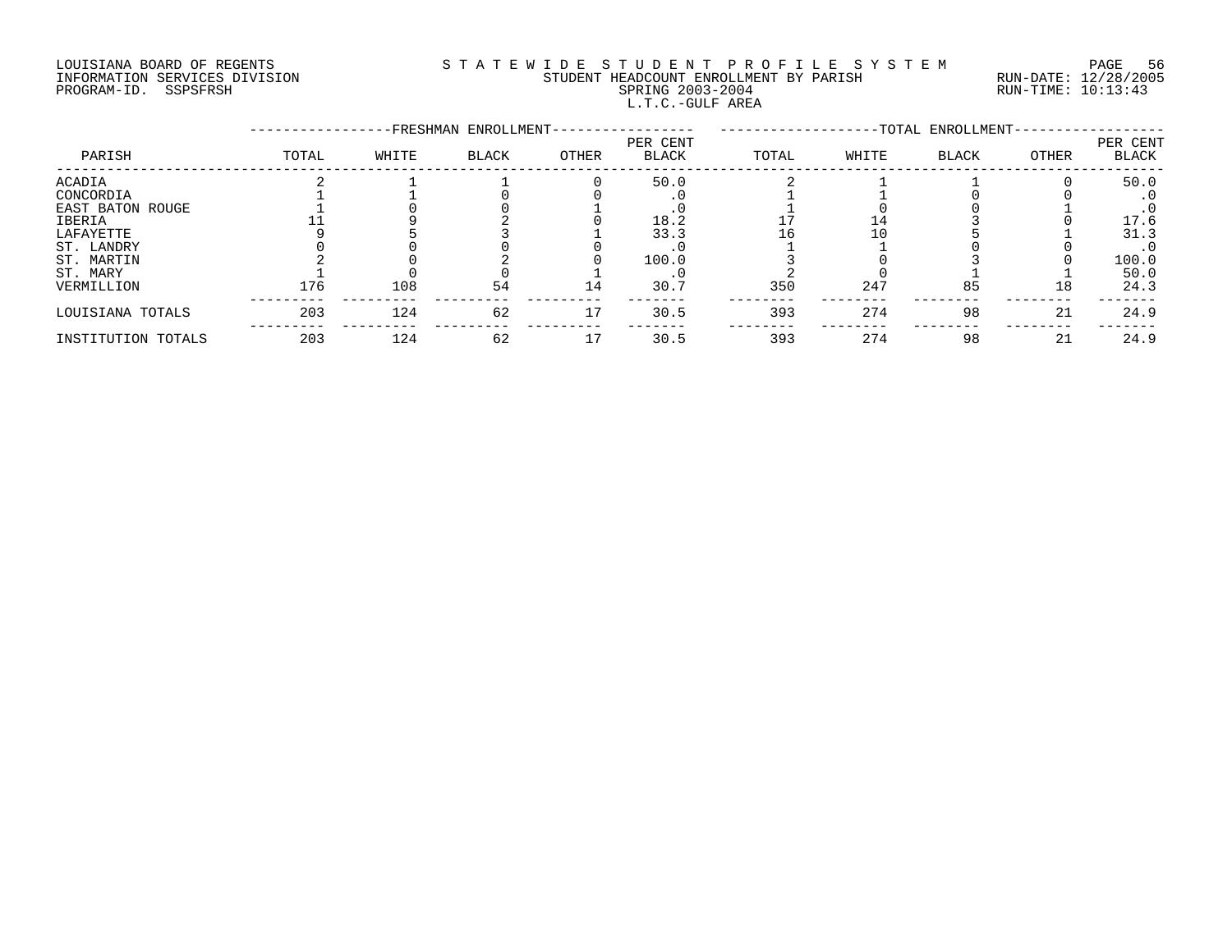# LOUISIANA BOARD OF REGENTS S T A T E W I D E S T U D E N T P R O F I L E S Y S T E M PAGE 56 INFORMATION SERVICES DIVISION STUDENT HEADCOUNT ENROLLMENT BY PARISH RUN-DATE: 12/28/2005 PROGRAM-ID. SSPSFRSH SPRING 2003-2004 RUN-TIME: 10:13:43 L.T.C.-GULF AREA

|                    |       |       | -FRESHMAN ENROLLMENT- |       |                          |       |       | --TOTAL ENROLLMENT- |       |                   |
|--------------------|-------|-------|-----------------------|-------|--------------------------|-------|-------|---------------------|-------|-------------------|
| PARISH             | TOTAL | WHITE | BLACK                 | OTHER | PER CENT<br><b>BLACK</b> | TOTAL | WHITE | <b>BLACK</b>        | OTHER | PER CENT<br>BLACK |
| ACADIA             |       |       |                       |       | 50.0                     |       |       |                     |       | 50.0              |
| CONCORDIA          |       |       |                       |       |                          |       |       |                     |       |                   |
| EAST BATON ROUGE   |       |       |                       |       |                          |       |       |                     |       |                   |
| IBERIA             |       |       |                       |       | 18.2                     |       |       |                     |       | 17.6              |
| LAFAYETTE          |       |       |                       |       | 33.3                     | Lб    |       |                     |       | 31.3              |
| ST. LANDRY         |       |       |                       |       |                          |       |       |                     |       | $\cdot$ 0         |
| ST. MARTIN         |       |       |                       |       | 100.0                    |       |       |                     |       | 100.0             |
| ST. MARY           |       |       |                       |       |                          |       |       |                     |       | 50.0              |
| VERMILLION         | 176   | 108   | 54                    | 14    | 30.7                     | 350   | 247   | 85                  | 18    | 24.3              |
| LOUISIANA TOTALS   | 203   | 124   | 62                    | 17    | 30.5                     | 393   | 274   | 98                  | 21    | 24.9              |
| INSTITUTION TOTALS | 203   | 124   | 62                    | 17    | 30.5                     | 393   | 274   | 98                  | 21    | 24.9              |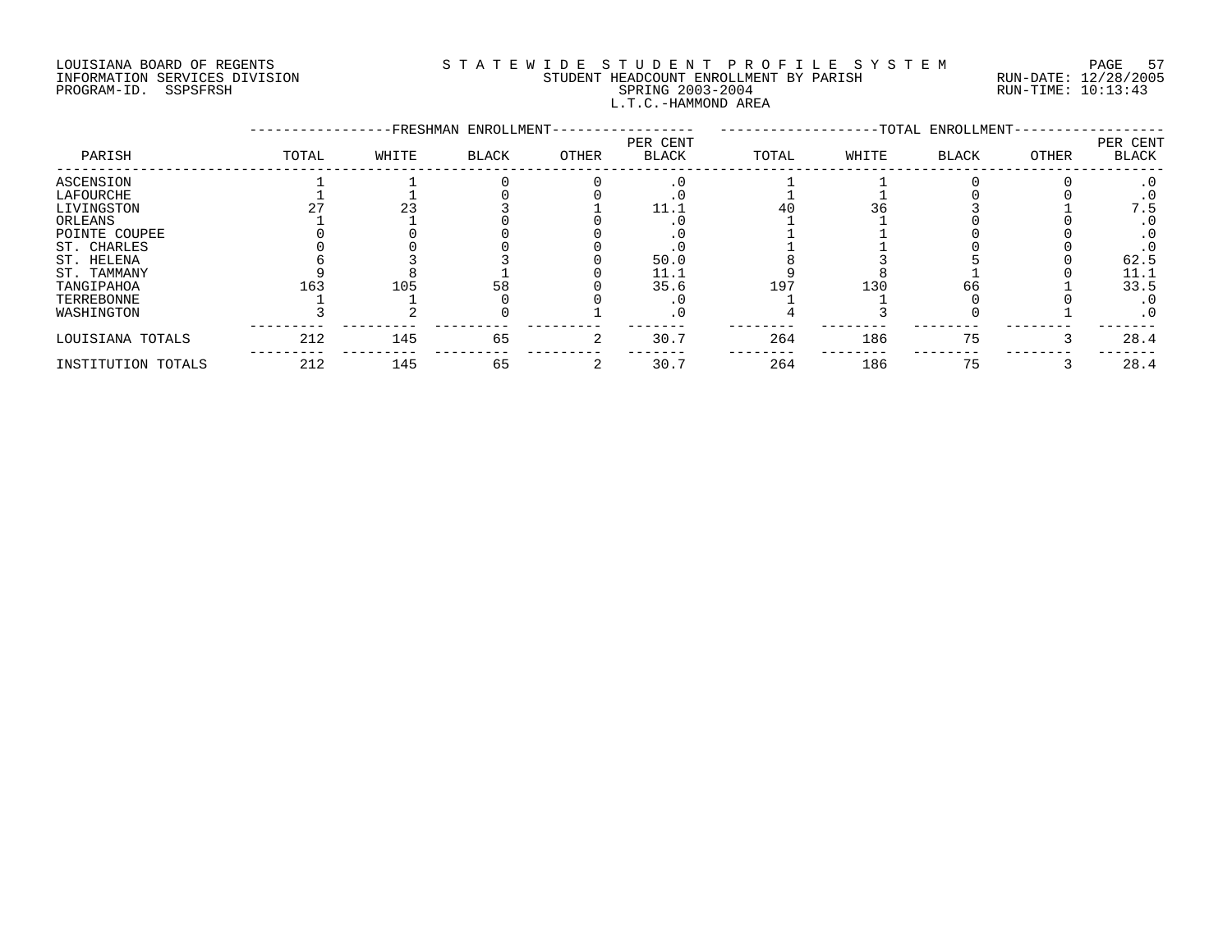# LOUISIANA BOARD OF REGENTS S T A T E W I D E S T U D E N T P R O F I L E S Y S T E M PAGE 57 INFORMATION SERVICES DIVISION STUDENT HEADCOUNT ENROLLMENT BY PARISH RUN-DATE: 12/28/2005 PROGRAM-ID. SSPSFRSH SPRING 2003-2004 RUN-TIME: 10:13:43 L.T.C.-HAMMOND AREA

|                    |       |       | -FRESHMAN ENROLLMENT- |       |                          |       |       | --TOTAL ENROLLMENT- |       |                          |
|--------------------|-------|-------|-----------------------|-------|--------------------------|-------|-------|---------------------|-------|--------------------------|
| PARISH             | TOTAL | WHITE | <b>BLACK</b>          | OTHER | PER CENT<br><b>BLACK</b> | TOTAL | WHITE | <b>BLACK</b>        | OTHER | PER CENT<br><b>BLACK</b> |
| ASCENSION          |       |       |                       |       | $\cdot$ 0                |       |       |                     |       | . 0                      |
| LAFOURCHE          |       |       |                       |       |                          |       |       |                     |       |                          |
| LIVINGSTON         |       |       |                       |       |                          | 40    |       |                     |       | 7.5                      |
| ORLEANS            |       |       |                       |       |                          |       |       |                     |       | . 0                      |
| POINTE COUPEE      |       |       |                       |       |                          |       |       |                     |       |                          |
| ST. CHARLES        |       |       |                       |       |                          |       |       |                     |       |                          |
| ST. HELENA         |       |       |                       |       | 50.0                     |       |       |                     |       | 62.5                     |
| ST. TAMMANY        |       |       |                       |       | 11.1                     |       |       |                     |       | 11.1                     |
| TANGIPAHOA         | 163   | 105   | 58                    |       | 35.6                     | 197   | 130   | 66                  |       | 33.5                     |
| TERREBONNE         |       |       |                       |       |                          |       |       |                     |       | $\cdot$ 0                |
| WASHINGTON         |       |       |                       |       | . 0                      |       |       |                     |       | . 0                      |
| LOUISIANA TOTALS   | 212   | 145   | 65                    |       | 30.7                     | 264   | 186   | 75                  |       | 28.4                     |
| INSTITUTION TOTALS | 212   | 145   | 65                    |       | 30.7                     | 264   | 186   | 75                  |       | 28.4                     |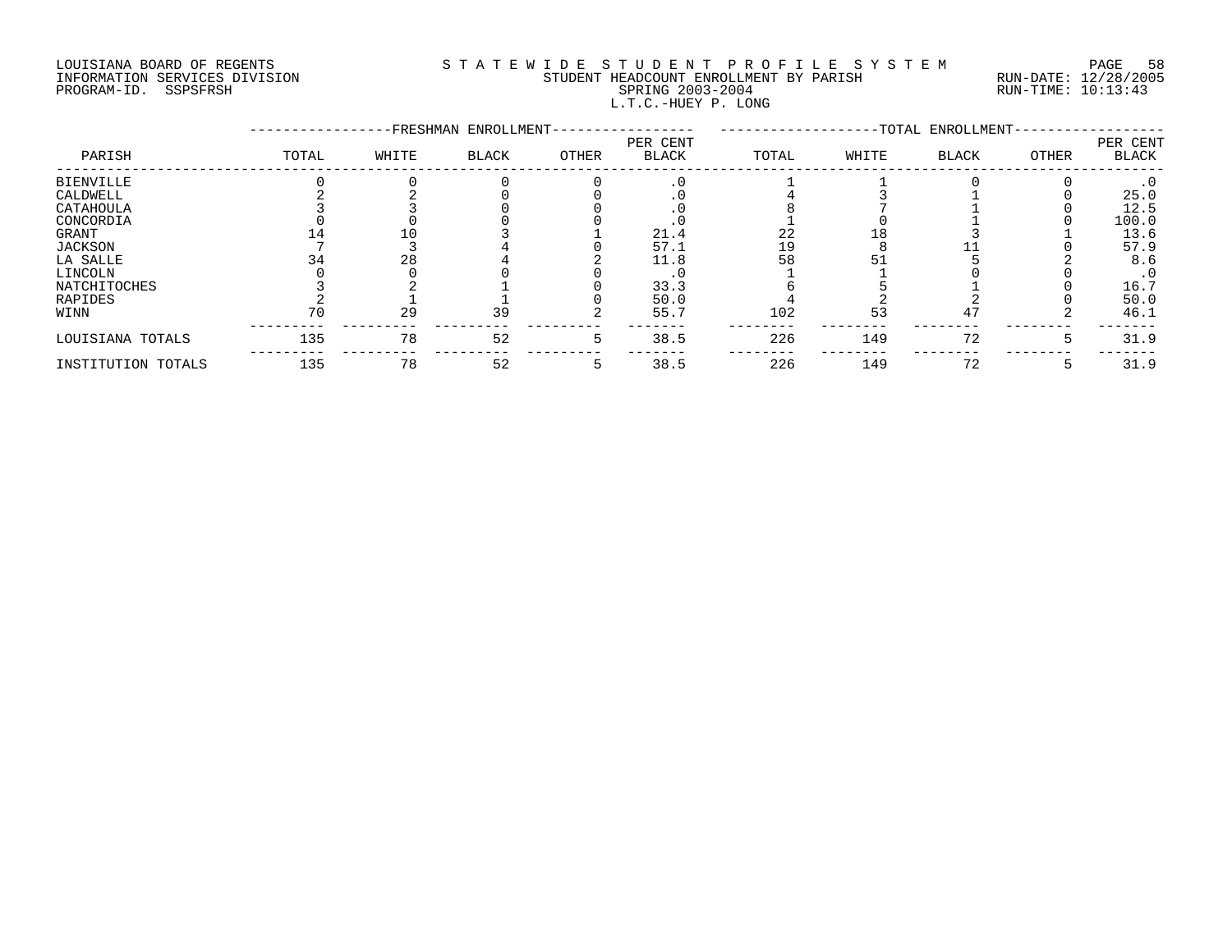# LOUISIANA BOARD OF REGENTS S T A T E W I D E S T U D E N T P R O F I L E S Y S T E M PAGE 58 INFORMATION SERVICES DIVISION STUDENT HEADCOUNT ENROLLMENT BY PARISH RUN-DATE: 12/28/2005 PROGRAM-ID. SSPSFRSH SPRING 2003-2004 RUN-TIME: 10:13:43 L.T.C.-HUEY P. LONG

|                    |       |       | -FRESHMAN ENROLLMENT- |       |                          |       |       | --TOTAL ENROLLMENT- |       |                          |
|--------------------|-------|-------|-----------------------|-------|--------------------------|-------|-------|---------------------|-------|--------------------------|
| PARISH             | TOTAL | WHITE | BLACK                 | OTHER | PER CENT<br><b>BLACK</b> | TOTAL | WHITE | <b>BLACK</b>        | OTHER | PER CENT<br><b>BLACK</b> |
| BIENVILLE          |       |       |                       |       | $\cdot$ 0                |       |       |                     |       | $\cdot$ 0                |
| CALDWELL           |       |       |                       |       |                          |       |       |                     |       | 25.0                     |
| CATAHOULA          |       |       |                       |       |                          |       |       |                     |       | 12.5                     |
| CONCORDIA          |       |       |                       |       |                          |       |       |                     |       | 100.0                    |
| GRANT              |       |       |                       |       | 21.4                     | 22    |       |                     |       | 13.6                     |
| JACKSON            |       |       |                       |       | 57.1                     | 19    |       |                     |       | 57.9                     |
| LA SALLE           |       | 28    |                       |       | 11.8                     | 58    |       |                     |       | 8.6                      |
| LINCOLN            |       |       |                       |       |                          |       |       |                     |       | $\cdot$ 0                |
| NATCHITOCHES       |       |       |                       |       | 33.3                     |       |       |                     |       | 16.7                     |
| RAPIDES            |       |       |                       |       | 50.0                     |       |       |                     |       | 50.0                     |
| WINN               | 70    | 29    | 39                    |       | 55.7                     | 102   | 53    | 47                  |       | 46.1                     |
| LOUISIANA TOTALS   | 135   | 78    | 52                    |       | 38.5                     | 226   | 149   | 72                  |       | 31.9                     |
| INSTITUTION TOTALS | 135   | 78    | 52                    |       | 38.5                     | 226   | 149   | 72                  |       | 31.9                     |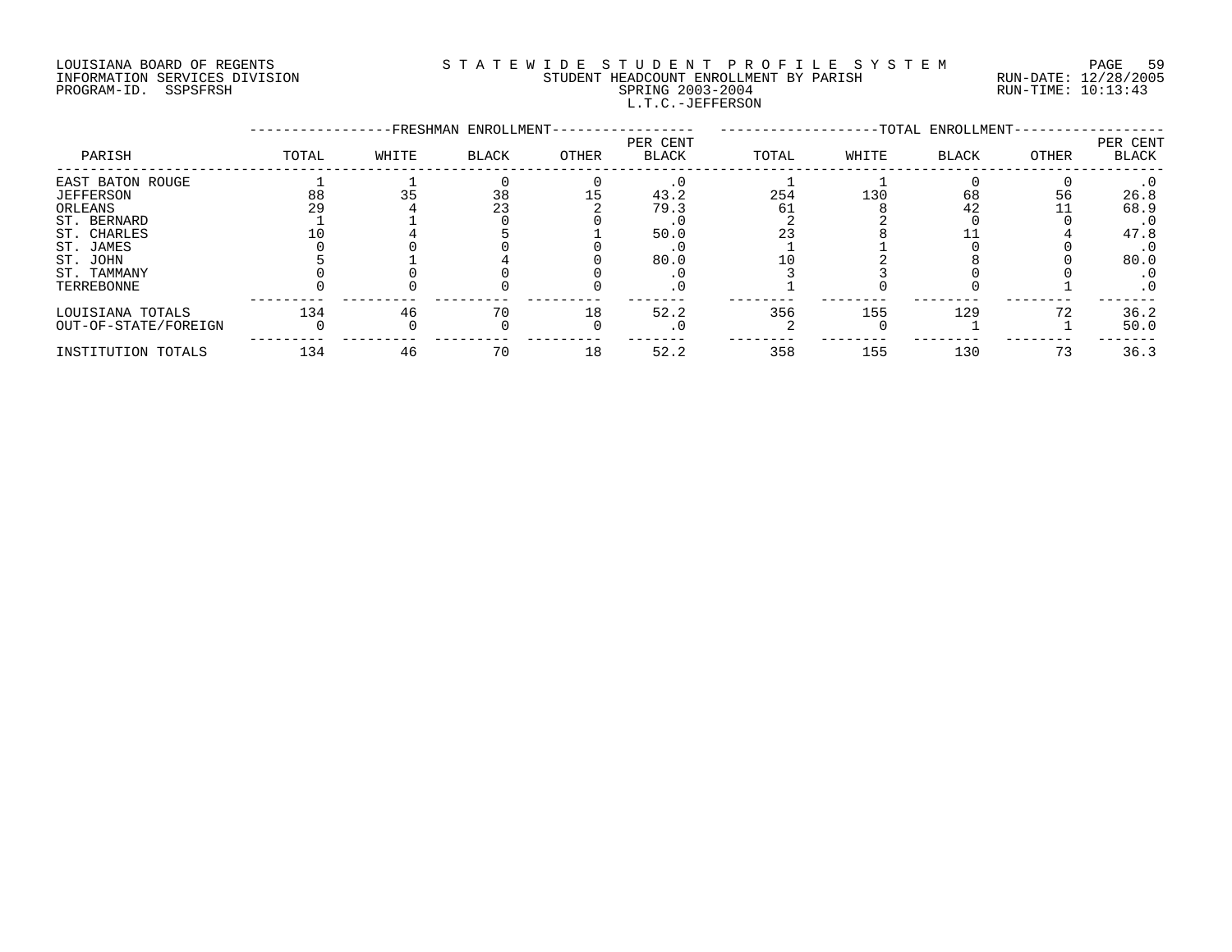# LOUISIANA BOARD OF REGENTS S T A T E W I D E S T U D E N T P R O F I L E S Y S T E M PAGE 59 INFORMATION SERVICES DIVISION STUDENT HEADCOUNT ENROLLMENT BY PARISH RUN-DATE: 12/28/2005 PROGRAM-ID. SSPSFRSH SPRING 2003-2004 RUN-TIME: 10:13:43 L.T.C.-JEFFERSON

|                      |       |       | -FRESHMAN ENROLLMENT- |       |                          |       |       | -TOTAL ENROLLMENT- |       |                   |
|----------------------|-------|-------|-----------------------|-------|--------------------------|-------|-------|--------------------|-------|-------------------|
| PARISH               | TOTAL | WHITE | <b>BLACK</b>          | OTHER | PER CENT<br><b>BLACK</b> | TOTAL | WHITE | <b>BLACK</b>       | OTHER | PER CENT<br>BLACK |
| EAST BATON ROUGE     |       |       |                       |       |                          |       |       |                    |       |                   |
| <b>JEFFERSON</b>     | 88    |       | 38                    |       | 43.2                     | 254   | 130   | 68                 | 56    | 26.8              |
| ORLEANS              | 29    |       | 23                    |       | 79.3                     | 61    |       | 42                 |       | 68.9              |
| ST. BERNARD          |       |       |                       |       |                          |       |       |                    |       | . 0               |
| ST. CHARLES          |       |       |                       |       | 50.0                     |       |       |                    |       | 47.8              |
| ST. JAMES            |       |       |                       |       |                          |       |       |                    |       | $\cdot$ 0         |
| ST. JOHN             |       |       |                       |       | 80.0                     |       |       |                    |       | 80.0              |
| ST. TAMMANY          |       |       |                       |       |                          |       |       |                    |       |                   |
| TERREBONNE           |       |       |                       |       |                          |       |       |                    |       | $\cdot$ 0         |
| LOUISIANA TOTALS     | 134   | 46    | 70                    | 18    | 52.2                     | 356   | 155   | 129                |       | 36.2              |
| OUT-OF-STATE/FOREIGN |       |       |                       |       |                          |       |       |                    |       | 50.0              |
| INSTITUTION TOTALS   | 134   | 46    | 70                    | 18    | 52.2                     | 358   | 155   | 130                | 73    | 36.3              |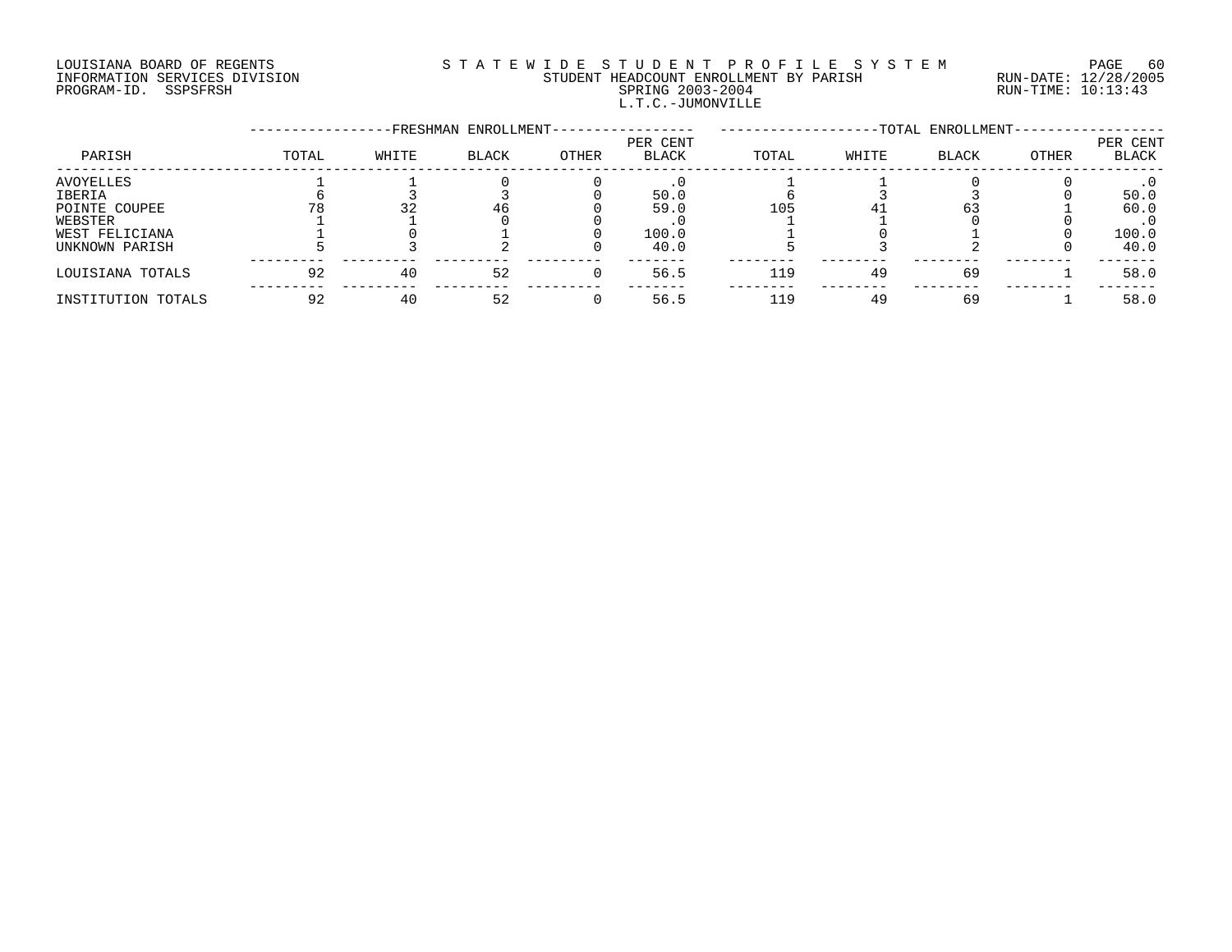# LOUISIANA BOARD OF REGENTS S T A T E W I D E S T U D E N T P R O F I L E S Y S T E M PAGE 60 INFORMATION SERVICES DIVISION STUDENT HEADCOUNT ENROLLMENT BY PARISH RUN-DATE: 12/28/2005 PROGRAM-ID. SSPSFRSH SPRING 2003-2004 RUN-TIME: 10:13:43 L.T.C.-JUMONVILLE

|                    |       |       | -FRESHMAN ENROLLMENT- |       |                   |       |       | -TOTAL ENROLLMENT- |       |                          |
|--------------------|-------|-------|-----------------------|-------|-------------------|-------|-------|--------------------|-------|--------------------------|
| PARISH             | TOTAL | WHITE | <b>BLACK</b>          | OTHER | PER CENT<br>BLACK | TOTAL | WHITE | <b>BLACK</b>       | OTHER | PER CENT<br><b>BLACK</b> |
| AVOYELLES          |       |       |                       |       |                   |       |       |                    |       |                          |
| IBERIA             |       |       |                       |       | 50.0              |       |       |                    |       | 50.0                     |
| POINTE COUPEE      |       | 32    | 46                    |       | 59.0              | 105   |       |                    |       | 60.0                     |
| WEBSTER            |       |       |                       |       |                   |       |       |                    |       |                          |
| WEST FELICIANA     |       |       |                       |       | 100.0             |       |       |                    |       | 100.0                    |
| UNKNOWN PARISH     |       |       |                       |       | 40.0              |       |       |                    |       | 40.0                     |
| LOUISIANA TOTALS   | 92    | 40    | 52                    |       | 56.5              | 119   | 49    | 69                 |       | 58.0                     |
| INSTITUTION TOTALS | 92    | 40    | 52                    |       | 56.5              | 119   | 49    | 69                 |       | 58.0                     |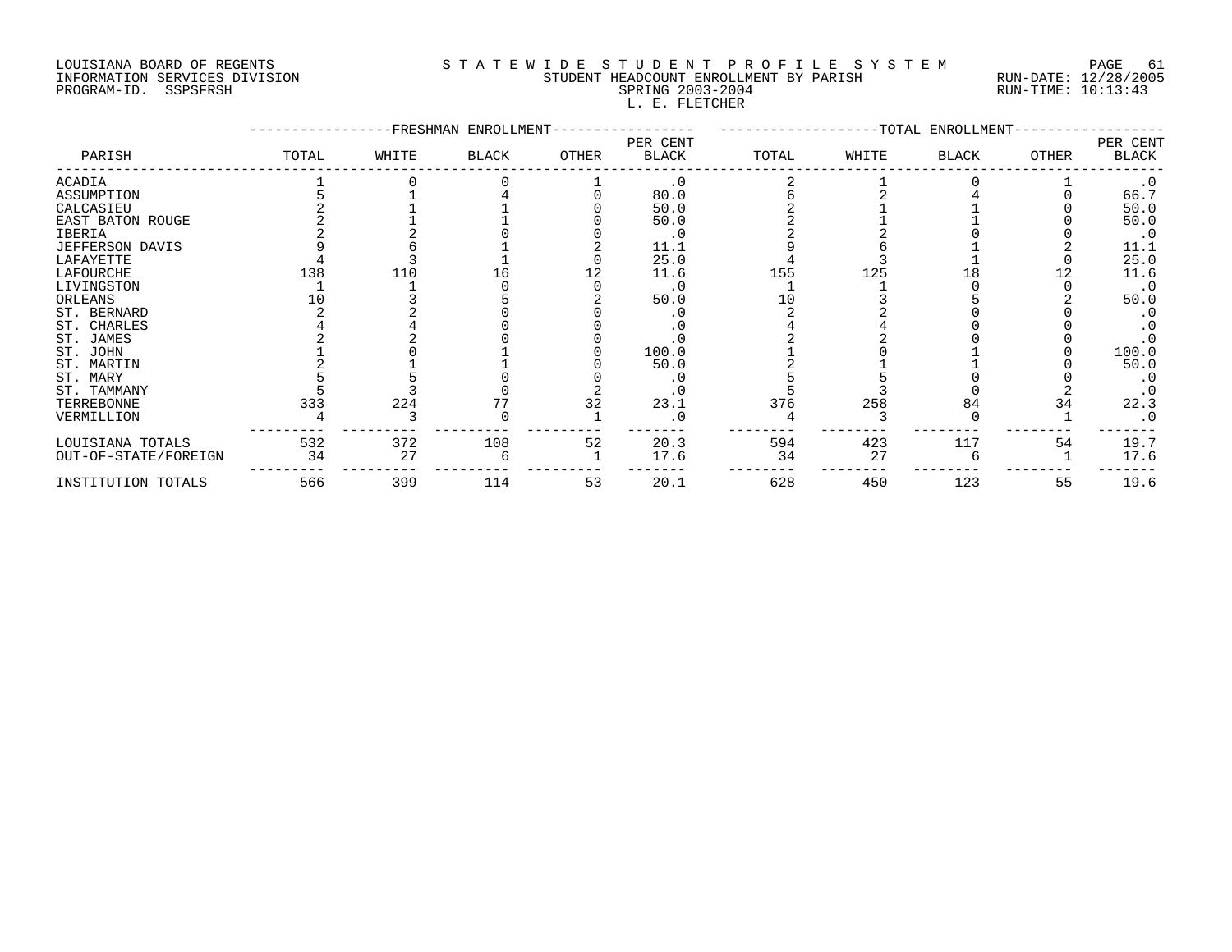# LOUISIANA BOARD OF REGENTS SOURCLEARIE WIDE STUDENT PROFILE SYSTEM PAGE 61. INFORMATION SERVICES DIVISION STUDENT HEADCOUNT ENROLLMENT BY PARISH RUN-DATE: 12/28/2005 PROGRAM-ID. SSPSFRSH SPRING 2003-2004 RUN-TIME: 10:13:43 L. E. FLETCHER

|                        |       |       | FRESHMAN ENROLLMENT |       |                          |       |       | -TOTAL ENROLLMENT- |              |                   |
|------------------------|-------|-------|---------------------|-------|--------------------------|-------|-------|--------------------|--------------|-------------------|
| PARISH                 | TOTAL | WHITE | BLACK               | OTHER | PER CENT<br><b>BLACK</b> | TOTAL | WHITE | BLACK              | <b>OTHER</b> | PER CENT<br>BLACK |
| ACADIA                 |       |       |                     |       | $\cdot$ 0                |       |       |                    |              | $\cdot$ 0         |
| ASSUMPTION             |       |       |                     |       | 80.0                     |       |       |                    |              | 66.7              |
| CALCASIEU              |       |       |                     |       | 50.0                     |       |       |                    |              | 50.0              |
| EAST BATON ROUGE       |       |       |                     |       | 50.0                     |       |       |                    |              | 50.0              |
| IBERIA                 |       |       |                     |       | $\cdot$ 0                |       |       |                    |              | $\cdot$ 0         |
| <b>JEFFERSON DAVIS</b> |       |       |                     |       | 11.1                     |       |       |                    |              | 11.1              |
| LAFAYETTE              |       |       |                     |       | 25.0                     |       |       |                    |              | 25.0              |
| LAFOURCHE              | 138   | 110   |                     |       | 11.6                     | 155   | 125   |                    |              | 11.6              |
| LIVINGSTON             |       |       |                     |       | $\cdot$ 0                |       |       |                    |              | $\cdot$ 0         |
| ORLEANS                |       |       |                     |       | 50.0                     |       |       |                    |              | 50.0              |
| ST. BERNARD            |       |       |                     |       |                          |       |       |                    |              |                   |
| ST. CHARLES            |       |       |                     |       |                          |       |       |                    |              |                   |
| ST. JAMES              |       |       |                     |       |                          |       |       |                    |              |                   |
| ST. JOHN               |       |       |                     |       | 100.0                    |       |       |                    |              | 100.0             |
| ST. MARTIN             |       |       |                     |       | 50.0                     |       |       |                    |              | 50.0              |
| ST. MARY               |       |       |                     |       | . 0                      |       |       |                    |              |                   |
| ST. TAMMANY            |       |       |                     |       |                          |       |       |                    |              |                   |
| TERREBONNE             | 333   | 224   |                     | 32    | 23.1                     | 376   | 258   | 84                 | 34           | 22.3              |
| VERMILLION             |       |       |                     |       | $\cdot$ 0                |       |       |                    |              |                   |
| LOUISIANA TOTALS       | 532   | 372   | 108                 | 52    | 20.3                     | 594   | 423   | 117                | 54           | 19.7              |
| OUT-OF-STATE/FOREIGN   | 34    | 27    |                     |       | 17.6                     | 34    | 27    |                    |              | 17.6              |
| INSTITUTION TOTALS     | 566   | 399   | 114                 | 53    | 20.1                     | 628   | 450   | 123                | 55           | 19.6              |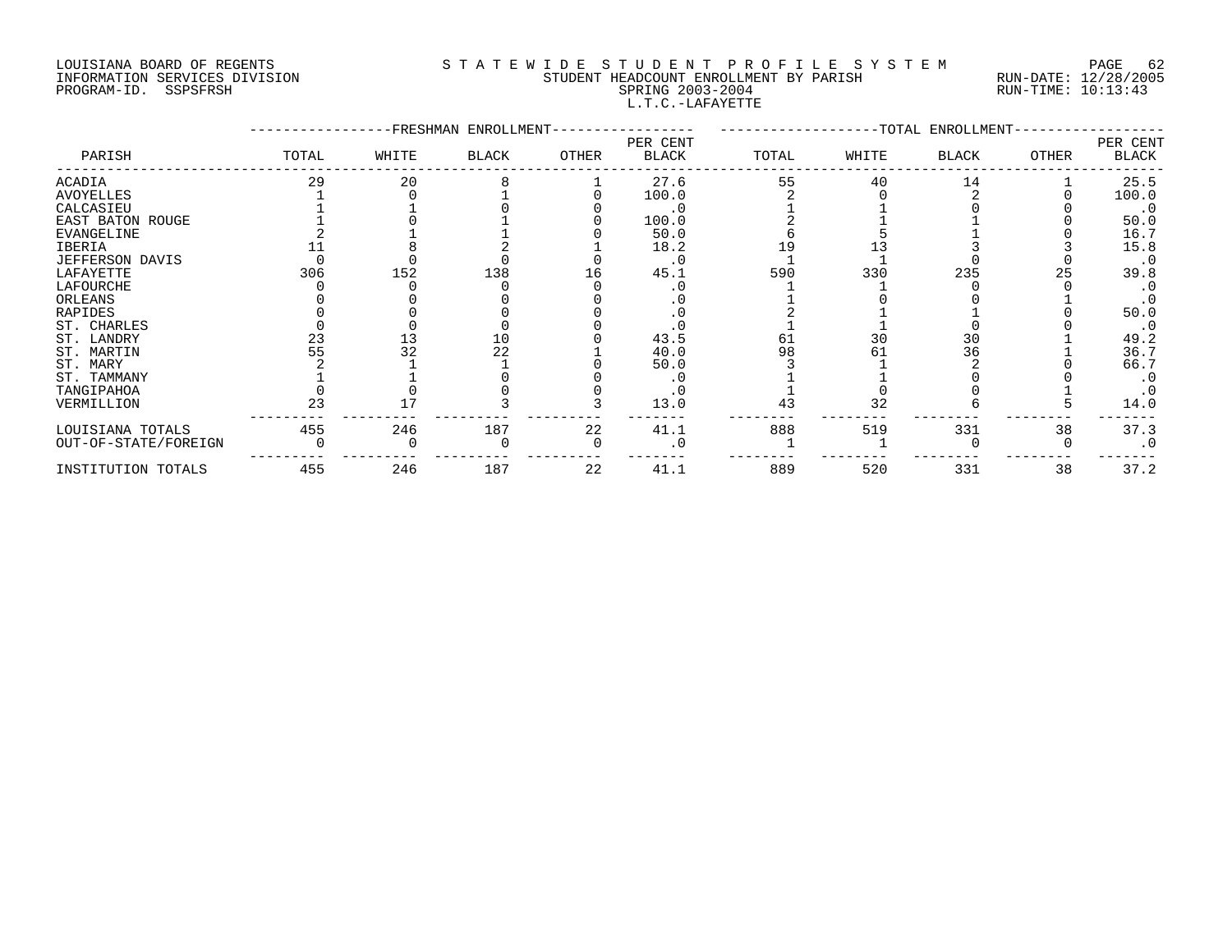# LOUISIANA BOARD OF REGENTS S T A T E W I D E S T U D E N T P R O F I L E S Y S T E M PAGE 62 INFORMATION SERVICES DIVISION STUDENT HEADCOUNT ENROLLMENT BY PARISH RUN-DATE: 12/28/2005 PROGRAM-ID. SSPSFRSH SPRING 2003-2004 RUN-TIME: 10:13:43 L.T.C.-LAFAYETTE

|                      |       |       | -FRESHMAN ENROLLMENT- |       |                          |       |       | -TOTAL ENROLLMENT- |              |                   |
|----------------------|-------|-------|-----------------------|-------|--------------------------|-------|-------|--------------------|--------------|-------------------|
| PARISH               | TOTAL | WHITE | BLACK                 | OTHER | PER CENT<br><b>BLACK</b> | TOTAL | WHITE | BLACK              | <b>OTHER</b> | PER CENT<br>BLACK |
| ACADIA               | 29    | 20    |                       |       | 27.6                     | 55    | 40    | 14                 |              | 25.5              |
| AVOYELLES            |       |       |                       |       | 100.0                    |       |       |                    |              | 100.0             |
| CALCASIEU            |       |       |                       |       | . 0                      |       |       |                    |              | $\cdot$ 0         |
| EAST BATON ROUGE     |       |       |                       |       | 100.0                    |       |       |                    |              | 50.0              |
| <b>EVANGELINE</b>    |       |       |                       |       | 50.0                     |       |       |                    |              | 16.7              |
| IBERIA               |       |       |                       |       | 18.2                     |       |       |                    |              | 15.8              |
| JEFFERSON DAVIS      |       |       |                       |       | $\cdot$ 0                |       |       |                    |              |                   |
| LAFAYETTE            | 306   | 152   | 138                   | 16    | 45.1                     | 590   | 330   | 235                | 25           | 39.8              |
| LAFOURCHE            |       |       |                       |       |                          |       |       |                    |              |                   |
| ORLEANS              |       |       |                       |       |                          |       |       |                    |              |                   |
| RAPIDES              |       |       |                       |       |                          |       |       |                    |              | 50.0              |
| ST. CHARLES          |       |       |                       |       |                          |       |       |                    |              | $\cdot$ 0         |
| ST. LANDRY           | 23    |       | 10                    |       | 43.5                     | 61    | 30    | 30                 |              | 49.2              |
| ST. MARTIN           |       | 32    | 22                    |       | 40.0                     | 98    |       | 36                 |              | 36.7              |
| ST. MARY             |       |       |                       |       | 50.0                     |       |       |                    |              | 66.7              |
| ST. TAMMANY          |       |       |                       |       |                          |       |       |                    |              |                   |
| TANGIPAHOA           |       |       |                       |       |                          |       |       |                    |              |                   |
| VERMILLION           | 23    |       |                       |       | 13.0                     | 43    | 32    |                    |              | 14.0              |
| LOUISIANA TOTALS     | 455   | 246   | 187                   | 22    | 41.1                     | 888   | 519   | 331                | 38           | 37.3              |
| OUT-OF-STATE/FOREIGN |       |       |                       |       |                          |       |       |                    |              |                   |
| INSTITUTION TOTALS   | 455   | 246   | 187                   | 22    | 41.1                     | 889   | 520   | 331                | 38           | 37.2              |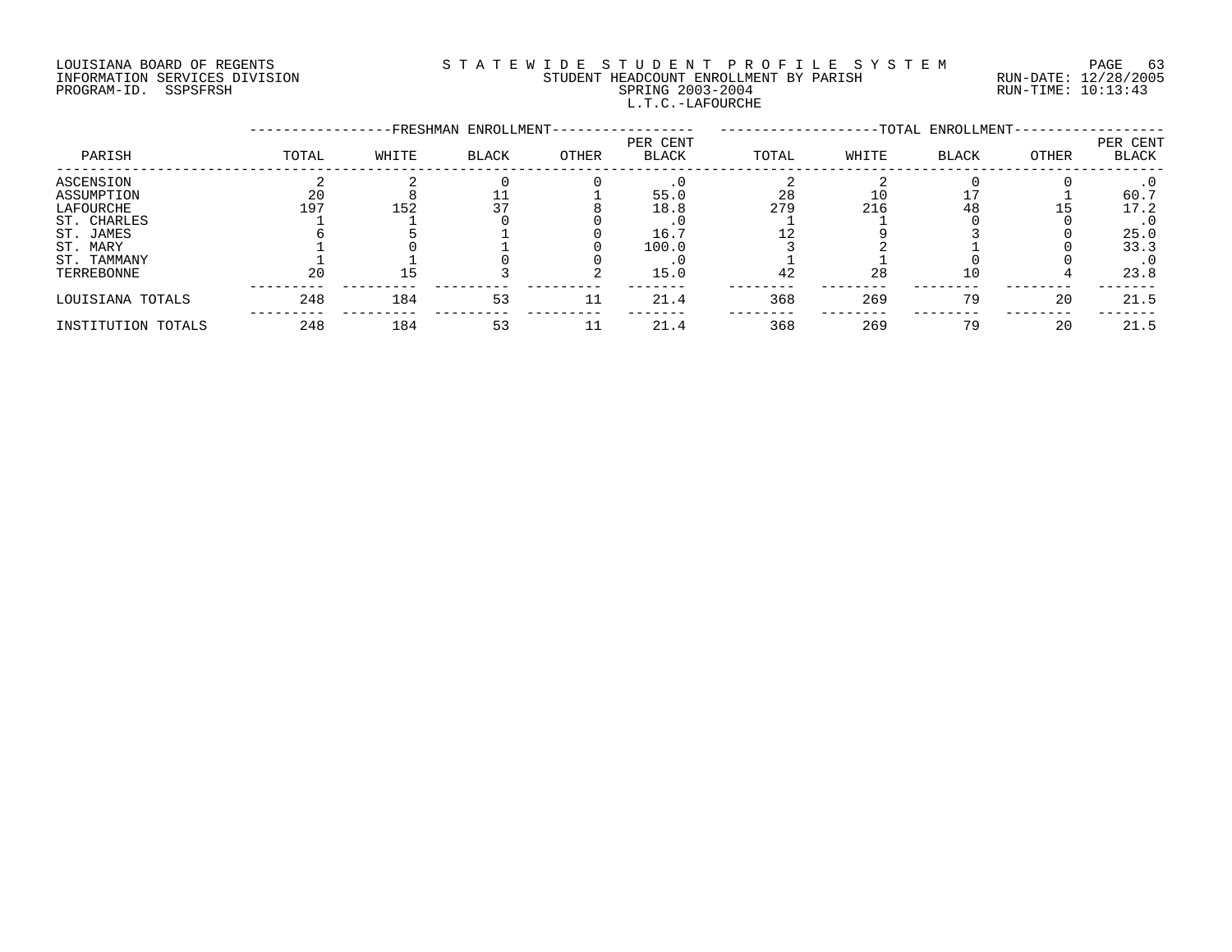# LOUISIANA BOARD OF REGENTS S T A T E W I D E S T U D E N T P R O F I L E S Y S T E M PAGE 63 INFORMATION SERVICES DIVISION STUDENT HEADCOUNT ENROLLMENT BY PARISH RUN-DATE: 12/28/2005 PROGRAM-ID. SSPSFRSH SPRING 2003-2004 RUN-TIME: 10:13:43 L.T.C.-LAFOURCHE

|                    |       |       | -FRESHMAN ENROLLMENT- |       |                          |       |       | -TOTAL ENROLLMENT- |       |                          |
|--------------------|-------|-------|-----------------------|-------|--------------------------|-------|-------|--------------------|-------|--------------------------|
| PARISH             | TOTAL | WHITE | <b>BLACK</b>          | OTHER | PER CENT<br><b>BLACK</b> | TOTAL | WHITE | <b>BLACK</b>       | OTHER | PER CENT<br><b>BLACK</b> |
| ASCENSION          |       |       |                       |       |                          |       |       |                    |       |                          |
| ASSUMPTION         | 20    |       |                       |       | 55.0                     | 28    | 10    |                    |       | 60.7                     |
| LAFOURCHE          | 197   | 152   |                       |       | 18.8                     | 279   | 216   | 48                 | l 5   | 17.2                     |
| ST. CHARLES        |       |       |                       |       |                          |       |       |                    |       | $\cdot$ 0                |
| ST. JAMES          |       |       |                       |       | 16.7                     |       |       |                    |       | 25.0                     |
| ST. MARY           |       |       |                       |       | 100.0                    |       |       |                    |       | 33.3                     |
| ST. TAMMANY        |       |       |                       |       |                          |       |       |                    |       | $\cdot$ 0                |
| TERREBONNE         | 20    |       |                       |       | 15.0                     | 42    | 28    |                    |       | 23.8                     |
| LOUISIANA TOTALS   | 248   | 184   | 53                    | 11    | 21.4                     | 368   | 269   | 79                 | 20    | 21.5                     |
| INSTITUTION TOTALS | 248   | 184   | 53                    | 11    | 21.4                     | 368   | 269   | 79                 | 20    | 21.5                     |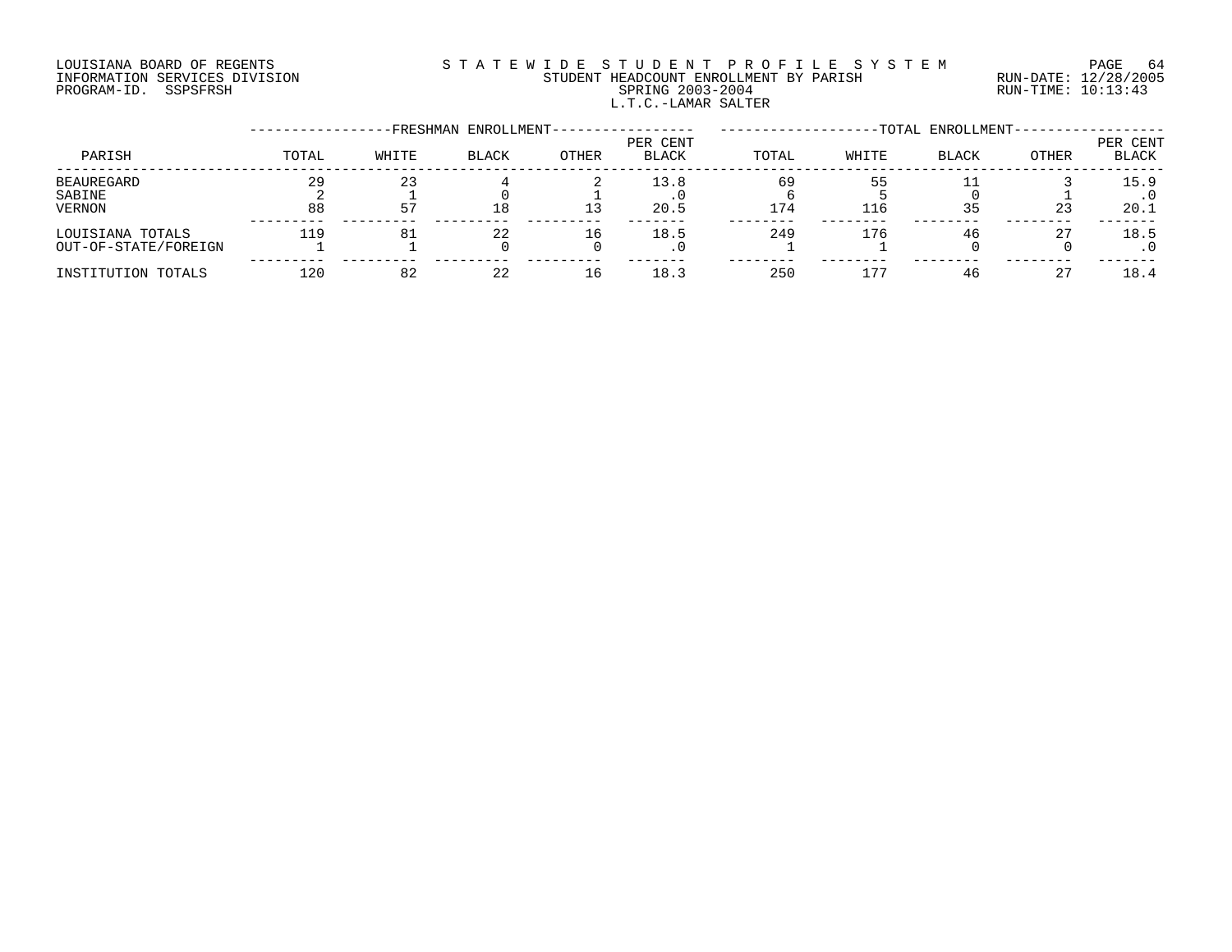# LOUISIANA BOARD OF REGENTS S T A T E W I D E S T U D E N T P R O F I L E S Y S T E M PAGE 64 INFORMATION SERVICES DIVISION STUDENT HEADCOUNT ENROLLMENT BY PARISH RUN-DATE: 12/28/2005 PROGRAM-ID. SSPSFRSH SPRING 2003-2004 RUN-TIME: 10:13:43 L.T.C.-LAMAR SALTER

|                                          |          |          | -FRESHMAN ENROLLMENT- |       |                   |           |           | -TOTAL ENROLLMENT- |       |                   |
|------------------------------------------|----------|----------|-----------------------|-------|-------------------|-----------|-----------|--------------------|-------|-------------------|
| PARISH                                   | TOTAL    | WHITE    | <b>BLACK</b>          | OTHER | PER CENT<br>BLACK | TOTAL     | WHITE     | <b>BLACK</b>       | OTHER | PER CENT<br>BLACK |
| <b>BEAUREGARD</b><br>SABINE<br>VERNON    | 29<br>88 | 23<br>57 | 18                    |       | 13.8<br>20.5      | 69<br>174 | 55<br>116 | 35                 | 23    | 15.9<br>20.1      |
| LOUISIANA TOTALS<br>OUT-OF-STATE/FOREIGN | 119      | 81       | 22                    | 16    | 18.5<br>. ∪       | 249       | 176       | 46                 | 27    | 18.5              |
| INSTITUTION TOTALS                       | 120      | 82       | 22                    | 16    | 18.3              | 250       | 177       | 46                 | 27    | 18.4              |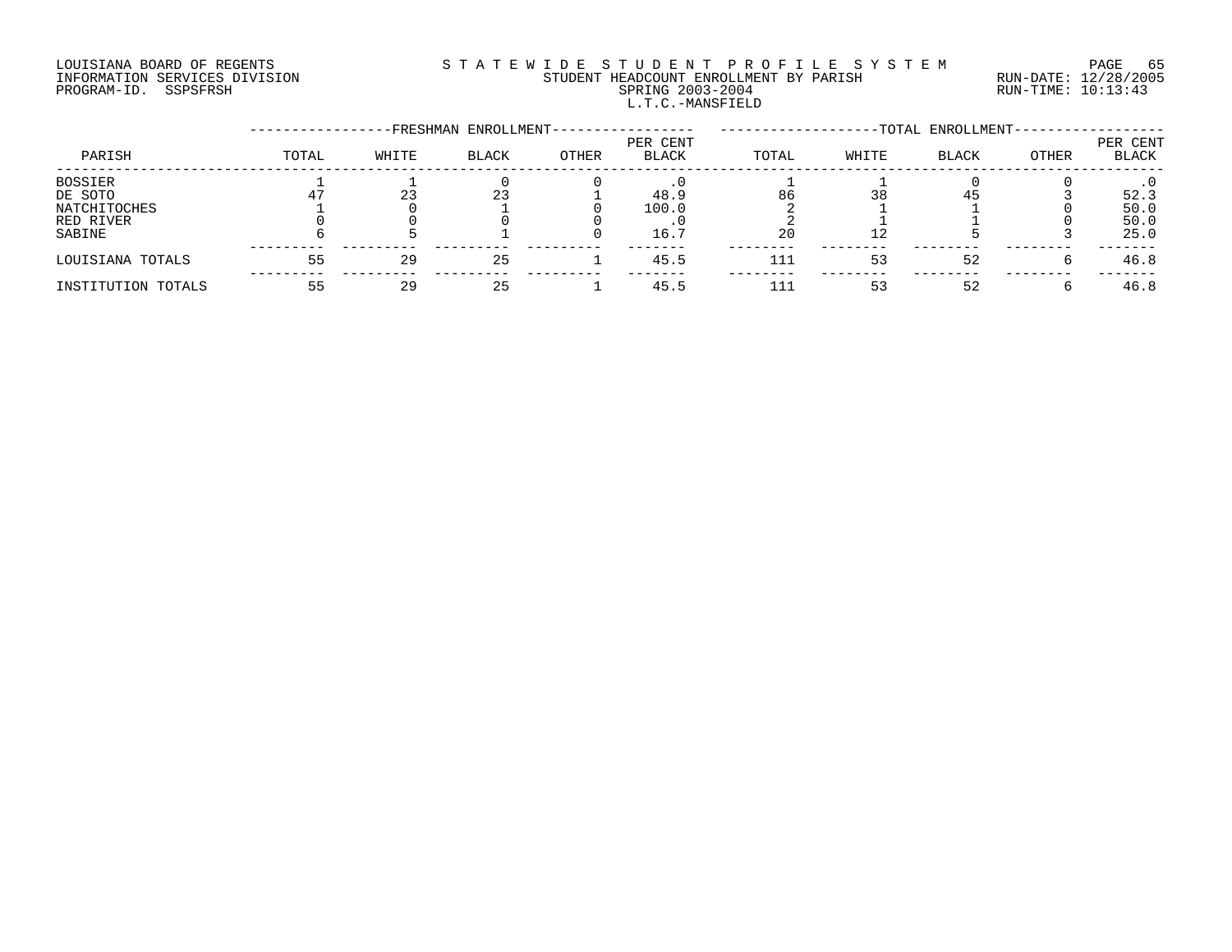# LOUISIANA BOARD OF REGENTS S T A T E W I D E S T U D E N T P R O F I L E S Y S T E M PAGE 65 INFORMATION SERVICES DIVISION STUDENT HEADCOUNT ENROLLMENT BY PARISH RUN-DATE: 12/28/2005 PROGRAM-ID. SSPSFRSH SPRING 2003-2004 RUN-TIME: 10:13:43 L.T.C.-MANSFIELD

|                    |       |       | -FRESHMAN ENROLLMENT- |       |                          |       |       | -TOTAL ENROLLMENT- |       |                   |
|--------------------|-------|-------|-----------------------|-------|--------------------------|-------|-------|--------------------|-------|-------------------|
| PARISH             | TOTAL | WHITE | <b>BLACK</b>          | OTHER | PER CENT<br><b>BLACK</b> | TOTAL | WHITE | <b>BLACK</b>       | OTHER | PER CENT<br>BLACK |
| <b>BOSSIER</b>     |       |       |                       |       |                          |       |       |                    |       |                   |
| DE SOTO            |       |       | 23                    |       | 48.9                     | 86    | 38    | 45                 |       | 52.3              |
| NATCHITOCHES       |       |       |                       |       | 100.0                    |       |       |                    |       | 50.0              |
| RED RIVER          |       |       |                       |       |                          |       |       |                    |       | 50.0              |
| SABINE             |       |       |                       |       | 16.7                     | 20    | 12    |                    |       | 25.0              |
| LOUISIANA TOTALS   | 55    | 29    | 25                    |       | 45.5                     | 111   | 53    | 52                 |       | 46.8              |
| INSTITUTION TOTALS |       | 29    | 25                    |       | 45.5                     | 111   | 53    | 52                 |       | 46.8              |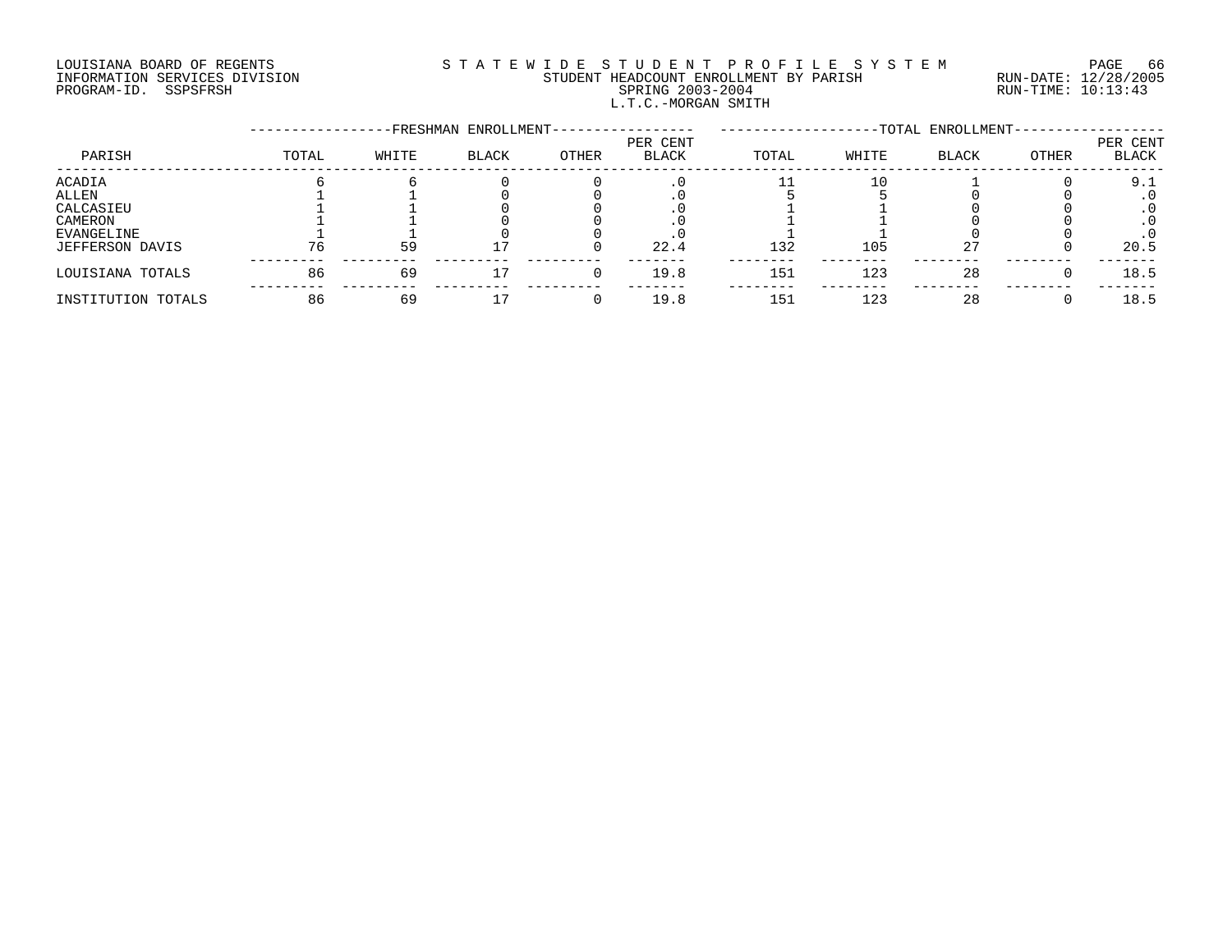# LOUISIANA BOARD OF REGENTS S T A T E W I D E S T U D E N T P R O F I L E S Y S T E M PAGE 66 INFORMATION SERVICES DIVISION STUDENT HEADCOUNT ENROLLMENT BY PARISH RUN-DATE: 12/28/2005 PROGRAM-ID. SSPSFRSH SPRING 2003-2004 RUN-TIME: 10:13:43 L.T.C.-MORGAN SMITH

|                    |       |       | -FRESHMAN ENROLLMENT- |       |                          |       |       | -TOTAL ENROLLMENT- |       |                   |
|--------------------|-------|-------|-----------------------|-------|--------------------------|-------|-------|--------------------|-------|-------------------|
| PARISH             | TOTAL | WHITE | <b>BLACK</b>          | OTHER | PER CENT<br><b>BLACK</b> | TOTAL | WHITE | <b>BLACK</b>       | OTHER | PER CENT<br>BLACK |
| ACADIA             |       |       |                       |       |                          |       | 10    |                    |       | 9.1               |
| ALLEN              |       |       |                       |       |                          |       |       |                    |       |                   |
| CALCASIEU          |       |       |                       |       |                          |       |       |                    |       |                   |
| CAMERON            |       |       |                       |       |                          |       |       |                    |       |                   |
| EVANGELINE         |       |       |                       |       |                          |       |       |                    |       |                   |
| JEFFERSON DAVIS    | 76    | 59    |                       |       | 22.4                     | 132   | 105   | 27                 |       | 20.5              |
| LOUISIANA TOTALS   | 86    | 69    |                       |       | 19.8                     | 151   | 123   | 28                 |       | 18.5              |
| INSTITUTION TOTALS | 86    | 69    |                       |       | 19.8                     | 151   | 123   | 28                 |       | 18.5              |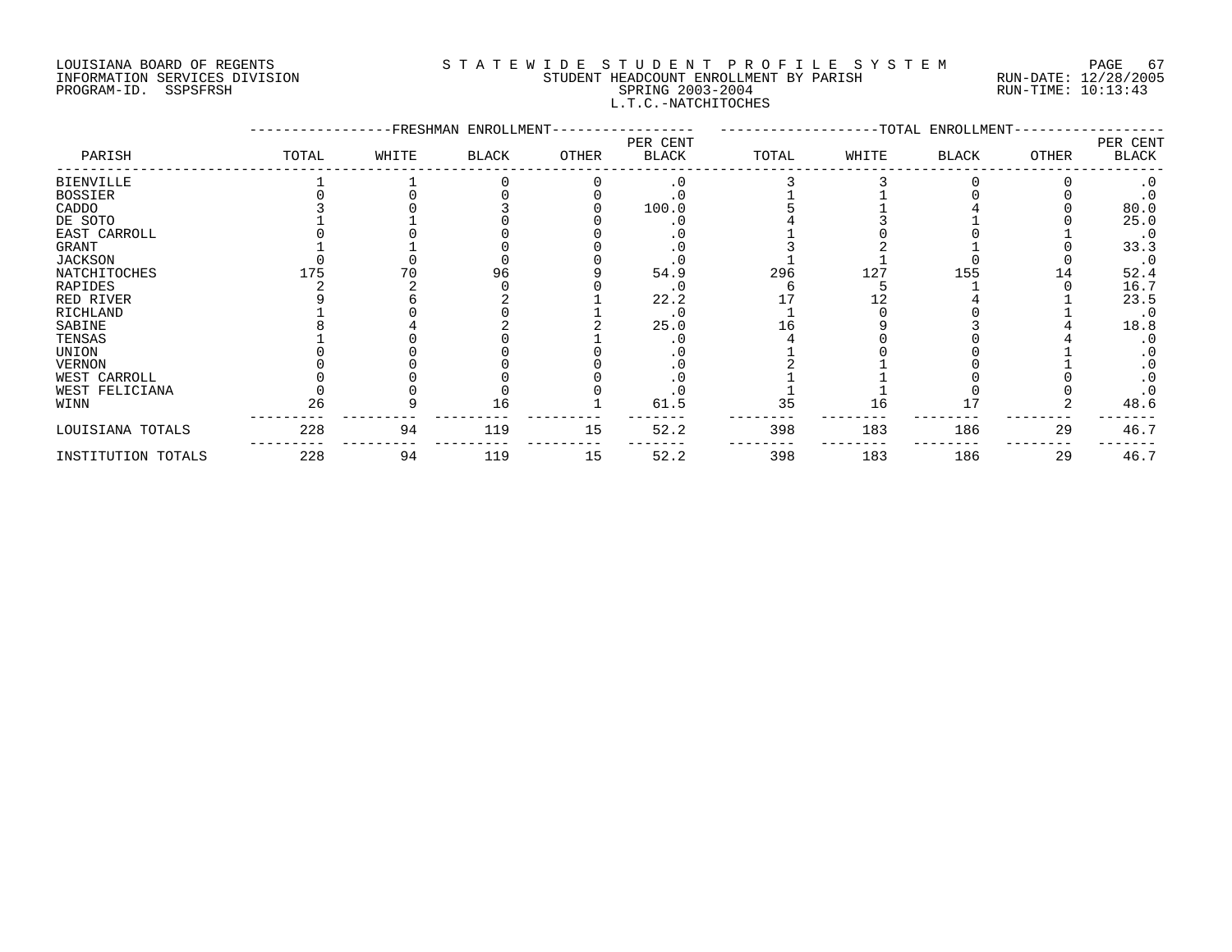# LOUISIANA BOARD OF REGENTS SOURCLEARIE WIDE STUDENT PROFILE SYSTEM PAGE 67. INFORMATION SERVICES DIVISION STUDENT HEADCOUNT ENROLLMENT BY PARISH RUN-DATE: 12/28/2005 PROGRAM-ID. SSPSFRSH SPRING 2003-2004 RUN-TIME: 10:13:43 L.T.C.-NATCHITOCHES

|                    |       |       | -FRESHMAN ENROLLMENT- |       |                          |       |       | --TOTAL ENROLLMENT- |              |                   |
|--------------------|-------|-------|-----------------------|-------|--------------------------|-------|-------|---------------------|--------------|-------------------|
| PARISH             | TOTAL | WHITE | BLACK                 | OTHER | PER CENT<br><b>BLACK</b> | TOTAL | WHITE | BLACK               | <b>OTHER</b> | PER CENT<br>BLACK |
| <b>BIENVILLE</b>   |       |       |                       |       | . 0                      |       |       |                     |              |                   |
| <b>BOSSIER</b>     |       |       |                       |       |                          |       |       |                     |              |                   |
| CADDO              |       |       |                       |       | 100.0                    |       |       |                     |              | 80.0              |
| DE SOTO            |       |       |                       |       |                          |       |       |                     |              | 25.0              |
| EAST CARROLL       |       |       |                       |       |                          |       |       |                     |              | $\cdot$ 0         |
| GRANT              |       |       |                       |       |                          |       |       |                     |              | 33.3              |
| JACKSON            |       |       |                       |       |                          |       |       |                     |              | $\cdot$ 0         |
| NATCHITOCHES       | 175   |       | 96                    |       | 54.9                     | 296   | 127   | 155                 | . 4          | 52.4              |
| RAPIDES            |       |       |                       |       |                          |       |       |                     |              | 16.7              |
| RED RIVER          |       |       |                       |       | 22.2                     |       |       |                     |              | 23.5              |
| RICHLAND           |       |       |                       |       | . 0                      |       |       |                     |              | $\cdot$ 0         |
| SABINE             |       |       |                       |       | 25.0                     |       |       |                     |              | 18.8              |
| TENSAS             |       |       |                       |       |                          |       |       |                     |              |                   |
| UNION              |       |       |                       |       |                          |       |       |                     |              |                   |
| <b>VERNON</b>      |       |       |                       |       |                          |       |       |                     |              |                   |
| WEST CARROLL       |       |       |                       |       |                          |       |       |                     |              |                   |
| WEST FELICIANA     |       |       |                       |       |                          |       |       |                     |              |                   |
| WINN               | 26    |       | 16                    |       | 61.5                     | 35    | 16    |                     |              | 48.6              |
| LOUISIANA TOTALS   | 228   | 94    | 119                   | 15    | 52.2                     | 398   | 183   | 186                 | 29           | 46.7              |
| INSTITUTION TOTALS | 228   | 94    | 119                   | 15    | 52.2                     | 398   | 183   | 186                 | 29           | 46.7              |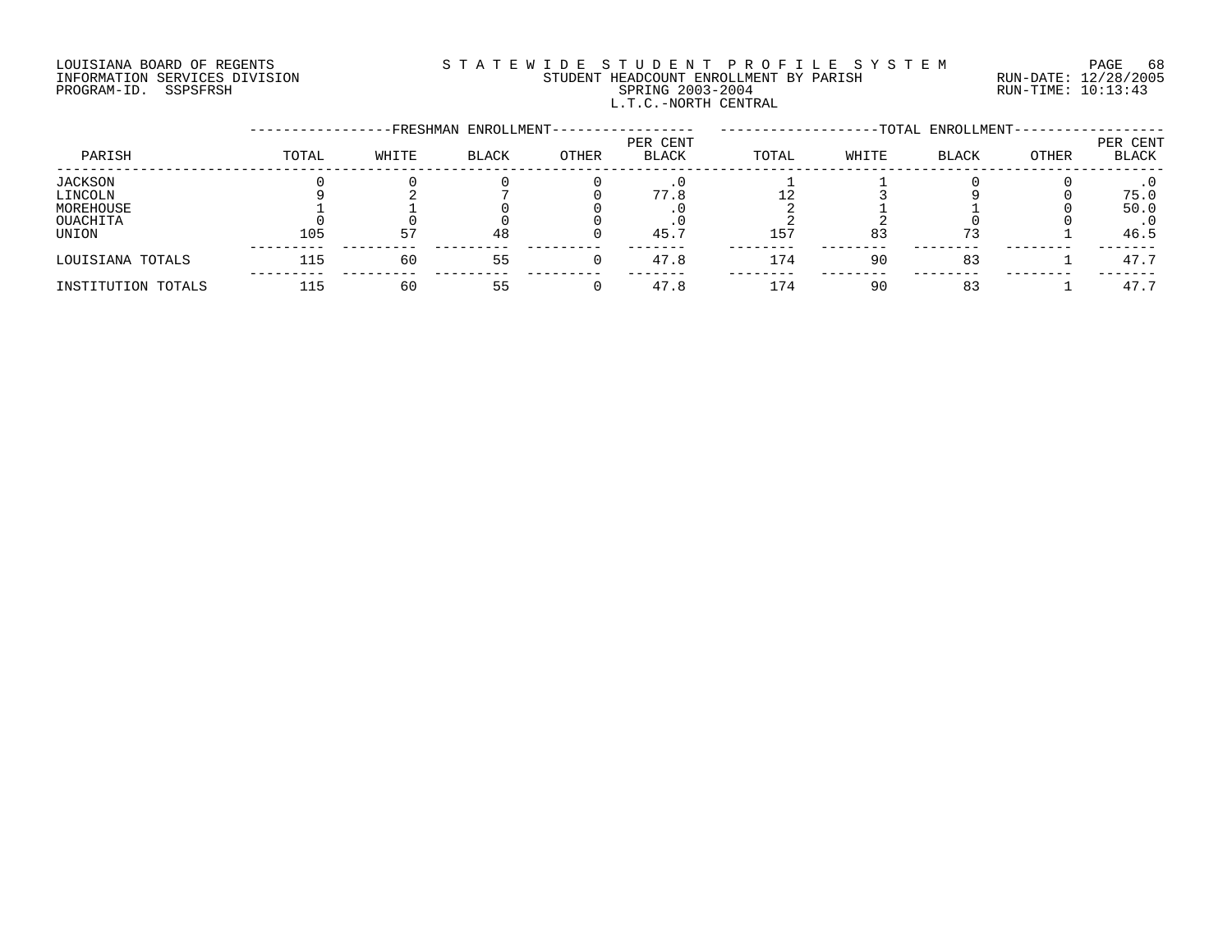# LOUISIANA BOARD OF REGENTS S T A T E W I D E S T U D E N T P R O F I L E S Y S T E M PAGE 68 INFORMATION SERVICES DIVISION STUDENT HEADCOUNT ENROLLMENT BY PARISH RUN-DATE: 12/28/2005 PROGRAM-ID. SSPSFRSH SPRING 2003-2004 RUN-TIME: 10:13:43 L.T.C.-NORTH CENTRAL

|                    |       |       | -FRESHMAN ENROLLMENT- |       |                          |       |       | -TOTAL ENROLLMENT- |       |                   |
|--------------------|-------|-------|-----------------------|-------|--------------------------|-------|-------|--------------------|-------|-------------------|
| PARISH             | TOTAL | WHITE | BLACK                 | OTHER | PER CENT<br><b>BLACK</b> | TOTAL | WHITE | <b>BLACK</b>       | OTHER | PER CENT<br>BLACK |
| JACKSON            |       |       |                       |       |                          |       |       |                    |       |                   |
| LINCOLN            |       |       |                       |       | 77.8                     |       |       |                    |       | 75.0              |
| MOREHOUSE          |       |       |                       |       |                          |       |       |                    |       | 50.0              |
| OUACHITA           |       |       |                       |       |                          |       |       |                    |       |                   |
| UNION              | 105   | 57    | 48                    |       | 45.7                     | 157   | 83    | 73                 |       | 46.5              |
| LOUISIANA TOTALS   | 115   | 60    | 55                    |       | 47.8                     | 174   | 90    | 83                 |       | 47.7              |
| INSTITUTION TOTALS | 115   | 60    | 55                    |       | 47.8                     | 174   | 90    | 83                 |       | 47.7              |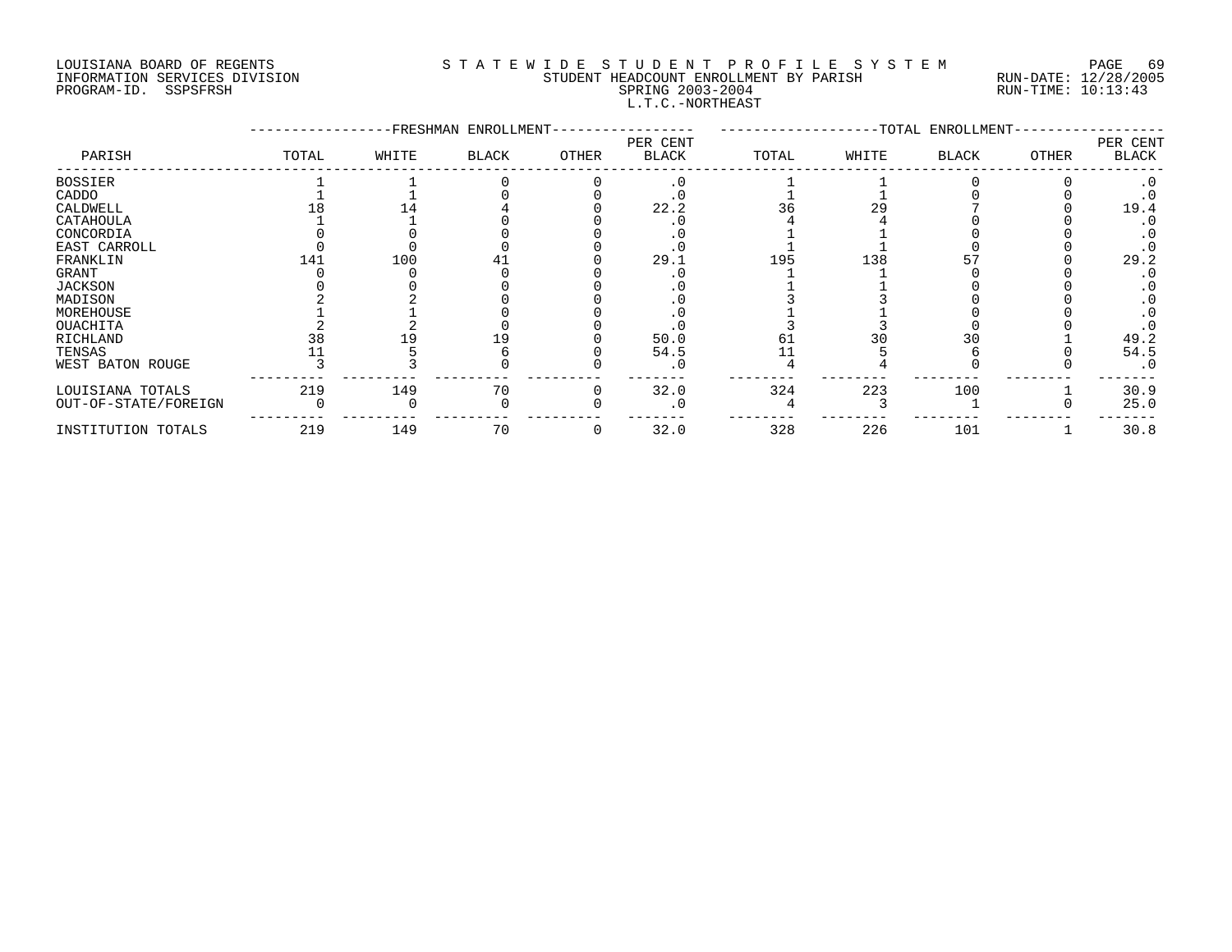#### LOUISIANA BOARD OF REGENTS S T A T E W I D E S T U D E N T P R O F I L E S Y S T E M PAGE 69 INFORMATION SERVICES DIVISION STUDENT HEADCOUNT ENROLLMENT BY PARISH RUN-DATE: 12/28/2005 PROGRAM-ID. SSPSFRSH SPRING 2003-2004 SPRING 2003-2004 RUN-TIME: 10:13:43 L.T.C.-NORTHEAST

|                      |       |       | -FRESHMAN ENROLLMENT- |       |                          |       |       | -TOTAL ENROLLMENT- |              |                   |
|----------------------|-------|-------|-----------------------|-------|--------------------------|-------|-------|--------------------|--------------|-------------------|
| PARISH               | TOTAL | WHITE | BLACK                 | OTHER | PER CENT<br><b>BLACK</b> | TOTAL | WHITE | <b>BLACK</b>       | <b>OTHER</b> | PER CENT<br>BLACK |
| <b>BOSSIER</b>       |       |       |                       |       | $\cdot$ 0                |       |       |                    |              |                   |
| CADDO                |       |       |                       |       |                          |       |       |                    |              |                   |
| CALDWELL             |       |       |                       |       | 22.2                     |       |       |                    |              | 19.4              |
| CATAHOULA            |       |       |                       |       |                          |       |       |                    |              |                   |
| CONCORDIA            |       |       |                       |       |                          |       |       |                    |              |                   |
| EAST CARROLL         |       |       |                       |       |                          |       |       |                    |              |                   |
| FRANKLIN             | 141   | 100   |                       |       | 29.1                     | 195   | 138   |                    |              | 29.2              |
| GRANT                |       |       |                       |       |                          |       |       |                    |              |                   |
| <b>JACKSON</b>       |       |       |                       |       |                          |       |       |                    |              |                   |
| MADISON              |       |       |                       |       |                          |       |       |                    |              |                   |
| MOREHOUSE            |       |       |                       |       |                          |       |       |                    |              |                   |
| OUACHITA             |       |       |                       |       |                          |       |       |                    |              |                   |
| RICHLAND             |       |       |                       |       | 50.0                     | ხ _   |       | 30                 |              | 49.2              |
| TENSAS               |       |       |                       |       | 54.5                     |       |       |                    |              | 54.5              |
| WEST BATON ROUGE     |       |       |                       |       | $\cdot$ 0                |       |       |                    |              | $\cdot$ 0         |
| LOUISIANA TOTALS     | 219   | 149   | 70                    |       | 32.0                     | 324   | 223   | 100                |              | 30.9              |
| OUT-OF-STATE/FOREIGN |       |       |                       |       | $\cdot$ 0                |       |       |                    |              | 25.0              |
| INSTITUTION TOTALS   | 219   | 149   | 70                    | 0     | 32.0                     | 328   | 226   | 101                |              | 30.8              |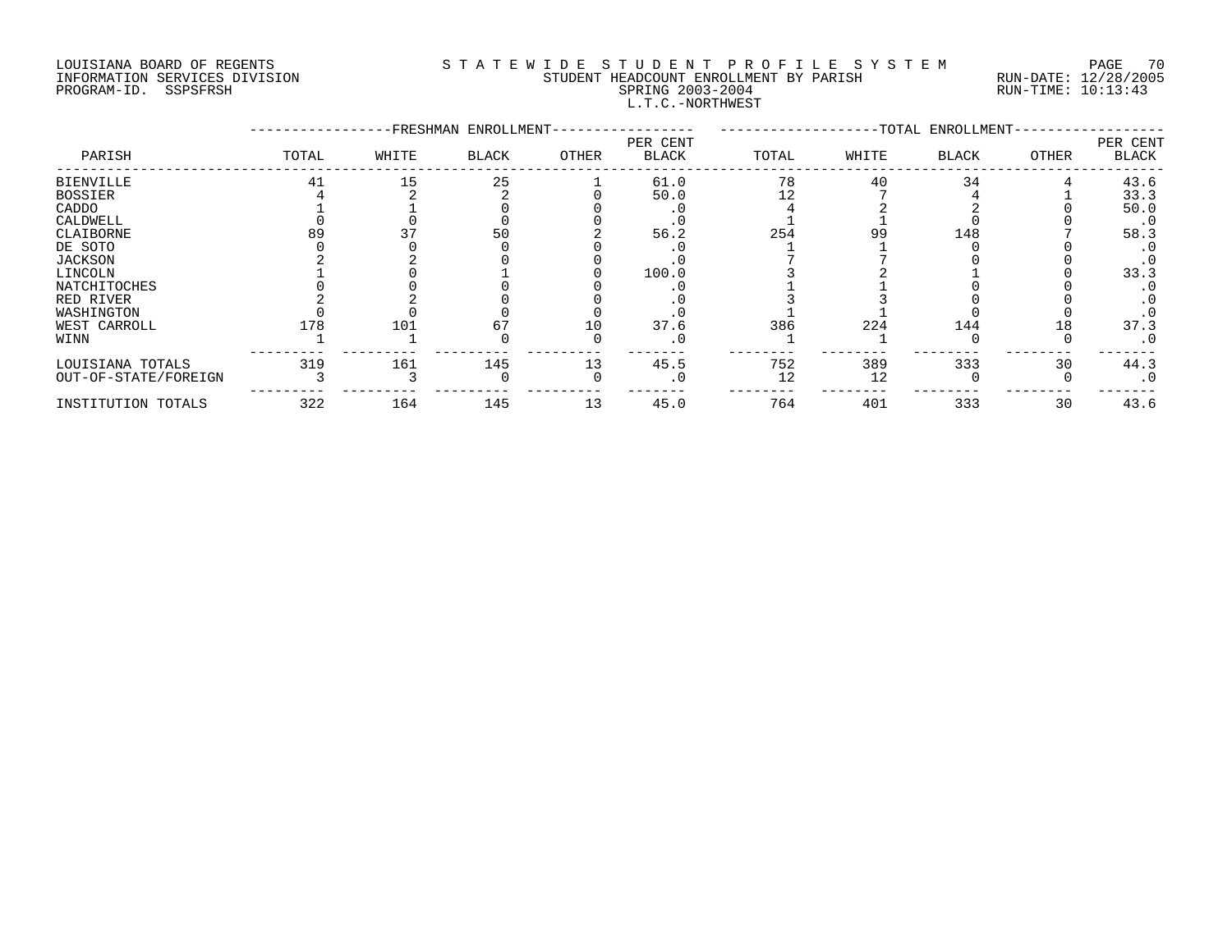# LOUISIANA BOARD OF REGENTS S T A T E W I D E S T U D E N T P R O F I L E S Y S T E M PAGE 70 INFORMATION SERVICES DIVISION STUDENT HEADCOUNT ENROLLMENT BY PARISH RUN-DATE: 12/28/2005 PROGRAM-ID. SSPSFRSH SPRING 2003-2004 RUN-TIME: 10:13:43 L.T.C.-NORTHWEST

|                      |       |       | -FRESHMAN ENROLLMENT- |       |                          |       |       | -TOTAL ENROLLMENT- |       |                          |
|----------------------|-------|-------|-----------------------|-------|--------------------------|-------|-------|--------------------|-------|--------------------------|
| PARISH               | TOTAL | WHITE | BLACK                 | OTHER | PER CENT<br><b>BLACK</b> | TOTAL | WHITE | <b>BLACK</b>       | OTHER | PER CENT<br><b>BLACK</b> |
| <b>BIENVILLE</b>     | 41    | 15    | 25                    |       | 61.0                     | 78    | 40    | 34                 |       | 43.6                     |
| <b>BOSSIER</b>       |       |       |                       |       | 50.0                     |       |       |                    |       | 33.3                     |
| CADDO                |       |       |                       |       |                          |       |       |                    |       | 50.0                     |
| CALDWELL             |       |       |                       |       | . U                      |       |       |                    |       | $\cdot$ 0                |
| CLAIBORNE            |       |       | 50                    |       | 56.2                     | 254   | 99    | 148                |       | 58.3                     |
| DE SOTO              |       |       |                       |       |                          |       |       |                    |       |                          |
| <b>JACKSON</b>       |       |       |                       |       |                          |       |       |                    |       | $\cdot$ 0                |
| LINCOLN              |       |       |                       |       | 100.0                    |       |       |                    |       | 33.3                     |
| <b>NATCHITOCHES</b>  |       |       |                       |       |                          |       |       |                    |       |                          |
| RED RIVER            |       |       |                       |       |                          |       |       |                    |       |                          |
| WASHINGTON           |       |       |                       |       |                          |       |       |                    |       |                          |
| WEST CARROLL         | 178   | 101   |                       | 10    | 37.6                     | 386   | 224   | 144                | 18    | 37.3                     |
| WINN                 |       |       |                       |       | $\cdot$ 0                |       |       |                    |       | $\cdot$ 0                |
| LOUISIANA TOTALS     | 319   | 161   | 145                   | 13    | 45.5                     | 752   | 389   | 333                | 30    | 44.3                     |
| OUT-OF-STATE/FOREIGN |       |       |                       |       | $\cdot$ 0                | 12    | 12    |                    |       | $\cdot$ 0                |
| INSTITUTION TOTALS   | 322   | 164   | 145                   | 13    | 45.0                     | 764   | 401   | 333                | 30    | 43.6                     |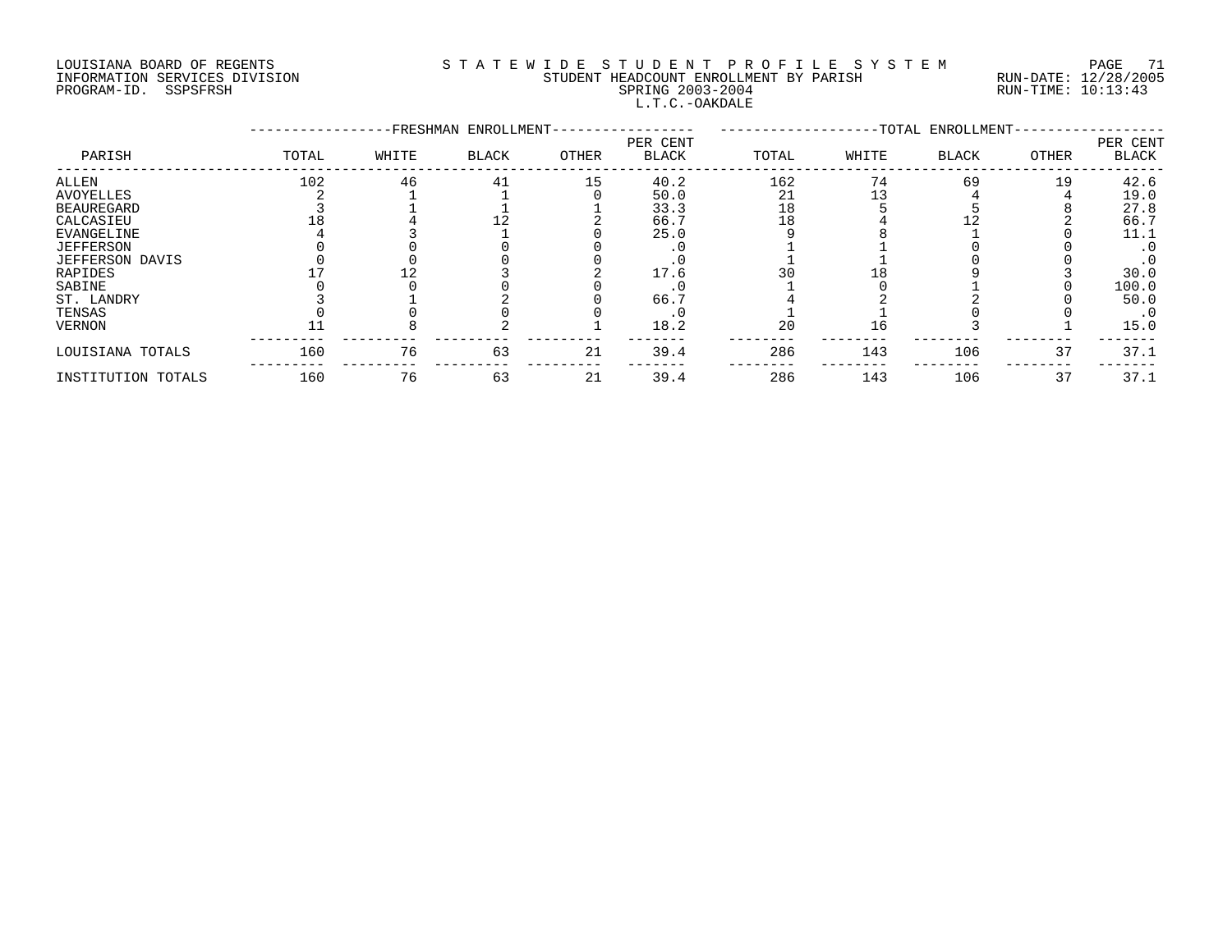# LOUISIANA BOARD OF REGENTS S T A T E W I D E S T U D E N T P R O F I L E S Y S T E M PAGE 71 INFORMATION SERVICES DIVISION STUDENT HEADCOUNT ENROLLMENT BY PARISH RUN-DATE: 12/28/2005 PROGRAM-ID. SSPSFRSH SPRING 2003-2004 RUN-TIME: 10:13:43 L.T.C.-OAKDALE

|                        |       |       | -FRESHMAN ENROLLMENT- |       |                          |       |       | -TOTAL ENROLLMENT- |              |                          |
|------------------------|-------|-------|-----------------------|-------|--------------------------|-------|-------|--------------------|--------------|--------------------------|
| PARISH                 | TOTAL | WHITE | <b>BLACK</b>          | OTHER | PER CENT<br><b>BLACK</b> | TOTAL | WHITE | BLACK              | <b>OTHER</b> | PER CENT<br><b>BLACK</b> |
| ALLEN                  | 102   | 46    | 41                    | 15    | 40.2                     | 162   | 74    | 69                 | 19           | 42.6                     |
| <b>AVOYELLES</b>       |       |       |                       |       | 50.0                     | 21    |       |                    |              | 19.0                     |
| <b>BEAUREGARD</b>      |       |       |                       |       | 33.3                     | 18    |       |                    |              | 27.8                     |
| CALCASIEU              |       |       |                       |       | 66.7                     | 18    |       |                    |              | 66.7                     |
| <b>EVANGELINE</b>      |       |       |                       |       | 25.0                     |       |       |                    |              | 11.1                     |
| <b>JEFFERSON</b>       |       |       |                       |       |                          |       |       |                    |              | $\cdot$ 0                |
| <b>JEFFERSON DAVIS</b> |       |       |                       |       |                          |       |       |                    |              | $\cdot$ 0                |
| RAPIDES                |       |       |                       |       | 17.6                     |       |       |                    |              | 30.0                     |
| SABINE                 |       |       |                       |       |                          |       |       |                    |              | 100.0                    |
| ST. LANDRY             |       |       |                       |       | 66.                      |       |       |                    |              | 50.0                     |
| TENSAS                 |       |       |                       |       |                          |       |       |                    |              | $\cdot$ 0                |
| <b>VERNON</b>          |       |       |                       |       | 18.2                     | 20    | L 6   |                    |              | 15.0                     |
| LOUISIANA TOTALS       | 160   | 76    | 63                    | 21    | 39.4                     | 286   | 143   | 106                | 37           | 37.1                     |
| INSTITUTION TOTALS     | 160   | 76    | 63                    | 21    | 39.4                     | 286   | 143   | 106                | 37           | 37.1                     |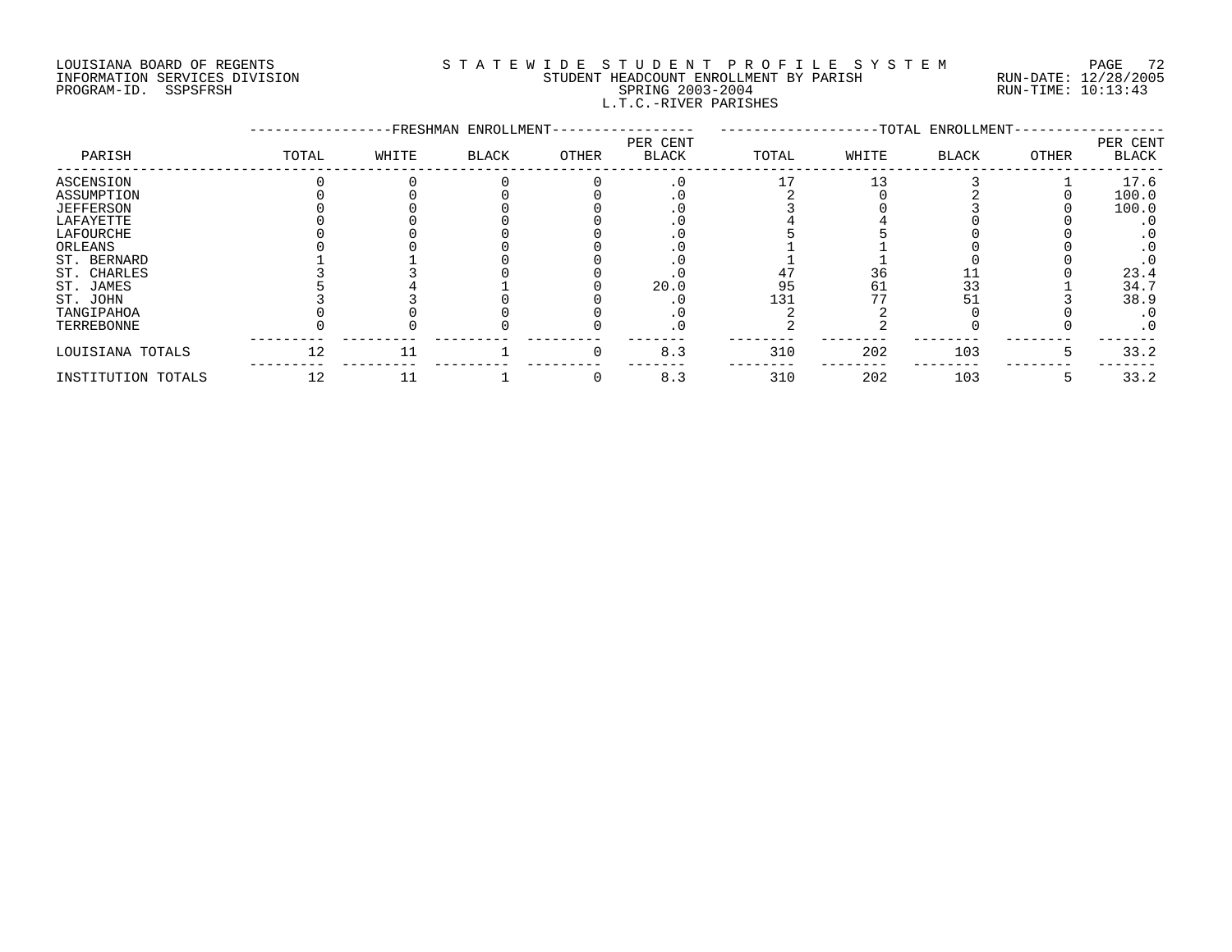# LOUISIANA BOARD OF REGENTS S T A T E W I D E S T U D E N T P R O F I L E S Y S T E M PAGE 72 INFORMATION SERVICES DIVISION STUDENT HEADCOUNT ENROLLMENT BY PARISH RUN-DATE: 12/28/2005 PROGRAM-ID. SSPSFRSH SPRING 2003-2004 RUN-TIME: 10:13:43 L.T.C.-RIVER PARISHES

|                    |       |       | -FRESHMAN ENROLLMENT- |          |                          |       |       | -TOTAL ENROLLMENT- |               |                          |
|--------------------|-------|-------|-----------------------|----------|--------------------------|-------|-------|--------------------|---------------|--------------------------|
| PARISH             | TOTAL | WHITE | <b>BLACK</b>          | OTHER    | PER CENT<br><b>BLACK</b> | TOTAL | WHITE | <b>BLACK</b>       | OTHER         | PER CENT<br><b>BLACK</b> |
| ASCENSION          |       |       |                       |          |                          |       | 13    |                    |               | 17.6                     |
| ASSUMPTION         |       |       |                       |          |                          |       |       |                    |               | 100.0                    |
| <b>JEFFERSON</b>   |       |       |                       |          |                          |       |       |                    |               | 100.0                    |
| LAFAYETTE          |       |       |                       |          |                          |       |       |                    |               |                          |
| LAFOURCHE          |       |       |                       |          |                          |       |       |                    |               |                          |
| ORLEANS            |       |       |                       |          |                          |       |       |                    |               |                          |
| ST. BERNARD        |       |       |                       |          |                          |       |       |                    |               |                          |
| ST. CHARLES        |       |       |                       |          |                          |       | 36    |                    |               | 23.4                     |
| ST. JAMES          |       |       |                       |          | 20.0                     | 95    | 61    | 33                 |               | 34.7                     |
| ST. JOHN           |       |       |                       |          |                          | 131   |       |                    |               | 38.9                     |
| TANGIPAHOA         |       |       |                       |          |                          |       |       |                    |               | $\cdot$ 0                |
| TERREBONNE         |       |       |                       |          |                          |       |       |                    |               | $\cdot$ 0                |
| LOUISIANA TOTALS   | 12    | 11    |                       | $\Omega$ | 8.3                      | 310   | 202   | 103                | $\mathcal{D}$ | 33.2                     |
| INSTITUTION TOTALS | 12    |       |                       |          | 8.3                      | 310   | 202   | 103                |               | 33.2                     |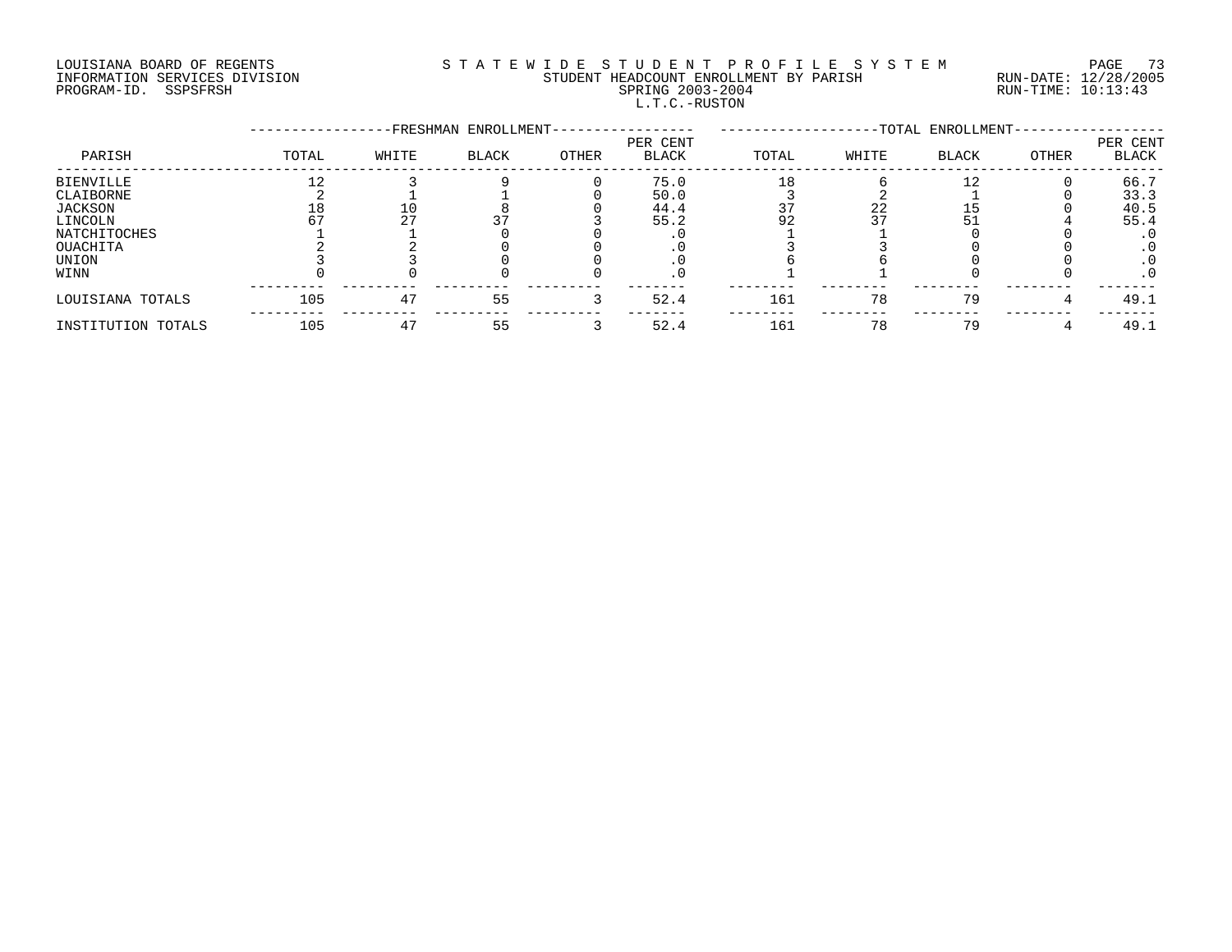# LOUISIANA BOARD OF REGENTS S T A T E W I D E S T U D E N T P R O F I L E S Y S T E M PAGE 73 INFORMATION SERVICES DIVISION STUDENT HEADCOUNT ENROLLMENT BY PARISH RUN-DATE: 12/28/2005 PROGRAM-ID. SSPSFRSH SPRING 2003-2004 RUN-TIME: 10:13:43 L.T.C.-RUSTON

|                     |       |       | -FRESHMAN ENROLLMENT- |       |                          | -TOTAL ENROLLMENT- |       |              |       |                          |
|---------------------|-------|-------|-----------------------|-------|--------------------------|--------------------|-------|--------------|-------|--------------------------|
| PARISH              | TOTAL | WHITE | <b>BLACK</b>          | OTHER | PER CENT<br><b>BLACK</b> | TOTAL              | WHITE | <b>BLACK</b> | OTHER | PER CENT<br><b>BLACK</b> |
| <b>BIENVILLE</b>    |       |       |                       |       | 75.0                     |                    |       |              |       | 66.7                     |
| CLAIBORNE           |       |       |                       |       | 50.0                     |                    |       |              |       | 33.3                     |
| JACKSON             | 18    |       |                       |       | 44.4                     |                    | 22    |              |       | 40.5                     |
| LINCOLN             |       | ר ר   |                       |       | 55.2                     | 92                 | 37    |              |       | 55.4                     |
| <b>NATCHITOCHES</b> |       |       |                       |       |                          |                    |       |              |       |                          |
| OUACHITA            |       |       |                       |       |                          |                    |       |              |       |                          |
| UNION               |       |       |                       |       |                          |                    |       |              |       | . 0                      |
| WINN                |       |       |                       |       |                          |                    |       |              |       | . 0                      |
| LOUISIANA TOTALS    | 105   | 47    | 55                    |       | 52.4                     | 161                | 78    | 79           |       | 49.1                     |
| INSTITUTION TOTALS  | 105   | 47    | 55                    |       | 52.4                     | 161                | 78    | 79           |       | 49.1                     |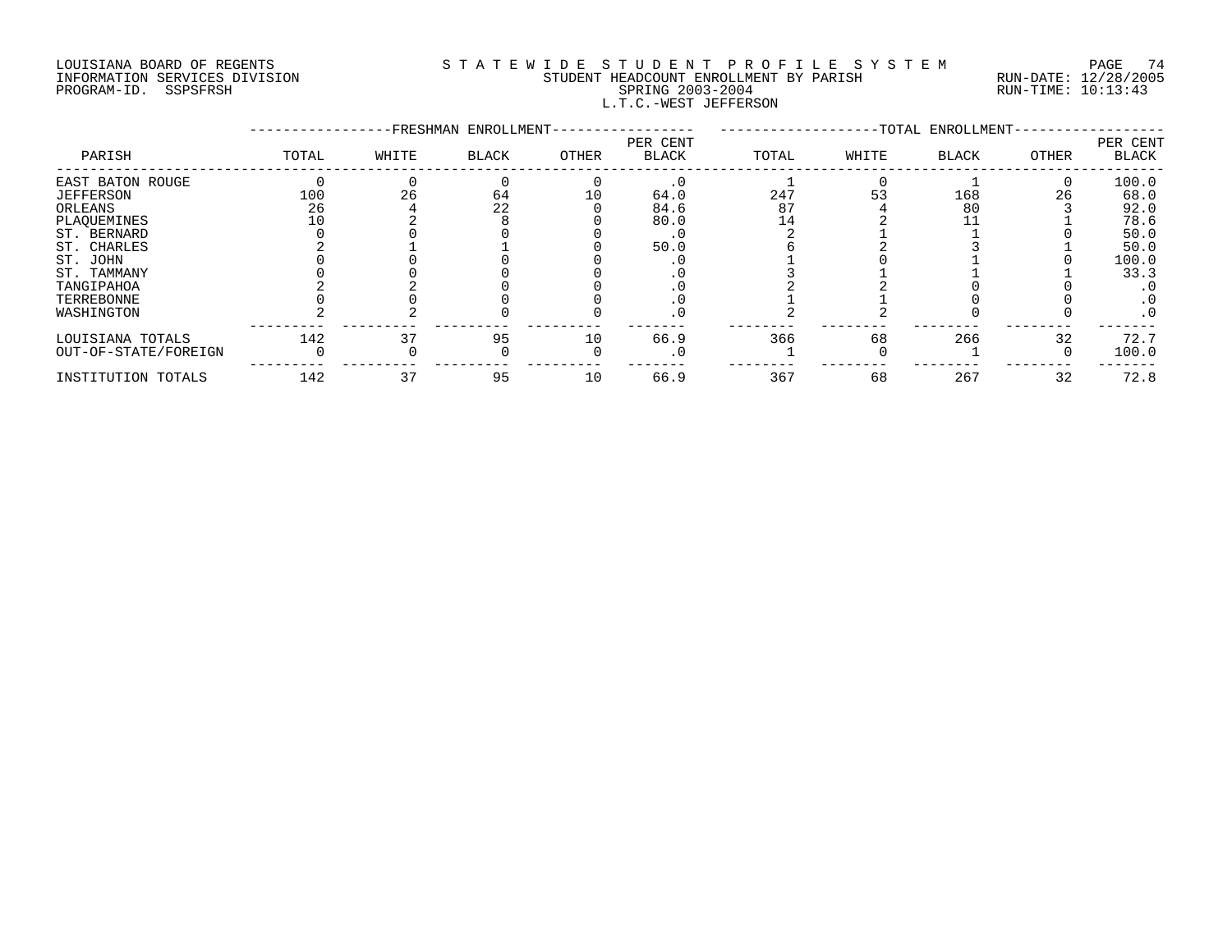#### LOUISIANA BOARD OF REGENTS S T A T E W I D E S T U D E N T P R O F I L E S Y S T E M PAGE 74 INFORMATION SERVICES DIVISION STUDENT HEADCOUNT ENROLLMENT BY PARISH RUN-DATE: 12/28/2005 PROGRAM-ID. SSPSFRSH SPRING 2003-2004 RUN-TIME: 10:13:43 L.T.C.-WEST JEFFERSON

|                      |       |       | -FRESHMAN ENROLLMENT- |       |                          | -TOTAL ENROLLMENT- |       |              |       |                          |
|----------------------|-------|-------|-----------------------|-------|--------------------------|--------------------|-------|--------------|-------|--------------------------|
| PARISH               | TOTAL | WHITE | BLACK                 | OTHER | PER CENT<br><b>BLACK</b> | TOTAL              | WHITE | <b>BLACK</b> | OTHER | PER CENT<br><b>BLACK</b> |
| EAST BATON ROUGE     |       |       |                       |       |                          |                    |       |              |       | 100.0                    |
| <b>JEFFERSON</b>     | 100   | 26    | 64                    | 10    | 64.0                     | 247                |       | 168          | 26    | 68.0                     |
| ORLEANS              | 26    |       | 22                    |       | 84.6                     | 87                 |       | 80           |       | 92.0                     |
| PLAQUEMINES          |       |       |                       |       | 80.0                     | 14                 |       |              |       | 78.6                     |
| ST. BERNARD          |       |       |                       |       |                          |                    |       |              |       | 50.0                     |
| ST. CHARLES          |       |       |                       |       | 50.0                     |                    |       |              |       | 50.0                     |
| ST. JOHN             |       |       |                       |       |                          |                    |       |              |       | 100.0                    |
| ST. TAMMANY          |       |       |                       |       |                          |                    |       |              |       | 33.3                     |
| TANGIPAHOA           |       |       |                       |       |                          |                    |       |              |       |                          |
| TERREBONNE           |       |       |                       |       |                          |                    |       |              |       | . 0                      |
| WASHINGTON           |       |       |                       |       |                          |                    |       |              |       | $\cdot$ 0                |
| LOUISIANA TOTALS     | 142   |       | 95                    | 10    | 66.9                     | 366                | 68    | 266          | 32    | 72.7                     |
| OUT-OF-STATE/FOREIGN |       |       |                       |       | $\cdot$ 0                |                    |       |              |       | 100.0                    |
| INSTITUTION TOTALS   | 142   | 37    | 95                    | 10    | 66.9                     | 367                | 68    | 267          | 32    | 72.8                     |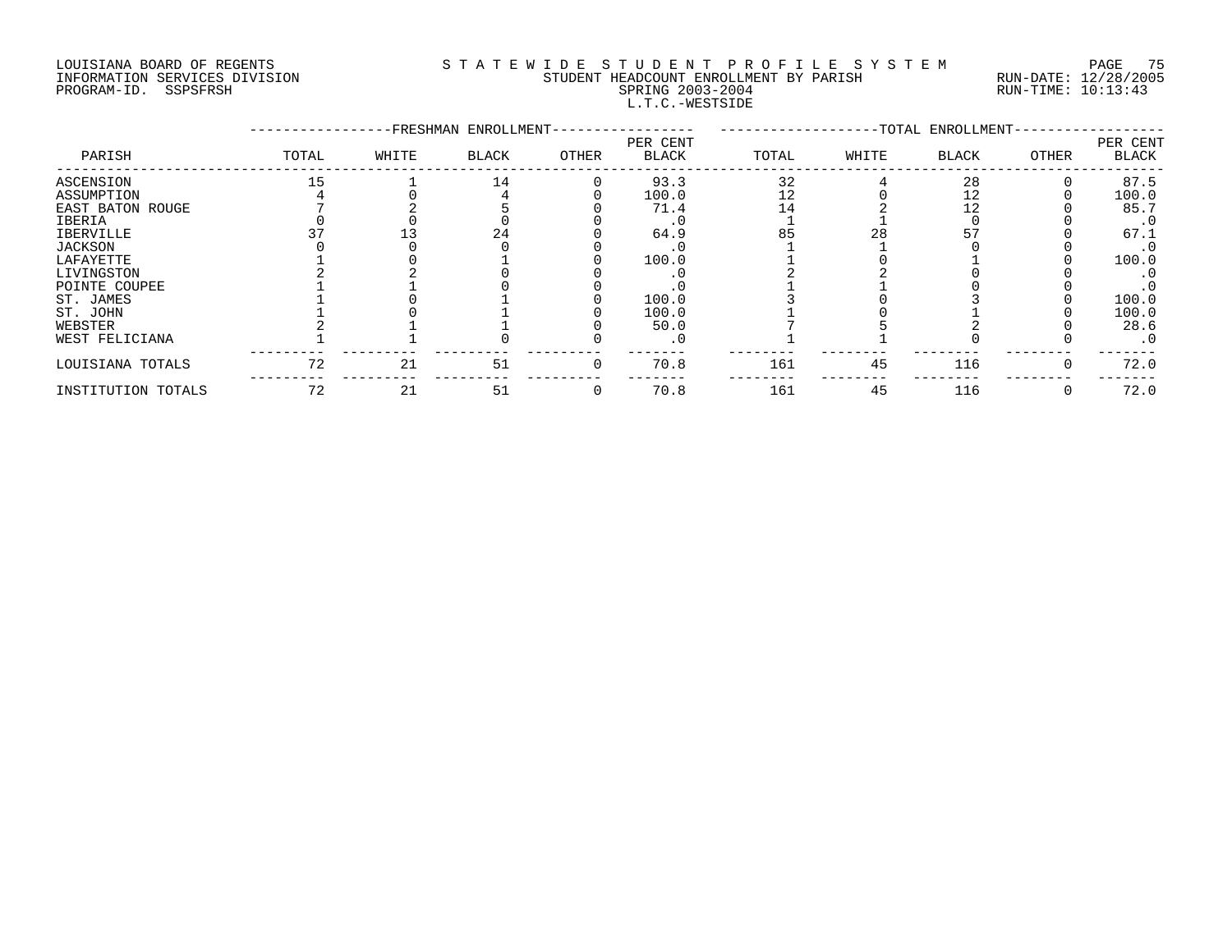#### LOUISIANA BOARD OF REGENTS S T A T E W I D E S T U D E N T P R O F I L E S Y S T E M PAGE 75 INFORMATION SERVICES DIVISION STUDENT HEADCOUNT ENROLLMENT BY PARISH RUN-DATE: 12/28/2005 PROGRAM-ID. SSPSFRSH SPRING 2003-2004 RUN-TIME: 10:13:43 L.T.C.-WESTSIDE

|                    |       |       | -FRESHMAN ENROLLMENT- |          |                   |       |       | --TOTAL ENROLLMENT- |          |                   |
|--------------------|-------|-------|-----------------------|----------|-------------------|-------|-------|---------------------|----------|-------------------|
| PARISH             | TOTAL | WHITE | <b>BLACK</b>          | OTHER    | PER CENT<br>BLACK | TOTAL | WHITE | <b>BLACK</b>        | OTHER    | PER CENT<br>BLACK |
| ASCENSION          |       |       | 14                    |          | 93.3              | 32    |       | 28                  |          | 87.5              |
| ASSUMPTION         |       |       |                       |          | 100.0             | 12    |       |                     |          | 100.0             |
| EAST BATON ROUGE   |       |       |                       |          | 71.4              |       |       | 12                  |          | 85.7              |
| IBERIA             |       |       |                       |          |                   |       |       |                     |          | $\cdot$ 0         |
| <b>IBERVILLE</b>   |       |       | 24                    |          | 64.9              | 85    | 28    |                     |          | 67.1              |
| <b>JACKSON</b>     |       |       |                       |          |                   |       |       |                     |          | $\cdot$ 0         |
| LAFAYETTE          |       |       |                       |          | 100.0             |       |       |                     |          | 100.0             |
| LIVINGSTON         |       |       |                       |          |                   |       |       |                     |          | . 0               |
| POINTE COUPEE      |       |       |                       |          |                   |       |       |                     |          |                   |
| ST. JAMES          |       |       |                       |          | 100.0             |       |       |                     |          | 100.0             |
| ST. JOHN           |       |       |                       |          | 100.0             |       |       |                     |          | 100.0             |
| WEBSTER            |       |       |                       |          | 50.0              |       |       |                     |          | 28.6              |
| WEST FELICIANA     |       |       |                       |          | . 0               |       |       |                     |          | $\cdot$ 0         |
| LOUISIANA TOTALS   | 72    | 21    | 51                    | $\Omega$ | 70.8              | 161   | 45    | 116                 | $\Omega$ | 72.0              |
| INSTITUTION TOTALS | 72    | 21    | 51                    |          | 70.8              | 161   | 45    | 116                 |          | 72.0              |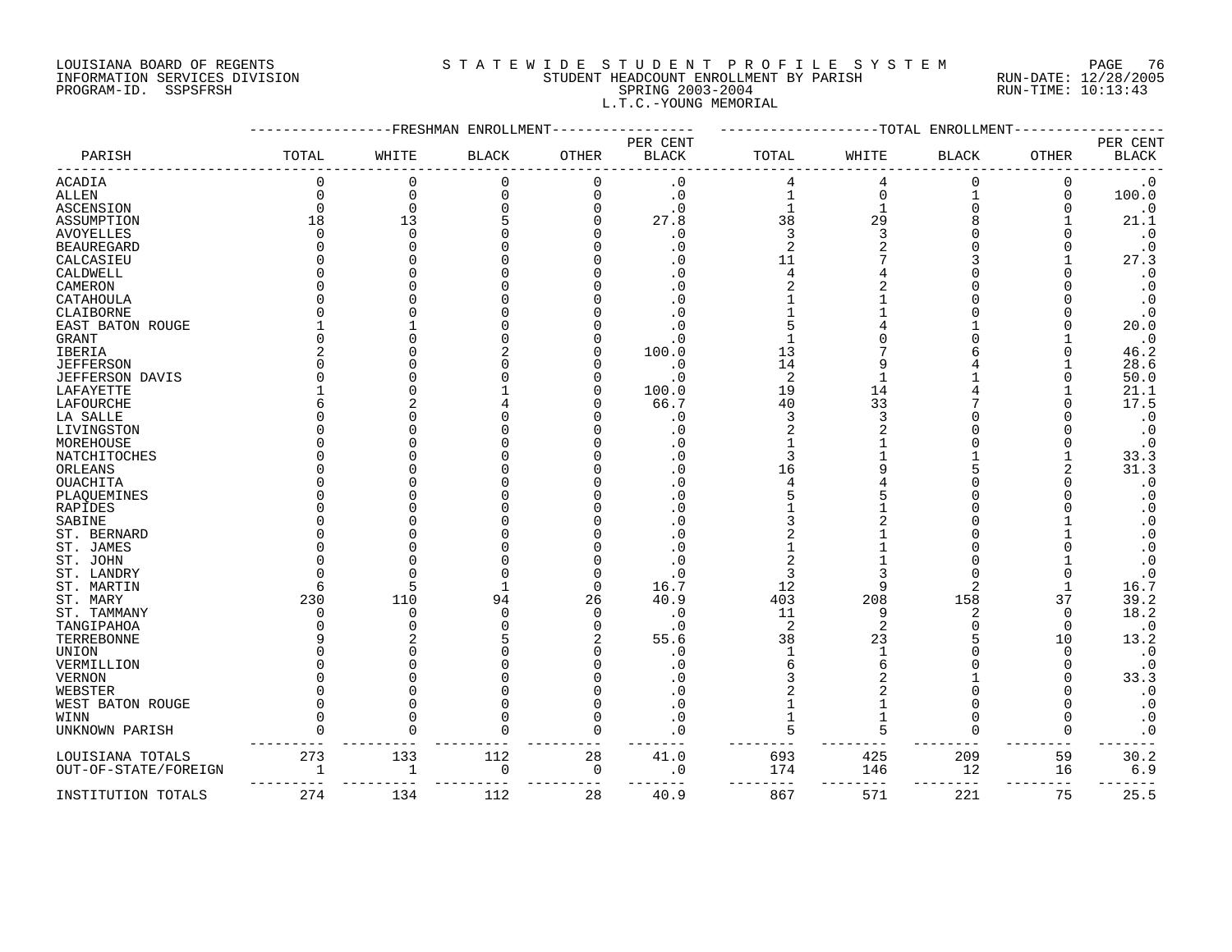#### LOUISIANA BOARD OF REGENTS S T A T E W I D E S T U D E N T P R O F I L E S Y S T E M PAGE 76 INFORMATION SERVICES DIVISION STUDENT HEADCOUNT ENROLLMENT BY PARISH RUN-DATE: 12/28/2005 PROGRAM-ID. SSPSFRSH SPRING 2003-2004 RUN-TIME: 10:13:43 L.T.C.-YOUNG MEMORIAL

|                      |          | FRESHMAN- | ENROLLMEN'   |              |                          |                |          | -TOTAL ENROLLMENT |          |                          |
|----------------------|----------|-----------|--------------|--------------|--------------------------|----------------|----------|-------------------|----------|--------------------------|
| PARISH               | TOTAL    | WHITE     | <b>BLACK</b> | <b>OTHER</b> | PER CENT<br><b>BLACK</b> | TOTAL          | WHITE    | <b>BLACK</b>      | OTHER    | PER CENT<br><b>BLACK</b> |
| ACADIA               | $\Omega$ | 0         | 0            | 0            | $\cdot$ 0                | 4              | 4        | 0                 | 0        | $\cdot$ 0                |
| <b>ALLEN</b>         |          | $\Omega$  | $\Omega$     | $\mathbf 0$  | $\cdot$ 0                |                | $\Omega$ |                   | $\Omega$ | 100.0                    |
| ASCENSION            |          | $\Omega$  |              |              | . 0                      |                |          |                   |          | $\cdot$ 0                |
| ASSUMPTION           | 18       | 13        |              |              | 27.8                     | 38             | 29       |                   |          | 21.1                     |
| <b>AVOYELLES</b>     |          | ∩         |              |              | . 0                      | 3              |          |                   |          | $\boldsymbol{\cdot}$ 0   |
| <b>BEAUREGARD</b>    |          |           |              |              | . 0                      | $\overline{c}$ |          |                   |          | $\cdot$ 0                |
| CALCASIEU            |          |           |              |              | 0                        | 11             |          |                   |          | 27.3                     |
| CALDWELL             |          |           |              |              |                          |                |          |                   |          | $\boldsymbol{\cdot}$ 0   |
| CAMERON              |          |           |              |              | C                        |                |          |                   |          | $\cdot$ 0                |
| CATAHOULA            |          |           |              |              | $\Omega$                 |                |          |                   |          | $\cdot$ 0                |
| CLAIBORNE            |          |           |              |              | . 0                      |                |          |                   |          | $\cdot$ 0                |
| EAST BATON ROUGE     |          |           |              |              |                          |                |          |                   |          | 20.0                     |
| GRANT                |          |           |              |              | . 0                      |                |          |                   |          | $\cdot$ 0                |
| IBERIA               |          |           |              |              | 100.0                    | 13             |          |                   |          | 46.2                     |
| <b>JEFFERSON</b>     |          |           |              |              | . 0                      | 14             |          |                   |          | 28.6                     |
| JEFFERSON DAVIS      |          |           |              |              | . 0                      | 2              |          |                   |          | 50.0                     |
| LAFAYETTE            |          |           |              |              | 100.0                    | 19             | 14       |                   |          | 21.1                     |
| LAFOURCHE            |          |           |              |              | 66.7                     | 40             | 33       |                   |          | 17.5                     |
|                      |          |           |              |              | . 0                      | 3              |          |                   |          | $\boldsymbol{\cdot}$ 0   |
| LA SALLE             |          |           |              |              |                          | 2              |          |                   |          |                          |
| LIVINGSTON           |          |           |              |              | . 0                      |                |          |                   |          | $\cdot$ 0                |
| MOREHOUSE            |          |           |              |              | $\Omega$                 |                |          |                   |          | $\cdot$ 0                |
| NATCHITOCHES         |          |           |              |              | . 0                      |                |          |                   |          | 33.3                     |
| ORLEANS              |          |           |              |              | $\Omega$                 | 16             |          |                   |          | 31.3                     |
| <b>OUACHITA</b>      |          |           |              |              | . 0                      |                |          |                   |          | $\cdot$ 0                |
| PLAQUEMINES          |          |           |              |              | . 0                      |                |          |                   |          | $\boldsymbol{\cdot}$ 0   |
| RAPIDES              |          |           |              |              | . 0                      |                |          |                   |          | $\boldsymbol{\cdot}$ 0   |
| SABINE               |          |           |              |              | . 0                      |                |          |                   |          | $\boldsymbol{\cdot}$ 0   |
| ST. BERNARD          |          |           |              |              | $\Omega$                 |                |          |                   |          | $\boldsymbol{\cdot}$ 0   |
| ST. JAMES            |          |           |              |              | . 0                      |                |          |                   |          | $\cdot$ 0                |
| ST. JOHN             |          |           |              |              |                          |                |          |                   |          | $\cdot$ 0                |
| ST. LANDRY           |          |           |              | O            | . 0                      | 3              |          |                   |          | $\boldsymbol{\cdot}$ 0   |
| ST. MARTIN           |          | 5         |              | $\mathbf 0$  | 16.7                     | 12             |          | $\overline{2}$    |          | 16.7                     |
| ST. MARY             | 230      | 110       | 94           | 26           | 40.9                     | 403            | 208      | 158               | 37       | 39.2                     |
| ST. TAMMANY          |          | ∩         |              | $\Omega$     | . 0                      | 11             |          | 2                 | $\Omega$ | 18.2                     |
| TANGIPAHOA           |          |           |              | U            | . 0                      | 2              |          | ∩                 | $\Omega$ | $\cdot$ 0                |
| TERREBONNE           |          |           |              |              | 55.6                     | 38             | 23       |                   | 10       | 13.2                     |
| UNION                |          |           |              |              | . 0                      |                |          |                   | ∩        | $\boldsymbol{\cdot}$ 0   |
| VERMILLION           |          |           |              |              |                          |                |          |                   |          | $\cdot$ 0                |
| <b>VERNON</b>        |          |           |              |              |                          |                |          |                   |          | 33.3                     |
| WEBSTER              |          |           |              |              | . ດ                      |                |          |                   |          | $\cdot$ 0                |
| WEST BATON ROUGE     |          | ∩         |              | U            | . 0                      |                |          | ∩                 |          | $\cdot$ 0                |
| WINN                 |          |           |              | O            | . 0                      |                |          | $\Omega$          |          | $\cdot$ 0                |
| UNKNOWN PARISH       |          |           |              | $\Omega$     | $\mathbf 0$              | 5              |          | $\Omega$          | $\Omega$ | $\cdot$ 0                |
| LOUISIANA TOTALS     | 273      | 133       | 112          | 28           | 41.0                     | 693            | 425      | 209               | 59       | 30.2                     |
| OUT-OF-STATE/FOREIGN |          | 1         | $\Omega$     | 0            | . 0                      | 174            | 146      | 12                | 16       | $6.9$                    |
| INSTITUTION TOTALS   | 274      | 134       | 112          | 28           | 40.9                     | 867            | 571      | 221               | 75       | 25.5                     |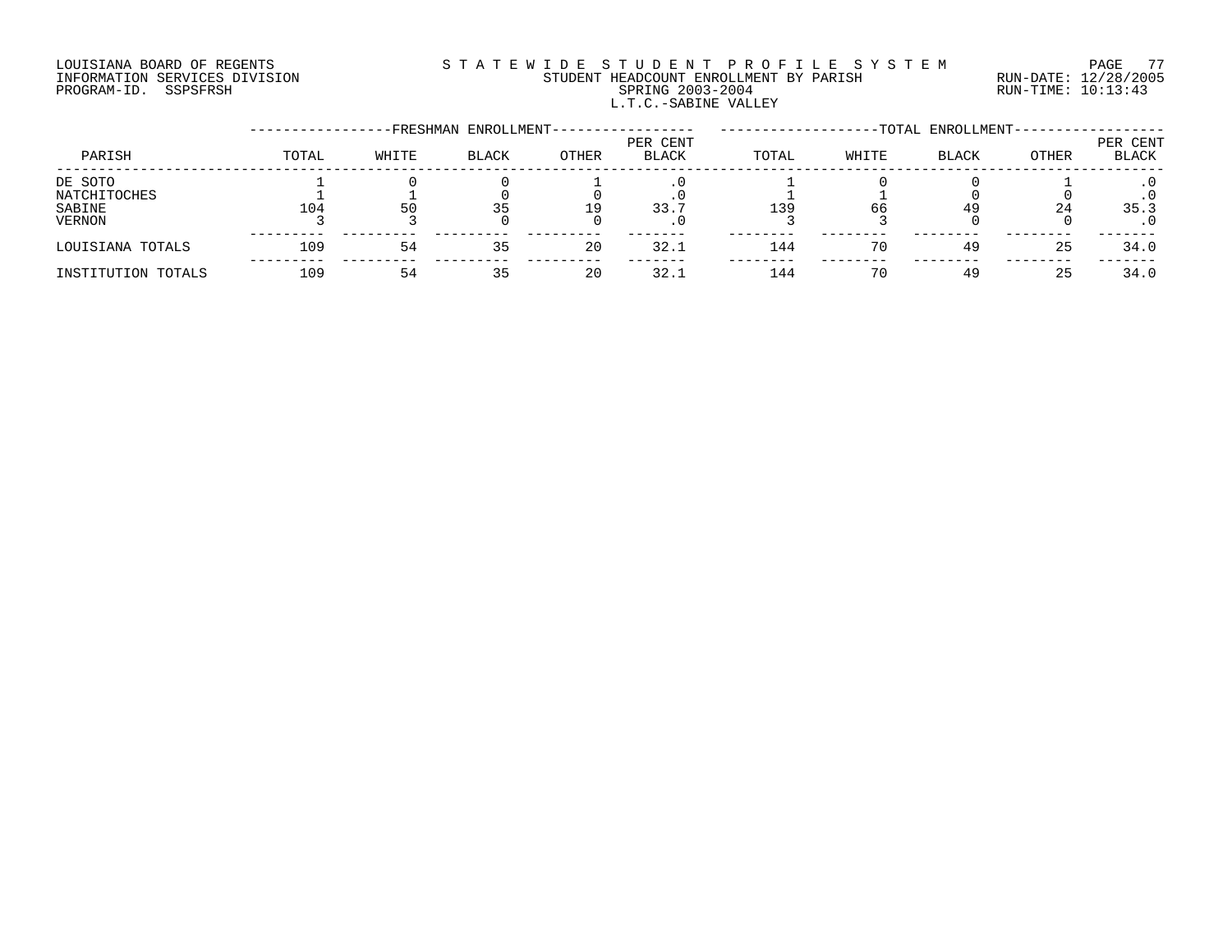# LOUISIANA BOARD OF REGENTS S T A T E W I D E S T U D E N T P R O F I L E S Y S T E M PAGE 77 INFORMATION SERVICES DIVISION STUDENT HEADCOUNT ENROLLMENT BY PARISH RUN-DATE: 12/28/2005 PROGRAM-ID. SSPSFRSH SPRING 2003-2004 RUN-TIME: 10:13:43 L.T.C.-SABINE VALLEY

|                    |       |       | -FRESHMAN ENROLLMENT- |       |                   |       |       | -TOTAL ENROLLMENT- |       |                          |
|--------------------|-------|-------|-----------------------|-------|-------------------|-------|-------|--------------------|-------|--------------------------|
| PARISH             | TOTAL | WHITE | <b>BLACK</b>          | OTHER | PER CENT<br>BLACK | TOTAL | WHITE | <b>BLACK</b>       | OTHER | PER CENT<br><b>BLACK</b> |
| DE SOTO            |       |       |                       |       |                   |       |       |                    |       |                          |
| NATCHITOCHES       |       |       |                       |       |                   |       |       |                    |       |                          |
| SABINE             | 104   | 50    |                       | 19    | 33.7              | 139   | 66    | 49                 | 24    | 35.3                     |
| VERNON             |       |       |                       |       |                   |       |       |                    |       |                          |
| LOUISIANA TOTALS   | 109   | 54    | 35                    | 20    | 32.1              | 144   | 70    | 49                 | 25    | 34.0                     |
| INSTITUTION TOTALS | 109   | 54    |                       | 20    | 32.1              | 144   | 70    | 49                 | 25    | 34.0                     |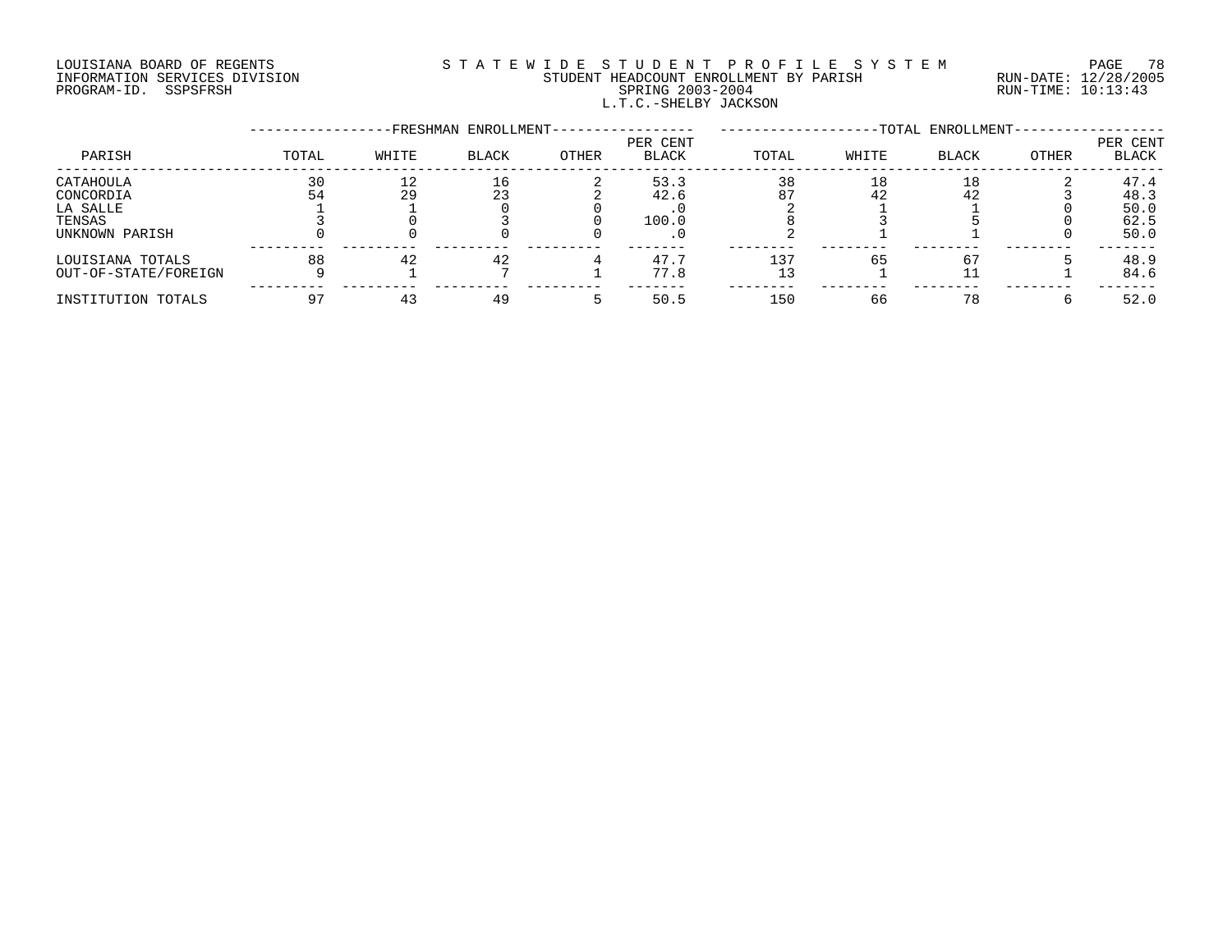# LOUISIANA BOARD OF REGENTS S T A T E W I D E S T U D E N T P R O F I L E S Y S T E M PAGE 78 INFORMATION SERVICES DIVISION STUDENT HEADCOUNT ENROLLMENT BY PARISH RUN-DATE: 12/28/2005 PROGRAM-ID. SSPSFRSH SPRING 2003-2004 RUN-TIME: 10:13:43 L.T.C.-SHELBY JACKSON

|                      |       |       | FRESHMAN ENROLLMENT- |       | -TOTAL ENROLLMENT-       |       |       |              |       |                          |
|----------------------|-------|-------|----------------------|-------|--------------------------|-------|-------|--------------|-------|--------------------------|
| PARISH               | TOTAL | WHITE | <b>BLACK</b>         | OTHER | PER CENT<br><b>BLACK</b> | TOTAL | WHITE | <b>BLACK</b> | OTHER | PER CENT<br><b>BLACK</b> |
| CATAHOULA            | 30    | 12    | 16                   |       | 53.3                     | 38    | 18    | 18           |       | 47.4                     |
| CONCORDIA            | 54    | 29    | 23                   |       | 42.6                     | 87    | 42    | 42           |       | 48.3                     |
| LA SALLE             |       |       |                      |       |                          |       |       |              |       | 50.0                     |
| TENSAS               |       |       |                      |       | 100.0                    |       |       |              |       | 62.5                     |
| UNKNOWN PARISH       |       |       |                      |       |                          |       |       |              |       | 50.0                     |
| LOUISIANA TOTALS     | 88    | 42    | 42                   |       | 47.7                     | 137   | 65    | 67           |       | 48.9                     |
| OUT-OF-STATE/FOREIGN |       |       |                      |       | 77.8                     |       |       |              |       | 84.6                     |
| INSTITUTION TOTALS   |       |       | 49                   |       | 50.5                     | 150   | 66    | 78           |       | 52.0                     |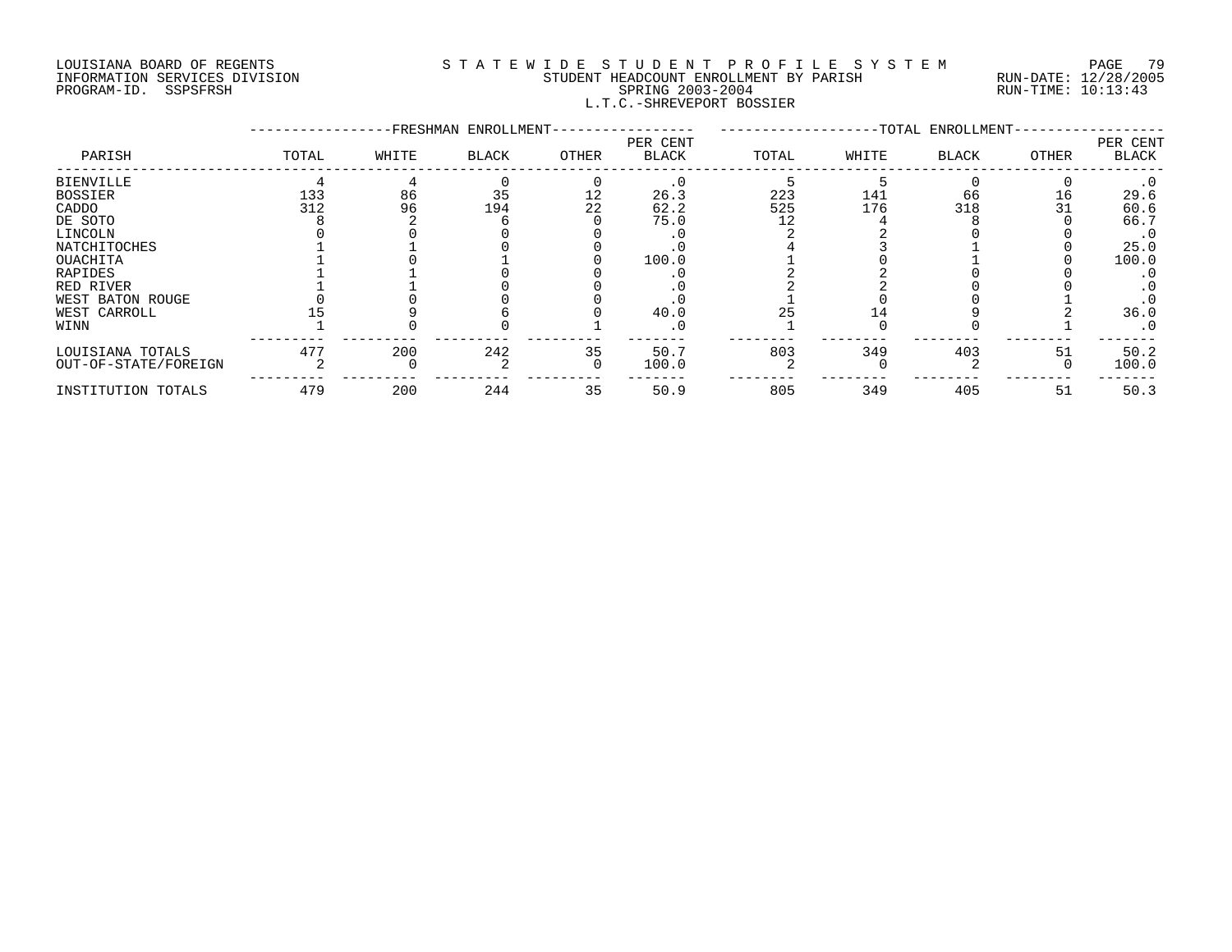#### LOUISIANA BOARD OF REGENTS S T A T E W I D E S T U D E N T P R O F I L E S Y S T E M PAGE 79 INFORMATION SERVICES DIVISION STUDENT HEADCOUNT ENROLLMENT BY PARISH RUN-DATE: 12/28/2005 PROGRAM-ID. SSPSFRSH SPRING 2003-2004 RUN-TIME: 10:13:43 L.T.C.-SHREVEPORT BOSSIER

|                      |       |       | -FRESHMAN ENROLLMENT- |       |                   | -TOTAL ENROLLMENT- |       |              |       |                          |
|----------------------|-------|-------|-----------------------|-------|-------------------|--------------------|-------|--------------|-------|--------------------------|
| PARISH               | TOTAL | WHITE | <b>BLACK</b>          | OTHER | PER CENT<br>BLACK | TOTAL              | WHITE | <b>BLACK</b> | OTHER | PER CENT<br><b>BLACK</b> |
| <b>BIENVILLE</b>     |       |       |                       |       | $\cdot$ 0         |                    |       |              |       | $\cdot$ 0                |
| <b>BOSSIER</b>       | 133   | 86    | 35                    | 12    | 26.3              | 223                | 141   | 66           | 16    | 29.6                     |
| CADDO                | 312   | 96    | 194                   | 22    | 62.2              | 525                | 176   | 318          | 31    | 60.6                     |
| DE SOTO              |       |       |                       |       | 75.0              | 12                 |       |              |       | 66.7                     |
| LINCOLN              |       |       |                       |       |                   |                    |       |              |       | $\cdot$ 0                |
| NATCHITOCHES         |       |       |                       |       |                   |                    |       |              |       | 25.0                     |
| OUACHITA             |       |       |                       |       | 100.0             |                    |       |              |       | 100.0                    |
| RAPIDES              |       |       |                       |       |                   |                    |       |              |       | . 0                      |
| RED RIVER            |       |       |                       |       |                   |                    |       |              |       | . 0                      |
| WEST BATON ROUGE     |       |       |                       |       |                   |                    |       |              |       |                          |
| WEST CARROLL         |       |       |                       |       | 40.0              |                    |       |              |       | 36.0                     |
| WINN                 |       |       |                       |       | . 0               |                    |       |              |       | $\cdot$ 0                |
| LOUISIANA TOTALS     | 477   | 200   | 242                   | 35    | 50.7              | 803                | 349   | 403          | 51    | 50.2                     |
| OUT-OF-STATE/FOREIGN |       |       |                       | ∩     | 100.0             |                    |       |              |       | 100.0                    |
| INSTITUTION TOTALS   | 479   | 200   | 244                   | 35    | 50.9              | 805                | 349   | 405          | 51    | 50.3                     |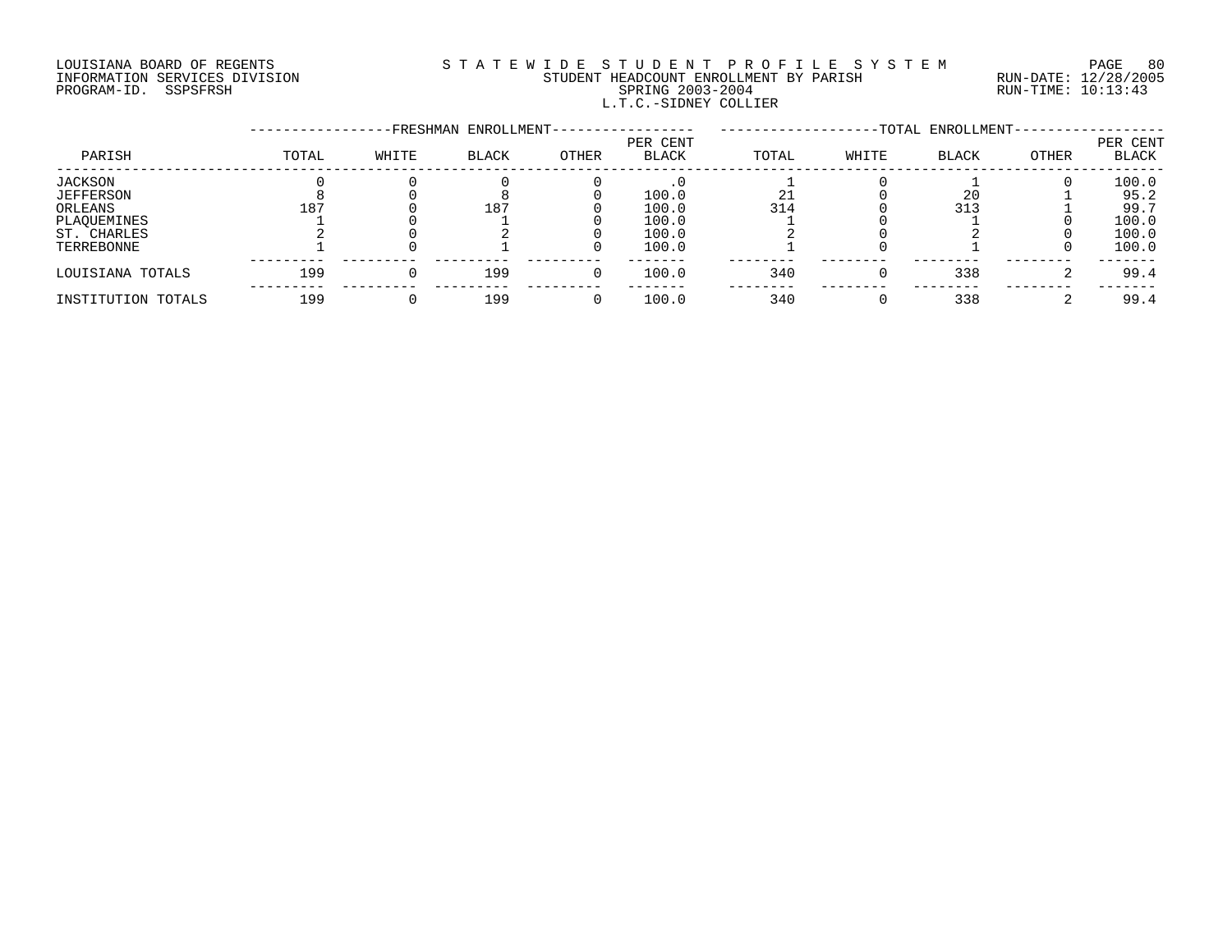# LOUISIANA BOARD OF REGENTS S T A T E W I D E S T U D E N T P R O F I L E S Y S T E M PAGE 80 INFORMATION SERVICES DIVISION STUDENT HEADCOUNT ENROLLMENT BY PARISH RUN-DATE: 12/28/2005 PROGRAM-ID. SSPSFRSH SPRING 2003-2004 RUN-TIME: 10:13:43 L.T.C.-SIDNEY COLLIER

|                    |       |       | -FRESHMAN ENROLLMENT- |       | -TOTAL ENROLLMENT-       |       |       |              |       |                   |
|--------------------|-------|-------|-----------------------|-------|--------------------------|-------|-------|--------------|-------|-------------------|
| PARISH             | TOTAL | WHITE | <b>BLACK</b>          | OTHER | PER CENT<br><b>BLACK</b> | TOTAL | WHITE | <b>BLACK</b> | OTHER | PER CENT<br>BLACK |
| JACKSON            |       |       |                       |       |                          |       |       |              |       | 100.0             |
| <b>JEFFERSON</b>   |       |       |                       |       | 100.0                    |       |       | 20           |       | 95.2              |
| ORLEANS            | 187   |       | 187                   |       | 100.0                    | 314   |       | 313          |       | 99.7              |
| PLAQUEMINES        |       |       |                       |       | 100.0                    |       |       |              |       | 100.0             |
| ST. CHARLES        |       |       |                       |       | 100.0                    |       |       |              |       | 100.0             |
| TERREBONNE         |       |       |                       |       | 100.0                    |       |       |              |       | 100.0             |
| LOUISIANA TOTALS   | 199   |       | 199                   |       | 100.0                    | 340   |       | 338          |       | 99.4              |
| INSTITUTION TOTALS | 199   |       | 199                   |       | 100.0                    | 340   |       | 338          |       | 99.4              |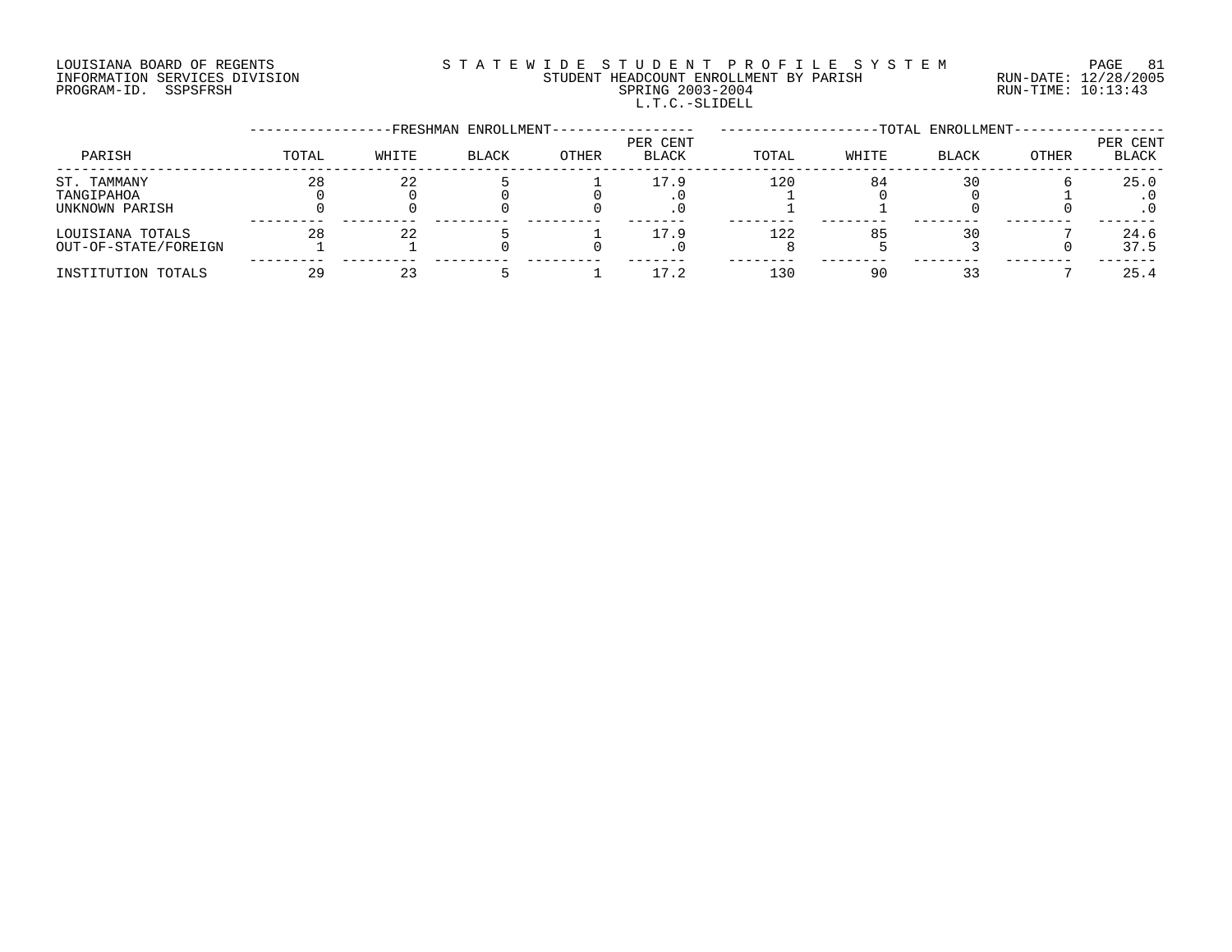# LOUISIANA BOARD OF REGENTS SOURCLEARIE S T A T E W I D E S T U D E N T P R O F I L E S Y S T E M PAGE 81 INFORMATION SERVICES DIVISION STUDENT HEADCOUNT ENROLLMENT BY PARISH RUN-DATE: 12/28/2005 PROGRAM-ID. SSPSFRSH SPRING 2003-2004 RUN-TIME: 10:13:43 L.T.C.-SLIDELL

|                                             |       |       | -FRESHMAN ENROLLMENT- |              | -TOTAL ENROLLMENT-       |       |       |              |       |                   |
|---------------------------------------------|-------|-------|-----------------------|--------------|--------------------------|-------|-------|--------------|-------|-------------------|
| PARISH                                      | TOTAL | WHITE | <b>BLACK</b>          | <b>OTHER</b> | PER CENT<br><b>BLACK</b> | TOTAL | WHITE | <b>BLACK</b> | OTHER | PER CENT<br>BLACK |
| ST. TAMMANY<br>TANGIPAHOA<br>UNKNOWN PARISH | 28    | 22    |                       |              | 17.9                     | 120   | 84    |              |       | 25.0              |
| LOUISIANA TOTALS<br>OUT-OF-STATE/FOREIGN    | 28    | 22    |                       |              | 17.9                     | 122   | 85    |              |       | 24.6<br>37.5      |
| INSTITUTION TOTALS                          | 29    |       |                       |              | 17.2                     |       | 9 C   |              |       | 25.4              |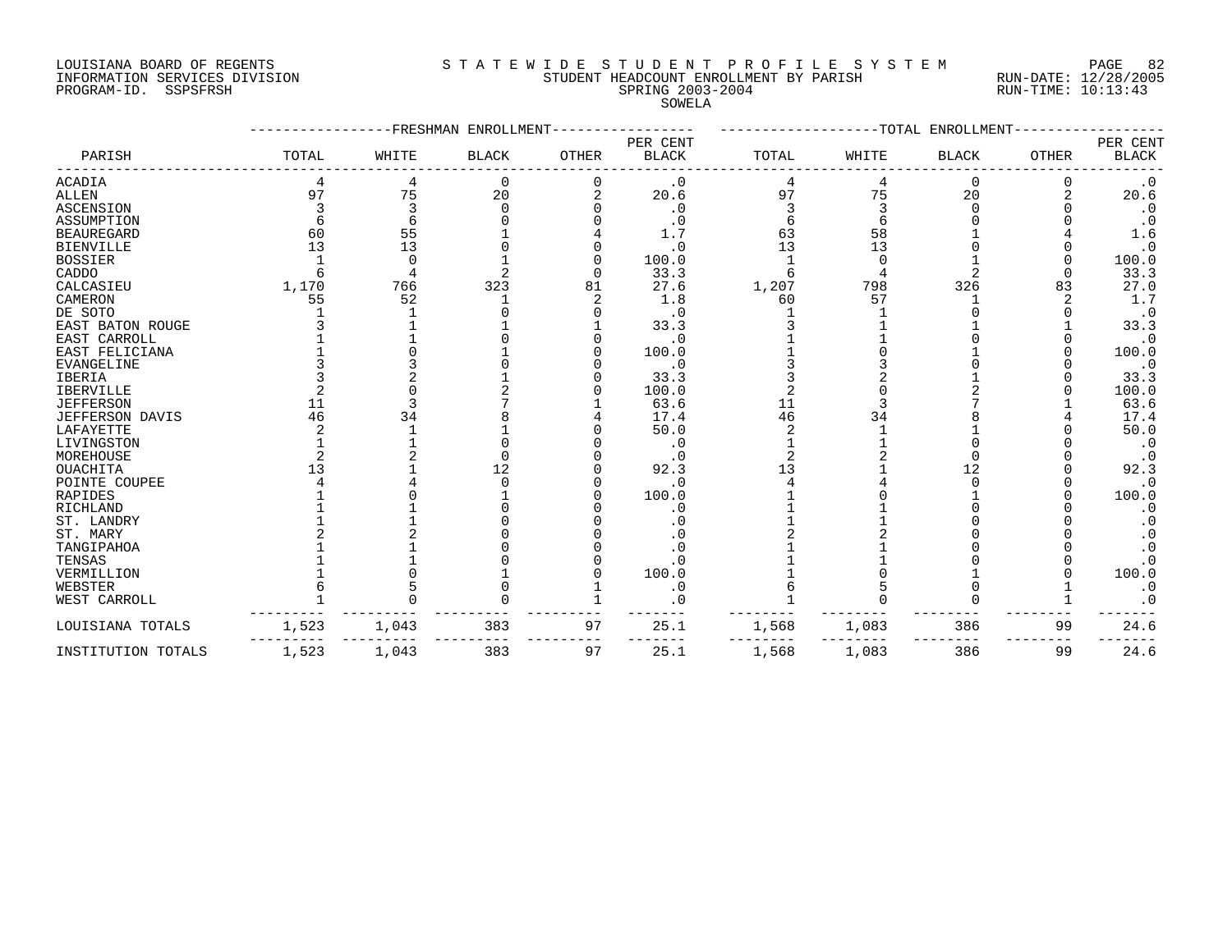#### LOUISIANA BOARD OF REGENTS S T A T E W I D E S T U D E N T P R O F I L E S Y S T E M PAGE 82 INFORMATION SERVICES DIVISION STUDENT HEADCOUNT ENROLLMENT BY PARISH RUN-DATE: 12/28/2005 PROF STRING 2003-2004 EXT AT A SALE IN THE STRING 2003-2004 SERVING 2003-2004 RUN-TIME: 10:13:43<br>PROGRAM-ID. SSPSFRSH SPRING 2003-2004 STRING 2003-2004 SPRING 2003-2004

SOWELA

|                         |       | -FRESHMAN | ENROLLMENT   |       |              |       |       | -----TOTAL ENROLLMENT |       |              |
|-------------------------|-------|-----------|--------------|-------|--------------|-------|-------|-----------------------|-------|--------------|
|                         |       |           |              |       | PER CENT     |       |       |                       |       | PER CENT     |
| PARISH                  | TOTAL | WHITE     | <b>BLACK</b> | OTHER | <b>BLACK</b> | TOTAL | WHITE | <b>BLACK</b>          | OTHER | <b>BLACK</b> |
| ACADIA                  |       | 4         | 0            |       | $\cdot$ 0    |       |       | 0                     |       | $\cdot$ 0    |
| <b>ALLEN</b>            | 97    | 75        | 20           |       | 20.6         | 97    | 75    | 20                    |       | 20.6         |
| ASCENSION               |       |           |              |       | . 0          |       |       |                       |       | $\cdot$ 0    |
| ASSUMPTION              |       |           |              |       | . 0          |       |       |                       |       | $\cdot$ 0    |
| <b>BEAUREGARD</b>       | 60    | 55        |              |       | 1.7          | 63    | 58    |                       |       | 1.6          |
| <b>BIENVILLE</b>        | 13    | 13        |              |       | . 0          | 13    | 13    |                       |       | $\cdot$ 0    |
| <b>BOSSIER</b>          |       |           |              |       | 100.0        |       |       |                       |       | 100.0        |
| CADDO                   |       |           |              |       | 33.3         |       |       |                       |       | 33.3         |
| CALCASIEU               | 1,170 | 766       | 323          | 81    | 27.6         | 1,207 | 798   | 326                   | 83    | 27.0         |
| CAMERON                 | 55    | 52        |              |       | 1.8          | 60    | 57    |                       |       | 1.7          |
| DE SOTO                 |       |           |              |       |              |       |       |                       |       | $\cdot$ 0    |
| <b>EAST BATON ROUGE</b> |       |           |              |       | 33.3         |       |       |                       |       | 33.3         |
| EAST CARROLL            |       |           |              |       | $\cdot$ 0    |       |       |                       |       | $\cdot$ 0    |
| EAST FELICIANA          |       |           |              |       | 100.0        |       |       |                       |       | 100.0        |
| <b>EVANGELINE</b>       |       |           |              |       | $\cdot$ 0    |       |       |                       |       | $\cdot$ 0    |
| <b>IBERIA</b>           |       |           |              |       | 33.3         |       |       |                       |       | 33.3         |
| <b>IBERVILLE</b>        |       |           |              |       | 100.0        |       |       |                       |       | 100.0        |
| <b>JEFFERSON</b>        | 11    |           |              |       | 63.6         | 11    |       |                       |       | 63.6         |
| <b>JEFFERSON DAVIS</b>  | 46    | 34        |              |       | 17.4         | 46    | 34    |                       |       | 17.4         |
| LAFAYETTE               |       |           |              |       | 50.0         |       |       |                       |       | 50.0         |
| LIVINGSTON              |       |           |              |       | $\cdot$ 0    |       |       |                       |       | $\cdot$ 0    |
| MOREHOUSE               |       |           |              |       |              |       |       |                       |       | $\cdot$ 0    |
| <b>OUACHITA</b>         |       |           | 12           |       | 92.3         | 13    |       | 12                    |       | 92.3         |
| POINTE COUPEE           |       |           |              |       | $\cdot$ 0    |       |       |                       |       | $\cdot$ 0    |
| RAPIDES                 |       |           |              |       | 100.0        |       |       |                       |       | 100.0        |
| RICHLAND                |       |           |              |       | . 0          |       |       |                       |       | $\cdot$ 0    |
| ST. LANDRY              |       |           |              |       | $\cdot$ 0    |       |       |                       |       | $\cdot$ 0    |
| ST. MARY                |       |           |              |       |              |       |       |                       |       | $\cdot$ 0    |
| TANGIPAHOA              |       |           |              |       |              |       |       |                       |       | $\cdot$ 0    |
| TENSAS                  |       |           |              |       | . 0          |       |       |                       |       | $\cdot$ 0    |
| VERMILLION              |       |           |              |       | 100.0        |       |       |                       |       | 100.0        |
| WEBSTER                 |       |           |              |       | $\cdot$ 0    |       |       |                       |       | $\cdot$ 0    |
| WEST CARROLL            |       |           |              |       | 0            |       |       |                       |       | $\cdot$ 0    |
| LOUISIANA TOTALS        | 1,523 | 1,043     | 383          | 97    | 25.1         | 1,568 | 1,083 | 386                   | 99    | 24.6         |
| INSTITUTION TOTALS      | 1,523 | 1,043     | 383          | 97    | 25.1         | 1,568 | 1,083 | 386                   | 99    | 24.6         |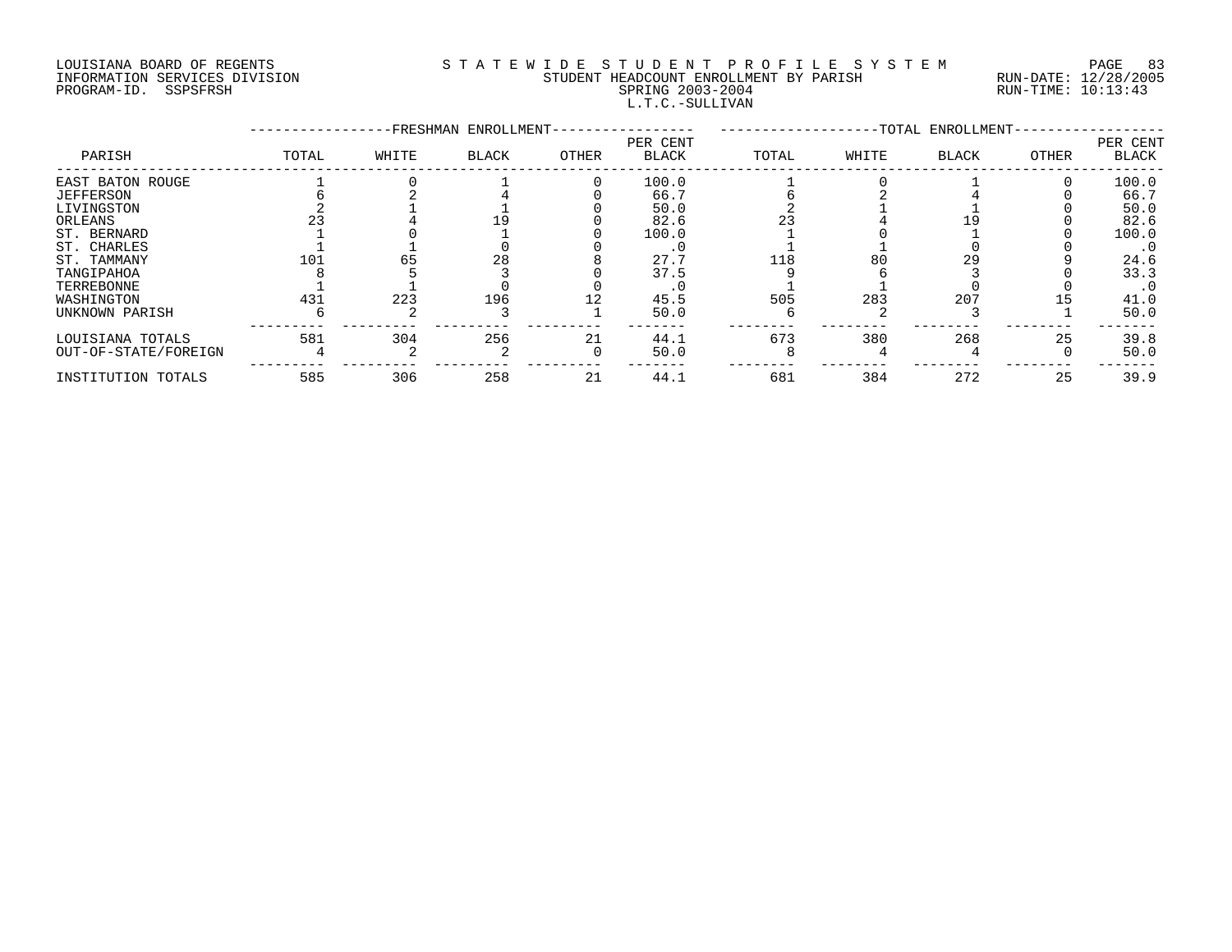# LOUISIANA BOARD OF REGENTS S T A T E W I D E S T U D E N T P R O F I L E S Y S T E M PAGE 83 INFORMATION SERVICES DIVISION STUDENT HEADCOUNT ENROLLMENT BY PARISH RUN-DATE: 12/28/2005 PROGRAM-ID. SSPSFRSH SPRING 2003-2004 RUN-TIME: 10:13:43 L.T.C.-SULLIVAN

|                      |       |       | -FRESHMAN ENROLLMENT- |          |                          | -TOTAL ENROLLMENT- |       |       |       |                          |
|----------------------|-------|-------|-----------------------|----------|--------------------------|--------------------|-------|-------|-------|--------------------------|
| PARISH               | TOTAL | WHITE | BLACK                 | OTHER    | PER CENT<br><b>BLACK</b> | TOTAL              | WHITE | BLACK | OTHER | PER CENT<br><b>BLACK</b> |
| EAST BATON ROUGE     |       |       |                       |          | 100.0                    |                    |       |       |       | 100.0                    |
| <b>JEFFERSON</b>     |       |       |                       |          | 66.7                     |                    |       |       |       | 66.7                     |
| LIVINGSTON           |       |       |                       |          | 50.0                     |                    |       |       |       | 50.0                     |
| ORLEANS              |       |       |                       |          | 82.6                     |                    |       |       |       | 82.6                     |
| ST. BERNARD          |       |       |                       |          | 100.0                    |                    |       |       |       | 100.0                    |
| ST. CHARLES          |       |       |                       |          |                          |                    |       |       |       | $\cdot$ 0                |
| ST. TAMMANY          | 101   | 65    | 28                    |          | 27.7                     | 118                | 80    | 29    |       | 24.6                     |
| TANGIPAHOA           |       |       |                       |          | 37.5                     |                    |       |       |       | 33.3                     |
| TERREBONNE           |       |       |                       |          |                          |                    |       |       |       | $\cdot$ 0                |
| WASHINGTON           | 431   | 223   | 196                   |          | 45.5                     | 505                | 283   | 207   |       | 41.0                     |
| UNKNOWN PARISH       |       |       |                       |          | 50.0                     |                    |       |       |       | 50.0                     |
| LOUISIANA TOTALS     | 581   | 304   | 256                   | 21       | 44.1                     | 673                | 380   | 268   | 25    | 39.8                     |
| OUT-OF-STATE/FOREIGN |       |       |                       | $\Omega$ | 50.0                     |                    |       |       |       | 50.0                     |
| INSTITUTION TOTALS   | 585   | 306   | 258                   | 21       | 44.1                     | 681                | 384   | 272   | 25    | 39.9                     |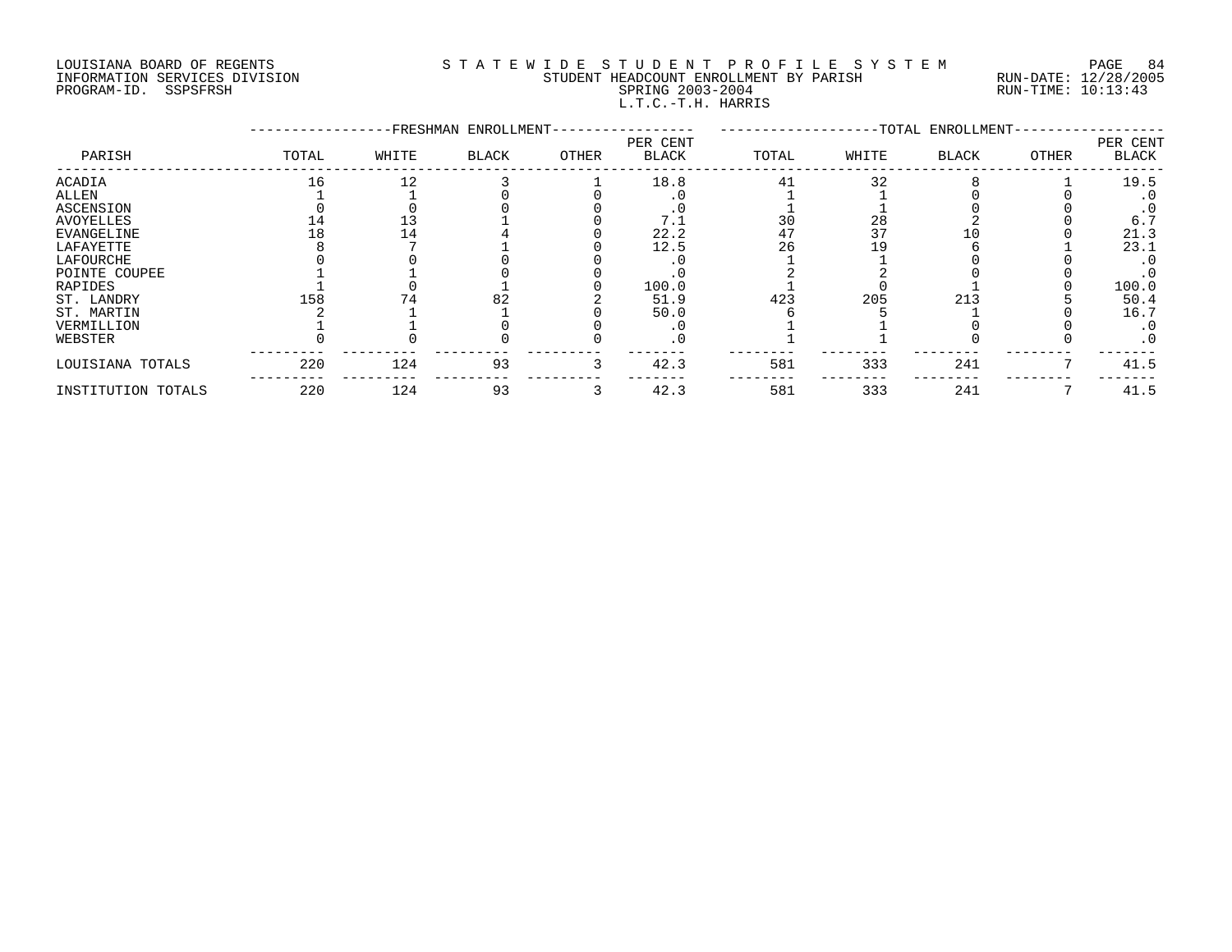# LOUISIANA BOARD OF REGENTS S T A T E W I D E S T U D E N T P R O F I L E S Y S T E M PAGE 84 INFORMATION SERVICES DIVISION STUDENT HEADCOUNT ENROLLMENT BY PARISH RUN-DATE: 12/28/2005 PROGRAM-ID. SSPSFRSH SPRING 2003-2004 RUN-TIME: 10:13:43 L.T.C.-T.H. HARRIS

|                    |       |       | -TOTAL ENROLLMENT- |       |                          |       |       |              |       |                          |
|--------------------|-------|-------|--------------------|-------|--------------------------|-------|-------|--------------|-------|--------------------------|
| PARISH             | TOTAL | WHITE | BLACK              | OTHER | PER CENT<br><b>BLACK</b> | TOTAL | WHITE | <b>BLACK</b> | OTHER | PER CENT<br><b>BLACK</b> |
| <b>ACADIA</b>      | 16    | 12    |                    |       | 18.8                     | 41    | 32    |              |       | 19.5                     |
| ALLEN              |       |       |                    |       |                          |       |       |              |       | . 0                      |
| ASCENSION          |       |       |                    |       |                          |       |       |              |       |                          |
| <b>AVOYELLES</b>   |       |       |                    |       |                          | 30    | 28    |              |       | 6.7                      |
| <b>EVANGELINE</b>  |       | 14    |                    |       | 22.2                     | 47    | 37    |              |       | 21.3                     |
| LAFAYETTE          |       |       |                    |       | 12.5                     | 26    | 19    |              |       | 23.1                     |
| LAFOURCHE          |       |       |                    |       |                          |       |       |              |       | . 0                      |
| POINTE COUPEE      |       |       |                    |       |                          |       |       |              |       | $\cdot$ 0                |
| RAPIDES            |       |       |                    |       | 100.0                    |       |       |              |       | 100.0                    |
| ST. LANDRY         | 158   | 74    | 82                 |       | 51.9                     | 423   | 205   | 213          |       | 50.4                     |
| ST. MARTIN         |       |       |                    |       | 50.0                     |       |       |              |       | 16.7                     |
| VERMILLION         |       |       |                    |       |                          |       |       |              |       | . 0                      |
| WEBSTER            |       |       |                    |       |                          |       |       |              |       | $\cdot$ 0                |
| LOUISIANA TOTALS   | 220   | 124   | 93                 | 3     | 42.3                     | 581   | 333   | 241          |       | 41.5                     |
| INSTITUTION TOTALS | 220   | 124   | 93                 |       | 42.3                     | 581   | 333   | 241          |       | 41.5                     |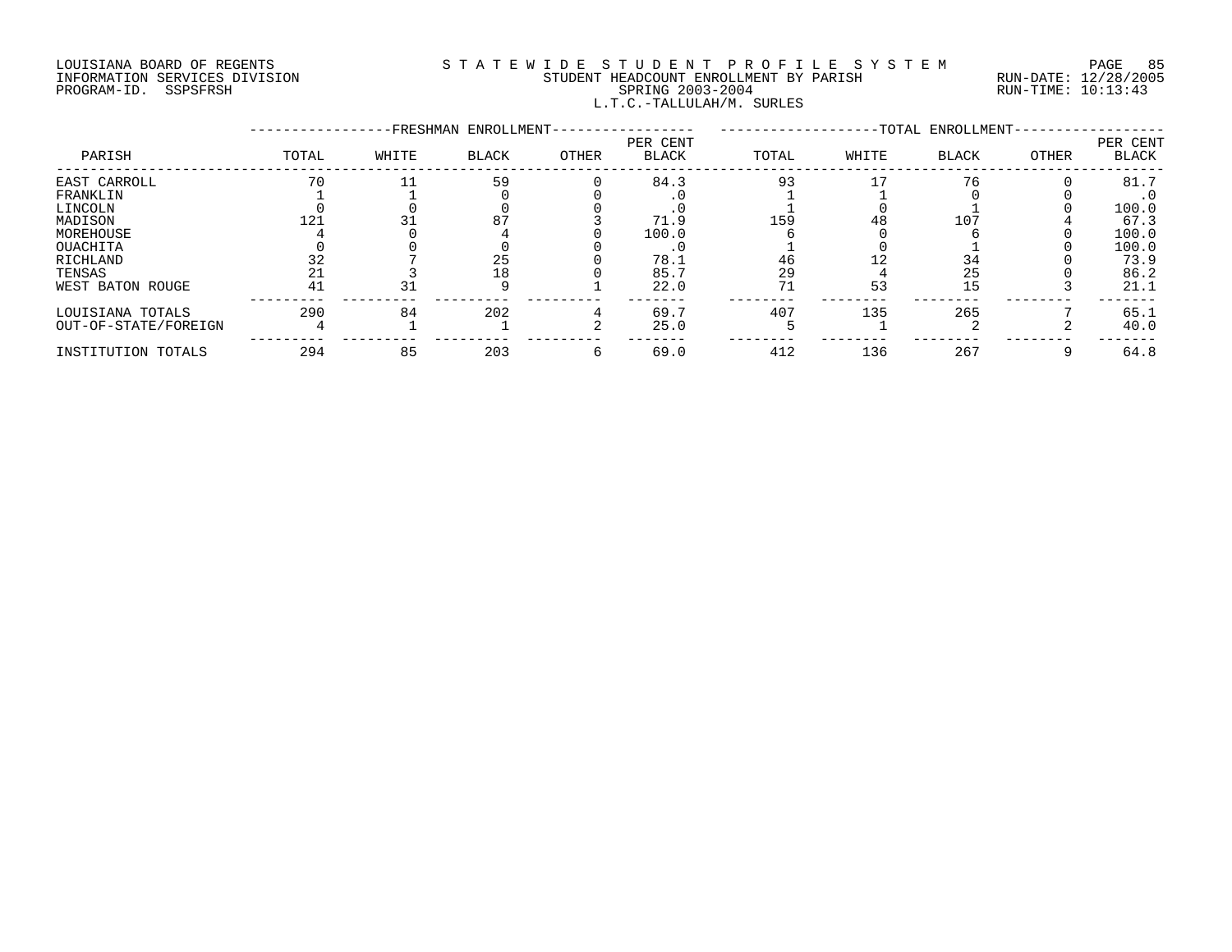# LOUISIANA BOARD OF REGENTS S T A T E W I D E S T U D E N T P R O F I L E S Y S T E M PAGE 85 INFORMATION SERVICES DIVISION STUDENT HEADCOUNT ENROLLMENT BY PARISH RUN-DATE: 12/28/2005 PROGRAM-ID. SSPSFRSH SPRING 2003-2004 RUN-TIME: 10:13:43 L.T.C.-TALLULAH/M. SURLES

|                      |       |       | -FRESHMAN ENROLLMENT- |       | -TOTAL ENROLLMENT-       |       |       |              |       |                          |
|----------------------|-------|-------|-----------------------|-------|--------------------------|-------|-------|--------------|-------|--------------------------|
| PARISH               | TOTAL | WHITE | <b>BLACK</b>          | OTHER | PER CENT<br><b>BLACK</b> | TOTAL | WHITE | <b>BLACK</b> | OTHER | PER CENT<br><b>BLACK</b> |
| EAST CARROLL         | 70    |       | 59                    |       | 84.3                     | 93    |       | 76           |       | 81.7                     |
| FRANKLIN             |       |       |                       |       |                          |       |       |              |       | $\cdot$ 0                |
| LINCOLN              |       |       |                       |       |                          |       |       |              |       | 100.0                    |
| MADISON              | 121   |       | 87                    |       | 71.9                     | 159   | 48    | 107          |       | 67.3                     |
| MOREHOUSE            |       |       |                       |       | 100.0                    |       |       |              |       | 100.0                    |
| OUACHITA             |       |       |                       |       |                          |       |       |              |       | 100.0                    |
| RICHLAND             |       |       | 25                    |       | 78.1                     | 46    |       | 34           |       | 73.9                     |
| TENSAS               |       |       | 18                    |       | 85.7                     | 29    |       | 25           |       | 86.2                     |
| WEST BATON ROUGE     | 41    | 31    |                       |       | 22.0                     | 71    | 53    | 15           |       | 21.1                     |
| LOUISIANA TOTALS     | 290   | 84    | 202                   |       | 69.7                     | 407   | 135   | 265          |       | 65.1                     |
| OUT-OF-STATE/FOREIGN |       |       |                       |       | 25.0                     |       |       |              |       | 40.0                     |
| INSTITUTION TOTALS   | 294   | 85    | 203                   | 6     | 69.0                     | 412   | 136   | 267          |       | 64.8                     |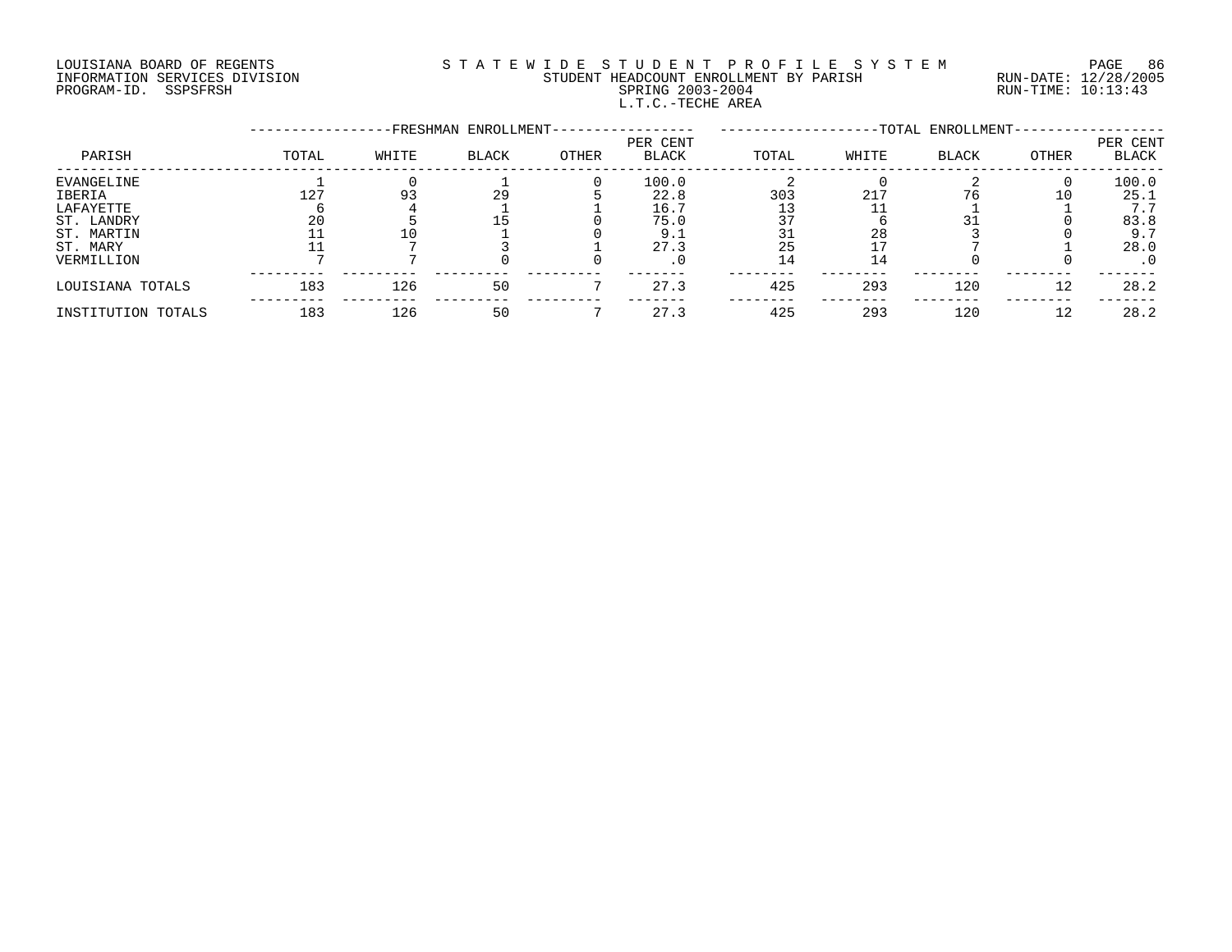# LOUISIANA BOARD OF REGENTS S T A T E W I D E S T U D E N T P R O F I L E S Y S T E M PAGE 86 INFORMATION SERVICES DIVISION STUDENT HEADCOUNT ENROLLMENT BY PARISH RUN-DATE: 12/28/2005 PROGRAM-ID. SSPSFRSH SPRING 2003-2004 RUN-TIME: 10:13:43 L.T.C.-TECHE AREA

| PARISH             |       | -TOTAL ENROLLMENT- |              |       |                   |       |       |              |       |                   |
|--------------------|-------|--------------------|--------------|-------|-------------------|-------|-------|--------------|-------|-------------------|
|                    | TOTAL | WHITE              | <b>BLACK</b> | OTHER | PER CENT<br>BLACK | TOTAL | WHITE | <b>BLACK</b> | OTHER | PER CENT<br>BLACK |
| EVANGELINE         |       |                    |              |       | 100.0             |       |       |              |       | 100.0             |
| IBERIA             | 127   | 93                 | 29           |       | 22.8              | 303   | 217   |              | 10    | 25.1              |
| LAFAYETTE          |       |                    |              |       | 16.7              |       |       |              |       | 7.7               |
| ST. LANDRY         | 20    |                    |              |       | 75.0              | 37    |       |              |       | 83.8              |
| ST. MARTIN         |       |                    |              |       | 9.1               |       | 28    |              |       | 9.7               |
| ST. MARY           |       |                    |              |       | 27.3              | 25    |       |              |       | 28.0              |
| VERMILLION         |       |                    |              |       | . 0               | 14    | 14    |              |       | $\cdot$ 0         |
| LOUISIANA TOTALS   | 183   | 126                | 50           |       | 27.3              | 425   | 293   | 120          | 12    | 28.2              |
| INSTITUTION TOTALS | 183   | 126                | 50           |       | 27.3              | 425   | 293   | 120          | 12    | 28.2              |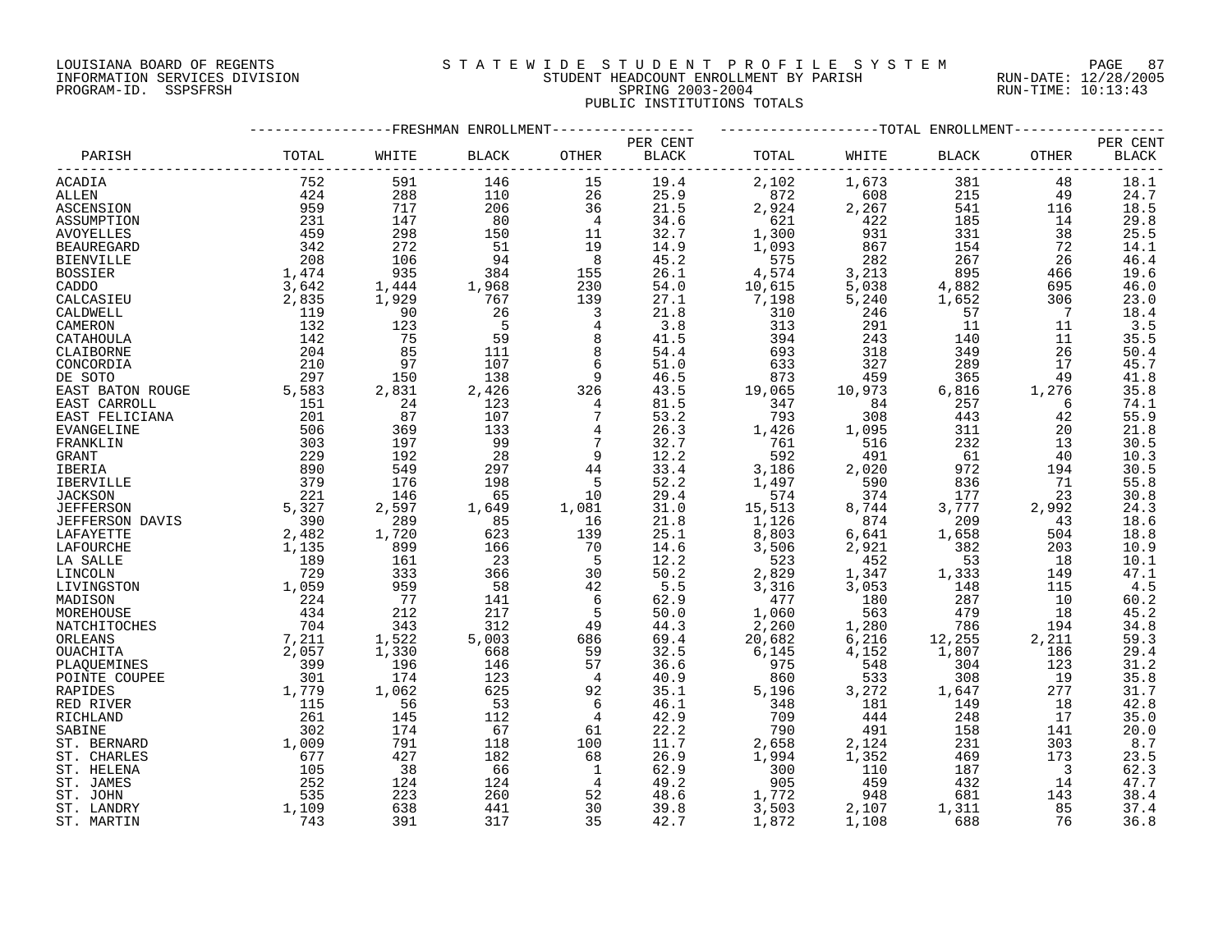## LOUISIANA BOARD OF REGENTS S T A T E W I D E S T U D E N T P R O F I L E S Y S T E M PAGE 87 INFORMATION SERVICES DIVISION STUDENT HEADCOUNT ENROLLMENT BY PARISH RUN-DATE: 12/28/2005 PROGRAM-ID. SSPSFRSH SPRING 2003-2004 RUN-TIME: 10:13:43 PUBLIC INSTITUTIONS TOTALS

|                   |       |                                           | -FRESHMAN ENROLLMENT- |                |          |                     |                        | --TOTAL ENROLLMENT-     |                         |              |
|-------------------|-------|-------------------------------------------|-----------------------|----------------|----------|---------------------|------------------------|-------------------------|-------------------------|--------------|
|                   |       |                                           |                       |                | PER CENT |                     |                        |                         |                         | PER CENT     |
| PARISH            | TOTAL | WHITE                                     | <b>BLACK</b>          | OTHER          | BLACK    | TOTAL               | WHITE                  | BLACK                   | OTHER                   | <b>BLACK</b> |
| ACADIA            | 752   | 591                                       | 146                   | 15             | 19.4     | 2,102               | 1,673                  | 381                     | 48                      | 18.1         |
| ALLEN             | 424   | 288                                       | 110                   | 26             | 25.9     | 872                 | 608                    | 215                     | 49                      | 24.7         |
|                   | 959   | 717                                       | 206                   | 36             | 21.5     | 2,924               | 2,267                  | 541                     |                         | 18.5         |
| ASCENSION         | 231   | 147                                       | 80                    | $\overline{4}$ | 34.6     |                     | 422                    | 185                     | 116                     | 29.8         |
| ASSUMPTION        |       |                                           |                       |                |          | 621                 |                        |                         | 14                      |              |
| <b>AVOYELLES</b>  | 459   | 298                                       | 150                   | 11             | 32.7     | 1,300               | 931                    | 331                     | 38                      | 25.5         |
| <b>BEAUREGARD</b> | 342   | 272                                       | 51                    | 19             | 14.9     | 1,093               | 867                    | 154                     | 72                      | 14.1         |
| <b>BIENVILLE</b>  | 208   | 106                                       | 94                    | 8              | 45.2     | 575                 | 282                    | 267                     | 26                      | 46.4         |
| <b>BOSSIER</b>    | 1,474 | 935                                       | 384                   | 155            | 26.1     | $4,574$<br>$10,615$ | 3,213                  | 895                     | 466                     | 19.6         |
| CADDO             | 3,642 | 1,444                                     | 1,968<br>767          | 230            | 54.0     |                     | 5,038                  | 4,882                   | 695                     | 46.0         |
| CALCASIEU         | 2,835 | 1,929                                     |                       | 139            | 27.1     | 7,198               | 5,240                  | 1,652                   | 306                     | 23.0         |
| CALDWELL          | 119   | 90                                        | 26                    | 3              | 21.8     | 310                 | 246                    | 57                      | $\overline{7}$          | 18.4         |
| CAMERON           | 132   | 123                                       | $\overline{5}$        | 4              | 3.8      | 313                 | 291                    | 11                      | 11                      | 3.5          |
| CATAHOULA         | 142   | 75                                        | 59                    | 8              | 41.5     | 394                 | 243                    | 140                     | 11                      | 35.5         |
| CLAIBORNE         | 204   | 85                                        | 111                   | 8              | 54.4     | 693                 | 318                    | 349                     | 26                      | 50.4         |
| CONCORDIA         | 210   | 97                                        | 107                   | 6              | 51.0     | 633                 | 327                    | 289                     | 17                      | 45.7         |
| DE SOTO           | 297   | 150                                       | 138                   | 9              | 46.5     | 873                 | ر د د<br>459<br>10,973 | 365                     | 49                      | 41.8         |
| EAST BATON ROUGE  | 5,583 | 2,831                                     | 2,426                 | 326            | 43.5     | 19,065              |                        | 6,816                   | 1,276                   | 35.8         |
| EAST CARROLL      | 151   | 24                                        | 123                   |                | 81.5     | 347                 | 84                     | 257                     | 6                       | 74.1         |
| EAST FELICIANA    | 201   | 87                                        | 107                   | 7              | 53.2     | 793                 | 308                    | 443                     | 42                      | 55.9         |
| EVANGELINE        | 506   | 369                                       | 133                   |                | 26.3     | 1,426               | 1,095                  | 311                     | 20                      | 21.8         |
| FRANKLIN          | 303   | 197                                       | 99                    | 7              | 32.7     | 761                 | 516                    | 232                     | 13                      | 30.5         |
| GRANT             | 229   | 192                                       | 28                    | 9              | 12.2     | 592                 | 491                    | 61                      | 40                      | 10.3         |
| IBERIA            | 890   | 549                                       | 297                   | 44             | 33.4     | 3,186               | 2,020                  | 972                     | 194                     | 30.5         |
| IBERVILLE         | 379   | 176                                       | 198                   | 5              | 52.2     | 1,497               | 590                    | 836                     | 71                      | 55.8         |
| <b>JACKSON</b>    | 221   | 146                                       | 65                    | 10             | 29.4     | 574                 | 374                    | 177                     | 23                      | 30.8         |
| <b>JEFFERSON</b>  | 5,327 | 2,597                                     | 1,649                 | 1,081          | 31.0     | 15,513              | 8,744                  | 3,777                   | 2,992                   | 24.3         |
| JEFFERSON DAVIS   | 390   | 289                                       | 85                    | 16             | 21.8     | 1,126               | 874                    | 209                     | 43                      | 18.6         |
| LAFAYETTE         | 2,482 | 1,720                                     | 623                   | 139            | 25.1     | 8,803               |                        | 1,658                   | 504                     | 18.8         |
| LAFOURCHE         | 1,135 | 899                                       | 166                   | 70             | 14.6     | 3,506               | $\frac{6,641}{2,921}$  | 382                     | 203                     | 10.9         |
| LA SALLE          | 189   | 161                                       | 23                    | $-5$           | 12.2     | 523                 | 452                    | 53                      | 18                      | 10.1         |
| LINCOLN           | 729   | 333                                       | 366                   | 30             | 50.2     | 2,829               | 1,347<br>3,053         | 1,333                   | 149                     | 47.1         |
| LIVINGSTON        | 1,059 | 959                                       | 58                    | 42             | 5.5      | 3,316               |                        | 148                     | 115                     | 4.5          |
| MADISON           | 224   | 77                                        | 141                   | 6              | 62.9     | 477                 | 180                    | 287                     | 10                      | 60.2         |
| MOREHOUSE         | 434   | 212                                       | 217                   | 5              | 50.0     | 1,060               | 563                    | 479                     | 18                      | 45.2         |
| NATCHITOCHES      | 704   | 343                                       | 312                   | 49             | 44.3     | 2,260               | 1,280                  | 786                     | 194                     | 34.8         |
| ORLEANS           | 7,211 | 1,522                                     | 5,003                 | 686            | 69.4     | 20,682              | 6,216                  | $12,25$<br>1,807<br>304 | 2,211                   | 59.3         |
| OUACHITA          | 2,057 | 1,330                                     | 668                   | 59             | 32.5     | 6,145               | 4,152                  |                         | 186                     | 29.4         |
| PLAQUEMINES       | 399   |                                           | 146                   | 57             | 36.6     | 975                 | 548                    |                         | 123                     | 31.2         |
| POINTE COUPEE     | 301   | $\begin{array}{c} 196 \\ 174 \end{array}$ | 123                   | $\overline{4}$ | 40.9     | 860                 | 533                    | 308                     | 19                      | 35.8         |
| RAPIDES           | 1,779 | 1,062                                     | 625                   | 92             | 35.1     | 5,196               | 3,272                  | 1,647                   | 277                     | 31.7         |
| RED RIVER         | 115   | 56                                        | 53                    | - 6            | 46.1     | 348                 | 181                    | 149                     | 18                      | 42.8         |
| RICHLAND          | 261   | 145                                       | 112                   | $\overline{4}$ | 42.9     | 709                 | 444                    | 248                     | 17                      | 35.0         |
| SABINE            | 302   | 174                                       | 67                    | 61             | 22.2     | 790                 | 491                    | 158                     | 141                     | 20.0         |
| ST. BERNARD       | 1,009 | 791                                       | 118                   | 100            | 11.7     | 2,658               | 2,124                  | 231                     | 303                     | 8.7          |
| ST. CHARLES       | 677   | 427                                       | 182                   | 68             | 26.9     | 1,994               | 1,352                  | 469                     | 173                     | 23.5         |
| ST. HELENA        | 105   | 38                                        | 66                    | 1              | 62.9     | 300                 | $110$                  | 187                     | $\overline{\mathbf{3}}$ | 62.3         |
| ST. JAMES         | 252   | 124                                       | 124                   | $\overline{4}$ | 49.2     | 905                 | 459                    | 432                     | 14                      | 47.7         |
| ST. JOHN          | 535   | 223                                       | 260                   | 52             | 48.6     | 1,772               | 948                    | 681                     | 143                     | 38.4         |
| ST. LANDRY        | 1,109 | 638                                       | 441                   | 30             | 39.8     | 3,503               | 2,107                  | 1,311                   | 85                      | 37.4         |
| ST. MARTIN        | 743   | 391                                       | 317                   | 35             | 42.7     | 1,872               | 1,108                  | 688                     | 76                      | 36.8         |
|                   |       |                                           |                       |                |          |                     |                        |                         |                         |              |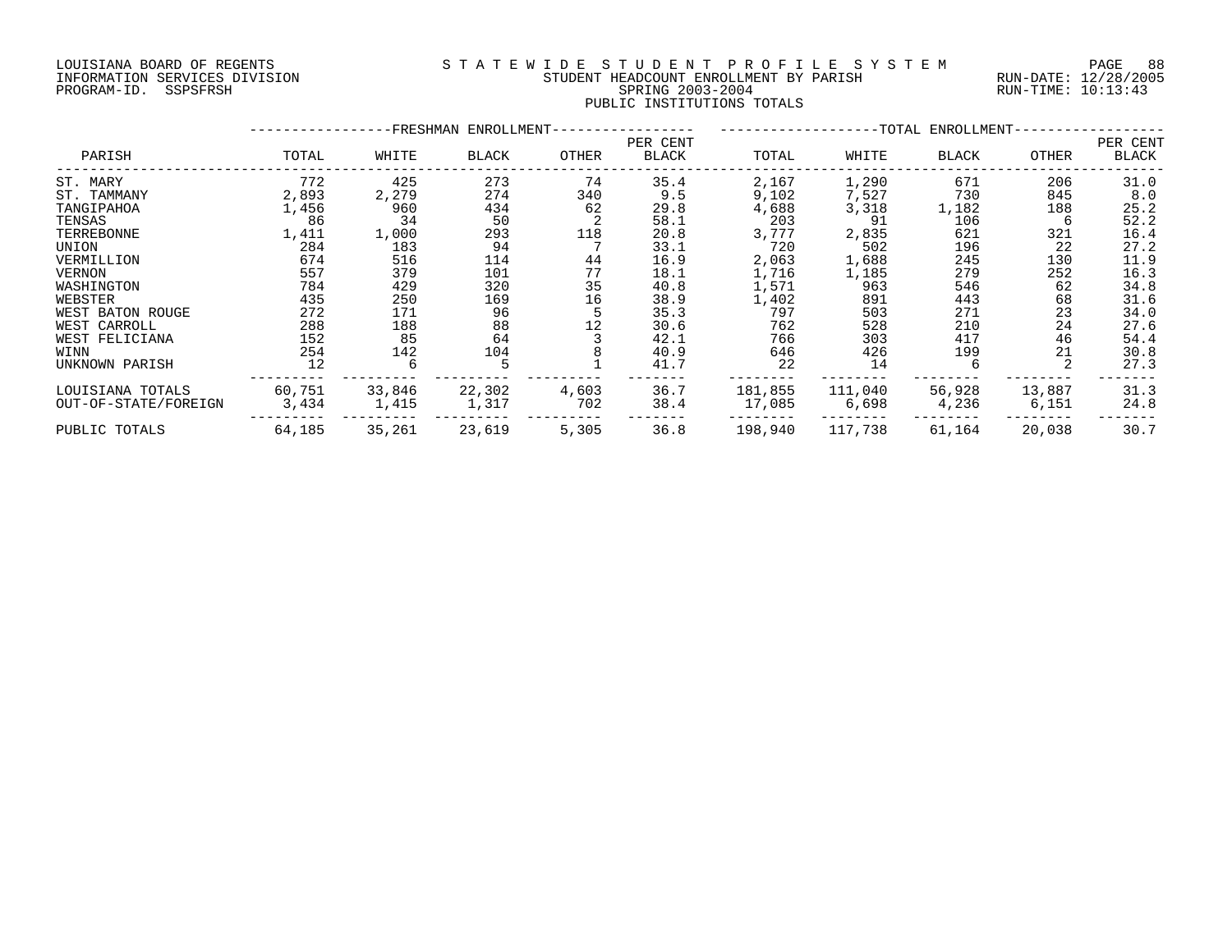#### LOUISIANA BOARD OF REGENTS S T A T E W I D E S T U D E N T P R O F I L E S Y S T E M PAGE 88 INFORMATION SERVICES DIVISION STUDENT HEADCOUNT ENROLLMENT BY PARISH RUN-DATE: 12/28/2005 PROGRAM-ID. SSPSFRSH SPRING 2003-2004 RUN-TIME: 10:13:43 PUBLIC INSTITUTIONS TOTALS

|                      |        |        | -FRESHMAN ENROLLMENT- |       | -TOTAL ENROLLMENT-       |         |         |        |        |                   |
|----------------------|--------|--------|-----------------------|-------|--------------------------|---------|---------|--------|--------|-------------------|
| PARISH               | TOTAL  | WHITE  | BLACK                 | OTHER | PER CENT<br><b>BLACK</b> | TOTAL   | WHITE   | BLACK  | OTHER  | PER CENT<br>BLACK |
| ST. MARY             | 772    | 425    | 273                   | 74    | 35.4                     | 2,167   | 1,290   | 671    | 206    | 31.0              |
| ST. TAMMANY          | 2,893  | 2,279  | 274                   | 340   | 9.5                      | 9,102   | 7,527   | 730    | 845    | 8.0               |
| TANGIPAHOA           | 1,456  | 960    | 434                   | 62    | 29.8                     | 4,688   | 3,318   | 1,182  | 188    | 25.2              |
| TENSAS               | 86     | 34     | 50                    |       | 58.1                     | 203     | 91      | 106    | 6      | 52.2              |
| TERREBONNE           | 1,411  | 1,000  | 293                   | 118   | 20.8                     | 3,777   | 2,835   | 621    | 321    | 16.4              |
| UNION                | 284    | 183    | 94                    |       | 33.1                     | 720     | 502     | 196    | 22     | 27.2              |
| VERMILLION           | 674    | 516    | 114                   | 44    | 16.9                     | 2,063   | 1,688   | 245    | 130    | 11.9              |
| <b>VERNON</b>        | 557    | 379    | 101                   | 77    | 18.1                     | 1,716   | 1,185   | 279    | 252    | 16.3              |
| WASHINGTON           | 784    | 429    | 320                   | 35    | 40.8                     | 1,571   | 963     | 546    | 62     | 34.8              |
| WEBSTER              | 435    | 250    | 169                   | 16    | 38.9                     | 1,402   | 891     | 443    | 68     | 31.6              |
| WEST BATON ROUGE     | 272    | 171    | 96                    | 5     | 35.3                     | 797     | 503     | 271    | 23     | 34.0              |
| WEST CARROLL         | 288    | 188    | 88                    | 12    | 30.6                     | 762     | 528     | 210    | 24     | 27.6              |
| WEST FELICIANA       | 152    | 85     | 64                    |       | 42.1                     | 766     | 303     | 417    | 46     | 54.4              |
| WINN                 | 254    | 142    | 104                   |       | 40.9                     | 646     | 426     | 199    | 21     | 30.8              |
| UNKNOWN PARISH       | 12     | 6      |                       |       | 41.7                     | 22      | 14      | 6      |        | 27.3              |
| LOUISIANA TOTALS     | 60,751 | 33,846 | 22,302                | 4,603 | 36.7                     | 181,855 | 111,040 | 56,928 | 13,887 | 31.3              |
| OUT-OF-STATE/FOREIGN | 3,434  | 1,415  | 1,317                 | 702   | 38.4                     | 17,085  | 6,698   | 4,236  | 6,151  | 24.8              |
| PUBLIC TOTALS        | 64,185 | 35,261 | 23,619                | 5,305 | 36.8                     | 198,940 | 117,738 | 61,164 | 20,038 | 30.7              |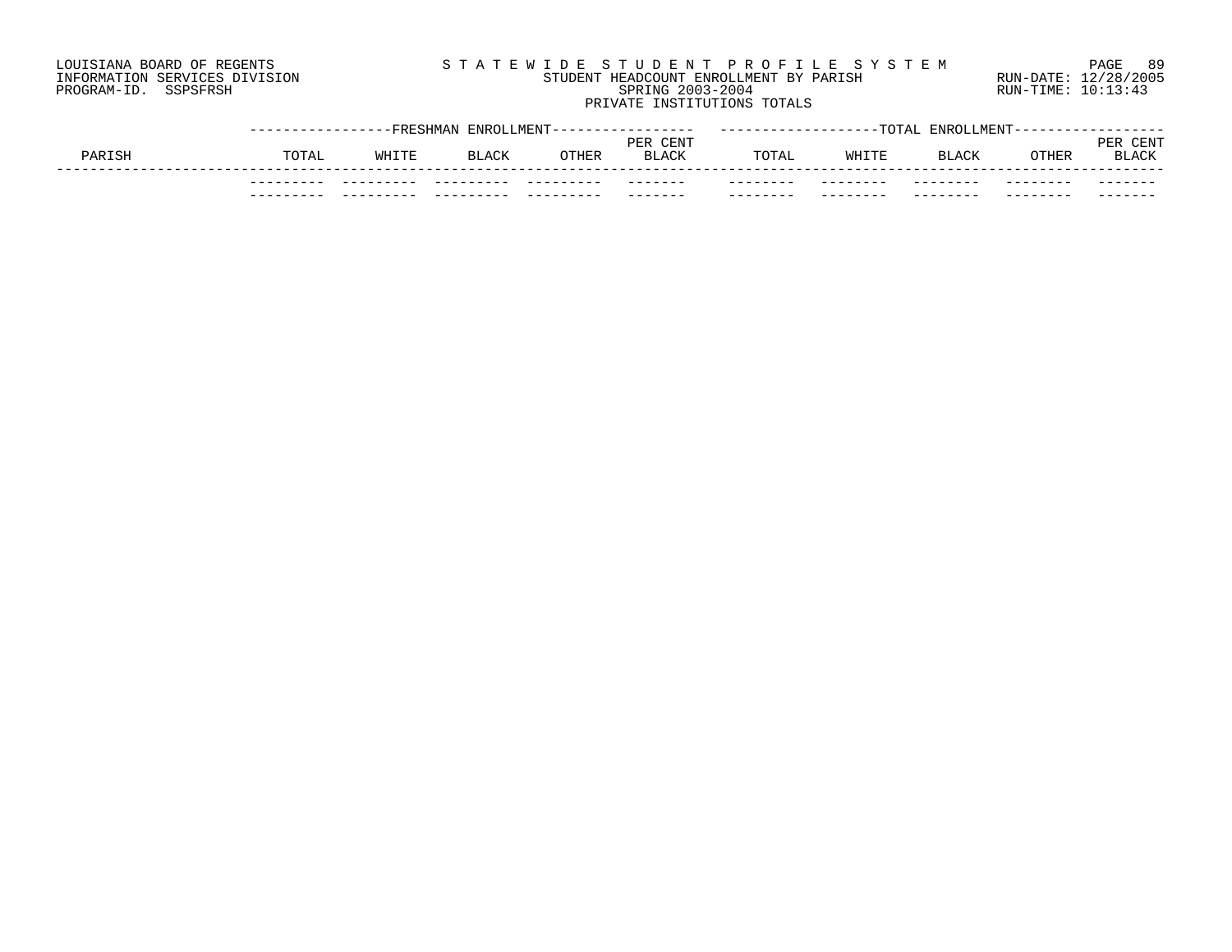# LOUISIANA BOARD OF REGENTS S T A T E W I D E S T U D E N T P R O F I L E S Y S T E M PAGE 89 INFORMATION SERVICES DIVISION STUDENT HEADCOUNT ENROLLMENT BY PARISH RUN-DATE: 12/28/2005 PROGRAM-ID. SSPSFRSH SPRING 2003-2004 RUN-TIME: 10:13:43 PRIVATE INSTITUTIONS TOTALS

|        |                    | -FRESHMAN | ENROLLMENT-  |              |                          |                   | $T$ $\cap$ $T$ $\Delta$ . | <b>ENROLLMENT</b> |          |                             |
|--------|--------------------|-----------|--------------|--------------|--------------------------|-------------------|---------------------------|-------------------|----------|-----------------------------|
| PARISH | TOTAL              | WHITE     | <b>BLACK</b> | <b>OTHER</b> | PER CENT<br><b>BLACK</b> | TOTAL             | WHITE                     | <b>BLACK</b>      | OTHER    | CENT<br>PER<br><b>BLACK</b> |
|        | $- - -$<br>$- - -$ |           |              | ------       | -------                  | -----<br>-------- | _____<br>--------         | _____<br>-------- | -------- | -------                     |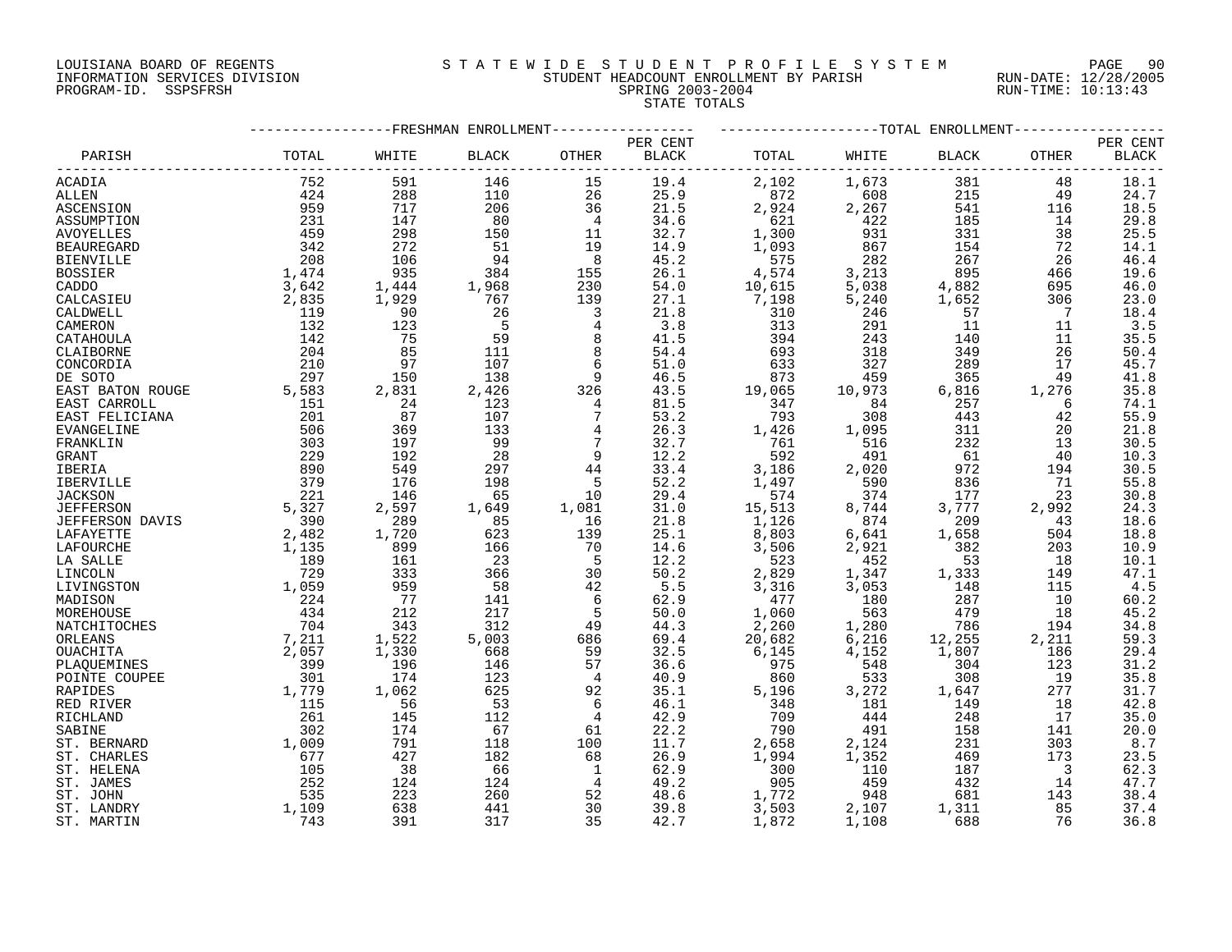#### LOUISIANA BOARD OF REGENTS S T A T E W I D E S T U D E N T P R O F I L E S Y S T E M PAGE 90 INFORMATION SERVICES DIVISION STUDENT HEADCOUNT ENROLLMENT BY PARISH RUN-DATE: 12/28/2005 PROGRAM-ID. SSPSFRSH SPRING 2003-2004 RUN-TIME: 10:13:43 STATE TOTALS

|                   |       | --TOTAL ENROLLMENT |                        |                |              |        |         |        |       |              |
|-------------------|-------|--------------------|------------------------|----------------|--------------|--------|---------|--------|-------|--------------|
|                   |       |                    | FRESHMAN ENROLLMENT-   |                | PER CENT     |        |         |        |       | PER CENT     |
| PARISH            | TOTAL | WHITE              | $\operatorname{BLACK}$ | OTHER          | <b>BLACK</b> | TOTAL  | WHITE   | BLACK  | OTHER | <b>BLACK</b> |
| ACADIA            | 752   | 591                | 146                    | 15             | 19.4         | 2,102  | 1,673   | 381    | 48    | 18.1         |
| ALLEN             | 424   | 288                | 110                    | 26             | 25.9         | 872    | 608     | 215    | 49    | 24.7         |
| ASCENSION         | 959   | 717                | 206                    | 36             | 21.5         | 2,924  | 2,267   | 541    | 116   | 18.5         |
| ASSUMPTION        | 231   | 147                | 80                     | $\overline{4}$ | 34.6         | 621    | 422     | 185    | 14    | 29.8         |
| <b>AVOYELLES</b>  | 459   | 298                | 150                    | 11             | 32.7         | 1,300  | 931     | 331    | 38    | 25.5         |
| <b>BEAUREGARD</b> | 342   | 272                | 51                     | 19             | 14.9         | 1,093  | 867     | 154    | 72    | 14.1         |
| <b>BIENVILLE</b>  | 208   | 106                | 94                     | 8              | 45.2         | 575    | 282     | 267    | 26    | 46.4         |
| <b>BOSSIER</b>    | 1,474 | 935                | 384                    | 155            | 26.1         | 4,574  | 3,213   | 895    | 466   | 19.6         |
| CADDO             | 3,642 | 1,444              | 1,968                  | 230            | 54.0         | 10,615 | 5,038   | 4,882  | 695   | 46.0         |
| CALCASIEU         | 2,835 | 1,929              | 767                    | 139            | 27.1         | 7,198  | 5,240   | 1,652  | 306   | 23.0         |
| CALDWELL          | 119   | 90                 | 26                     | 3              | 21.8         | 310    | 246     | 57     | 7     | 18.4         |
| CAMERON           | 132   | 123                | 5                      | $\overline{4}$ | 3.8          | 313    | 291     | 11     | 11    | 3.5          |
| CATAHOULA         | 142   | 75                 | 59                     | 8              | 41.5         | 394    | 243     | 140    | 11    | 35.5         |
|                   | 204   | 85                 | 111                    | 8              | 54.4         | 693    | 318     | 349    | 26    | 50.4         |
| CLAIBORNE         |       |                    |                        |                |              |        |         |        |       |              |
| CONCORDIA         | 210   | 97                 | 107                    | 6              | 51.0         | 633    | 327     | 289    | 17    | 45.7         |
| DE SOTO           | 297   | 150                | 138                    | 9              | 46.5         | 873    | 459     | 365    | 49    | 41.8         |
| EAST BATON ROUGE  | 5,583 | 2,831              | 2,426                  | 326            | 43.5         | 19,065 | 10,973  | 6,816  | 1,276 | 35.8         |
| EAST CARROLL      | 151   | 24                 | 123                    | $\overline{4}$ | 81.5         | 347    | 84      | 257    | 6     | 74.1         |
| EAST FELICIANA    | 201   | 87                 | 107                    | 7              | 53.2         | 793    | 308     | 443    | 42    | 55.9         |
| <b>EVANGELINE</b> | 506   | 369                | 133                    | 4              | 26.3         | 1,426  | 1,095   | 311    | 20    | 21.8         |
| FRANKLIN          | 303   | 197                | 99                     | 7              | 32.7         | 761    | 516     | 232    | 13    | 30.5         |
| GRANT             | 229   | 192                | 28                     | 9              | 12.2         | 592    | 491     | 61     | 40    | 10.3         |
| IBERIA            | 890   | 549                | 297                    | 44             | 33.4         | 3,186  | 2,020   | 972    | 194   | 30.5         |
| IBERVILLE         | 379   | 176                | 198                    | 5              | 52.2         | 1,497  | 590     | 836    | 71    | 55.8         |
| <b>JACKSON</b>    | 221   | 146                | 65                     | 10             | 29.4         | 574    | 374     | 177    | 23    | 30.8         |
| <b>JEFFERSON</b>  | 5,327 | 2,597              | 1,649                  | 1,081          | 31.0         | 15,513 | 8,744   | 3,777  | 2,992 | 24.3         |
| JEFFERSON DAVIS   | 390   | 289                | 85                     | 16             | 21.8         | 1,126  | 874     | 209    | 43    | 18.6         |
| LAFAYETTE         | 2,482 | 1,720              | 623                    | 139            | 25.1         | 8,803  | $6,641$ | 1,658  | 504   | 18.8         |
| LAFOURCHE         | 1,135 | 899                | 166                    | 70             | 14.6         | 3,506  | 2,921   | 382    | 203   | 10.9         |
| LA SALLE          | 189   | 161                | 23                     | -5             | 12.2         | 523    | 452     | 53     | 18    | 10.1         |
| LINCOLN           | 729   | 333                | 366                    | 30             | 50.2         | 2,829  | 1,347   | 1,333  | 149   | 47.1         |
| LIVINGSTON        | 1,059 | 959                | 58                     | 42             | 5.5          | 3,316  | 3,053   | 148    | 115   | 4.5          |
| MADISON           | 224   | 77                 | 141                    | 6              | 62.9         | 477    | 180     | 287    | 10    | 60.2         |
| MOREHOUSE         | 434   | 212                | 217                    | 5              | 50.0         | 1,060  | 563     | 479    | 18    | 45.2         |
| NATCHITOCHES      | 704   | 343                | 312                    | 49             | 44.3         | 2,260  | 1,280   | 786    | 194   | 34.8         |
| ORLEANS           | 7,211 | 1,522              | 5,003                  | 686            | 69.4         | 20,682 | 6,216   | 12,255 | 2,211 | 59.3         |
| OUACHITA          | 2,057 | 1,330              | 668                    | 59             | 32.5         | 6,145  | 4,152   | 1,807  | 186   | 29.4         |
| PLAQUEMINES       | 399   | 196                | 146                    | 57             | 36.6         | 975    | 548     | 304    | 123   | 31.2         |
| POINTE COUPEE     | 301   | 174                | 123                    | 4              | 40.9         | 860    | 533     | 308    | 19    | 35.8         |
| <b>RAPIDES</b>    | 1,779 | 1,062              | 625                    | 92             | 35.1         | 5,196  | 3,272   | 1,647  | 277   | 31.7         |
| RED RIVER         | 115   | 56                 | 53                     | 6              | 46.1         | 348    | 181     | 149    | 18    | 42.8         |
| RICHLAND          | 261   | 145                | 112                    | 4              | 42.9         | 709    | 444     | 248    | 17    | 35.0         |
| SABINE            | 302   | 174                | 67                     | 61             | 22.2         | 790    | 491     | 158    | 141   | 20.0         |
| ST. BERNARD       | 1,009 | 791                | 118                    | 100            | 11.7         | 2,658  | 2,124   | 231    | 303   | 8.7          |
| ST. CHARLES       | 677   | 427                | 182                    | 68             | 26.9         | 1,994  | 1,352   | 469    | 173   | 23.5         |
| ST. HELENA        | 105   | 38                 | 66                     | 1              | 62.9         | 300    | 110     | 187    | 3     | 62.3         |
| ST. JAMES         | 252   | 124                | 124                    | 4              | 49.2         | 905    | 459     | 432    | 14    | 47.7         |
| ST. JOHN          | 535   | 223                | 260                    | 52             | 48.6         | 1,772  | 948     | 681    | 143   | 38.4         |
| ST. LANDRY        | 1,109 | 638                | 441                    | 30             | 39.8         | 3,503  | 2,107   | 1,311  | 85    | 37.4         |
| ST. MARTIN        | 743   | 391                | 317                    | 35             | 42.7         | 1,872  | 1,108   | 688    | 76    | 36.8         |
|                   |       |                    |                        |                |              |        |         |        |       |              |